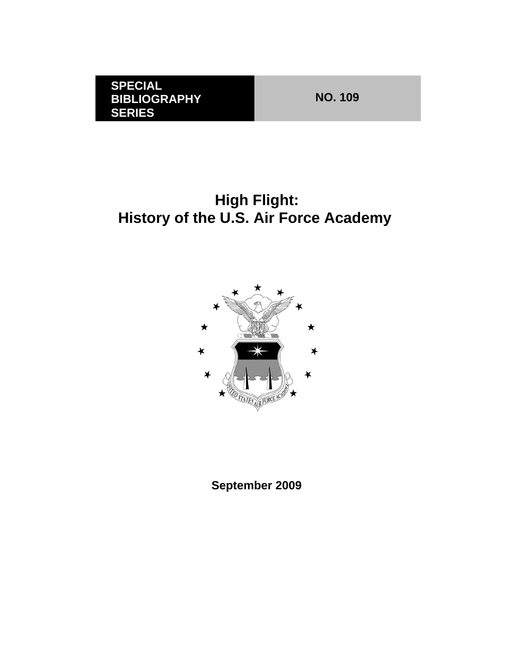**NO. 109** 

# **High Flight: History of the U.S. Air Force Academy**



**September 2009**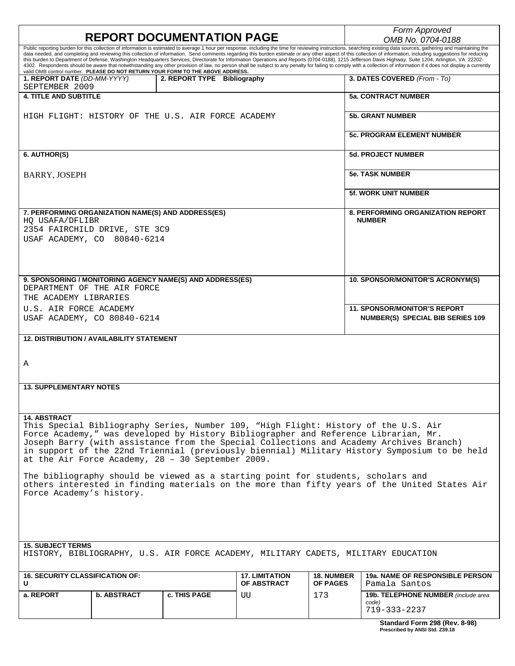| <b>REPORT DOCUMENTATION PAGE</b>                                                                                                                                                                                      |                    |                             |                                             |                                      | Form Approved                                                                                                                                                                                                                                                                                                                                                                                                              |  |  |
|-----------------------------------------------------------------------------------------------------------------------------------------------------------------------------------------------------------------------|--------------------|-----------------------------|---------------------------------------------|--------------------------------------|----------------------------------------------------------------------------------------------------------------------------------------------------------------------------------------------------------------------------------------------------------------------------------------------------------------------------------------------------------------------------------------------------------------------------|--|--|
| Public reporting burden for this collection of information is estimated to average 1 hour per response, including the time for reviewing instructions, searching existing data sources, gathering and maintaining the |                    |                             |                                             |                                      | OMB No. 0704-0188                                                                                                                                                                                                                                                                                                                                                                                                          |  |  |
|                                                                                                                                                                                                                       |                    |                             |                                             |                                      | data needed, and completing and reviewing this collection of information. Send comments regarding this burden estimate or any other aspect of this collection of information, including suggestions for reducing<br>this burden to Department of Defense, Washington Headquarters Services, Directorate for Information Operations and Reports (0704-0188), 1215 Jefferson Davis Highway, Suite 1204, Arlington, VA 22202- |  |  |
| valid OMB control number. PLEASE DO NOT RETURN YOUR FORM TO THE ABOVE ADDRESS.                                                                                                                                        |                    |                             |                                             |                                      | 4302. Respondents should be aware that notwithstanding any other provision of law, no person shall be subject to any penalty for failing to comply with a collection of information if it does not display a currently                                                                                                                                                                                                     |  |  |
| 1. REPORT DATE (DD-MM-YYYY)<br>SEPTEMBER 2009                                                                                                                                                                         |                    | 2. REPORT TYPE Bibliography |                                             |                                      | 3. DATES COVERED (From - To)                                                                                                                                                                                                                                                                                                                                                                                               |  |  |
| <b>4. TITLE AND SUBTITLE</b>                                                                                                                                                                                          |                    |                             |                                             |                                      | <b>5a. CONTRACT NUMBER</b>                                                                                                                                                                                                                                                                                                                                                                                                 |  |  |
| HIGH FLIGHT: HISTORY OF THE U.S. AIR FORCE ACADEMY                                                                                                                                                                    |                    |                             |                                             |                                      | <b>5b. GRANT NUMBER</b>                                                                                                                                                                                                                                                                                                                                                                                                    |  |  |
|                                                                                                                                                                                                                       |                    |                             |                                             |                                      | <b>5c. PROGRAM ELEMENT NUMBER</b>                                                                                                                                                                                                                                                                                                                                                                                          |  |  |
| 6. AUTHOR(S)                                                                                                                                                                                                          |                    |                             |                                             |                                      | <b>5d. PROJECT NUMBER</b>                                                                                                                                                                                                                                                                                                                                                                                                  |  |  |
| <b>BARRY, JOSEPH</b>                                                                                                                                                                                                  |                    |                             |                                             | <b>5e. TASK NUMBER</b>               |                                                                                                                                                                                                                                                                                                                                                                                                                            |  |  |
|                                                                                                                                                                                                                       |                    |                             |                                             |                                      | <b>5f. WORK UNIT NUMBER</b>                                                                                                                                                                                                                                                                                                                                                                                                |  |  |
| 7. PERFORMING ORGANIZATION NAME(S) AND ADDRESS(ES)<br>HQ USAFA/DFLIBR<br>2354 FAIRCHILD DRIVE, STE 3C9<br>USAF ACADEMY, CO 80840-6214                                                                                 |                    |                             |                                             |                                      | <b>8. PERFORMING ORGANIZATION REPORT</b><br><b>NUMBER</b>                                                                                                                                                                                                                                                                                                                                                                  |  |  |
| 9. SPONSORING / MONITORING AGENCY NAME(S) AND ADDRESS(ES)<br>DEPARTMENT OF THE AIR FORCE                                                                                                                              |                    |                             |                                             |                                      | 10. SPONSOR/MONITOR'S ACRONYM(S)                                                                                                                                                                                                                                                                                                                                                                                           |  |  |
| THE ACADEMY LIBRARIES                                                                                                                                                                                                 |                    |                             |                                             |                                      |                                                                                                                                                                                                                                                                                                                                                                                                                            |  |  |
| U.S. AIR FORCE ACADEMY                                                                                                                                                                                                |                    |                             |                                             |                                      | <b>11. SPONSOR/MONITOR'S REPORT</b>                                                                                                                                                                                                                                                                                                                                                                                        |  |  |
| USAF ACADEMY, CO 80840-6214                                                                                                                                                                                           |                    |                             |                                             |                                      | <b>NUMBER(S) SPECIAL BIB SERIES 109</b>                                                                                                                                                                                                                                                                                                                                                                                    |  |  |
| <b>12. DISTRIBUTION / AVAILABILITY STATEMENT</b>                                                                                                                                                                      |                    |                             |                                             |                                      |                                                                                                                                                                                                                                                                                                                                                                                                                            |  |  |
|                                                                                                                                                                                                                       |                    |                             |                                             |                                      |                                                                                                                                                                                                                                                                                                                                                                                                                            |  |  |
| Α                                                                                                                                                                                                                     |                    |                             |                                             |                                      |                                                                                                                                                                                                                                                                                                                                                                                                                            |  |  |
|                                                                                                                                                                                                                       |                    |                             |                                             |                                      |                                                                                                                                                                                                                                                                                                                                                                                                                            |  |  |
| <b>13. SUPPLEMENTARY NOTES</b>                                                                                                                                                                                        |                    |                             |                                             |                                      |                                                                                                                                                                                                                                                                                                                                                                                                                            |  |  |
|                                                                                                                                                                                                                       |                    |                             |                                             |                                      |                                                                                                                                                                                                                                                                                                                                                                                                                            |  |  |
|                                                                                                                                                                                                                       |                    |                             |                                             |                                      |                                                                                                                                                                                                                                                                                                                                                                                                                            |  |  |
| <b>14. ABSTRACT</b><br>at the Air Force Academy, 28 - 30 September 2009.                                                                                                                                              |                    |                             |                                             |                                      | This Special Bibliography Series, Number 109, "High Flight: History of the U.S. Air<br>Force Academy," was developed by History Bibliographer and Reference Librarian, Mr.<br>Joseph Barry (with assistance from the Special Collections and Academy Archives Branch)<br>in support of the 22nd Triennial (previously biennial) Military History Symposium to be held                                                      |  |  |
| The bibliography should be viewed as a starting point for students, scholars and<br>others interested in finding materials on the more than fifty years of the United States Air<br>Force Academy's history.          |                    |                             |                                             |                                      |                                                                                                                                                                                                                                                                                                                                                                                                                            |  |  |
|                                                                                                                                                                                                                       |                    |                             |                                             |                                      |                                                                                                                                                                                                                                                                                                                                                                                                                            |  |  |
| <b>15. SUBJECT TERMS</b><br>HISTORY, BIBLIOGRAPHY, U.S. AIR FORCE ACADEMY, MILITARY CADETS, MILITARY EDUCATION                                                                                                        |                    |                             |                                             |                                      |                                                                                                                                                                                                                                                                                                                                                                                                                            |  |  |
| <b>16. SECURITY CLASSIFICATION OF:</b><br>U                                                                                                                                                                           |                    |                             | <b>17. LIMITATION</b><br><b>OF ABSTRACT</b> | <b>18. NUMBER</b><br><b>OF PAGES</b> | <b>19a. NAME OF RESPONSIBLE PERSON</b><br>Pamala Santos                                                                                                                                                                                                                                                                                                                                                                    |  |  |
| a. REPORT                                                                                                                                                                                                             | <b>b. ABSTRACT</b> | c. THIS PAGE                | UU                                          | 173                                  | 19b. TELEPHONE NUMBER (include area<br>code)<br>719-333-2237                                                                                                                                                                                                                                                                                                                                                               |  |  |
|                                                                                                                                                                                                                       |                    |                             |                                             |                                      | Standard Form 298 (Rev. 8-98)<br>Prescribed by ANSI Std. Z39.18                                                                                                                                                                                                                                                                                                                                                            |  |  |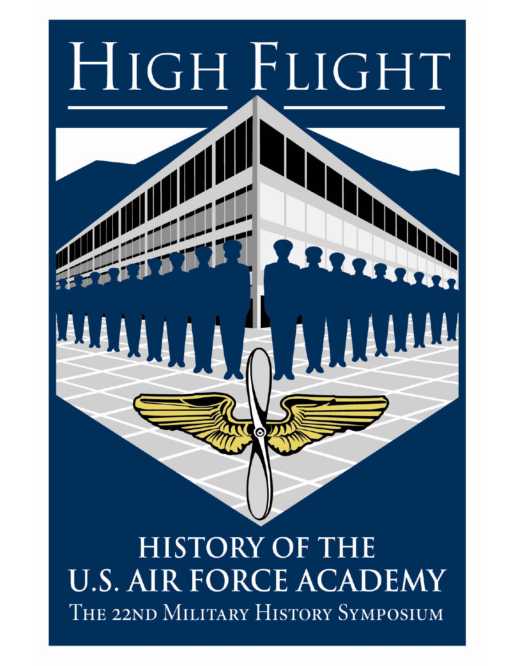

**ISTORY OF THE U.S. AIR FORCE ACADEMY** THE 22ND MILITARY HISTORY SYMPOSIUM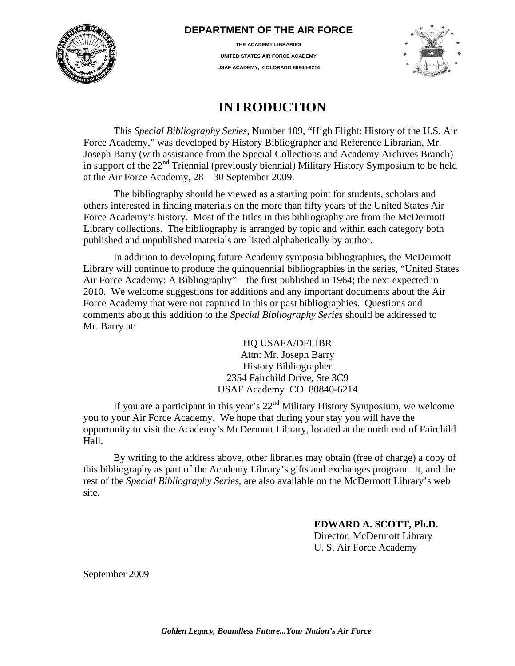

## **DEPARTMENT OF THE AIR FORCE**

**THE ACADEMY LIBRARIES UNITED STATES AIR FORCE ACADEMY USAF ACADEMY, COLORADO 80840-6214**



## **INTRODUCTION**

This *Special Bibliography Series*, Number 109, "High Flight: History of the U.S. Air Force Academy," was developed by History Bibliographer and Reference Librarian, Mr. Joseph Barry (with assistance from the Special Collections and Academy Archives Branch) in support of the 22<sup>nd</sup> Triennial (previously biennial) Military History Symposium to be held at the Air Force Academy, 28 – 30 September 2009.

The bibliography should be viewed as a starting point for students, scholars and others interested in finding materials on the more than fifty years of the United States Air Force Academy's history. Most of the titles in this bibliography are from the McDermott Library collections. The bibliography is arranged by topic and within each category both published and unpublished materials are listed alphabetically by author.

In addition to developing future Academy symposia bibliographies, the McDermott Library will continue to produce the quinquennial bibliographies in the series, "United States Air Force Academy: A Bibliography"—the first published in 1964; the next expected in 2010. We welcome suggestions for additions and any important documents about the Air Force Academy that were not captured in this or past bibliographies. Questions and comments about this addition to the *Special Bibliography Series* should be addressed to Mr. Barry at:

> HQ USAFA/DFLIBR Attn: Mr. Joseph Barry History Bibliographer 2354 Fairchild Drive, Ste 3C9 USAF Academy CO 80840-6214

If you are a participant in this year's  $22<sup>nd</sup>$  Military History Symposium, we welcome you to your Air Force Academy. We hope that during your stay you will have the opportunity to visit the Academy's McDermott Library, located at the north end of Fairchild Hall.

By writing to the address above, other libraries may obtain (free of charge) a copy of this bibliography as part of the Academy Library's gifts and exchanges program. It, and the rest of the *Special Bibliography Series*, are also available on the McDermott Library's web site.

#### **EDWARD A. SCOTT, Ph.D.**

Director, McDermott Library U. S. Air Force Academy

September 2009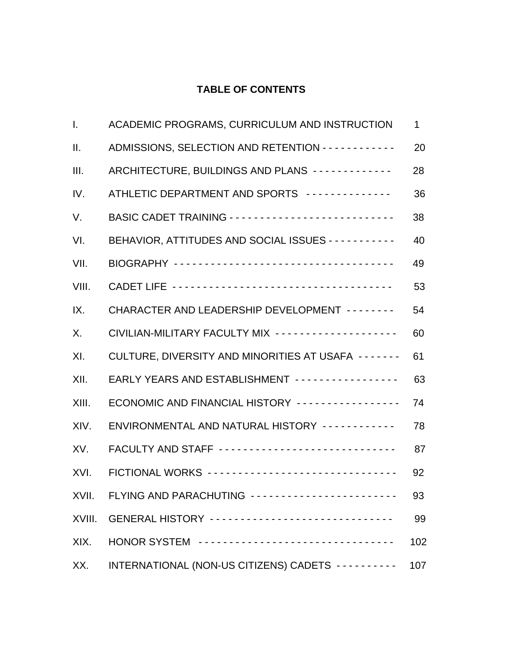## **TABLE OF CONTENTS**

| Ι.     | ACADEMIC PROGRAMS, CURRICULUM AND INSTRUCTION               | 1   |
|--------|-------------------------------------------------------------|-----|
| Ш.     | ADMISSIONS, SELECTION AND RETENTION - - - - - - - - - - - - | 20  |
| III.   | ARCHITECTURE, BUILDINGS AND PLANS ------------              | 28  |
| IV.    | ATHLETIC DEPARTMENT AND SPORTS --------------               | 36  |
| V.     |                                                             | 38  |
| VI.    | BEHAVIOR, ATTITUDES AND SOCIAL ISSUES - - - - - - - - - - - | 40  |
| VII.   |                                                             | 49  |
| VIII.  |                                                             | 53  |
| IX.    | CHARACTER AND LEADERSHIP DEVELOPMENT - - - - - - - -        | 54  |
| Χ.     | CIVILIAN-MILITARY FACULTY MIX -------------------           | 60  |
| XI.    | CULTURE, DIVERSITY AND MINORITIES AT USAFA -------          | 61  |
| XII.   | EARLY YEARS AND ESTABLISHMENT ----------------              | 63  |
| XIII.  | ECONOMIC AND FINANCIAL HISTORY ----------------             | 74  |
| XIV.   | ENVIRONMENTAL AND NATURAL HISTORY ------------              | 78  |
| XV.    | FACULTY AND STAFF -----------------------------             | 87  |
| XVI.   | FICTIONAL WORKS -------------------------------             | 92  |
| XVII.  | FLYING AND PARACHUTING - - - - - - - -                      | 93  |
| XVIII. | GENERAL HISTORY ------------------------------              | 99  |
| XIX.   | HONOR SYSTEM ---------------------------------              | 102 |
| XX.    | INTERNATIONAL (NON-US CITIZENS) CADETS ----------           | 107 |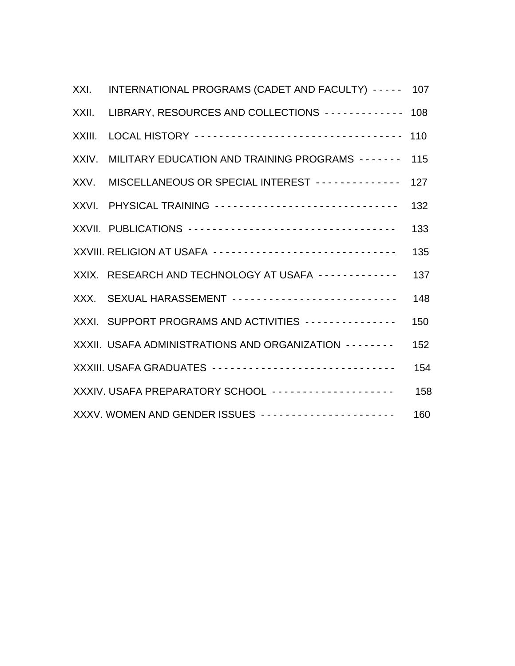| XXI.   | INTERNATIONAL PROGRAMS (CADET AND FACULTY) ----- 107          |     |
|--------|---------------------------------------------------------------|-----|
| XXII.  | LIBRARY, RESOURCES AND COLLECTIONS -------------              | 108 |
| XXIII. | LOCAL HISTORY -----------------------------------             | 110 |
| XXIV.  | MILITARY EDUCATION AND TRAINING PROGRAMS -------              | 115 |
| XXV.   | MISCELLANEOUS OR SPECIAL INTEREST --------------              | 127 |
| XXVI.  | PHYSICAL TRAINING ------------------------------              | 132 |
|        | XXVII. PUBLICATIONS -----------------------------------       | 133 |
|        | XXVIII. RELIGION AT USAFA ------------------------------      | 135 |
|        | XXIX. RESEARCH AND TECHNOLOGY AT USAFA ------------           | 137 |
|        | XXX. SEXUAL HARASSEMENT --------------------------            | 148 |
|        | XXXI. SUPPORT PROGRAMS AND ACTIVITIES ---------------         | 150 |
|        | XXXII. USAFA ADMINISTRATIONS AND ORGANIZATION - - - - - - - - | 152 |
|        | XXXIII. USAFA GRADUATES ------------------------------        | 154 |
|        | XXXIV. USAFA PREPARATORY SCHOOL -------------------           | 158 |
|        | XXXV. WOMEN AND GENDER ISSUES ---------------------           | 160 |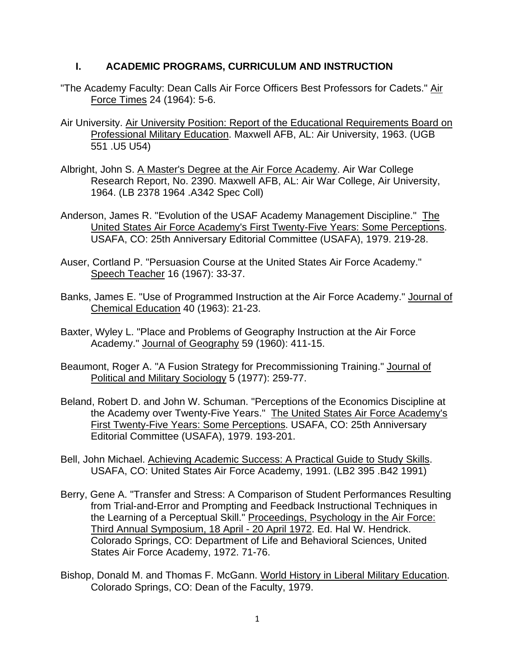### **I. ACADEMIC PROGRAMS, CURRICULUM AND INSTRUCTION**

- "The Academy Faculty: Dean Calls Air Force Officers Best Professors for Cadets." Air Force Times 24 (1964): 5-6.
- Air University. Air University Position: Report of the Educational Requirements Board on Professional Military Education. Maxwell AFB, AL: Air University, 1963. (UGB 551 .U5 U54)
- Albright, John S. A Master's Degree at the Air Force Academy. Air War College Research Report, No. 2390. Maxwell AFB, AL: Air War College, Air University, 1964. (LB 2378 1964 .A342 Spec Coll)
- Anderson, James R. "Evolution of the USAF Academy Management Discipline." The United States Air Force Academy's First Twenty-Five Years: Some Perceptions. USAFA, CO: 25th Anniversary Editorial Committee (USAFA), 1979. 219-28.
- Auser, Cortland P. "Persuasion Course at the United States Air Force Academy." Speech Teacher 16 (1967): 33-37.
- Banks, James E. "Use of Programmed Instruction at the Air Force Academy." Journal of Chemical Education 40 (1963): 21-23.
- Baxter, Wyley L. "Place and Problems of Geography Instruction at the Air Force Academy." Journal of Geography 59 (1960): 411-15.
- Beaumont, Roger A. "A Fusion Strategy for Precommissioning Training." Journal of Political and Military Sociology 5 (1977): 259-77.
- Beland, Robert D. and John W. Schuman. "Perceptions of the Economics Discipline at the Academy over Twenty-Five Years." The United States Air Force Academy's First Twenty-Five Years: Some Perceptions. USAFA, CO: 25th Anniversary Editorial Committee (USAFA), 1979. 193-201.
- Bell, John Michael. Achieving Academic Success: A Practical Guide to Study Skills. USAFA, CO: United States Air Force Academy, 1991. (LB2 395 .B42 1991)
- Berry, Gene A. "Transfer and Stress: A Comparison of Student Performances Resulting from Trial-and-Error and Prompting and Feedback Instructional Techniques in the Learning of a Perceptual Skill." Proceedings, Psychology in the Air Force: Third Annual Symposium, 18 April - 20 April 1972. Ed. Hal W. Hendrick. Colorado Springs, CO: Department of Life and Behavioral Sciences, United States Air Force Academy, 1972. 71-76.
- Bishop, Donald M. and Thomas F. McGann. World History in Liberal Military Education. Colorado Springs, CO: Dean of the Faculty, 1979.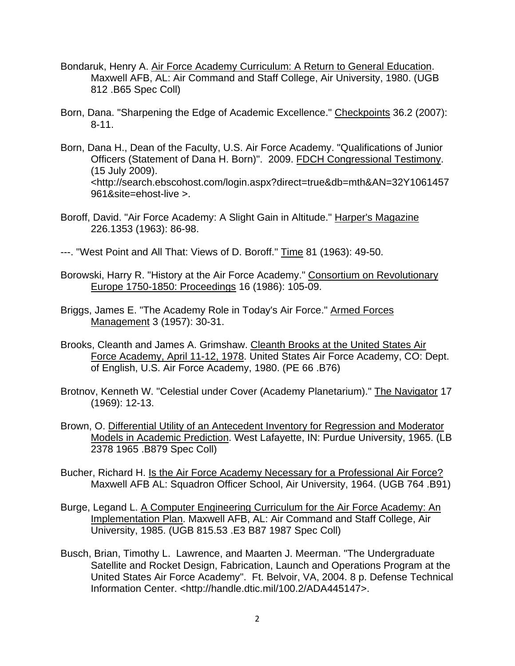- Bondaruk, Henry A. Air Force Academy Curriculum: A Return to General Education. Maxwell AFB, AL: Air Command and Staff College, Air University, 1980. (UGB 812 .B65 Spec Coll)
- Born, Dana. "Sharpening the Edge of Academic Excellence." Checkpoints 36.2 (2007): 8-11.
- Born, Dana H., Dean of the Faculty, U.S. Air Force Academy. "Qualifications of Junior Officers (Statement of Dana H. Born)". 2009. FDCH Congressional Testimony. (15 July 2009). <http://search.ebscohost.com/login.aspx?direct=true&db=mth&AN=32Y1061457 961&site=ehost-live >.
- Boroff, David. "Air Force Academy: A Slight Gain in Altitude." Harper's Magazine 226.1353 (1963): 86-98.
- ---. "West Point and All That: Views of D. Boroff." Time 81 (1963): 49-50.
- Borowski, Harry R. "History at the Air Force Academy." Consortium on Revolutionary Europe 1750-1850: Proceedings 16 (1986): 105-09.
- Briggs, James E. "The Academy Role in Today's Air Force." Armed Forces Management 3 (1957): 30-31.
- Brooks, Cleanth and James A. Grimshaw. Cleanth Brooks at the United States Air Force Academy, April 11-12, 1978. United States Air Force Academy, CO: Dept. of English, U.S. Air Force Academy, 1980. (PE 66 .B76)
- Brotnov, Kenneth W. "Celestial under Cover (Academy Planetarium)." The Navigator 17 (1969): 12-13.
- Brown, O. Differential Utility of an Antecedent Inventory for Regression and Moderator Models in Academic Prediction. West Lafayette, IN: Purdue University, 1965. (LB 2378 1965 .B879 Spec Coll)
- Bucher, Richard H. Is the Air Force Academy Necessary for a Professional Air Force? Maxwell AFB AL: Squadron Officer School, Air University, 1964. (UGB 764 .B91)
- Burge, Legand L. A Computer Engineering Curriculum for the Air Force Academy: An Implementation Plan. Maxwell AFB, AL: Air Command and Staff College, Air University, 1985. (UGB 815.53 .E3 B87 1987 Spec Coll)
- Busch, Brian, Timothy L. Lawrence, and Maarten J. Meerman. "The Undergraduate Satellite and Rocket Design, Fabrication, Launch and Operations Program at the United States Air Force Academy". Ft. Belvoir, VA, 2004. 8 p. Defense Technical Information Center. <http://handle.dtic.mil/100.2/ADA445147>.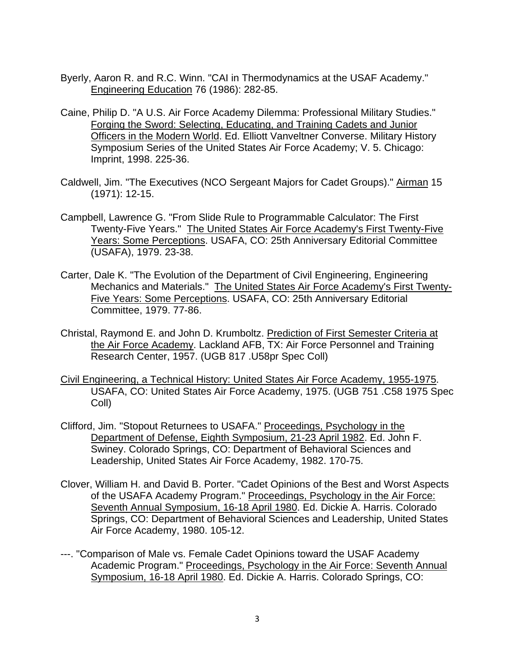- Byerly, Aaron R. and R.C. Winn. "CAI in Thermodynamics at the USAF Academy." Engineering Education 76 (1986): 282-85.
- Caine, Philip D. "A U.S. Air Force Academy Dilemma: Professional Military Studies." Forging the Sword: Selecting, Educating, and Training Cadets and Junior Officers in the Modern World. Ed. Elliott Vanveltner Converse. Military History Symposium Series of the United States Air Force Academy; V. 5. Chicago: Imprint, 1998. 225-36.
- Caldwell, Jim. "The Executives (NCO Sergeant Majors for Cadet Groups)." Airman 15 (1971): 12-15.
- Campbell, Lawrence G. "From Slide Rule to Programmable Calculator: The First Twenty-Five Years." The United States Air Force Academy's First Twenty-Five Years: Some Perceptions. USAFA, CO: 25th Anniversary Editorial Committee (USAFA), 1979. 23-38.
- Carter, Dale K. "The Evolution of the Department of Civil Engineering, Engineering Mechanics and Materials." The United States Air Force Academy's First Twenty-Five Years: Some Perceptions. USAFA, CO: 25th Anniversary Editorial Committee, 1979. 77-86.
- Christal, Raymond E. and John D. Krumboltz. Prediction of First Semester Criteria at the Air Force Academy. Lackland AFB, TX: Air Force Personnel and Training Research Center, 1957. (UGB 817 .U58pr Spec Coll)
- Civil Engineering, a Technical History: United States Air Force Academy, 1955-1975. USAFA, CO: United States Air Force Academy, 1975. (UGB 751 .C58 1975 Spec Coll)
- Clifford, Jim. "Stopout Returnees to USAFA." Proceedings, Psychology in the Department of Defense, Eighth Symposium, 21-23 April 1982. Ed. John F. Swiney. Colorado Springs, CO: Department of Behavioral Sciences and Leadership, United States Air Force Academy, 1982. 170-75.
- Clover, William H. and David B. Porter. "Cadet Opinions of the Best and Worst Aspects of the USAFA Academy Program." Proceedings, Psychology in the Air Force: Seventh Annual Symposium, 16-18 April 1980. Ed. Dickie A. Harris. Colorado Springs, CO: Department of Behavioral Sciences and Leadership, United States Air Force Academy, 1980. 105-12.
- ---. "Comparison of Male vs. Female Cadet Opinions toward the USAF Academy Academic Program." Proceedings, Psychology in the Air Force: Seventh Annual Symposium, 16-18 April 1980. Ed. Dickie A. Harris. Colorado Springs, CO: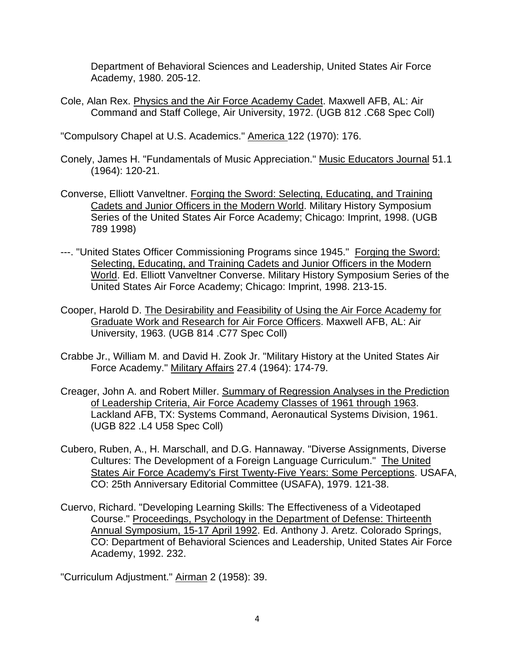Department of Behavioral Sciences and Leadership, United States Air Force Academy, 1980. 205-12.

Cole, Alan Rex. Physics and the Air Force Academy Cadet. Maxwell AFB, AL: Air Command and Staff College, Air University, 1972. (UGB 812 .C68 Spec Coll)

"Compulsory Chapel at U.S. Academics." America 122 (1970): 176.

- Conely, James H. "Fundamentals of Music Appreciation." Music Educators Journal 51.1 (1964): 120-21.
- Converse, Elliott Vanveltner. Forging the Sword: Selecting, Educating, and Training Cadets and Junior Officers in the Modern World. Military History Symposium Series of the United States Air Force Academy; Chicago: Imprint, 1998. (UGB 789 1998)
- ---. "United States Officer Commissioning Programs since 1945." Forging the Sword: Selecting, Educating, and Training Cadets and Junior Officers in the Modern World. Ed. Elliott Vanveltner Converse. Military History Symposium Series of the United States Air Force Academy; Chicago: Imprint, 1998. 213-15.
- Cooper, Harold D. The Desirability and Feasibility of Using the Air Force Academy for Graduate Work and Research for Air Force Officers. Maxwell AFB, AL: Air University, 1963. (UGB 814 .C77 Spec Coll)
- Crabbe Jr., William M. and David H. Zook Jr. "Military History at the United States Air Force Academy." Military Affairs 27.4 (1964): 174-79.
- Creager, John A. and Robert Miller. Summary of Regression Analyses in the Prediction of Leadership Criteria, Air Force Academy Classes of 1961 through 1963. Lackland AFB, TX: Systems Command, Aeronautical Systems Division, 1961. (UGB 822 .L4 U58 Spec Coll)
- Cubero, Ruben, A., H. Marschall, and D.G. Hannaway. "Diverse Assignments, Diverse Cultures: The Development of a Foreign Language Curriculum." The United States Air Force Academy's First Twenty-Five Years: Some Perceptions. USAFA, CO: 25th Anniversary Editorial Committee (USAFA), 1979. 121-38.
- Cuervo, Richard. "Developing Learning Skills: The Effectiveness of a Videotaped Course." Proceedings, Psychology in the Department of Defense: Thirteenth Annual Symposium, 15-17 April 1992. Ed. Anthony J. Aretz. Colorado Springs, CO: Department of Behavioral Sciences and Leadership, United States Air Force Academy, 1992. 232.

"Curriculum Adjustment." Airman 2 (1958): 39.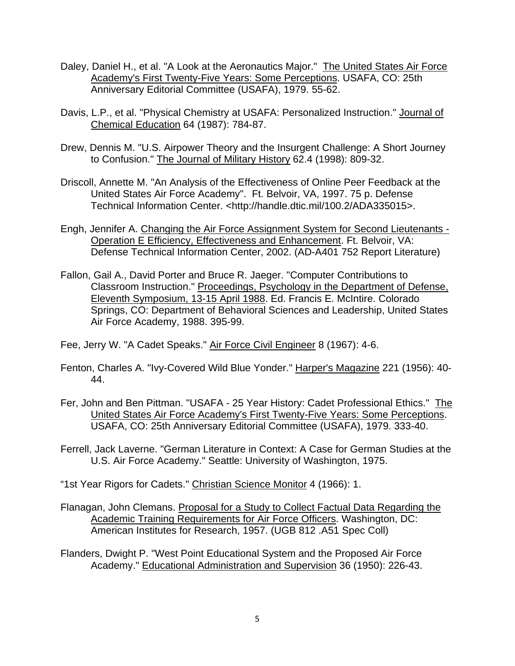- Daley, Daniel H., et al. "A Look at the Aeronautics Major." The United States Air Force Academy's First Twenty-Five Years: Some Perceptions. USAFA, CO: 25th Anniversary Editorial Committee (USAFA), 1979. 55-62.
- Davis, L.P., et al. "Physical Chemistry at USAFA: Personalized Instruction." Journal of Chemical Education 64 (1987): 784-87.
- Drew, Dennis M. "U.S. Airpower Theory and the Insurgent Challenge: A Short Journey to Confusion." The Journal of Military History 62.4 (1998): 809-32.
- Driscoll, Annette M. "An Analysis of the Effectiveness of Online Peer Feedback at the United States Air Force Academy". Ft. Belvoir, VA, 1997. 75 p. Defense Technical Information Center. <http://handle.dtic.mil/100.2/ADA335015>.
- Engh, Jennifer A. Changing the Air Force Assignment System for Second Lieutenants Operation E Efficiency, Effectiveness and Enhancement. Ft. Belvoir, VA: Defense Technical Information Center, 2002. (AD-A401 752 Report Literature)
- Fallon, Gail A., David Porter and Bruce R. Jaeger. "Computer Contributions to Classroom Instruction." Proceedings, Psychology in the Department of Defense, Eleventh Symposium, 13-15 April 1988. Ed. Francis E. McIntire. Colorado Springs, CO: Department of Behavioral Sciences and Leadership, United States Air Force Academy, 1988. 395-99.

Fee, Jerry W. "A Cadet Speaks." Air Force Civil Engineer 8 (1967): 4-6.

- Fenton, Charles A. "Ivy-Covered Wild Blue Yonder." Harper's Magazine 221 (1956): 40- 44.
- Fer, John and Ben Pittman. "USAFA 25 Year History: Cadet Professional Ethics." The United States Air Force Academy's First Twenty-Five Years: Some Perceptions. USAFA, CO: 25th Anniversary Editorial Committee (USAFA), 1979. 333-40.
- Ferrell, Jack Laverne. "German Literature in Context: A Case for German Studies at the U.S. Air Force Academy." Seattle: University of Washington, 1975.

"1st Year Rigors for Cadets." Christian Science Monitor 4 (1966): 1.

- Flanagan, John Clemans. Proposal for a Study to Collect Factual Data Regarding the Academic Training Requirements for Air Force Officers. Washington, DC: American Institutes for Research, 1957. (UGB 812 .A51 Spec Coll)
- Flanders, Dwight P. "West Point Educational System and the Proposed Air Force Academy." Educational Administration and Supervision 36 (1950): 226-43.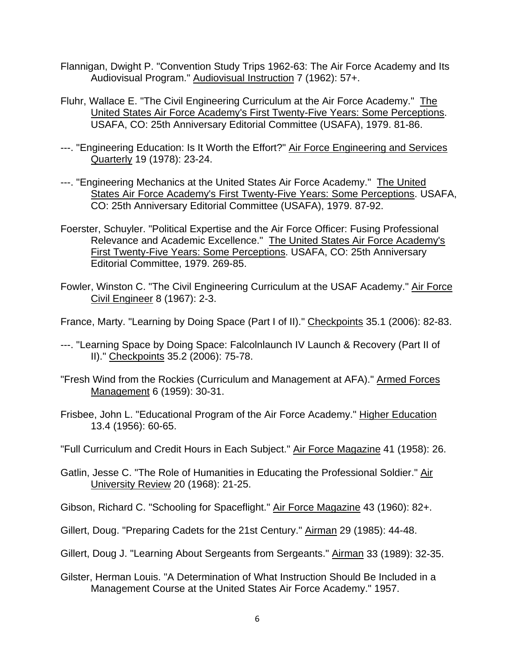- Flannigan, Dwight P. "Convention Study Trips 1962-63: The Air Force Academy and Its Audiovisual Program." Audiovisual Instruction 7 (1962): 57+.
- Fluhr, Wallace E. "The Civil Engineering Curriculum at the Air Force Academy." The United States Air Force Academy's First Twenty-Five Years: Some Perceptions. USAFA, CO: 25th Anniversary Editorial Committee (USAFA), 1979. 81-86.
- ---. "Engineering Education: Is It Worth the Effort?" Air Force Engineering and Services Quarterly 19 (1978): 23-24.
- ---. "Engineering Mechanics at the United States Air Force Academy." The United States Air Force Academy's First Twenty-Five Years: Some Perceptions. USAFA, CO: 25th Anniversary Editorial Committee (USAFA), 1979. 87-92.
- Foerster, Schuyler. "Political Expertise and the Air Force Officer: Fusing Professional Relevance and Academic Excellence." The United States Air Force Academy's First Twenty-Five Years: Some Perceptions. USAFA, CO: 25th Anniversary Editorial Committee, 1979. 269-85.
- Fowler, Winston C. "The Civil Engineering Curriculum at the USAF Academy." Air Force Civil Engineer 8 (1967): 2-3.

France, Marty. "Learning by Doing Space (Part I of II)." Checkpoints 35.1 (2006): 82-83.

- ---. "Learning Space by Doing Space: Falcolnlaunch IV Launch & Recovery (Part II of II)." Checkpoints 35.2 (2006): 75-78.
- "Fresh Wind from the Rockies (Curriculum and Management at AFA)." Armed Forces Management 6 (1959): 30-31.
- Frisbee, John L. "Educational Program of the Air Force Academy." Higher Education 13.4 (1956): 60-65.
- "Full Curriculum and Credit Hours in Each Subject." Air Force Magazine 41 (1958): 26.
- Gatlin, Jesse C. "The Role of Humanities in Educating the Professional Soldier." Air University Review 20 (1968): 21-25.
- Gibson, Richard C. "Schooling for Spaceflight." Air Force Magazine 43 (1960): 82+.
- Gillert, Doug. "Preparing Cadets for the 21st Century." Airman 29 (1985): 44-48.
- Gillert, Doug J. "Learning About Sergeants from Sergeants." Airman 33 (1989): 32-35.
- Gilster, Herman Louis. "A Determination of What Instruction Should Be Included in a Management Course at the United States Air Force Academy." 1957.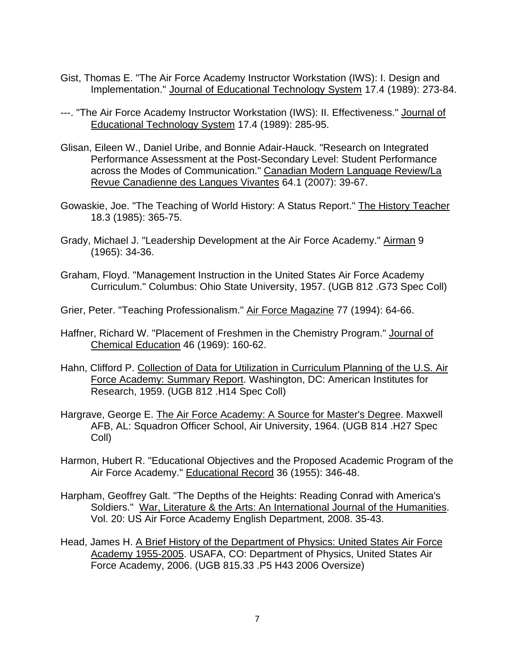- Gist, Thomas E. "The Air Force Academy Instructor Workstation (IWS): I. Design and Implementation." Journal of Educational Technology System 17.4 (1989): 273-84.
- ---. "The Air Force Academy Instructor Workstation (IWS): II. Effectiveness." Journal of Educational Technology System 17.4 (1989): 285-95.
- Glisan, Eileen W., Daniel Uribe, and Bonnie Adair-Hauck. "Research on Integrated Performance Assessment at the Post-Secondary Level: Student Performance across the Modes of Communication." Canadian Modern Language Review/La Revue Canadienne des Langues Vivantes 64.1 (2007): 39-67.
- Gowaskie, Joe. "The Teaching of World History: A Status Report." The History Teacher 18.3 (1985): 365-75.
- Grady, Michael J. "Leadership Development at the Air Force Academy." Airman 9 (1965): 34-36.
- Graham, Floyd. "Management Instruction in the United States Air Force Academy Curriculum." Columbus: Ohio State University, 1957. (UGB 812 .G73 Spec Coll)
- Grier, Peter. "Teaching Professionalism." Air Force Magazine 77 (1994): 64-66.
- Haffner, Richard W. "Placement of Freshmen in the Chemistry Program." Journal of Chemical Education 46 (1969): 160-62.
- Hahn, Clifford P. Collection of Data for Utilization in Curriculum Planning of the U.S. Air Force Academy: Summary Report. Washington, DC: American Institutes for Research, 1959. (UGB 812 .H14 Spec Coll)
- Hargrave, George E. The Air Force Academy: A Source for Master's Degree. Maxwell AFB, AL: Squadron Officer School, Air University, 1964. (UGB 814 .H27 Spec Coll)
- Harmon, Hubert R. "Educational Objectives and the Proposed Academic Program of the Air Force Academy." Educational Record 36 (1955): 346-48.
- Harpham, Geoffrey Galt. "The Depths of the Heights: Reading Conrad with America's Soldiers." War, Literature & the Arts: An International Journal of the Humanities. Vol. 20: US Air Force Academy English Department, 2008. 35-43.
- Head, James H. A Brief History of the Department of Physics: United States Air Force Academy 1955-2005. USAFA, CO: Department of Physics, United States Air Force Academy, 2006. (UGB 815.33 .P5 H43 2006 Oversize)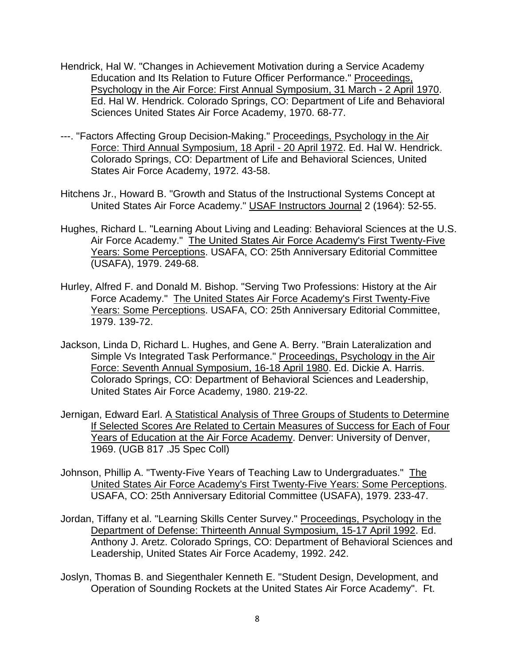- Hendrick, Hal W. "Changes in Achievement Motivation during a Service Academy Education and Its Relation to Future Officer Performance." Proceedings, Psychology in the Air Force: First Annual Symposium, 31 March - 2 April 1970. Ed. Hal W. Hendrick. Colorado Springs, CO: Department of Life and Behavioral Sciences United States Air Force Academy, 1970. 68-77.
- ---. "Factors Affecting Group Decision-Making." Proceedings, Psychology in the Air Force: Third Annual Symposium, 18 April - 20 April 1972. Ed. Hal W. Hendrick. Colorado Springs, CO: Department of Life and Behavioral Sciences, United States Air Force Academy, 1972. 43-58.
- Hitchens Jr., Howard B. "Growth and Status of the Instructional Systems Concept at United States Air Force Academy." USAF Instructors Journal 2 (1964): 52-55.
- Hughes, Richard L. "Learning About Living and Leading: Behavioral Sciences at the U.S. Air Force Academy." The United States Air Force Academy's First Twenty-Five Years: Some Perceptions. USAFA, CO: 25th Anniversary Editorial Committee (USAFA), 1979. 249-68.
- Hurley, Alfred F. and Donald M. Bishop. "Serving Two Professions: History at the Air Force Academy." The United States Air Force Academy's First Twenty-Five Years: Some Perceptions. USAFA, CO: 25th Anniversary Editorial Committee, 1979. 139-72.
- Jackson, Linda D, Richard L. Hughes, and Gene A. Berry. "Brain Lateralization and Simple Vs Integrated Task Performance." Proceedings, Psychology in the Air Force: Seventh Annual Symposium, 16-18 April 1980. Ed. Dickie A. Harris. Colorado Springs, CO: Department of Behavioral Sciences and Leadership, United States Air Force Academy, 1980. 219-22.
- Jernigan, Edward Earl. A Statistical Analysis of Three Groups of Students to Determine If Selected Scores Are Related to Certain Measures of Success for Each of Four Years of Education at the Air Force Academy. Denver: University of Denver, 1969. (UGB 817 .J5 Spec Coll)
- Johnson, Phillip A. "Twenty-Five Years of Teaching Law to Undergraduates." The United States Air Force Academy's First Twenty-Five Years: Some Perceptions. USAFA, CO: 25th Anniversary Editorial Committee (USAFA), 1979. 233-47.
- Jordan, Tiffany et al. "Learning Skills Center Survey." Proceedings, Psychology in the Department of Defense: Thirteenth Annual Symposium, 15-17 April 1992. Ed. Anthony J. Aretz. Colorado Springs, CO: Department of Behavioral Sciences and Leadership, United States Air Force Academy, 1992. 242.
- Joslyn, Thomas B. and Siegenthaler Kenneth E. "Student Design, Development, and Operation of Sounding Rockets at the United States Air Force Academy". Ft.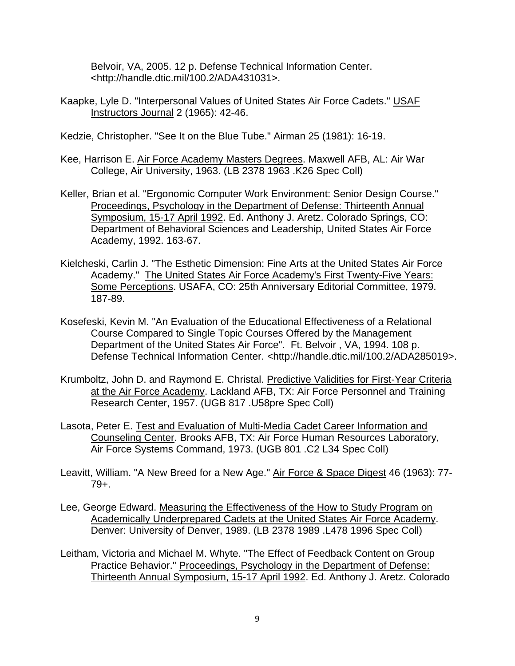Belvoir, VA, 2005. 12 p. Defense Technical Information Center. <http://handle.dtic.mil/100.2/ADA431031>.

Kaapke, Lyle D. "Interpersonal Values of United States Air Force Cadets." USAF Instructors Journal 2 (1965): 42-46.

Kedzie, Christopher. "See It on the Blue Tube." Airman 25 (1981): 16-19.

- Kee, Harrison E. Air Force Academy Masters Degrees. Maxwell AFB, AL: Air War College, Air University, 1963. (LB 2378 1963 .K26 Spec Coll)
- Keller, Brian et al. "Ergonomic Computer Work Environment: Senior Design Course." Proceedings, Psychology in the Department of Defense: Thirteenth Annual Symposium, 15-17 April 1992. Ed. Anthony J. Aretz. Colorado Springs, CO: Department of Behavioral Sciences and Leadership, United States Air Force Academy, 1992. 163-67.
- Kielcheski, Carlin J. "The Esthetic Dimension: Fine Arts at the United States Air Force Academy." The United States Air Force Academy's First Twenty-Five Years: Some Perceptions. USAFA, CO: 25th Anniversary Editorial Committee, 1979. 187-89.
- Kosefeski, Kevin M. "An Evaluation of the Educational Effectiveness of a Relational Course Compared to Single Topic Courses Offered by the Management Department of the United States Air Force". Ft. Belvoir , VA, 1994. 108 p. Defense Technical Information Center. <http://handle.dtic.mil/100.2/ADA285019>.
- Krumboltz, John D. and Raymond E. Christal. Predictive Validities for First-Year Criteria at the Air Force Academy. Lackland AFB, TX: Air Force Personnel and Training Research Center, 1957. (UGB 817 .U58pre Spec Coll)
- Lasota, Peter E. Test and Evaluation of Multi-Media Cadet Career Information and Counseling Center. Brooks AFB, TX: Air Force Human Resources Laboratory, Air Force Systems Command, 1973. (UGB 801 .C2 L34 Spec Coll)
- Leavitt, William. "A New Breed for a New Age." Air Force & Space Digest 46 (1963): 77-79+.
- Lee, George Edward. Measuring the Effectiveness of the How to Study Program on Academically Underprepared Cadets at the United States Air Force Academy. Denver: University of Denver, 1989. (LB 2378 1989 .L478 1996 Spec Coll)
- Leitham, Victoria and Michael M. Whyte. "The Effect of Feedback Content on Group Practice Behavior." Proceedings, Psychology in the Department of Defense: Thirteenth Annual Symposium, 15-17 April 1992. Ed. Anthony J. Aretz. Colorado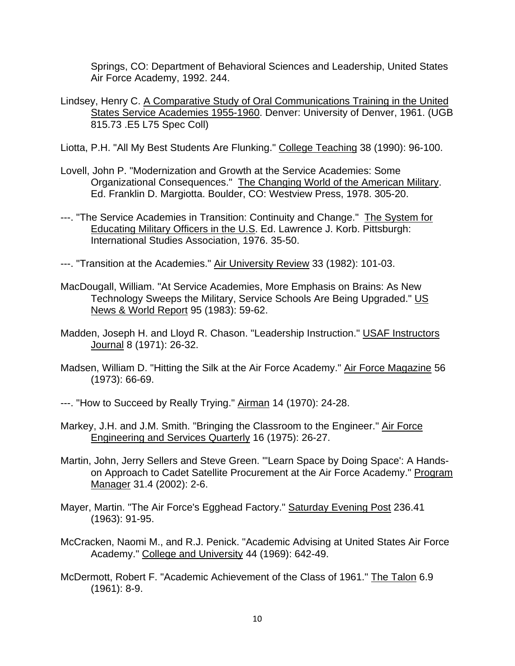Springs, CO: Department of Behavioral Sciences and Leadership, United States Air Force Academy, 1992. 244.

- Lindsey, Henry C. A Comparative Study of Oral Communications Training in the United States Service Academies 1955-1960. Denver: University of Denver, 1961. (UGB 815.73 .E5 L75 Spec Coll)
- Liotta, P.H. "All My Best Students Are Flunking." College Teaching 38 (1990): 96-100.
- Lovell, John P. "Modernization and Growth at the Service Academies: Some Organizational Consequences." The Changing World of the American Military. Ed. Franklin D. Margiotta. Boulder, CO: Westview Press, 1978. 305-20.
- ---. "The Service Academies in Transition: Continuity and Change." The System for Educating Military Officers in the U.S. Ed. Lawrence J. Korb. Pittsburgh: International Studies Association, 1976. 35-50.
- ---. "Transition at the Academies." Air University Review 33 (1982): 101-03.
- MacDougall, William. "At Service Academies, More Emphasis on Brains: As New Technology Sweeps the Military, Service Schools Are Being Upgraded." US News & World Report 95 (1983): 59-62.
- Madden, Joseph H. and Lloyd R. Chason. "Leadership Instruction." USAF Instructors Journal 8 (1971): 26-32.
- Madsen, William D. "Hitting the Silk at the Air Force Academy." Air Force Magazine 56 (1973): 66-69.
- ---. "How to Succeed by Really Trying." Airman 14 (1970): 24-28.
- Markey, J.H. and J.M. Smith. "Bringing the Classroom to the Engineer." Air Force Engineering and Services Quarterly 16 (1975): 26-27.
- Martin, John, Jerry Sellers and Steve Green. "'Learn Space by Doing Space': A Handson Approach to Cadet Satellite Procurement at the Air Force Academy." Program Manager 31.4 (2002): 2-6.
- Mayer, Martin. "The Air Force's Egghead Factory." Saturday Evening Post 236.41 (1963): 91-95.
- McCracken, Naomi M., and R.J. Penick. "Academic Advising at United States Air Force Academy." College and University 44 (1969): 642-49.
- McDermott, Robert F. "Academic Achievement of the Class of 1961." The Talon 6.9 (1961): 8-9.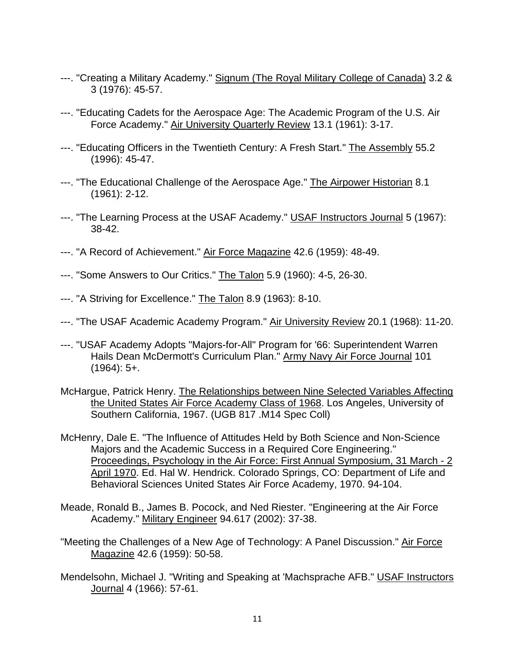- ---. "Creating a Military Academy." Signum (The Royal Military College of Canada) 3.2 & 3 (1976): 45-57.
- ---. "Educating Cadets for the Aerospace Age: The Academic Program of the U.S. Air Force Academy." Air University Quarterly Review 13.1 (1961): 3-17.
- ---. "Educating Officers in the Twentieth Century: A Fresh Start." The Assembly 55.2 (1996): 45-47.
- ---. "The Educational Challenge of the Aerospace Age." The Airpower Historian 8.1 (1961): 2-12.
- ---. "The Learning Process at the USAF Academy." USAF Instructors Journal 5 (1967): 38-42.
- ---. "A Record of Achievement." Air Force Magazine 42.6 (1959): 48-49.
- ---. "Some Answers to Our Critics." The Talon 5.9 (1960): 4-5, 26-30.
- ---. "A Striving for Excellence." The Talon 8.9 (1963): 8-10.
- ---. "The USAF Academic Academy Program." Air University Review 20.1 (1968): 11-20.
- ---. "USAF Academy Adopts "Majors-for-All" Program for '66: Superintendent Warren Hails Dean McDermott's Curriculum Plan." Army Navy Air Force Journal 101 (1964): 5+.
- McHargue, Patrick Henry. The Relationships between Nine Selected Variables Affecting the United States Air Force Academy Class of 1968. Los Angeles, University of Southern California, 1967. (UGB 817 .M14 Spec Coll)
- McHenry, Dale E. "The Influence of Attitudes Held by Both Science and Non-Science Majors and the Academic Success in a Required Core Engineering." Proceedings, Psychology in the Air Force: First Annual Symposium, 31 March - 2 April 1970. Ed. Hal W. Hendrick. Colorado Springs, CO: Department of Life and Behavioral Sciences United States Air Force Academy, 1970. 94-104.
- Meade, Ronald B., James B. Pocock, and Ned Riester. "Engineering at the Air Force Academy." Military Engineer 94.617 (2002): 37-38.
- "Meeting the Challenges of a New Age of Technology: A Panel Discussion." Air Force Magazine 42.6 (1959): 50-58.
- Mendelsohn, Michael J. "Writing and Speaking at 'Machsprache AFB." USAF Instructors Journal 4 (1966): 57-61.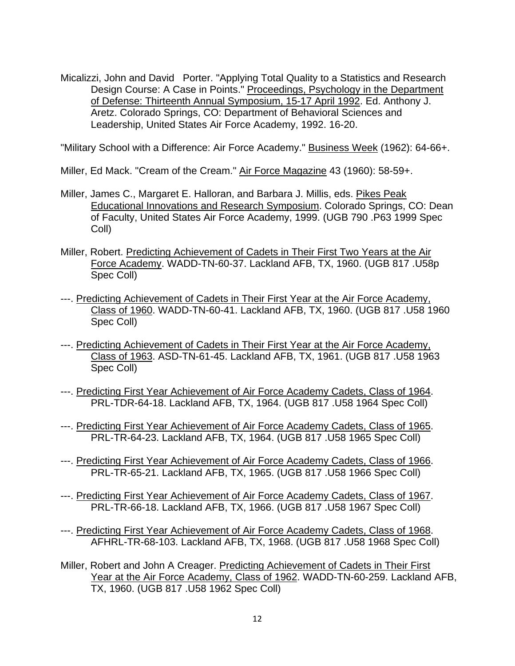Micalizzi, John and David Porter. "Applying Total Quality to a Statistics and Research Design Course: A Case in Points." Proceedings, Psychology in the Department of Defense: Thirteenth Annual Symposium, 15-17 April 1992. Ed. Anthony J. Aretz. Colorado Springs, CO: Department of Behavioral Sciences and Leadership, United States Air Force Academy, 1992. 16-20.

"Military School with a Difference: Air Force Academy." Business Week (1962): 64-66+.

Miller, Ed Mack. "Cream of the Cream." Air Force Magazine 43 (1960): 58-59+.

- Miller, James C., Margaret E. Halloran, and Barbara J. Millis, eds. Pikes Peak Educational Innovations and Research Symposium. Colorado Springs, CO: Dean of Faculty, United States Air Force Academy, 1999. (UGB 790 .P63 1999 Spec Coll)
- Miller, Robert. Predicting Achievement of Cadets in Their First Two Years at the Air Force Academy. WADD-TN-60-37. Lackland AFB, TX, 1960. (UGB 817 .U58p Spec Coll)
- ---. Predicting Achievement of Cadets in Their First Year at the Air Force Academy, Class of 1960. WADD-TN-60-41. Lackland AFB, TX, 1960. (UGB 817 .U58 1960 Spec Coll)
- ---. Predicting Achievement of Cadets in Their First Year at the Air Force Academy, Class of 1963. ASD-TN-61-45. Lackland AFB, TX, 1961. (UGB 817 .U58 1963 Spec Coll)
- ---. Predicting First Year Achievement of Air Force Academy Cadets, Class of 1964. PRL-TDR-64-18. Lackland AFB, TX, 1964. (UGB 817 .U58 1964 Spec Coll)
- ---. Predicting First Year Achievement of Air Force Academy Cadets, Class of 1965. PRL-TR-64-23. Lackland AFB, TX, 1964. (UGB 817 .U58 1965 Spec Coll)
- ---. Predicting First Year Achievement of Air Force Academy Cadets, Class of 1966. PRL-TR-65-21. Lackland AFB, TX, 1965. (UGB 817 .U58 1966 Spec Coll)
- ---. Predicting First Year Achievement of Air Force Academy Cadets, Class of 1967. PRL-TR-66-18. Lackland AFB, TX, 1966. (UGB 817 .U58 1967 Spec Coll)
- ---. Predicting First Year Achievement of Air Force Academy Cadets, Class of 1968. AFHRL-TR-68-103. Lackland AFB, TX, 1968. (UGB 817 .U58 1968 Spec Coll)
- Miller, Robert and John A Creager. Predicting Achievement of Cadets in Their First Year at the Air Force Academy, Class of 1962. WADD-TN-60-259. Lackland AFB, TX, 1960. (UGB 817 .U58 1962 Spec Coll)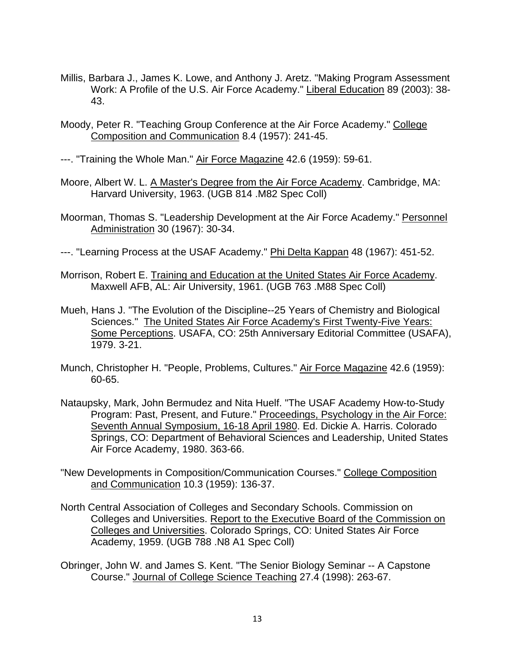- Millis, Barbara J., James K. Lowe, and Anthony J. Aretz. "Making Program Assessment Work: A Profile of the U.S. Air Force Academy." Liberal Education 89 (2003): 38- 43.
- Moody, Peter R. "Teaching Group Conference at the Air Force Academy." College Composition and Communication 8.4 (1957): 241-45.
- ---. "Training the Whole Man." Air Force Magazine 42.6 (1959): 59-61.
- Moore, Albert W. L. A Master's Degree from the Air Force Academy. Cambridge, MA: Harvard University, 1963. (UGB 814 .M82 Spec Coll)
- Moorman, Thomas S. "Leadership Development at the Air Force Academy." Personnel Administration 30 (1967): 30-34.
- ---. "Learning Process at the USAF Academy." Phi Delta Kappan 48 (1967): 451-52.
- Morrison, Robert E. Training and Education at the United States Air Force Academy. Maxwell AFB, AL: Air University, 1961. (UGB 763 .M88 Spec Coll)
- Mueh, Hans J. "The Evolution of the Discipline--25 Years of Chemistry and Biological Sciences." The United States Air Force Academy's First Twenty-Five Years: Some Perceptions. USAFA, CO: 25th Anniversary Editorial Committee (USAFA), 1979. 3-21.
- Munch, Christopher H. "People, Problems, Cultures." Air Force Magazine 42.6 (1959): 60-65.
- Nataupsky, Mark, John Bermudez and Nita Huelf. "The USAF Academy How-to-Study Program: Past, Present, and Future." Proceedings, Psychology in the Air Force: Seventh Annual Symposium, 16-18 April 1980. Ed. Dickie A. Harris. Colorado Springs, CO: Department of Behavioral Sciences and Leadership, United States Air Force Academy, 1980. 363-66.
- "New Developments in Composition/Communication Courses." College Composition and Communication 10.3 (1959): 136-37.
- North Central Association of Colleges and Secondary Schools. Commission on Colleges and Universities. Report to the Executive Board of the Commission on Colleges and Universities. Colorado Springs, CO: United States Air Force Academy, 1959. (UGB 788 .N8 A1 Spec Coll)
- Obringer, John W. and James S. Kent. "The Senior Biology Seminar -- A Capstone Course." Journal of College Science Teaching 27.4 (1998): 263-67.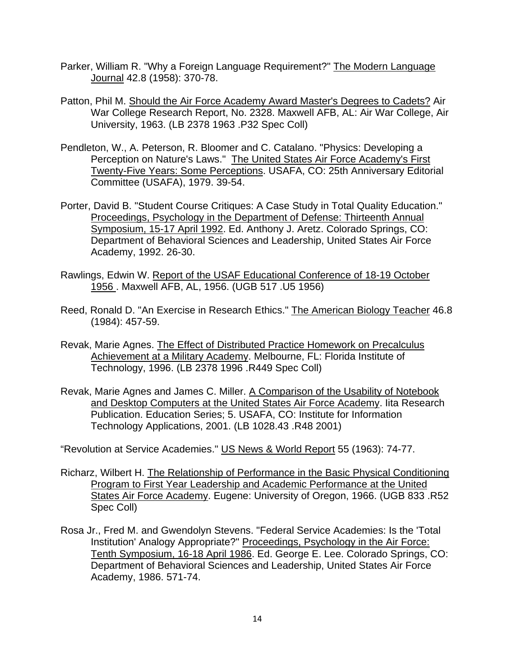- Parker, William R. "Why a Foreign Language Requirement?" The Modern Language Journal 42.8 (1958): 370-78.
- Patton, Phil M. Should the Air Force Academy Award Master's Degrees to Cadets? Air War College Research Report, No. 2328. Maxwell AFB, AL: Air War College, Air University, 1963. (LB 2378 1963 .P32 Spec Coll)
- Pendleton, W., A. Peterson, R. Bloomer and C. Catalano. "Physics: Developing a Perception on Nature's Laws." The United States Air Force Academy's First Twenty-Five Years: Some Perceptions. USAFA, CO: 25th Anniversary Editorial Committee (USAFA), 1979. 39-54.
- Porter, David B. "Student Course Critiques: A Case Study in Total Quality Education." Proceedings, Psychology in the Department of Defense: Thirteenth Annual Symposium, 15-17 April 1992. Ed. Anthony J. Aretz. Colorado Springs, CO: Department of Behavioral Sciences and Leadership, United States Air Force Academy, 1992. 26-30.
- Rawlings, Edwin W. Report of the USAF Educational Conference of 18-19 October 1956 . Maxwell AFB, AL, 1956. (UGB 517 .U5 1956)
- Reed, Ronald D. "An Exercise in Research Ethics." The American Biology Teacher 46.8 (1984): 457-59.
- Revak, Marie Agnes. The Effect of Distributed Practice Homework on Precalculus Achievement at a Military Academy. Melbourne, FL: Florida Institute of Technology, 1996. (LB 2378 1996 .R449 Spec Coll)
- Revak, Marie Agnes and James C. Miller. A Comparison of the Usability of Notebook and Desktop Computers at the United States Air Force Academy. Iita Research Publication. Education Series; 5. USAFA, CO: Institute for Information Technology Applications, 2001. (LB 1028.43 .R48 2001)

"Revolution at Service Academies." US News & World Report 55 (1963): 74-77.

- Richarz, Wilbert H. The Relationship of Performance in the Basic Physical Conditioning Program to First Year Leadership and Academic Performance at the United States Air Force Academy. Eugene: University of Oregon, 1966. (UGB 833 .R52 Spec Coll)
- Rosa Jr., Fred M. and Gwendolyn Stevens. "Federal Service Academies: Is the 'Total Institution' Analogy Appropriate?" Proceedings, Psychology in the Air Force: Tenth Symposium, 16-18 April 1986. Ed. George E. Lee. Colorado Springs, CO: Department of Behavioral Sciences and Leadership, United States Air Force Academy, 1986. 571-74.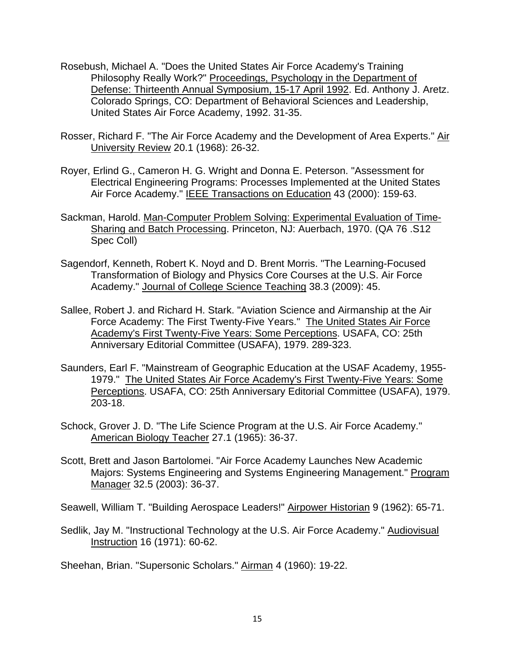- Rosebush, Michael A. "Does the United States Air Force Academy's Training Philosophy Really Work?" Proceedings, Psychology in the Department of Defense: Thirteenth Annual Symposium, 15-17 April 1992. Ed. Anthony J. Aretz. Colorado Springs, CO: Department of Behavioral Sciences and Leadership, United States Air Force Academy, 1992. 31-35.
- Rosser, Richard F. "The Air Force Academy and the Development of Area Experts." Air University Review 20.1 (1968): 26-32.
- Royer, Erlind G., Cameron H. G. Wright and Donna E. Peterson. "Assessment for Electrical Engineering Programs: Processes Implemented at the United States Air Force Academy." IEEE Transactions on Education 43 (2000): 159-63.
- Sackman, Harold. Man-Computer Problem Solving: Experimental Evaluation of Time-Sharing and Batch Processing. Princeton, NJ: Auerbach, 1970. (QA 76 .S12 Spec Coll)
- Sagendorf, Kenneth, Robert K. Noyd and D. Brent Morris. "The Learning-Focused Transformation of Biology and Physics Core Courses at the U.S. Air Force Academy." Journal of College Science Teaching 38.3 (2009): 45.
- Sallee, Robert J. and Richard H. Stark. "Aviation Science and Airmanship at the Air Force Academy: The First Twenty-Five Years." The United States Air Force Academy's First Twenty-Five Years: Some Perceptions. USAFA, CO: 25th Anniversary Editorial Committee (USAFA), 1979. 289-323.
- Saunders, Earl F. "Mainstream of Geographic Education at the USAF Academy, 1955- 1979." The United States Air Force Academy's First Twenty-Five Years: Some Perceptions. USAFA, CO: 25th Anniversary Editorial Committee (USAFA), 1979. 203-18.
- Schock, Grover J. D. "The Life Science Program at the U.S. Air Force Academy." American Biology Teacher 27.1 (1965): 36-37.
- Scott, Brett and Jason Bartolomei. "Air Force Academy Launches New Academic Majors: Systems Engineering and Systems Engineering Management." Program Manager 32.5 (2003): 36-37.

Seawell, William T. "Building Aerospace Leaders!" Airpower Historian 9 (1962): 65-71.

Sedlik, Jay M. "Instructional Technology at the U.S. Air Force Academy." Audiovisual Instruction 16 (1971): 60-62.

Sheehan, Brian. "Supersonic Scholars." Airman 4 (1960): 19-22.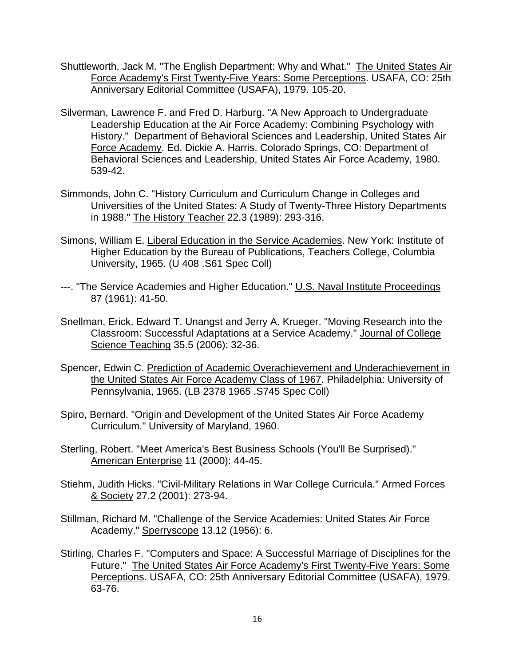- Shuttleworth, Jack M. "The English Department: Why and What." The United States Air Force Academy's First Twenty-Five Years: Some Perceptions. USAFA, CO: 25th Anniversary Editorial Committee (USAFA), 1979. 105-20.
- Silverman, Lawrence F. and Fred D. Harburg. "A New Approach to Undergraduate Leadership Education at the Air Force Academy: Combining Psychology with History." Department of Behavioral Sciences and Leadership, United States Air Force Academy. Ed. Dickie A. Harris. Colorado Springs, CO: Department of Behavioral Sciences and Leadership, United States Air Force Academy, 1980. 539-42.
- Simmonds, John C. "History Curriculum and Curriculum Change in Colleges and Universities of the United States: A Study of Twenty-Three History Departments in 1988." The History Teacher 22.3 (1989): 293-316.
- Simons, William E. Liberal Education in the Service Academies. New York: Institute of Higher Education by the Bureau of Publications, Teachers College, Columbia University, 1965. (U 408 .S61 Spec Coll)
- ---. "The Service Academies and Higher Education." U.S. Naval Institute Proceedings 87 (1961): 41-50.
- Snellman, Erick, Edward T. Unangst and Jerry A. Krueger. "Moving Research into the Classroom: Successful Adaptations at a Service Academy." Journal of College Science Teaching 35.5 (2006): 32-36.
- Spencer, Edwin C. Prediction of Academic Overachievement and Underachievement in the United States Air Force Academy Class of 1967. Philadelphia: University of Pennsylvania, 1965. (LB 2378 1965 .S745 Spec Coll)
- Spiro, Bernard. "Origin and Development of the United States Air Force Academy Curriculum." University of Maryland, 1960.
- Sterling, Robert. "Meet America's Best Business Schools (You'll Be Surprised)." American Enterprise 11 (2000): 44-45.
- Stiehm, Judith Hicks. "Civil-Military Relations in War College Curricula." Armed Forces & Society 27.2 (2001): 273-94.
- Stillman, Richard M. "Challenge of the Service Academies: United States Air Force Academy." Sperryscope 13.12 (1956): 6.
- Stirling, Charles F. "Computers and Space: A Successful Marriage of Disciplines for the Future." The United States Air Force Academy's First Twenty-Five Years: Some Perceptions. USAFA, CO: 25th Anniversary Editorial Committee (USAFA), 1979. 63-76.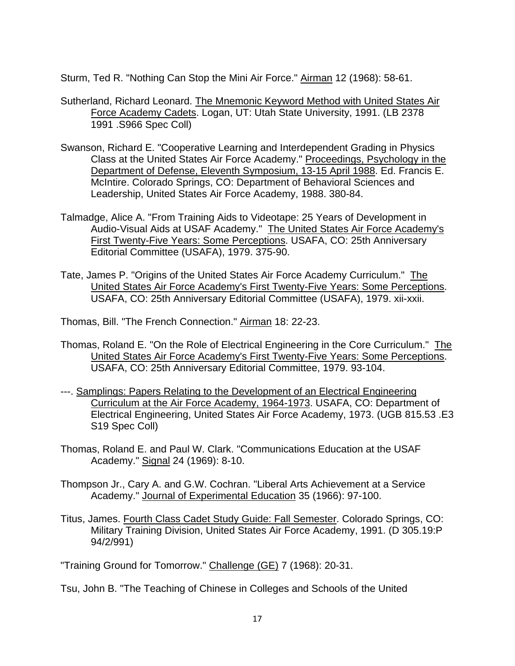Sturm, Ted R. "Nothing Can Stop the Mini Air Force." Airman 12 (1968): 58-61.

- Sutherland, Richard Leonard. The Mnemonic Keyword Method with United States Air Force Academy Cadets. Logan, UT: Utah State University, 1991. (LB 2378 1991 .S966 Spec Coll)
- Swanson, Richard E. "Cooperative Learning and Interdependent Grading in Physics Class at the United States Air Force Academy." Proceedings, Psychology in the Department of Defense, Eleventh Symposium, 13-15 April 1988. Ed. Francis E. McIntire. Colorado Springs, CO: Department of Behavioral Sciences and Leadership, United States Air Force Academy, 1988. 380-84.
- Talmadge, Alice A. "From Training Aids to Videotape: 25 Years of Development in Audio-Visual Aids at USAF Academy." The United States Air Force Academy's First Twenty-Five Years: Some Perceptions. USAFA, CO: 25th Anniversary Editorial Committee (USAFA), 1979. 375-90.
- Tate, James P. "Origins of the United States Air Force Academy Curriculum." The United States Air Force Academy's First Twenty-Five Years: Some Perceptions. USAFA, CO: 25th Anniversary Editorial Committee (USAFA), 1979. xii-xxii.

Thomas, Bill. "The French Connection." Airman 18: 22-23.

- Thomas, Roland E. "On the Role of Electrical Engineering in the Core Curriculum." The United States Air Force Academy's First Twenty-Five Years: Some Perceptions. USAFA, CO: 25th Anniversary Editorial Committee, 1979. 93-104.
- ---. Samplings: Papers Relating to the Development of an Electrical Engineering Curriculum at the Air Force Academy, 1964-1973. USAFA, CO: Department of Electrical Engineering, United States Air Force Academy, 1973. (UGB 815.53 .E3 S19 Spec Coll)
- Thomas, Roland E. and Paul W. Clark. "Communications Education at the USAF Academy." Signal 24 (1969): 8-10.
- Thompson Jr., Cary A. and G.W. Cochran. "Liberal Arts Achievement at a Service Academy." Journal of Experimental Education 35 (1966): 97-100.
- Titus, James. Fourth Class Cadet Study Guide: Fall Semester. Colorado Springs, CO: Military Training Division, United States Air Force Academy, 1991. (D 305.19:P 94/2/991)

"Training Ground for Tomorrow." Challenge (GE) 7 (1968): 20-31.

Tsu, John B. "The Teaching of Chinese in Colleges and Schools of the United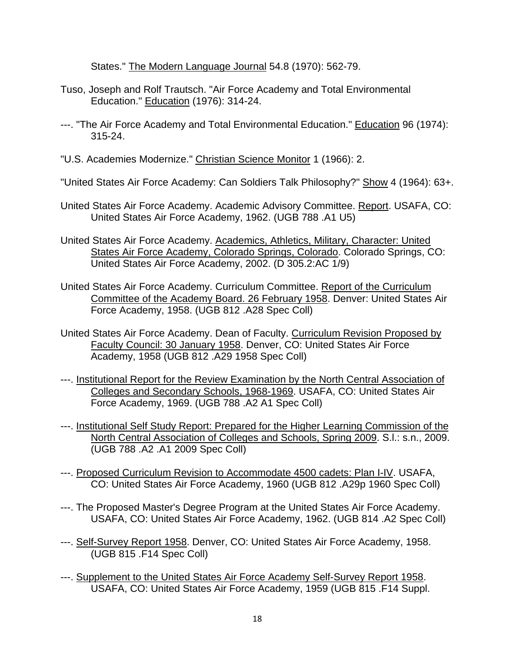States." The Modern Language Journal 54.8 (1970): 562-79.

- Tuso, Joseph and Rolf Trautsch. "Air Force Academy and Total Environmental Education." Education (1976): 314-24.
- ---. "The Air Force Academy and Total Environmental Education." Education 96 (1974): 315-24.
- "U.S. Academies Modernize." Christian Science Monitor 1 (1966): 2.

"United States Air Force Academy: Can Soldiers Talk Philosophy?" Show 4 (1964): 63+.

- United States Air Force Academy. Academic Advisory Committee. Report. USAFA, CO: United States Air Force Academy, 1962. (UGB 788 .A1 U5)
- United States Air Force Academy. Academics, Athletics, Military, Character: United States Air Force Academy, Colorado Springs, Colorado. Colorado Springs, CO: United States Air Force Academy, 2002. (D 305.2:AC 1/9)
- United States Air Force Academy. Curriculum Committee. Report of the Curriculum Committee of the Academy Board. 26 February 1958. Denver: United States Air Force Academy, 1958. (UGB 812 .A28 Spec Coll)
- United States Air Force Academy. Dean of Faculty. Curriculum Revision Proposed by Faculty Council: 30 January 1958. Denver, CO: United States Air Force Academy, 1958 (UGB 812 .A29 1958 Spec Coll)
- ---. Institutional Report for the Review Examination by the North Central Association of Colleges and Secondary Schools, 1968-1969. USAFA, CO: United States Air Force Academy, 1969. (UGB 788 .A2 A1 Spec Coll)
- ---. Institutional Self Study Report: Prepared for the Higher Learning Commission of the North Central Association of Colleges and Schools, Spring 2009. S.l.: s.n., 2009. (UGB 788 .A2 .A1 2009 Spec Coll)
- ---. Proposed Curriculum Revision to Accommodate 4500 cadets: Plan I-IV. USAFA, CO: United States Air Force Academy, 1960 (UGB 812 .A29p 1960 Spec Coll)
- ---. The Proposed Master's Degree Program at the United States Air Force Academy. USAFA, CO: United States Air Force Academy, 1962. (UGB 814 .A2 Spec Coll)
- ---. Self-Survey Report 1958. Denver, CO: United States Air Force Academy, 1958. (UGB 815 .F14 Spec Coll)
- ---. Supplement to the United States Air Force Academy Self-Survey Report 1958. USAFA, CO: United States Air Force Academy, 1959 (UGB 815 .F14 Suppl.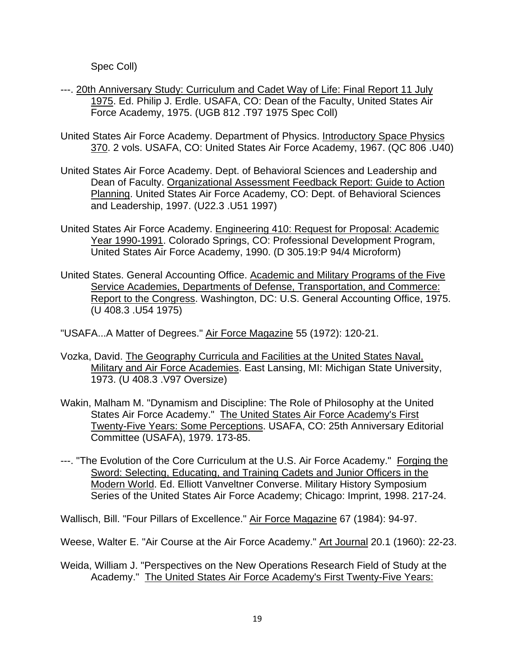Spec Coll)

- ---. 20th Anniversary Study: Curriculum and Cadet Way of Life: Final Report 11 July 1975. Ed. Philip J. Erdle. USAFA, CO: Dean of the Faculty, United States Air Force Academy, 1975. (UGB 812 .T97 1975 Spec Coll)
- United States Air Force Academy. Department of Physics. Introductory Space Physics 370. 2 vols. USAFA, CO: United States Air Force Academy, 1967. (QC 806 .U40)
- United States Air Force Academy. Dept. of Behavioral Sciences and Leadership and Dean of Faculty. Organizational Assessment Feedback Report: Guide to Action Planning. United States Air Force Academy, CO: Dept. of Behavioral Sciences and Leadership, 1997. (U22.3 .U51 1997)
- United States Air Force Academy. Engineering 410: Request for Proposal: Academic Year 1990-1991. Colorado Springs, CO: Professional Development Program, United States Air Force Academy, 1990. (D 305.19:P 94/4 Microform)
- United States. General Accounting Office. Academic and Military Programs of the Five Service Academies, Departments of Defense, Transportation, and Commerce: Report to the Congress. Washington, DC: U.S. General Accounting Office, 1975. (U 408.3 .U54 1975)
- "USAFA...A Matter of Degrees." Air Force Magazine 55 (1972): 120-21.
- Vozka, David. The Geography Curricula and Facilities at the United States Naval, Military and Air Force Academies. East Lansing, MI: Michigan State University, 1973. (U 408.3 .V97 Oversize)
- Wakin, Malham M. "Dynamism and Discipline: The Role of Philosophy at the United States Air Force Academy." The United States Air Force Academy's First Twenty-Five Years: Some Perceptions. USAFA, CO: 25th Anniversary Editorial Committee (USAFA), 1979. 173-85.
- ---. "The Evolution of the Core Curriculum at the U.S. Air Force Academy." Forging the Sword: Selecting, Educating, and Training Cadets and Junior Officers in the Modern World. Ed. Elliott Vanveltner Converse. Military History Symposium Series of the United States Air Force Academy; Chicago: Imprint, 1998. 217-24.

Wallisch, Bill. "Four Pillars of Excellence." Air Force Magazine 67 (1984): 94-97.

Weese, Walter E. "Air Course at the Air Force Academy." Art Journal 20.1 (1960): 22-23.

Weida, William J. "Perspectives on the New Operations Research Field of Study at the Academy." The United States Air Force Academy's First Twenty-Five Years: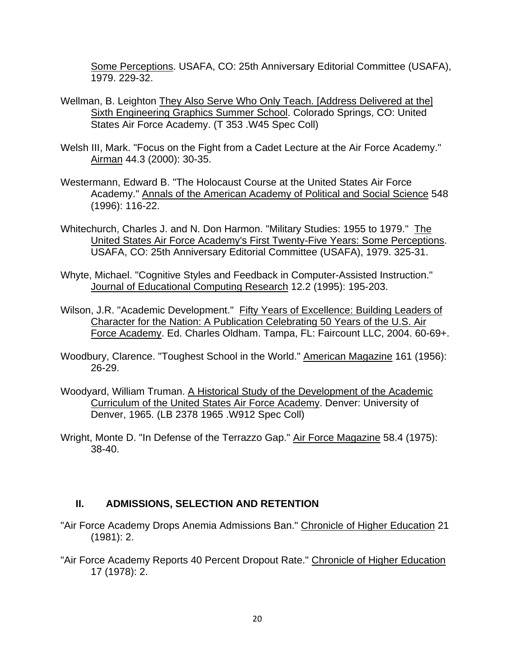Some Perceptions. USAFA, CO: 25th Anniversary Editorial Committee (USAFA), 1979. 229-32.

- Wellman, B. Leighton They Also Serve Who Only Teach. [Address Delivered at the] Sixth Engineering Graphics Summer School. Colorado Springs, CO: United States Air Force Academy. (T 353 .W45 Spec Coll)
- Welsh III, Mark. "Focus on the Fight from a Cadet Lecture at the Air Force Academy." Airman 44.3 (2000): 30-35.
- Westermann, Edward B. "The Holocaust Course at the United States Air Force Academy." Annals of the American Academy of Political and Social Science 548 (1996): 116-22.
- Whitechurch, Charles J. and N. Don Harmon. "Military Studies: 1955 to 1979." The United States Air Force Academy's First Twenty-Five Years: Some Perceptions. USAFA, CO: 25th Anniversary Editorial Committee (USAFA), 1979. 325-31.
- Whyte, Michael. "Cognitive Styles and Feedback in Computer-Assisted Instruction." Journal of Educational Computing Research 12.2 (1995): 195-203.
- Wilson, J.R. "Academic Development." Fifty Years of Excellence: Building Leaders of Character for the Nation: A Publication Celebrating 50 Years of the U.S. Air Force Academy. Ed. Charles Oldham. Tampa, FL: Faircount LLC, 2004. 60-69+.
- Woodbury, Clarence. "Toughest School in the World." American Magazine 161 (1956): 26-29.
- Woodyard, William Truman. A Historical Study of the Development of the Academic Curriculum of the United States Air Force Academy. Denver: University of Denver, 1965. (LB 2378 1965 .W912 Spec Coll)
- Wright, Monte D. "In Defense of the Terrazzo Gap." Air Force Magazine 58.4 (1975): 38-40.

## **II. ADMISSIONS, SELECTION AND RETENTION**

- "Air Force Academy Drops Anemia Admissions Ban." Chronicle of Higher Education 21 (1981): 2.
- "Air Force Academy Reports 40 Percent Dropout Rate." Chronicle of Higher Education 17 (1978): 2.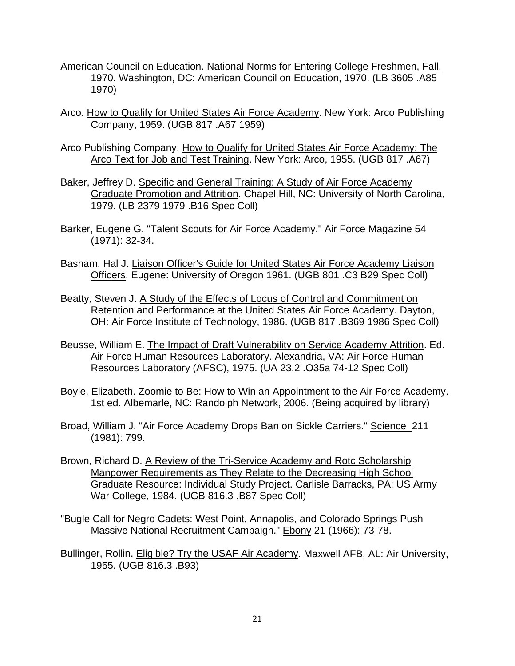- American Council on Education. National Norms for Entering College Freshmen, Fall, 1970. Washington, DC: American Council on Education, 1970. (LB 3605 .A85 1970)
- Arco. How to Qualify for United States Air Force Academy. New York: Arco Publishing Company, 1959. (UGB 817 .A67 1959)
- Arco Publishing Company. How to Qualify for United States Air Force Academy: The Arco Text for Job and Test Training. New York: Arco, 1955. (UGB 817 .A67)
- Baker, Jeffrey D. Specific and General Training: A Study of Air Force Academy Graduate Promotion and Attrition. Chapel Hill, NC: University of North Carolina, 1979. (LB 2379 1979 .B16 Spec Coll)
- Barker, Eugene G. "Talent Scouts for Air Force Academy." Air Force Magazine 54 (1971): 32-34.
- Basham, Hal J. Liaison Officer's Guide for United States Air Force Academy Liaison Officers. Eugene: University of Oregon 1961. (UGB 801 .C3 B29 Spec Coll)
- Beatty, Steven J. A Study of the Effects of Locus of Control and Commitment on Retention and Performance at the United States Air Force Academy. Dayton, OH: Air Force Institute of Technology, 1986. (UGB 817 .B369 1986 Spec Coll)
- Beusse, William E. The Impact of Draft Vulnerability on Service Academy Attrition. Ed. Air Force Human Resources Laboratory. Alexandria, VA: Air Force Human Resources Laboratory (AFSC), 1975. (UA 23.2 .O35a 74-12 Spec Coll)
- Boyle, Elizabeth. Zoomie to Be: How to Win an Appointment to the Air Force Academy. 1st ed. Albemarle, NC: Randolph Network, 2006. (Being acquired by library)
- Broad, William J. "Air Force Academy Drops Ban on Sickle Carriers." Science 211 (1981): 799.
- Brown, Richard D. A Review of the Tri-Service Academy and Rotc Scholarship Manpower Requirements as They Relate to the Decreasing High School Graduate Resource: Individual Study Project. Carlisle Barracks, PA: US Army War College, 1984. (UGB 816.3 .B87 Spec Coll)
- "Bugle Call for Negro Cadets: West Point, Annapolis, and Colorado Springs Push Massive National Recruitment Campaign." Ebony 21 (1966): 73-78.
- Bullinger, Rollin. Eligible? Try the USAF Air Academy. Maxwell AFB, AL: Air University, 1955. (UGB 816.3 .B93)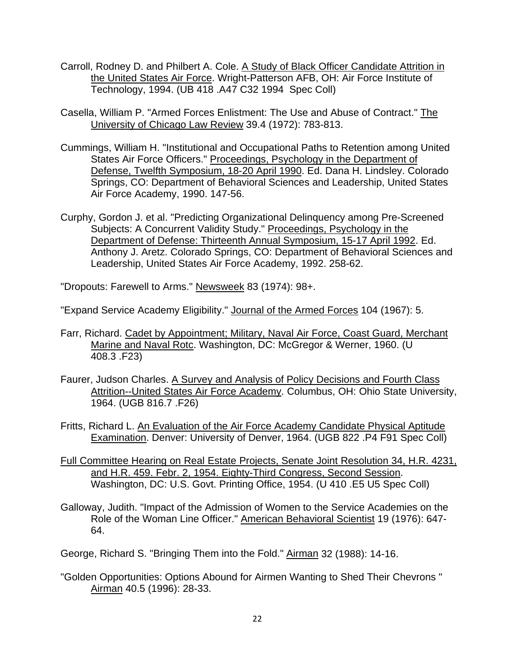- Carroll, Rodney D. and Philbert A. Cole. A Study of Black Officer Candidate Attrition in the United States Air Force. Wright-Patterson AFB, OH: Air Force Institute of Technology, 1994. (UB 418 .A47 C32 1994 Spec Coll)
- Casella, William P. "Armed Forces Enlistment: The Use and Abuse of Contract." The University of Chicago Law Review 39.4 (1972): 783-813.
- Cummings, William H. "Institutional and Occupational Paths to Retention among United States Air Force Officers." Proceedings, Psychology in the Department of Defense, Twelfth Symposium, 18-20 April 1990. Ed. Dana H. Lindsley. Colorado Springs, CO: Department of Behavioral Sciences and Leadership, United States Air Force Academy, 1990. 147-56.
- Curphy, Gordon J. et al. "Predicting Organizational Delinquency among Pre-Screened Subjects: A Concurrent Validity Study." Proceedings, Psychology in the Department of Defense: Thirteenth Annual Symposium, 15-17 April 1992. Ed. Anthony J. Aretz. Colorado Springs, CO: Department of Behavioral Sciences and Leadership, United States Air Force Academy, 1992. 258-62.

"Dropouts: Farewell to Arms." Newsweek 83 (1974): 98+.

"Expand Service Academy Eligibility." Journal of the Armed Forces 104 (1967): 5.

- Farr, Richard. Cadet by Appointment; Military, Naval Air Force, Coast Guard, Merchant Marine and Naval Rotc. Washington, DC: McGregor & Werner, 1960. (U 408.3 .F23)
- Faurer, Judson Charles. A Survey and Analysis of Policy Decisions and Fourth Class Attrition--United States Air Force Academy. Columbus, OH: Ohio State University, 1964. (UGB 816.7 .F26)
- Fritts, Richard L. An Evaluation of the Air Force Academy Candidate Physical Aptitude Examination. Denver: University of Denver, 1964. (UGB 822 .P4 F91 Spec Coll)
- Full Committee Hearing on Real Estate Projects, Senate Joint Resolution 34, H.R. 4231, and H.R. 459. Febr. 2, 1954. Eighty-Third Congress, Second Session. Washington, DC: U.S. Govt. Printing Office, 1954. (U 410 .E5 U5 Spec Coll)
- Galloway, Judith. "Impact of the Admission of Women to the Service Academies on the Role of the Woman Line Officer." American Behavioral Scientist 19 (1976): 647- 64.
- George, Richard S. "Bringing Them into the Fold." Airman 32 (1988): 14-16.
- "Golden Opportunities: Options Abound for Airmen Wanting to Shed Their Chevrons " Airman 40.5 (1996): 28-33.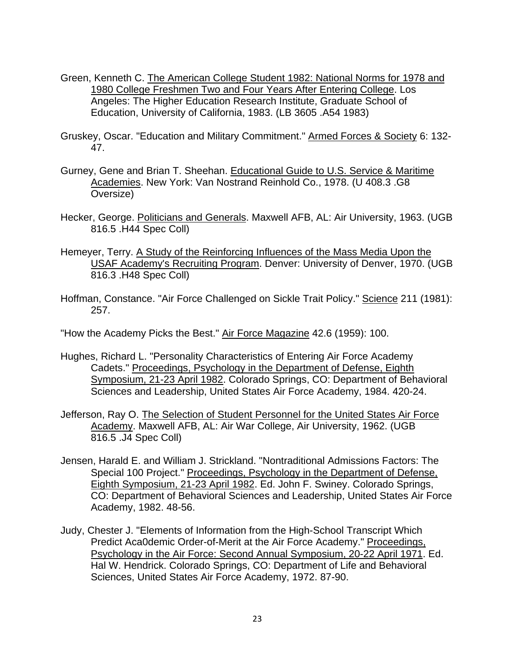- Green, Kenneth C. The American College Student 1982: National Norms for 1978 and 1980 College Freshmen Two and Four Years After Entering College. Los Angeles: The Higher Education Research Institute, Graduate School of Education, University of California, 1983. (LB 3605 .A54 1983)
- Gruskey, Oscar. "Education and Military Commitment." Armed Forces & Society 6: 132- 47.
- Gurney, Gene and Brian T. Sheehan. Educational Guide to U.S. Service & Maritime Academies. New York: Van Nostrand Reinhold Co., 1978. (U 408.3 .G8 Oversize)
- Hecker, George. Politicians and Generals. Maxwell AFB, AL: Air University, 1963. (UGB 816.5 .H44 Spec Coll)
- Hemeyer, Terry. A Study of the Reinforcing Influences of the Mass Media Upon the USAF Academy's Recruiting Program. Denver: University of Denver, 1970. (UGB 816.3 .H48 Spec Coll)
- Hoffman, Constance. "Air Force Challenged on Sickle Trait Policy." Science 211 (1981): 257.

"How the Academy Picks the Best." Air Force Magazine 42.6 (1959): 100.

- Hughes, Richard L. "Personality Characteristics of Entering Air Force Academy Cadets." Proceedings, Psychology in the Department of Defense, Eighth Symposium, 21-23 April 1982. Colorado Springs, CO: Department of Behavioral Sciences and Leadership, United States Air Force Academy, 1984. 420-24.
- Jefferson, Ray O. The Selection of Student Personnel for the United States Air Force Academy. Maxwell AFB, AL: Air War College, Air University, 1962. (UGB 816.5 .J4 Spec Coll)
- Jensen, Harald E. and William J. Strickland. "Nontraditional Admissions Factors: The Special 100 Project." Proceedings, Psychology in the Department of Defense, Eighth Symposium, 21-23 April 1982. Ed. John F. Swiney. Colorado Springs, CO: Department of Behavioral Sciences and Leadership, United States Air Force Academy, 1982. 48-56.
- Judy, Chester J. "Elements of Information from the High-School Transcript Which Predict Aca0demic Order-of-Merit at the Air Force Academy." Proceedings, Psychology in the Air Force: Second Annual Symposium, 20-22 April 1971. Ed. Hal W. Hendrick. Colorado Springs, CO: Department of Life and Behavioral Sciences, United States Air Force Academy, 1972. 87-90.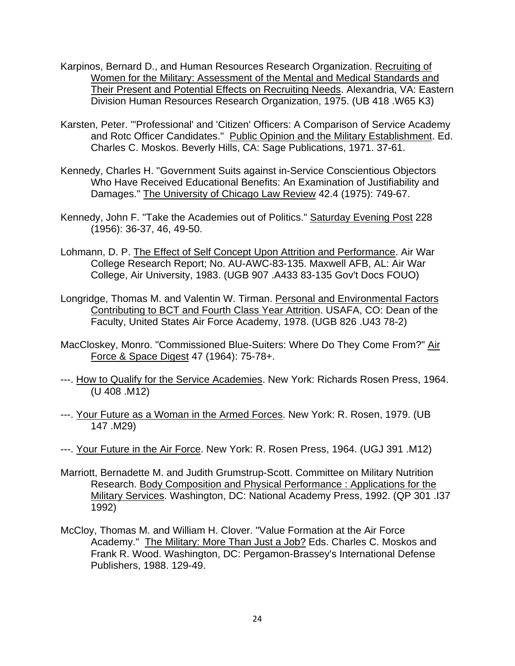- Karpinos, Bernard D., and Human Resources Research Organization. Recruiting of Women for the Military: Assessment of the Mental and Medical Standards and Their Present and Potential Effects on Recruiting Needs. Alexandria, VA: Eastern Division Human Resources Research Organization, 1975. (UB 418 .W65 K3)
- Karsten, Peter. "'Professional' and 'Citizen' Officers: A Comparison of Service Academy and Rotc Officer Candidates." Public Opinion and the Military Establishment. Ed. Charles C. Moskos. Beverly Hills, CA: Sage Publications, 1971. 37-61.
- Kennedy, Charles H. "Government Suits against in-Service Conscientious Objectors Who Have Received Educational Benefits: An Examination of Justifiability and Damages." The University of Chicago Law Review 42.4 (1975): 749-67.
- Kennedy, John F. "Take the Academies out of Politics." Saturday Evening Post 228 (1956): 36-37, 46, 49-50.
- Lohmann, D. P. The Effect of Self Concept Upon Attrition and Performance. Air War College Research Report; No. AU-AWC-83-135. Maxwell AFB, AL: Air War College, Air University, 1983. (UGB 907 .A433 83-135 Gov't Docs FOUO)
- Longridge, Thomas M. and Valentin W. Tirman. Personal and Environmental Factors Contributing to BCT and Fourth Class Year Attrition. USAFA, CO: Dean of the Faculty, United States Air Force Academy, 1978. (UGB 826 .U43 78-2)
- MacCloskey, Monro. "Commissioned Blue-Suiters: Where Do They Come From?" Air Force & Space Digest 47 (1964): 75-78+.
- ---. How to Qualify for the Service Academies. New York: Richards Rosen Press, 1964. (U 408 .M12)
- ---. Your Future as a Woman in the Armed Forces. New York: R. Rosen, 1979. (UB 147 .M29)
- ---. Your Future in the Air Force. New York: R. Rosen Press, 1964. (UGJ 391 .M12)
- Marriott, Bernadette M. and Judith Grumstrup-Scott. Committee on Military Nutrition Research. Body Composition and Physical Performance : Applications for the Military Services. Washington, DC: National Academy Press, 1992. (QP 301 .I37 1992)
- McCloy, Thomas M. and William H. Clover. "Value Formation at the Air Force Academy." The Military: More Than Just a Job? Eds. Charles C. Moskos and Frank R. Wood. Washington, DC: Pergamon-Brassey's International Defense Publishers, 1988. 129-49.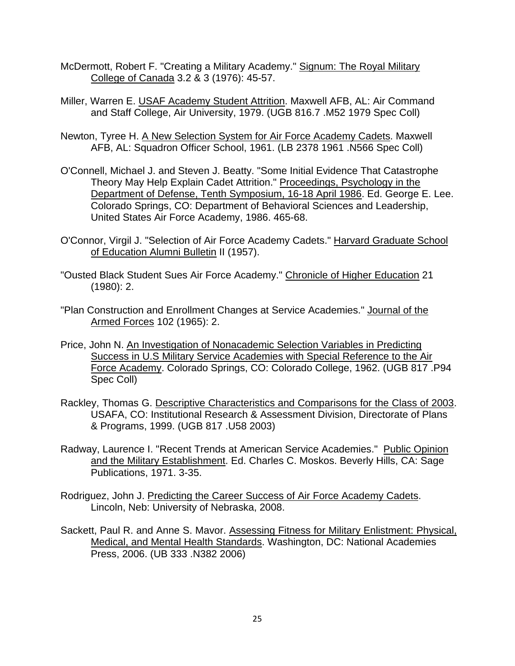- McDermott, Robert F. "Creating a Military Academy." Signum: The Royal Military College of Canada 3.2 & 3 (1976): 45-57.
- Miller, Warren E. USAF Academy Student Attrition. Maxwell AFB, AL: Air Command and Staff College, Air University, 1979. (UGB 816.7 .M52 1979 Spec Coll)
- Newton, Tyree H. A New Selection System for Air Force Academy Cadets. Maxwell AFB, AL: Squadron Officer School, 1961. (LB 2378 1961 .N566 Spec Coll)
- O'Connell, Michael J. and Steven J. Beatty. "Some Initial Evidence That Catastrophe Theory May Help Explain Cadet Attrition." Proceedings, Psychology in the Department of Defense, Tenth Symposium, 16-18 April 1986. Ed. George E. Lee. Colorado Springs, CO: Department of Behavioral Sciences and Leadership, United States Air Force Academy, 1986. 465-68.
- O'Connor, Virgil J. "Selection of Air Force Academy Cadets." Harvard Graduate School of Education Alumni Bulletin II (1957).
- "Ousted Black Student Sues Air Force Academy." Chronicle of Higher Education 21 (1980): 2.
- "Plan Construction and Enrollment Changes at Service Academies." Journal of the Armed Forces 102 (1965): 2.
- Price, John N. An Investigation of Nonacademic Selection Variables in Predicting Success in U.S Military Service Academies with Special Reference to the Air Force Academy. Colorado Springs, CO: Colorado College, 1962. (UGB 817 .P94 Spec Coll)
- Rackley, Thomas G. Descriptive Characteristics and Comparisons for the Class of 2003. USAFA, CO: Institutional Research & Assessment Division, Directorate of Plans & Programs, 1999. (UGB 817 .U58 2003)
- Radway, Laurence I. "Recent Trends at American Service Academies." Public Opinion and the Military Establishment. Ed. Charles C. Moskos. Beverly Hills, CA: Sage Publications, 1971. 3-35.
- Rodriguez, John J. Predicting the Career Success of Air Force Academy Cadets. Lincoln, Neb: University of Nebraska, 2008.
- Sackett, Paul R. and Anne S. Mavor. Assessing Fitness for Military Enlistment: Physical, Medical, and Mental Health Standards. Washington, DC: National Academies Press, 2006. (UB 333 .N382 2006)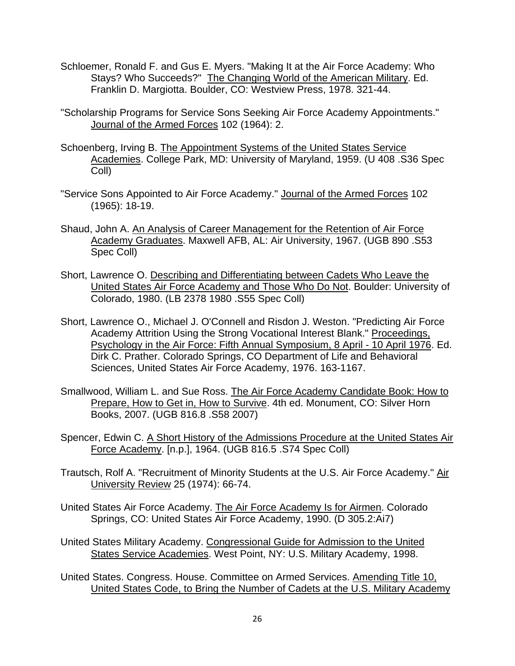- Schloemer, Ronald F. and Gus E. Myers. "Making It at the Air Force Academy: Who Stays? Who Succeeds?" The Changing World of the American Military. Ed. Franklin D. Margiotta. Boulder, CO: Westview Press, 1978. 321-44.
- "Scholarship Programs for Service Sons Seeking Air Force Academy Appointments." Journal of the Armed Forces 102 (1964): 2.
- Schoenberg, Irving B. The Appointment Systems of the United States Service Academies. College Park, MD: University of Maryland, 1959. (U 408 .S36 Spec Coll)
- "Service Sons Appointed to Air Force Academy." Journal of the Armed Forces 102 (1965): 18-19.
- Shaud, John A. An Analysis of Career Management for the Retention of Air Force Academy Graduates. Maxwell AFB, AL: Air University, 1967. (UGB 890 .S53 Spec Coll)
- Short, Lawrence O. Describing and Differentiating between Cadets Who Leave the United States Air Force Academy and Those Who Do Not. Boulder: University of Colorado, 1980. (LB 2378 1980 .S55 Spec Coll)
- Short, Lawrence O., Michael J. O'Connell and Risdon J. Weston. "Predicting Air Force Academy Attrition Using the Strong Vocational Interest Blank." Proceedings, Psychology in the Air Force: Fifth Annual Symposium, 8 April - 10 April 1976. Ed. Dirk C. Prather. Colorado Springs, CO Department of Life and Behavioral Sciences, United States Air Force Academy, 1976. 163-1167.
- Smallwood, William L. and Sue Ross. The Air Force Academy Candidate Book: How to Prepare, How to Get in, How to Survive. 4th ed. Monument, CO: Silver Horn Books, 2007. (UGB 816.8 .S58 2007)
- Spencer, Edwin C. A Short History of the Admissions Procedure at the United States Air Force Academy. [n.p.], 1964. (UGB 816.5 .S74 Spec Coll)
- Trautsch, Rolf A. "Recruitment of Minority Students at the U.S. Air Force Academy." Air University Review 25 (1974): 66-74.
- United States Air Force Academy. The Air Force Academy Is for Airmen. Colorado Springs, CO: United States Air Force Academy, 1990. (D 305.2:Ai7)
- United States Military Academy. Congressional Guide for Admission to the United States Service Academies. West Point, NY: U.S. Military Academy, 1998.
- United States. Congress. House. Committee on Armed Services. Amending Title 10, United States Code, to Bring the Number of Cadets at the U.S. Military Academy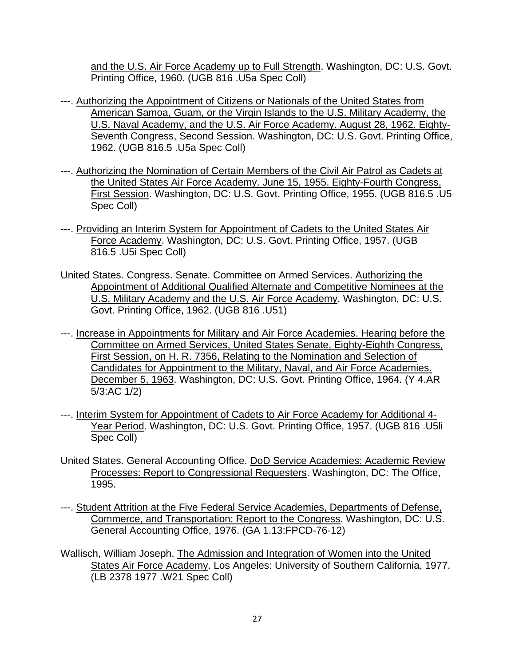and the U.S. Air Force Academy up to Full Strength. Washington, DC: U.S. Govt. Printing Office, 1960. (UGB 816 .U5a Spec Coll)

- ---. Authorizing the Appointment of Citizens or Nationals of the United States from American Samoa, Guam, or the Virgin Islands to the U.S. Military Academy, the U.S. Naval Academy, and the U.S. Air Force Academy. August 28, 1962. Eighty-Seventh Congress, Second Session. Washington, DC: U.S. Govt. Printing Office, 1962. (UGB 816.5 .U5a Spec Coll)
- ---. Authorizing the Nomination of Certain Members of the Civil Air Patrol as Cadets at the United States Air Force Academy. June 15, 1955. Eighty-Fourth Congress, First Session. Washington, DC: U.S. Govt. Printing Office, 1955. (UGB 816.5 .U5 Spec Coll)
- ---. Providing an Interim System for Appointment of Cadets to the United States Air Force Academy. Washington, DC: U.S. Govt. Printing Office, 1957. (UGB 816.5 .U5i Spec Coll)
- United States. Congress. Senate. Committee on Armed Services. Authorizing the Appointment of Additional Qualified Alternate and Competitive Nominees at the U.S. Military Academy and the U.S. Air Force Academy. Washington, DC: U.S. Govt. Printing Office, 1962. (UGB 816 .U51)
- ---. Increase in Appointments for Military and Air Force Academies. Hearing before the Committee on Armed Services, United States Senate, Eighty-Eighth Congress, First Session, on H. R. 7356, Relating to the Nomination and Selection of Candidates for Appointment to the Military, Naval, and Air Force Academies. December 5, 1963. Washington, DC: U.S. Govt. Printing Office, 1964. (Y 4.AR 5/3:AC 1/2)
- ---. Interim System for Appointment of Cadets to Air Force Academy for Additional 4- Year Period. Washington, DC: U.S. Govt. Printing Office, 1957. (UGB 816 .U5li Spec Coll)
- United States. General Accounting Office. DoD Service Academies: Academic Review Processes: Report to Congressional Requesters. Washington, DC: The Office, 1995.
- ---. Student Attrition at the Five Federal Service Academies, Departments of Defense, Commerce, and Transportation: Report to the Congress. Washington, DC: U.S. General Accounting Office, 1976. (GA 1.13:FPCD-76-12)
- Wallisch, William Joseph. The Admission and Integration of Women into the United States Air Force Academy. Los Angeles: University of Southern California, 1977. (LB 2378 1977 .W21 Spec Coll)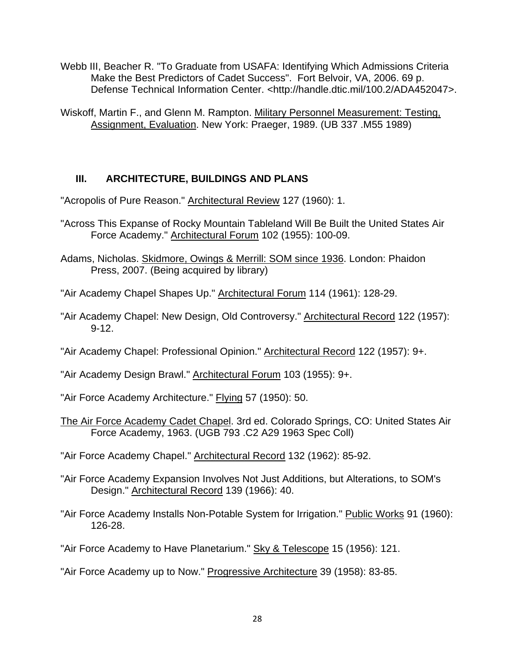- Webb III, Beacher R. "To Graduate from USAFA: Identifying Which Admissions Criteria Make the Best Predictors of Cadet Success". Fort Belvoir, VA, 2006. 69 p. Defense Technical Information Center. <http://handle.dtic.mil/100.2/ADA452047>.
- Wiskoff, Martin F., and Glenn M. Rampton. Military Personnel Measurement: Testing, Assignment, Evaluation. New York: Praeger, 1989. (UB 337 .M55 1989)

## **III. ARCHITECTURE, BUILDINGS AND PLANS**

"Acropolis of Pure Reason." Architectural Review 127 (1960): 1.

- "Across This Expanse of Rocky Mountain Tableland Will Be Built the United States Air Force Academy." Architectural Forum 102 (1955): 100-09.
- Adams, Nicholas. Skidmore, Owings & Merrill: SOM since 1936. London: Phaidon Press, 2007. (Being acquired by library)
- "Air Academy Chapel Shapes Up." Architectural Forum 114 (1961): 128-29.
- "Air Academy Chapel: New Design, Old Controversy." Architectural Record 122 (1957): 9-12.
- "Air Academy Chapel: Professional Opinion." Architectural Record 122 (1957): 9+.
- "Air Academy Design Brawl." Architectural Forum 103 (1955): 9+.
- "Air Force Academy Architecture." Flying 57 (1950): 50.
- The Air Force Academy Cadet Chapel. 3rd ed. Colorado Springs, CO: United States Air Force Academy, 1963. (UGB 793 .C2 A29 1963 Spec Coll)
- "Air Force Academy Chapel." Architectural Record 132 (1962): 85-92.
- "Air Force Academy Expansion Involves Not Just Additions, but Alterations, to SOM's Design." Architectural Record 139 (1966): 40.
- "Air Force Academy Installs Non-Potable System for Irrigation." Public Works 91 (1960): 126-28.
- "Air Force Academy to Have Planetarium." Sky & Telescope 15 (1956): 121.
- "Air Force Academy up to Now." Progressive Architecture 39 (1958): 83-85.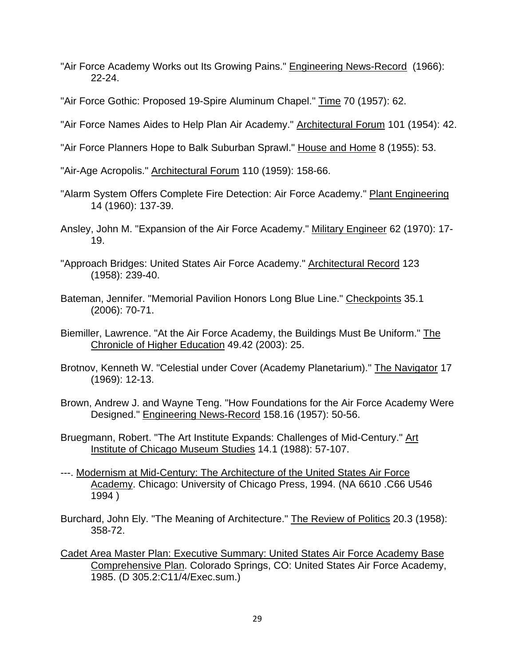- "Air Force Academy Works out Its Growing Pains." Engineering News-Record (1966): 22-24.
- "Air Force Gothic: Proposed 19-Spire Aluminum Chapel." Time 70 (1957): 62.
- "Air Force Names Aides to Help Plan Air Academy." **Architectural Forum 101 (1954): 42.**
- "Air Force Planners Hope to Balk Suburban Sprawl." House and Home 8 (1955): 53.

"Air-Age Acropolis." Architectural Forum 110 (1959): 158-66.

- "Alarm System Offers Complete Fire Detection: Air Force Academy." Plant Engineering 14 (1960): 137-39.
- Ansley, John M. "Expansion of the Air Force Academy." Military Engineer 62 (1970): 17- 19.
- "Approach Bridges: United States Air Force Academy." Architectural Record 123 (1958): 239-40.
- Bateman, Jennifer. "Memorial Pavilion Honors Long Blue Line." Checkpoints 35.1 (2006): 70-71.
- Biemiller, Lawrence. "At the Air Force Academy, the Buildings Must Be Uniform." The Chronicle of Higher Education 49.42 (2003): 25.
- Brotnov, Kenneth W. "Celestial under Cover (Academy Planetarium)." The Navigator 17 (1969): 12-13.
- Brown, Andrew J. and Wayne Teng. "How Foundations for the Air Force Academy Were Designed." Engineering News-Record 158.16 (1957): 50-56.
- Bruegmann, Robert. "The Art Institute Expands: Challenges of Mid-Century." Art Institute of Chicago Museum Studies 14.1 (1988): 57-107.
- ---. Modernism at Mid-Century: The Architecture of the United States Air Force Academy. Chicago: University of Chicago Press, 1994. (NA 6610 .C66 U546 1994 )
- Burchard, John Ely. "The Meaning of Architecture." The Review of Politics 20.3 (1958): 358-72.
- Cadet Area Master Plan: Executive Summary: United States Air Force Academy Base Comprehensive Plan. Colorado Springs, CO: United States Air Force Academy, 1985. (D 305.2:C11/4/Exec.sum.)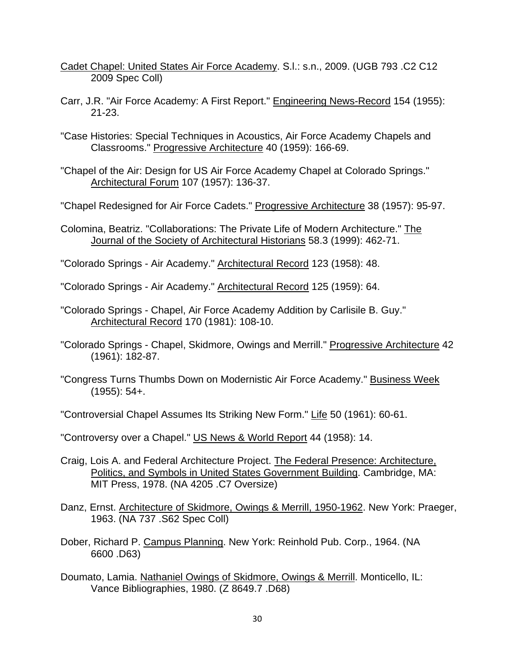- Cadet Chapel: United States Air Force Academy. S.l.: s.n., 2009. (UGB 793 .C2 C12 2009 Spec Coll)
- Carr, J.R. "Air Force Academy: A First Report." Engineering News-Record 154 (1955): 21-23.
- "Case Histories: Special Techniques in Acoustics, Air Force Academy Chapels and Classrooms." Progressive Architecture 40 (1959): 166-69.
- "Chapel of the Air: Design for US Air Force Academy Chapel at Colorado Springs." Architectural Forum 107 (1957): 136-37.
- "Chapel Redesigned for Air Force Cadets." Progressive Architecture 38 (1957): 95-97.
- Colomina, Beatriz. "Collaborations: The Private Life of Modern Architecture." The Journal of the Society of Architectural Historians 58.3 (1999): 462-71.
- "Colorado Springs Air Academy." Architectural Record 123 (1958): 48.

"Colorado Springs - Air Academy." Architectural Record 125 (1959): 64.

- "Colorado Springs Chapel, Air Force Academy Addition by Carlisile B. Guy." Architectural Record 170 (1981): 108-10.
- "Colorado Springs Chapel, Skidmore, Owings and Merrill." Progressive Architecture 42 (1961): 182-87.
- "Congress Turns Thumbs Down on Modernistic Air Force Academy." Business Week (1955): 54+.
- "Controversial Chapel Assumes Its Striking New Form." Life 50 (1961): 60-61.

"Controversy over a Chapel." US News & World Report 44 (1958): 14.

- Craig, Lois A. and Federal Architecture Project. The Federal Presence: Architecture, Politics, and Symbols in United States Government Building. Cambridge, MA: MIT Press, 1978. (NA 4205 .C7 Oversize)
- Danz, Ernst. Architecture of Skidmore, Owings & Merrill, 1950-1962. New York: Praeger, 1963. (NA 737 .S62 Spec Coll)
- Dober, Richard P. Campus Planning. New York: Reinhold Pub. Corp., 1964. (NA 6600 .D63)
- Doumato, Lamia. Nathaniel Owings of Skidmore, Owings & Merrill. Monticello, IL: Vance Bibliographies, 1980. (Z 8649.7 .D68)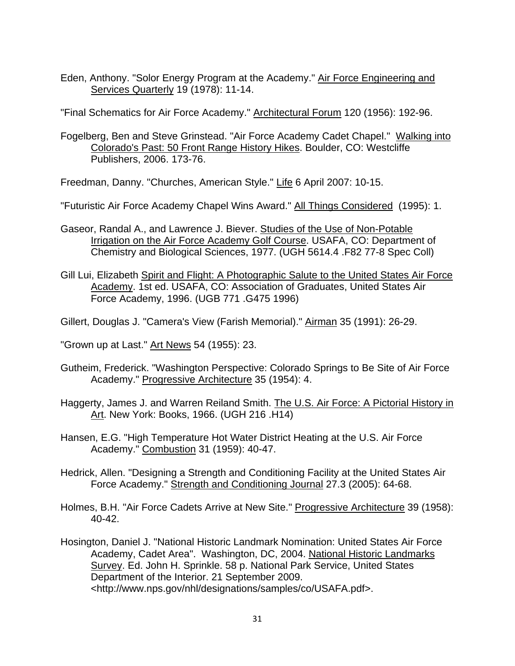Eden, Anthony. "Solor Energy Program at the Academy." Air Force Engineering and Services Quarterly 19 (1978): 11-14.

"Final Schematics for Air Force Academy." Architectural Forum 120 (1956): 192-96.

Fogelberg, Ben and Steve Grinstead. "Air Force Academy Cadet Chapel." Walking into Colorado's Past: 50 Front Range History Hikes. Boulder, CO: Westcliffe Publishers, 2006. 173-76.

Freedman, Danny. "Churches, American Style." Life 6 April 2007: 10-15.

"Futuristic Air Force Academy Chapel Wins Award." All Things Considered (1995): 1.

- Gaseor, Randal A., and Lawrence J. Biever. Studies of the Use of Non-Potable Irrigation on the Air Force Academy Golf Course. USAFA, CO: Department of Chemistry and Biological Sciences, 1977. (UGH 5614.4 .F82 77-8 Spec Coll)
- Gill Lui, Elizabeth Spirit and Flight: A Photographic Salute to the United States Air Force Academy. 1st ed. USAFA, CO: Association of Graduates, United States Air Force Academy, 1996. (UGB 771 .G475 1996)

Gillert, Douglas J. "Camera's View (Farish Memorial)." Airman 35 (1991): 26-29.

"Grown up at Last." Art News 54 (1955): 23.

- Gutheim, Frederick. "Washington Perspective: Colorado Springs to Be Site of Air Force Academy." Progressive Architecture 35 (1954): 4.
- Haggerty, James J. and Warren Reiland Smith. The U.S. Air Force: A Pictorial History in Art. New York: Books, 1966. (UGH 216 .H14)
- Hansen, E.G. "High Temperature Hot Water District Heating at the U.S. Air Force Academy." Combustion 31 (1959): 40-47.
- Hedrick, Allen. "Designing a Strength and Conditioning Facility at the United States Air Force Academy." Strength and Conditioning Journal 27.3 (2005): 64-68.
- Holmes, B.H. "Air Force Cadets Arrive at New Site." Progressive Architecture 39 (1958): 40-42.
- Hosington, Daniel J. "National Historic Landmark Nomination: United States Air Force Academy, Cadet Area". Washington, DC, 2004. National Historic Landmarks Survey. Ed. John H. Sprinkle. 58 p. National Park Service, United States Department of the Interior. 21 September 2009. <http://www.nps.gov/nhl/designations/samples/co/USAFA.pdf>.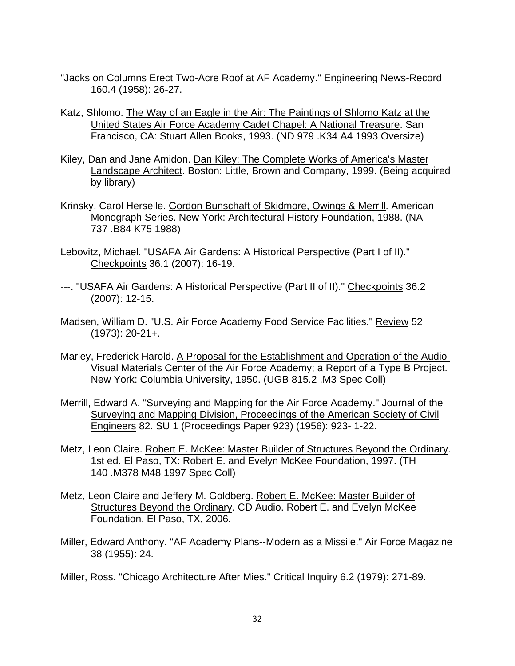- "Jacks on Columns Erect Two-Acre Roof at AF Academy." Engineering News-Record 160.4 (1958): 26-27.
- Katz, Shlomo. The Way of an Eagle in the Air: The Paintings of Shlomo Katz at the United States Air Force Academy Cadet Chapel: A National Treasure. San Francisco, CA: Stuart Allen Books, 1993. (ND 979 .K34 A4 1993 Oversize)
- Kiley, Dan and Jane Amidon. Dan Kiley: The Complete Works of America's Master Landscape Architect. Boston: Little, Brown and Company, 1999. (Being acquired by library)
- Krinsky, Carol Herselle. Gordon Bunschaft of Skidmore, Owings & Merrill. American Monograph Series. New York: Architectural History Foundation, 1988. (NA 737 .B84 K75 1988)
- Lebovitz, Michael. "USAFA Air Gardens: A Historical Perspective (Part I of II)." Checkpoints 36.1 (2007): 16-19.
- ---. "USAFA Air Gardens: A Historical Perspective (Part II of II)." Checkpoints 36.2 (2007): 12-15.
- Madsen, William D. "U.S. Air Force Academy Food Service Facilities." Review 52 (1973): 20-21+.
- Marley, Frederick Harold. A Proposal for the Establishment and Operation of the Audio-Visual Materials Center of the Air Force Academy; a Report of a Type B Project. New York: Columbia University, 1950. (UGB 815.2 .M3 Spec Coll)
- Merrill, Edward A. "Surveying and Mapping for the Air Force Academy." Journal of the Surveying and Mapping Division, Proceedings of the American Society of Civil Engineers 82. SU 1 (Proceedings Paper 923) (1956): 923- 1-22.
- Metz, Leon Claire. Robert E. McKee: Master Builder of Structures Beyond the Ordinary. 1st ed. El Paso, TX: Robert E. and Evelyn McKee Foundation, 1997. (TH 140 .M378 M48 1997 Spec Coll)
- Metz, Leon Claire and Jeffery M. Goldberg. Robert E. McKee: Master Builder of Structures Beyond the Ordinary. CD Audio. Robert E. and Evelyn McKee Foundation, El Paso, TX, 2006.
- Miller, Edward Anthony. "AF Academy Plans--Modern as a Missile." Air Force Magazine 38 (1955): 24.
- Miller, Ross. "Chicago Architecture After Mies." Critical Inquiry 6.2 (1979): 271-89.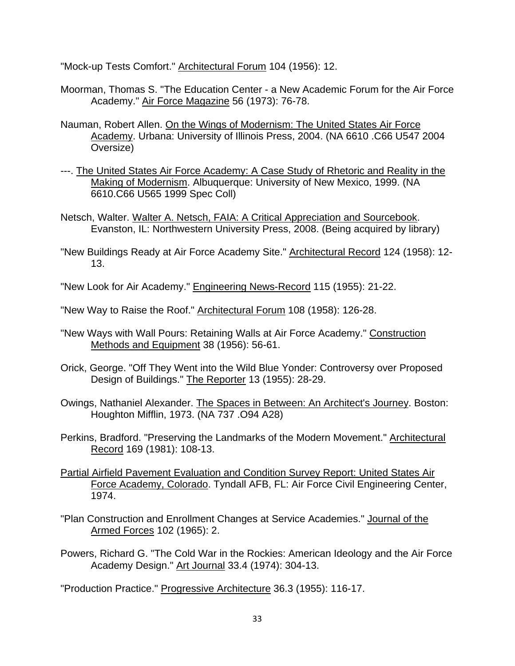"Mock-up Tests Comfort." Architectural Forum 104 (1956): 12.

- Moorman, Thomas S. "The Education Center a New Academic Forum for the Air Force Academy." Air Force Magazine 56 (1973): 76-78.
- Nauman, Robert Allen. On the Wings of Modernism: The United States Air Force Academy. Urbana: University of Illinois Press, 2004. (NA 6610 .C66 U547 2004 Oversize)
- ---. The United States Air Force Academy: A Case Study of Rhetoric and Reality in the Making of Modernism. Albuquerque: University of New Mexico, 1999. (NA 6610.C66 U565 1999 Spec Coll)
- Netsch, Walter. Walter A. Netsch, FAIA: A Critical Appreciation and Sourcebook. Evanston, IL: Northwestern University Press, 2008. (Being acquired by library)
- "New Buildings Ready at Air Force Academy Site." **Architectural Record 124 (1958)**: 12-13.
- "New Look for Air Academy." Engineering News-Record 115 (1955): 21-22.
- "New Way to Raise the Roof." Architectural Forum 108 (1958): 126-28.
- "New Ways with Wall Pours: Retaining Walls at Air Force Academy." Construction Methods and Equipment 38 (1956): 56-61.
- Orick, George. "Off They Went into the Wild Blue Yonder: Controversy over Proposed Design of Buildings." The Reporter 13 (1955): 28-29.
- Owings, Nathaniel Alexander. The Spaces in Between: An Architect's Journey. Boston: Houghton Mifflin, 1973. (NA 737 .O94 A28)
- Perkins, Bradford. "Preserving the Landmarks of the Modern Movement." Architectural Record 169 (1981): 108-13.
- Partial Airfield Pavement Evaluation and Condition Survey Report: United States Air Force Academy, Colorado. Tyndall AFB, FL: Air Force Civil Engineering Center, 1974.
- "Plan Construction and Enrollment Changes at Service Academies." Journal of the Armed Forces 102 (1965): 2.
- Powers, Richard G. "The Cold War in the Rockies: American Ideology and the Air Force Academy Design." Art Journal 33.4 (1974): 304-13.

"Production Practice." Progressive Architecture 36.3 (1955): 116-17.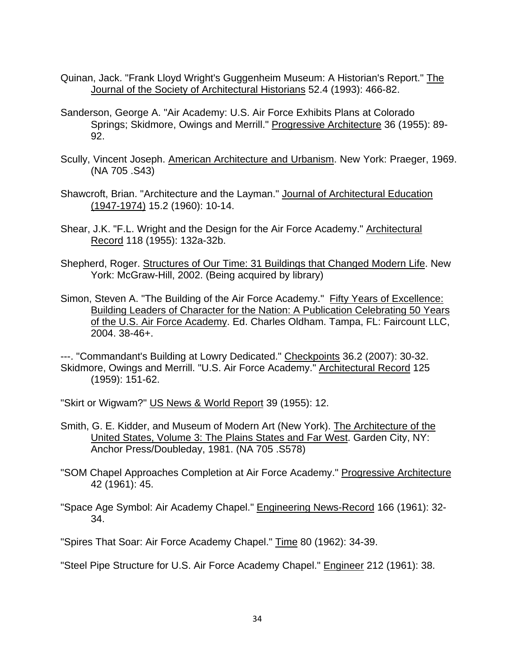- Quinan, Jack. "Frank Lloyd Wright's Guggenheim Museum: A Historian's Report." The Journal of the Society of Architectural Historians 52.4 (1993): 466-82.
- Sanderson, George A. "Air Academy: U.S. Air Force Exhibits Plans at Colorado Springs; Skidmore, Owings and Merrill." Progressive Architecture 36 (1955): 89-92.
- Scully, Vincent Joseph. American Architecture and Urbanism. New York: Praeger, 1969. (NA 705 .S43)
- Shawcroft, Brian. "Architecture and the Layman." Journal of Architectural Education (1947-1974) 15.2 (1960): 10-14.
- Shear, J.K. "F.L. Wright and the Design for the Air Force Academy." Architectural Record 118 (1955): 132a-32b.
- Shepherd, Roger. Structures of Our Time: 31 Buildings that Changed Modern Life. New York: McGraw-Hill, 2002. (Being acquired by library)
- Simon, Steven A. "The Building of the Air Force Academy." Fifty Years of Excellence: Building Leaders of Character for the Nation: A Publication Celebrating 50 Years of the U.S. Air Force Academy. Ed. Charles Oldham. Tampa, FL: Faircount LLC, 2004. 38-46+.

---. "Commandant's Building at Lowry Dedicated." Checkpoints 36.2 (2007): 30-32. Skidmore, Owings and Merrill. "U.S. Air Force Academy." Architectural Record 125 (1959): 151-62.

"Skirt or Wigwam?" US News & World Report 39 (1955): 12.

- Smith, G. E. Kidder, and Museum of Modern Art (New York). The Architecture of the United States, Volume 3: The Plains States and Far West. Garden City, NY: Anchor Press/Doubleday, 1981. (NA 705 .S578)
- "SOM Chapel Approaches Completion at Air Force Academy." Progressive Architecture 42 (1961): 45.
- "Space Age Symbol: Air Academy Chapel." Engineering News-Record 166 (1961): 32-34.

"Spires That Soar: Air Force Academy Chapel." Time 80 (1962): 34-39.

"Steel Pipe Structure for U.S. Air Force Academy Chapel." Engineer 212 (1961): 38.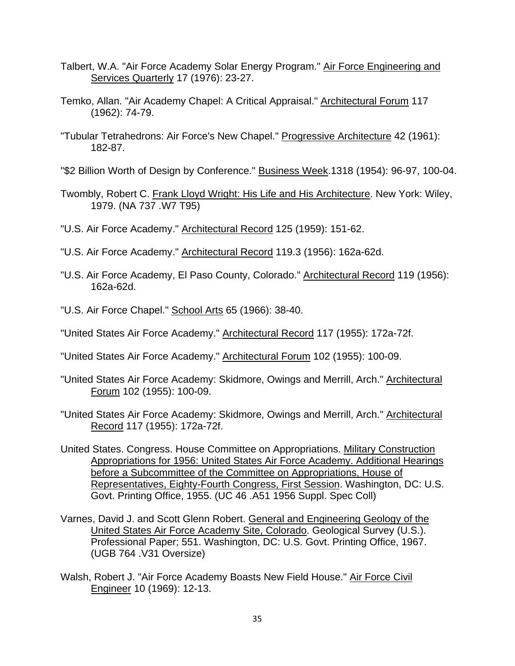- Talbert, W.A. "Air Force Academy Solar Energy Program." Air Force Engineering and **Services Quarterly 17 (1976): 23-27.**
- Temko, Allan. "Air Academy Chapel: A Critical Appraisal." Architectural Forum 117 (1962): 74-79.
- "Tubular Tetrahedrons: Air Force's New Chapel." Progressive Architecture 42 (1961): 182-87.
- "\$2 Billion Worth of Design by Conference." Business Week.1318 (1954): 96-97, 100-04.
- Twombly, Robert C. Frank Lloyd Wright: His Life and His Architecture. New York: Wiley, 1979. (NA 737 .W7 T95)
- "U.S. Air Force Academy." Architectural Record 125 (1959): 151-62.
- "U.S. Air Force Academy." Architectural Record 119.3 (1956): 162a-62d.
- "U.S. Air Force Academy, El Paso County, Colorado." Architectural Record 119 (1956): 162a-62d.
- "U.S. Air Force Chapel." School Arts 65 (1966): 38-40.
- "United States Air Force Academy." Architectural Record 117 (1955): 172a-72f.
- "United States Air Force Academy." Architectural Forum 102 (1955): 100-09.
- "United States Air Force Academy: Skidmore, Owings and Merrill, Arch." Architectural Forum 102 (1955): 100-09.
- "United States Air Force Academy: Skidmore, Owings and Merrill, Arch." Architectural Record 117 (1955): 172a-72f.
- United States. Congress. House Committee on Appropriations. Military Construction Appropriations for 1956: United States Air Force Academy. Additional Hearings before a Subcommittee of the Committee on Appropriations, House of Representatives, Eighty-Fourth Congress, First Session. Washington, DC: U.S. Govt. Printing Office, 1955. (UC 46 .A51 1956 Suppl. Spec Coll)
- Varnes, David J. and Scott Glenn Robert. General and Engineering Geology of the United States Air Force Academy Site, Colorado. Geological Survey (U.S.). Professional Paper; 551. Washington, DC: U.S. Govt. Printing Office, 1967. (UGB 764 .V31 Oversize)
- Walsh, Robert J. "Air Force Academy Boasts New Field House." Air Force Civil Engineer 10 (1969): 12-13.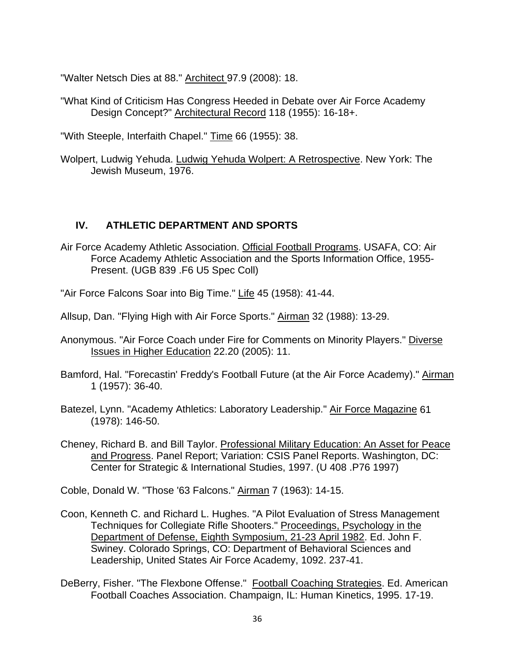"Walter Netsch Dies at 88." Architect 97.9 (2008): 18.

"What Kind of Criticism Has Congress Heeded in Debate over Air Force Academy Design Concept?" Architectural Record 118 (1955): 16-18+.

"With Steeple, Interfaith Chapel." Time 66 (1955): 38.

Wolpert, Ludwig Yehuda. Ludwig Yehuda Wolpert: A Retrospective. New York: The Jewish Museum, 1976.

### **IV. ATHLETIC DEPARTMENT AND SPORTS**

- Air Force Academy Athletic Association. Official Football Programs. USAFA, CO: Air Force Academy Athletic Association and the Sports Information Office, 1955- Present. (UGB 839 .F6 U5 Spec Coll)
- "Air Force Falcons Soar into Big Time." Life 45 (1958): 41-44.
- Allsup, Dan. "Flying High with Air Force Sports." Airman 32 (1988): 13-29.
- Anonymous. "Air Force Coach under Fire for Comments on Minority Players." Diverse Issues in Higher Education 22.20 (2005): 11.
- Bamford, Hal. "Forecastin' Freddy's Football Future (at the Air Force Academy)." Airman 1 (1957): 36-40.
- Batezel, Lynn. "Academy Athletics: Laboratory Leadership." Air Force Magazine 61 (1978): 146-50.
- Cheney, Richard B. and Bill Taylor. Professional Military Education: An Asset for Peace and Progress. Panel Report; Variation: CSIS Panel Reports. Washington, DC: Center for Strategic & International Studies, 1997. (U 408 .P76 1997)

Coble, Donald W. "Those '63 Falcons." Airman 7 (1963): 14-15.

- Coon, Kenneth C. and Richard L. Hughes. "A Pilot Evaluation of Stress Management Techniques for Collegiate Rifle Shooters." Proceedings, Psychology in the Department of Defense, Eighth Symposium, 21-23 April 1982. Ed. John F. Swiney. Colorado Springs, CO: Department of Behavioral Sciences and Leadership, United States Air Force Academy, 1092. 237-41.
- DeBerry, Fisher. "The Flexbone Offense." Football Coaching Strategies. Ed. American Football Coaches Association. Champaign, IL: Human Kinetics, 1995. 17-19.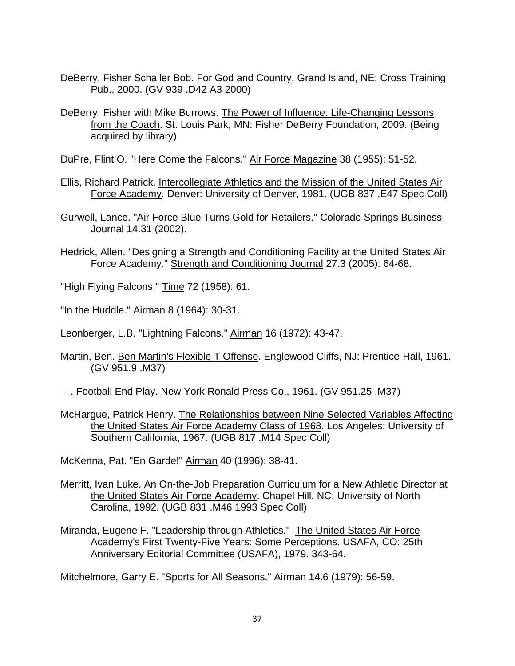- DeBerry, Fisher Schaller Bob. For God and Country. Grand Island, NE: Cross Training Pub., 2000. (GV 939 .D42 A3 2000)
- DeBerry, Fisher with Mike Burrows. The Power of Influence: Life-Changing Lessons from the Coach. St. Louis Park, MN: Fisher DeBerry Foundation, 2009. (Being acquired by library)

DuPre, Flint O. "Here Come the Falcons." Air Force Magazine 38 (1955): 51-52.

- Ellis, Richard Patrick. Intercollegiate Athletics and the Mission of the United States Air Force Academy. Denver: University of Denver, 1981. (UGB 837 .E47 Spec Coll)
- Gurwell, Lance. "Air Force Blue Turns Gold for Retailers." Colorado Springs Business Journal 14.31 (2002).
- Hedrick, Allen. "Designing a Strength and Conditioning Facility at the United States Air Force Academy." Strength and Conditioning Journal 27.3 (2005): 64-68.
- "High Flying Falcons." Time 72 (1958): 61.
- "In the Huddle." Airman 8 (1964): 30-31.

Leonberger, L.B. "Lightning Falcons." Airman 16 (1972): 43-47.

- Martin, Ben. Ben Martin's Flexible T Offense. Englewood Cliffs, NJ: Prentice-Hall, 1961. (GV 951.9 .M37)
- ---. Football End Play. New York Ronald Press Co., 1961. (GV 951.25 .M37)
- McHargue, Patrick Henry. The Relationships between Nine Selected Variables Affecting the United States Air Force Academy Class of 1968. Los Angeles: University of Southern California, 1967. (UGB 817 .M14 Spec Coll)

McKenna, Pat. "En Garde!" Airman 40 (1996): 38-41.

- Merritt, Ivan Luke. An On-the-Job Preparation Curriculum for a New Athletic Director at the United States Air Force Academy. Chapel Hill, NC: University of North Carolina, 1992. (UGB 831 .M46 1993 Spec Coll)
- Miranda, Eugene F. "Leadership through Athletics." The United States Air Force Academy's First Twenty-Five Years: Some Perceptions. USAFA, CO: 25th Anniversary Editorial Committee (USAFA), 1979. 343-64.

Mitchelmore, Garry E. "Sports for All Seasons." Airman 14.6 (1979): 56-59.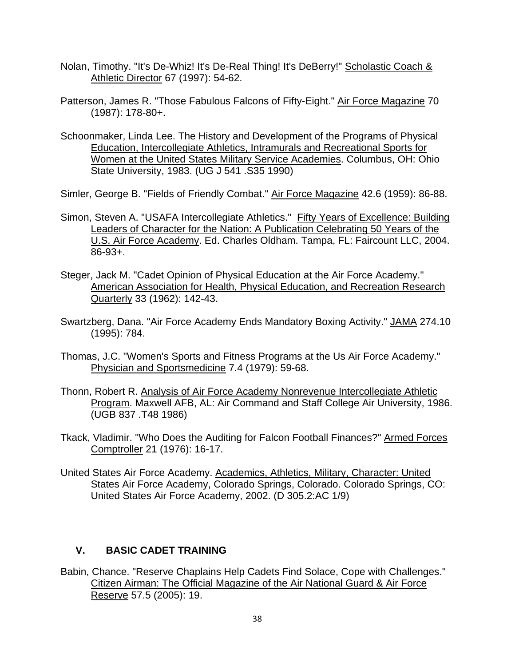- Nolan, Timothy. "It's De-Whiz! It's De-Real Thing! It's DeBerry!" Scholastic Coach & Athletic Director 67 (1997): 54-62.
- Patterson, James R. "Those Fabulous Falcons of Fifty-Eight." Air Force Magazine 70 (1987): 178-80+.
- Schoonmaker, Linda Lee. The History and Development of the Programs of Physical Education, Intercollegiate Athletics, Intramurals and Recreational Sports for Women at the United States Military Service Academies. Columbus, OH: Ohio State University, 1983. (UG J 541 .S35 1990)

Simler, George B. "Fields of Friendly Combat." Air Force Magazine 42.6 (1959): 86-88.

- Simon, Steven A. "USAFA Intercollegiate Athletics." Fifty Years of Excellence: Building Leaders of Character for the Nation: A Publication Celebrating 50 Years of the U.S. Air Force Academy. Ed. Charles Oldham. Tampa, FL: Faircount LLC, 2004. 86-93+.
- Steger, Jack M. "Cadet Opinion of Physical Education at the Air Force Academy." American Association for Health, Physical Education, and Recreation Research Quarterly 33 (1962): 142-43.
- Swartzberg, Dana. "Air Force Academy Ends Mandatory Boxing Activity." JAMA 274.10 (1995): 784.
- Thomas, J.C. "Women's Sports and Fitness Programs at the Us Air Force Academy." Physician and Sportsmedicine 7.4 (1979): 59-68.
- Thonn, Robert R. Analysis of Air Force Academy Nonrevenue Intercollegiate Athletic Program. Maxwell AFB, AL: Air Command and Staff College Air University, 1986. (UGB 837 .T48 1986)
- Tkack, Vladimir. "Who Does the Auditing for Falcon Football Finances?" Armed Forces Comptroller 21 (1976): 16-17.
- United States Air Force Academy. Academics, Athletics, Military, Character: United States Air Force Academy, Colorado Springs, Colorado. Colorado Springs, CO: United States Air Force Academy, 2002. (D 305.2:AC 1/9)

### **V. BASIC CADET TRAINING**

Babin, Chance. "Reserve Chaplains Help Cadets Find Solace, Cope with Challenges." Citizen Airman: The Official Magazine of the Air National Guard & Air Force Reserve 57.5 (2005): 19.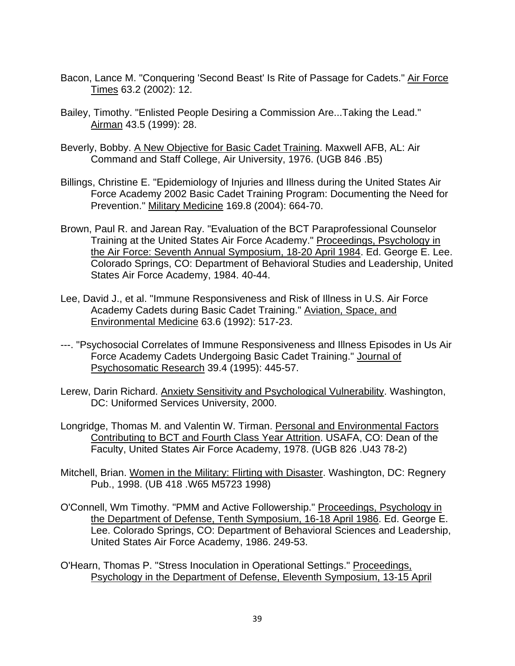- Bacon, Lance M. "Conquering 'Second Beast' Is Rite of Passage for Cadets." Air Force Times 63.2 (2002): 12.
- Bailey, Timothy. "Enlisted People Desiring a Commission Are...Taking the Lead." Airman 43.5 (1999): 28.
- Beverly, Bobby. A New Objective for Basic Cadet Training. Maxwell AFB, AL: Air Command and Staff College, Air University, 1976. (UGB 846 .B5)
- Billings, Christine E. "Epidemiology of Injuries and Illness during the United States Air Force Academy 2002 Basic Cadet Training Program: Documenting the Need for Prevention." Military Medicine 169.8 (2004): 664-70.
- Brown, Paul R. and Jarean Ray. "Evaluation of the BCT Paraprofessional Counselor Training at the United States Air Force Academy." Proceedings, Psychology in the Air Force: Seventh Annual Symposium, 18-20 April 1984. Ed. George E. Lee. Colorado Springs, CO: Department of Behavioral Studies and Leadership, United States Air Force Academy, 1984. 40-44.
- Lee, David J., et al. "Immune Responsiveness and Risk of Illness in U.S. Air Force Academy Cadets during Basic Cadet Training." Aviation, Space, and Environmental Medicine 63.6 (1992): 517-23.
- ---. "Psychosocial Correlates of Immune Responsiveness and Illness Episodes in Us Air Force Academy Cadets Undergoing Basic Cadet Training." Journal of Psychosomatic Research 39.4 (1995): 445-57.
- Lerew, Darin Richard. Anxiety Sensitivity and Psychological Vulnerability. Washington, DC: Uniformed Services University, 2000.
- Longridge, Thomas M. and Valentin W. Tirman. Personal and Environmental Factors Contributing to BCT and Fourth Class Year Attrition. USAFA, CO: Dean of the Faculty, United States Air Force Academy, 1978. (UGB 826 .U43 78-2)
- Mitchell, Brian. Women in the Military: Flirting with Disaster. Washington, DC: Regnery Pub., 1998. (UB 418 .W65 M5723 1998)
- O'Connell, Wm Timothy. "PMM and Active Followership." Proceedings, Psychology in the Department of Defense, Tenth Symposium, 16-18 April 1986. Ed. George E. Lee. Colorado Springs, CO: Department of Behavioral Sciences and Leadership, United States Air Force Academy, 1986. 249-53.
- O'Hearn, Thomas P. "Stress Inoculation in Operational Settings." Proceedings, Psychology in the Department of Defense, Eleventh Symposium, 13-15 April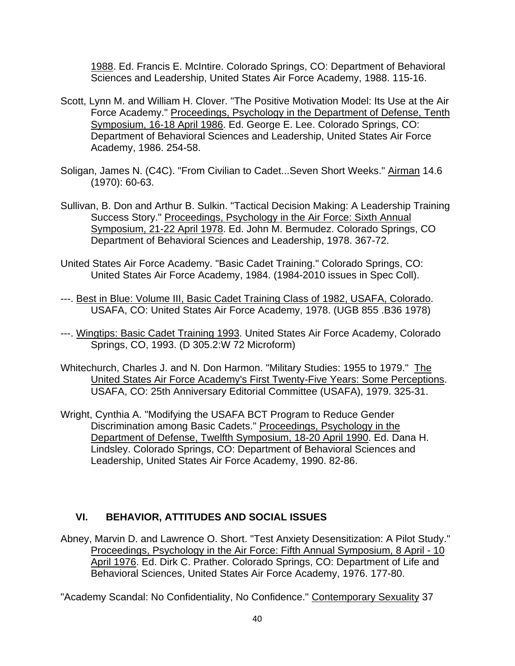1988. Ed. Francis E. McIntire. Colorado Springs, CO: Department of Behavioral Sciences and Leadership, United States Air Force Academy, 1988. 115-16.

- Scott, Lynn M. and William H. Clover. "The Positive Motivation Model: Its Use at the Air Force Academy." Proceedings, Psychology in the Department of Defense, Tenth Symposium, 16-18 April 1986. Ed. George E. Lee. Colorado Springs, CO: Department of Behavioral Sciences and Leadership, United States Air Force Academy, 1986. 254-58.
- Soligan, James N. (C4C). "From Civilian to Cadet...Seven Short Weeks." Airman 14.6 (1970): 60-63.
- Sullivan, B. Don and Arthur B. Sulkin. "Tactical Decision Making: A Leadership Training Success Story." Proceedings, Psychology in the Air Force: Sixth Annual Symposium, 21-22 April 1978. Ed. John M. Bermudez. Colorado Springs, CO Department of Behavioral Sciences and Leadership, 1978. 367-72.
- United States Air Force Academy. "Basic Cadet Training." Colorado Springs, CO: United States Air Force Academy, 1984. (1984-2010 issues in Spec Coll).
- ---. Best in Blue: Volume III, Basic Cadet Training Class of 1982, USAFA, Colorado. USAFA, CO: United States Air Force Academy, 1978. (UGB 855 .B36 1978)
- ---. Wingtips: Basic Cadet Training 1993. United States Air Force Academy, Colorado Springs, CO, 1993. (D 305.2:W 72 Microform)
- Whitechurch, Charles J. and N. Don Harmon. "Military Studies: 1955 to 1979." The United States Air Force Academy's First Twenty-Five Years: Some Perceptions. USAFA, CO: 25th Anniversary Editorial Committee (USAFA), 1979. 325-31.
- Wright, Cynthia A. "Modifying the USAFA BCT Program to Reduce Gender Discrimination among Basic Cadets." Proceedings, Psychology in the Department of Defense, Twelfth Symposium, 18-20 April 1990. Ed. Dana H. Lindsley. Colorado Springs, CO: Department of Behavioral Sciences and Leadership, United States Air Force Academy, 1990. 82-86.

### **VI. BEHAVIOR, ATTITUDES AND SOCIAL ISSUES**

Abney, Marvin D. and Lawrence O. Short. "Test Anxiety Desensitization: A Pilot Study." Proceedings, Psychology in the Air Force: Fifth Annual Symposium, 8 April - 10 April 1976. Ed. Dirk C. Prather. Colorado Springs, CO: Department of Life and Behavioral Sciences, United States Air Force Academy, 1976. 177-80.

"Academy Scandal: No Confidentiality, No Confidence." Contemporary Sexuality 37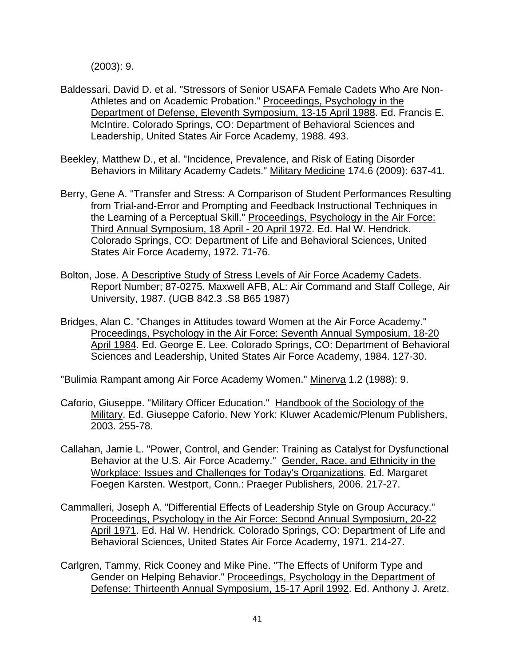(2003): 9.

- Baldessari, David D. et al. "Stressors of Senior USAFA Female Cadets Who Are Non-Athletes and on Academic Probation." Proceedings, Psychology in the Department of Defense, Eleventh Symposium, 13-15 April 1988. Ed. Francis E. McIntire. Colorado Springs, CO: Department of Behavioral Sciences and Leadership, United States Air Force Academy, 1988. 493.
- Beekley, Matthew D., et al. "Incidence, Prevalence, and Risk of Eating Disorder Behaviors in Military Academy Cadets." Military Medicine 174.6 (2009): 637-41.
- Berry, Gene A. "Transfer and Stress: A Comparison of Student Performances Resulting from Trial-and-Error and Prompting and Feedback Instructional Techniques in the Learning of a Perceptual Skill." Proceedings, Psychology in the Air Force: Third Annual Symposium, 18 April - 20 April 1972. Ed. Hal W. Hendrick. Colorado Springs, CO: Department of Life and Behavioral Sciences, United States Air Force Academy, 1972. 71-76.
- Bolton, Jose. A Descriptive Study of Stress Levels of Air Force Academy Cadets. Report Number; 87-0275. Maxwell AFB, AL: Air Command and Staff College, Air University, 1987. (UGB 842.3 .S8 B65 1987)
- Bridges, Alan C. "Changes in Attitudes toward Women at the Air Force Academy." Proceedings, Psychology in the Air Force: Seventh Annual Symposium, 18-20 April 1984. Ed. George E. Lee. Colorado Springs, CO: Department of Behavioral Sciences and Leadership, United States Air Force Academy, 1984. 127-30.

"Bulimia Rampant among Air Force Academy Women." Minerva 1.2 (1988): 9.

- Caforio, Giuseppe. "Military Officer Education." Handbook of the Sociology of the Military. Ed. Giuseppe Caforio. New York: Kluwer Academic/Plenum Publishers, 2003. 255-78.
- Callahan, Jamie L. "Power, Control, and Gender: Training as Catalyst for Dysfunctional Behavior at the U.S. Air Force Academy." Gender, Race, and Ethnicity in the Workplace: Issues and Challenges for Today's Organizations. Ed. Margaret Foegen Karsten. Westport, Conn.: Praeger Publishers, 2006. 217-27.
- Cammalleri, Joseph A. "Differential Effects of Leadership Style on Group Accuracy." Proceedings, Psychology in the Air Force: Second Annual Symposium, 20-22 April 1971. Ed. Hal W. Hendrick. Colorado Springs, CO: Department of Life and Behavioral Sciences, United States Air Force Academy, 1971. 214-27.
- Carlgren, Tammy, Rick Cooney and Mike Pine. "The Effects of Uniform Type and Gender on Helping Behavior." Proceedings, Psychology in the Department of Defense: Thirteenth Annual Symposium, 15-17 April 1992. Ed. Anthony J. Aretz.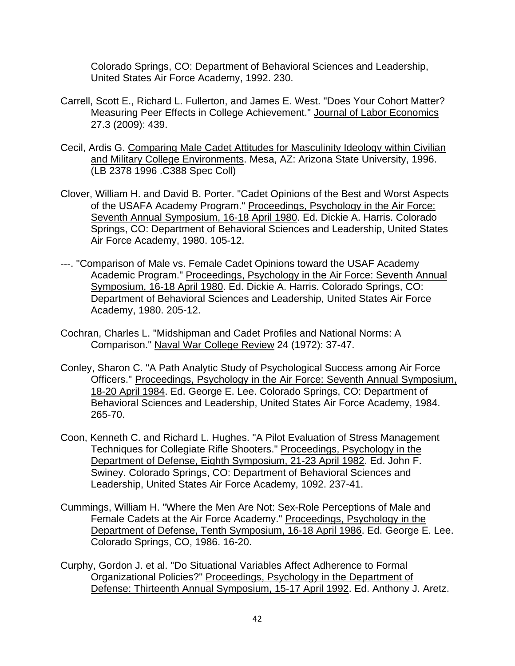Colorado Springs, CO: Department of Behavioral Sciences and Leadership, United States Air Force Academy, 1992. 230.

- Carrell, Scott E., Richard L. Fullerton, and James E. West. "Does Your Cohort Matter? Measuring Peer Effects in College Achievement." Journal of Labor Economics 27.3 (2009): 439.
- Cecil, Ardis G. Comparing Male Cadet Attitudes for Masculinity Ideology within Civilian and Military College Environments. Mesa, AZ: Arizona State University, 1996. (LB 2378 1996 .C388 Spec Coll)
- Clover, William H. and David B. Porter. "Cadet Opinions of the Best and Worst Aspects of the USAFA Academy Program." Proceedings, Psychology in the Air Force: Seventh Annual Symposium, 16-18 April 1980. Ed. Dickie A. Harris. Colorado Springs, CO: Department of Behavioral Sciences and Leadership, United States Air Force Academy, 1980. 105-12.
- ---. "Comparison of Male vs. Female Cadet Opinions toward the USAF Academy Academic Program." Proceedings, Psychology in the Air Force: Seventh Annual Symposium, 16-18 April 1980. Ed. Dickie A. Harris. Colorado Springs, CO: Department of Behavioral Sciences and Leadership, United States Air Force Academy, 1980. 205-12.
- Cochran, Charles L. "Midshipman and Cadet Profiles and National Norms: A Comparison." Naval War College Review 24 (1972): 37-47.
- Conley, Sharon C. "A Path Analytic Study of Psychological Success among Air Force Officers." Proceedings, Psychology in the Air Force: Seventh Annual Symposium, 18-20 April 1984. Ed. George E. Lee. Colorado Springs, CO: Department of Behavioral Sciences and Leadership, United States Air Force Academy, 1984. 265-70.
- Coon, Kenneth C. and Richard L. Hughes. "A Pilot Evaluation of Stress Management Techniques for Collegiate Rifle Shooters." Proceedings, Psychology in the Department of Defense, Eighth Symposium, 21-23 April 1982. Ed. John F. Swiney. Colorado Springs, CO: Department of Behavioral Sciences and Leadership, United States Air Force Academy, 1092. 237-41.
- Cummings, William H. "Where the Men Are Not: Sex-Role Perceptions of Male and Female Cadets at the Air Force Academy." Proceedings, Psychology in the Department of Defense, Tenth Symposium, 16-18 April 1986. Ed. George E. Lee. Colorado Springs, CO, 1986. 16-20.
- Curphy, Gordon J. et al. "Do Situational Variables Affect Adherence to Formal Organizational Policies?" Proceedings, Psychology in the Department of Defense: Thirteenth Annual Symposium, 15-17 April 1992. Ed. Anthony J. Aretz.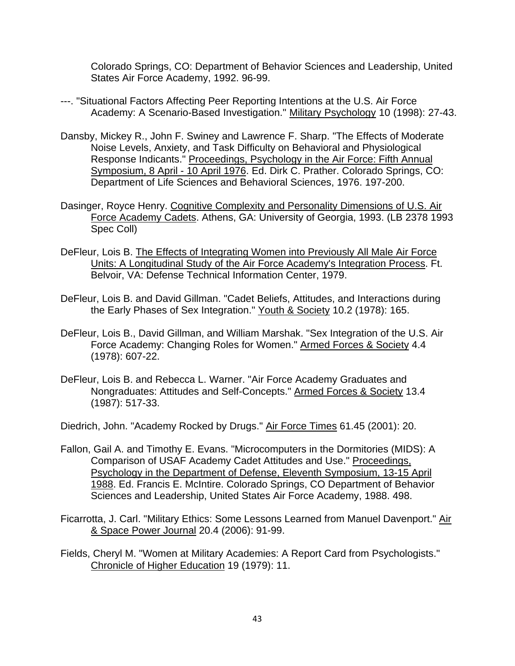Colorado Springs, CO: Department of Behavior Sciences and Leadership, United States Air Force Academy, 1992. 96-99.

- ---. "Situational Factors Affecting Peer Reporting Intentions at the U.S. Air Force Academy: A Scenario-Based Investigation." Military Psychology 10 (1998): 27-43.
- Dansby, Mickey R., John F. Swiney and Lawrence F. Sharp. "The Effects of Moderate Noise Levels, Anxiety, and Task Difficulty on Behavioral and Physiological Response Indicants." Proceedings, Psychology in the Air Force: Fifth Annual Symposium, 8 April - 10 April 1976. Ed. Dirk C. Prather. Colorado Springs, CO: Department of Life Sciences and Behavioral Sciences, 1976. 197-200.
- Dasinger, Royce Henry. Cognitive Complexity and Personality Dimensions of U.S. Air Force Academy Cadets. Athens, GA: University of Georgia, 1993. (LB 2378 1993 Spec Coll)
- DeFleur, Lois B. The Effects of Integrating Women into Previously All Male Air Force Units: A Longitudinal Study of the Air Force Academy's Integration Process. Ft. Belvoir, VA: Defense Technical Information Center, 1979.
- DeFleur, Lois B. and David Gillman. "Cadet Beliefs, Attitudes, and Interactions during the Early Phases of Sex Integration." Youth & Society 10.2 (1978): 165.
- DeFleur, Lois B., David Gillman, and William Marshak. "Sex Integration of the U.S. Air Force Academy: Changing Roles for Women." Armed Forces & Society 4.4 (1978): 607-22.
- DeFleur, Lois B. and Rebecca L. Warner. "Air Force Academy Graduates and Nongraduates: Attitudes and Self-Concepts." Armed Forces & Society 13.4 (1987): 517-33.

Diedrich, John. "Academy Rocked by Drugs." Air Force Times 61.45 (2001): 20.

- Fallon, Gail A. and Timothy E. Evans. "Microcomputers in the Dormitories (MIDS): A Comparison of USAF Academy Cadet Attitudes and Use." Proceedings, Psychology in the Department of Defense, Eleventh Symposium, 13-15 April 1988. Ed. Francis E. McIntire. Colorado Springs, CO Department of Behavior Sciences and Leadership, United States Air Force Academy, 1988. 498.
- Ficarrotta, J. Carl. "Military Ethics: Some Lessons Learned from Manuel Davenport." Air & Space Power Journal 20.4 (2006): 91-99.
- Fields, Cheryl M. "Women at Military Academies: A Report Card from Psychologists." Chronicle of Higher Education 19 (1979): 11.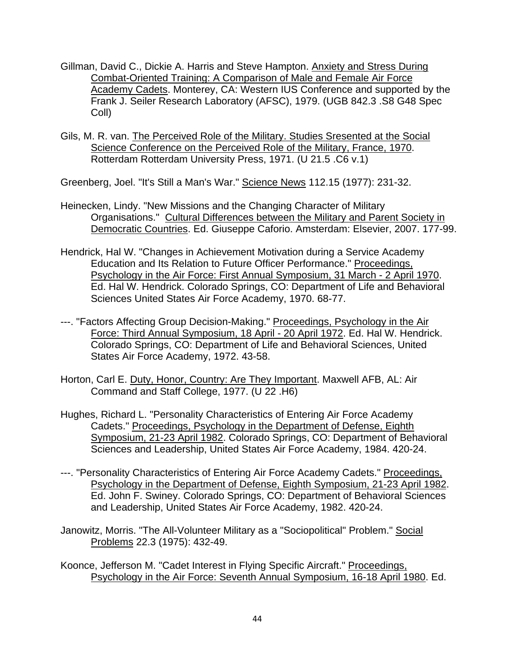- Gillman, David C., Dickie A. Harris and Steve Hampton. Anxiety and Stress During Combat-Oriented Training: A Comparison of Male and Female Air Force Academy Cadets. Monterey, CA: Western IUS Conference and supported by the Frank J. Seiler Research Laboratory (AFSC), 1979. (UGB 842.3 .S8 G48 Spec Coll)
- Gils, M. R. van. The Perceived Role of the Military. Studies Sresented at the Social Science Conference on the Perceived Role of the Military, France, 1970. Rotterdam Rotterdam University Press, 1971. (U 21.5 .C6 v.1)

Greenberg, Joel. "It's Still a Man's War." Science News 112.15 (1977): 231-32.

- Heinecken, Lindy. "New Missions and the Changing Character of Military Organisations." Cultural Differences between the Military and Parent Society in Democratic Countries. Ed. Giuseppe Caforio. Amsterdam: Elsevier, 2007. 177-99.
- Hendrick, Hal W. "Changes in Achievement Motivation during a Service Academy Education and Its Relation to Future Officer Performance." Proceedings, Psychology in the Air Force: First Annual Symposium, 31 March - 2 April 1970. Ed. Hal W. Hendrick. Colorado Springs, CO: Department of Life and Behavioral Sciences United States Air Force Academy, 1970. 68-77.
- ---. "Factors Affecting Group Decision-Making." Proceedings, Psychology in the Air Force: Third Annual Symposium, 18 April - 20 April 1972. Ed. Hal W. Hendrick. Colorado Springs, CO: Department of Life and Behavioral Sciences, United States Air Force Academy, 1972. 43-58.
- Horton, Carl E. Duty, Honor, Country: Are They Important. Maxwell AFB, AL: Air Command and Staff College, 1977. (U 22 .H6)
- Hughes, Richard L. "Personality Characteristics of Entering Air Force Academy Cadets." Proceedings, Psychology in the Department of Defense, Eighth Symposium, 21-23 April 1982. Colorado Springs, CO: Department of Behavioral Sciences and Leadership, United States Air Force Academy, 1984. 420-24.
- ---. "Personality Characteristics of Entering Air Force Academy Cadets." Proceedings, Psychology in the Department of Defense, Eighth Symposium, 21-23 April 1982. Ed. John F. Swiney. Colorado Springs, CO: Department of Behavioral Sciences and Leadership, United States Air Force Academy, 1982. 420-24.
- Janowitz, Morris. "The All-Volunteer Military as a "Sociopolitical" Problem." Social Problems 22.3 (1975): 432-49.
- Koonce, Jefferson M. "Cadet Interest in Flying Specific Aircraft." Proceedings, Psychology in the Air Force: Seventh Annual Symposium, 16-18 April 1980. Ed.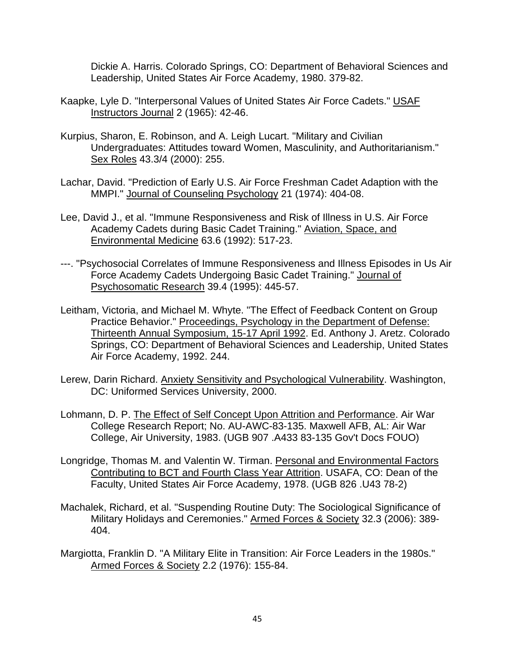Dickie A. Harris. Colorado Springs, CO: Department of Behavioral Sciences and Leadership, United States Air Force Academy, 1980. 379-82.

- Kaapke, Lyle D. "Interpersonal Values of United States Air Force Cadets." USAF Instructors Journal 2 (1965): 42-46.
- Kurpius, Sharon, E. Robinson, and A. Leigh Lucart. "Military and Civilian Undergraduates: Attitudes toward Women, Masculinity, and Authoritarianism." Sex Roles 43.3/4 (2000): 255.
- Lachar, David. "Prediction of Early U.S. Air Force Freshman Cadet Adaption with the MMPI." Journal of Counseling Psychology 21 (1974): 404-08.
- Lee, David J., et al. "Immune Responsiveness and Risk of Illness in U.S. Air Force Academy Cadets during Basic Cadet Training." Aviation, Space, and Environmental Medicine 63.6 (1992): 517-23.
- ---. "Psychosocial Correlates of Immune Responsiveness and Illness Episodes in Us Air Force Academy Cadets Undergoing Basic Cadet Training." Journal of Psychosomatic Research 39.4 (1995): 445-57.
- Leitham, Victoria, and Michael M. Whyte. "The Effect of Feedback Content on Group Practice Behavior." Proceedings, Psychology in the Department of Defense: Thirteenth Annual Symposium, 15-17 April 1992. Ed. Anthony J. Aretz. Colorado Springs, CO: Department of Behavioral Sciences and Leadership, United States Air Force Academy, 1992. 244.
- Lerew, Darin Richard. Anxiety Sensitivity and Psychological Vulnerability. Washington, DC: Uniformed Services University, 2000.
- Lohmann, D. P. The Effect of Self Concept Upon Attrition and Performance. Air War College Research Report; No. AU-AWC-83-135. Maxwell AFB, AL: Air War College, Air University, 1983. (UGB 907 .A433 83-135 Gov't Docs FOUO)
- Longridge, Thomas M. and Valentin W. Tirman. Personal and Environmental Factors Contributing to BCT and Fourth Class Year Attrition. USAFA, CO: Dean of the Faculty, United States Air Force Academy, 1978. (UGB 826 .U43 78-2)
- Machalek, Richard, et al. "Suspending Routine Duty: The Sociological Significance of Military Holidays and Ceremonies." Armed Forces & Society 32.3 (2006): 389- 404.
- Margiotta, Franklin D. "A Military Elite in Transition: Air Force Leaders in the 1980s." Armed Forces & Society 2.2 (1976): 155-84.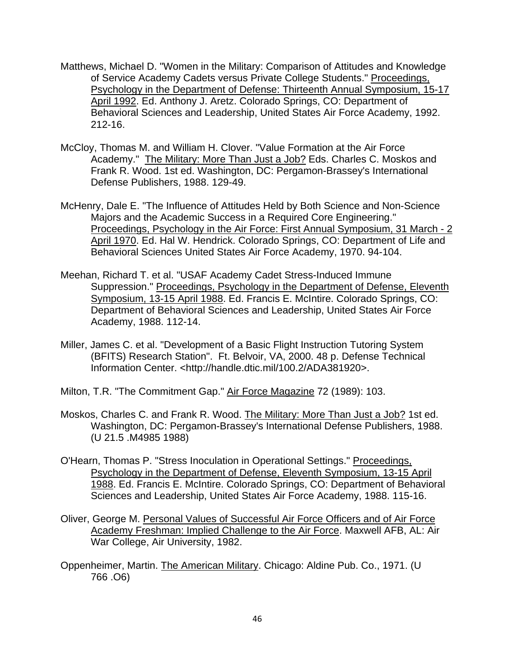- Matthews, Michael D. "Women in the Military: Comparison of Attitudes and Knowledge of Service Academy Cadets versus Private College Students." Proceedings, Psychology in the Department of Defense: Thirteenth Annual Symposium, 15-17 April 1992. Ed. Anthony J. Aretz. Colorado Springs, CO: Department of Behavioral Sciences and Leadership, United States Air Force Academy, 1992. 212-16.
- McCloy, Thomas M. and William H. Clover. "Value Formation at the Air Force Academy." The Military: More Than Just a Job? Eds. Charles C. Moskos and Frank R. Wood. 1st ed. Washington, DC: Pergamon-Brassey's International Defense Publishers, 1988. 129-49.
- McHenry, Dale E. "The Influence of Attitudes Held by Both Science and Non-Science Majors and the Academic Success in a Required Core Engineering." Proceedings, Psychology in the Air Force: First Annual Symposium, 31 March - 2 April 1970. Ed. Hal W. Hendrick. Colorado Springs, CO: Department of Life and Behavioral Sciences United States Air Force Academy, 1970. 94-104.
- Meehan, Richard T. et al. "USAF Academy Cadet Stress-Induced Immune Suppression." Proceedings, Psychology in the Department of Defense, Eleventh Symposium, 13-15 April 1988. Ed. Francis E. McIntire. Colorado Springs, CO: Department of Behavioral Sciences and Leadership, United States Air Force Academy, 1988. 112-14.
- Miller, James C. et al. "Development of a Basic Flight Instruction Tutoring System (BFITS) Research Station". Ft. Belvoir, VA, 2000. 48 p. Defense Technical Information Center. <http://handle.dtic.mil/100.2/ADA381920>.
- Milton, T.R. "The Commitment Gap." Air Force Magazine 72 (1989): 103.
- Moskos, Charles C. and Frank R. Wood. The Military: More Than Just a Job? 1st ed. Washington, DC: Pergamon-Brassey's International Defense Publishers, 1988. (U 21.5 .M4985 1988)
- O'Hearn, Thomas P. "Stress Inoculation in Operational Settings." Proceedings, Psychology in the Department of Defense, Eleventh Symposium, 13-15 April 1988. Ed. Francis E. McIntire. Colorado Springs, CO: Department of Behavioral Sciences and Leadership, United States Air Force Academy, 1988. 115-16.
- Oliver, George M. Personal Values of Successful Air Force Officers and of Air Force Academy Freshman: Implied Challenge to the Air Force. Maxwell AFB, AL: Air War College, Air University, 1982.
- Oppenheimer, Martin. The American Military. Chicago: Aldine Pub. Co., 1971. (U 766 .O6)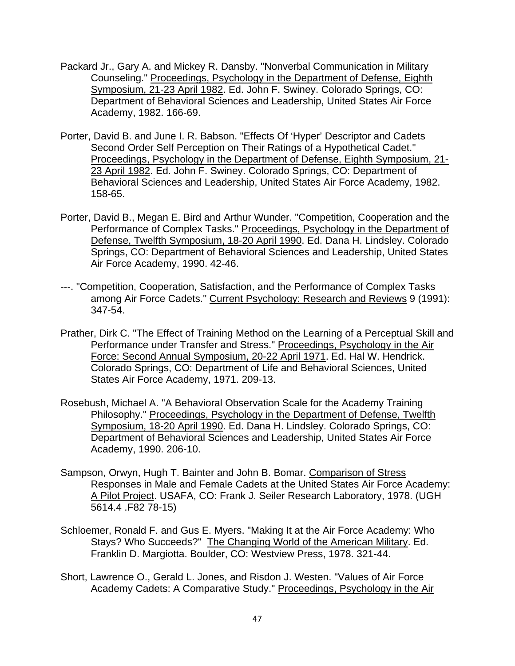- Packard Jr., Gary A. and Mickey R. Dansby. "Nonverbal Communication in Military Counseling." Proceedings, Psychology in the Department of Defense, Eighth Symposium, 21-23 April 1982. Ed. John F. Swiney. Colorado Springs, CO: Department of Behavioral Sciences and Leadership, United States Air Force Academy, 1982. 166-69.
- Porter, David B. and June I. R. Babson. "Effects Of 'Hyper' Descriptor and Cadets Second Order Self Perception on Their Ratings of a Hypothetical Cadet." Proceedings, Psychology in the Department of Defense, Eighth Symposium, 21- 23 April 1982. Ed. John F. Swiney. Colorado Springs, CO: Department of Behavioral Sciences and Leadership, United States Air Force Academy, 1982. 158-65.
- Porter, David B., Megan E. Bird and Arthur Wunder. "Competition, Cooperation and the Performance of Complex Tasks." Proceedings, Psychology in the Department of Defense, Twelfth Symposium, 18-20 April 1990. Ed. Dana H. Lindsley. Colorado Springs, CO: Department of Behavioral Sciences and Leadership, United States Air Force Academy, 1990. 42-46.
- ---. "Competition, Cooperation, Satisfaction, and the Performance of Complex Tasks among Air Force Cadets." Current Psychology: Research and Reviews 9 (1991): 347-54.
- Prather, Dirk C. "The Effect of Training Method on the Learning of a Perceptual Skill and Performance under Transfer and Stress." Proceedings, Psychology in the Air Force: Second Annual Symposium, 20-22 April 1971. Ed. Hal W. Hendrick. Colorado Springs, CO: Department of Life and Behavioral Sciences, United States Air Force Academy, 1971. 209-13.
- Rosebush, Michael A. "A Behavioral Observation Scale for the Academy Training Philosophy." Proceedings, Psychology in the Department of Defense, Twelfth Symposium, 18-20 April 1990. Ed. Dana H. Lindsley. Colorado Springs, CO: Department of Behavioral Sciences and Leadership, United States Air Force Academy, 1990. 206-10.
- Sampson, Orwyn, Hugh T. Bainter and John B. Bomar. Comparison of Stress Responses in Male and Female Cadets at the United States Air Force Academy: A Pilot Project. USAFA, CO: Frank J. Seiler Research Laboratory, 1978. (UGH 5614.4 .F82 78-15)
- Schloemer, Ronald F. and Gus E. Myers. "Making It at the Air Force Academy: Who Stays? Who Succeeds?" The Changing World of the American Military. Ed. Franklin D. Margiotta. Boulder, CO: Westview Press, 1978. 321-44.
- Short, Lawrence O., Gerald L. Jones, and Risdon J. Westen. "Values of Air Force Academy Cadets: A Comparative Study." Proceedings, Psychology in the Air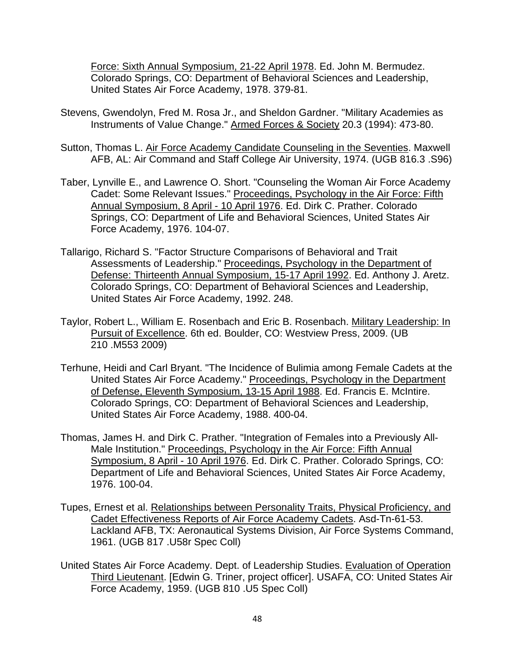Force: Sixth Annual Symposium, 21-22 April 1978. Ed. John M. Bermudez. Colorado Springs, CO: Department of Behavioral Sciences and Leadership, United States Air Force Academy, 1978. 379-81.

- Stevens, Gwendolyn, Fred M. Rosa Jr., and Sheldon Gardner. "Military Academies as Instruments of Value Change." Armed Forces & Society 20.3 (1994): 473-80.
- Sutton, Thomas L. Air Force Academy Candidate Counseling in the Seventies. Maxwell AFB, AL: Air Command and Staff College Air University, 1974. (UGB 816.3 .S96)
- Taber, Lynville E., and Lawrence O. Short. "Counseling the Woman Air Force Academy Cadet: Some Relevant Issues." Proceedings, Psychology in the Air Force: Fifth Annual Symposium, 8 April - 10 April 1976. Ed. Dirk C. Prather. Colorado Springs, CO: Department of Life and Behavioral Sciences, United States Air Force Academy, 1976. 104-07.
- Tallarigo, Richard S. "Factor Structure Comparisons of Behavioral and Trait Assessments of Leadership." Proceedings, Psychology in the Department of Defense: Thirteenth Annual Symposium, 15-17 April 1992. Ed. Anthony J. Aretz. Colorado Springs, CO: Department of Behavioral Sciences and Leadership, United States Air Force Academy, 1992. 248.
- Taylor, Robert L., William E. Rosenbach and Eric B. Rosenbach. Military Leadership: In Pursuit of Excellence. 6th ed. Boulder, CO: Westview Press, 2009. (UB 210 .M553 2009)
- Terhune, Heidi and Carl Bryant. "The Incidence of Bulimia among Female Cadets at the United States Air Force Academy." Proceedings, Psychology in the Department of Defense, Eleventh Symposium, 13-15 April 1988. Ed. Francis E. McIntire. Colorado Springs, CO: Department of Behavioral Sciences and Leadership, United States Air Force Academy, 1988. 400-04.
- Thomas, James H. and Dirk C. Prather. "Integration of Females into a Previously All-Male Institution." Proceedings, Psychology in the Air Force: Fifth Annual Symposium, 8 April - 10 April 1976. Ed. Dirk C. Prather. Colorado Springs, CO: Department of Life and Behavioral Sciences, United States Air Force Academy, 1976. 100-04.
- Tupes, Ernest et al. Relationships between Personality Traits, Physical Proficiency, and Cadet Effectiveness Reports of Air Force Academy Cadets. Asd-Tn-61-53. Lackland AFB, TX: Aeronautical Systems Division, Air Force Systems Command, 1961. (UGB 817 .U58r Spec Coll)
- United States Air Force Academy. Dept. of Leadership Studies. Evaluation of Operation Third Lieutenant. [Edwin G. Triner, project officer]. USAFA, CO: United States Air Force Academy, 1959. (UGB 810 .U5 Spec Coll)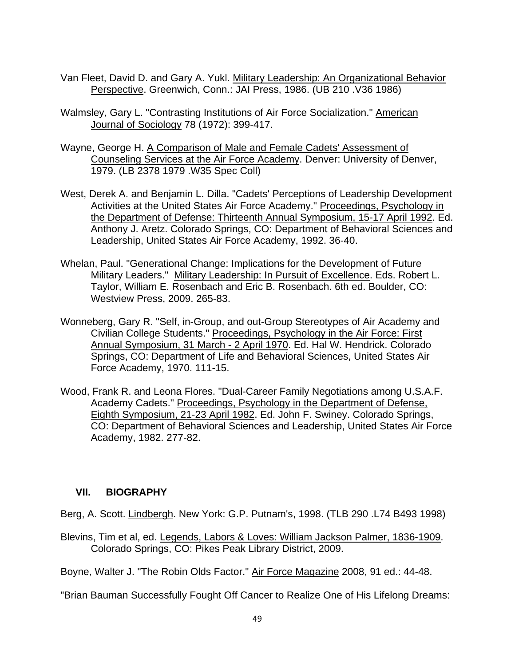- Van Fleet, David D. and Gary A. Yukl. Military Leadership: An Organizational Behavior Perspective. Greenwich, Conn.: JAI Press, 1986. (UB 210 .V36 1986)
- Walmsley, Gary L. "Contrasting Institutions of Air Force Socialization." American Journal of Sociology 78 (1972): 399-417.
- Wayne, George H. A Comparison of Male and Female Cadets' Assessment of Counseling Services at the Air Force Academy. Denver: University of Denver, 1979. (LB 2378 1979 .W35 Spec Coll)
- West, Derek A. and Benjamin L. Dilla. "Cadets' Perceptions of Leadership Development Activities at the United States Air Force Academy." Proceedings, Psychology in the Department of Defense: Thirteenth Annual Symposium, 15-17 April 1992. Ed. Anthony J. Aretz. Colorado Springs, CO: Department of Behavioral Sciences and Leadership, United States Air Force Academy, 1992. 36-40.
- Whelan, Paul. "Generational Change: Implications for the Development of Future Military Leaders." Military Leadership: In Pursuit of Excellence. Eds. Robert L. Taylor, William E. Rosenbach and Eric B. Rosenbach. 6th ed. Boulder, CO: Westview Press, 2009. 265-83.
- Wonneberg, Gary R. "Self, in-Group, and out-Group Stereotypes of Air Academy and Civilian College Students." Proceedings, Psychology in the Air Force: First Annual Symposium, 31 March - 2 April 1970. Ed. Hal W. Hendrick. Colorado Springs, CO: Department of Life and Behavioral Sciences, United States Air Force Academy, 1970. 111-15.
- Wood, Frank R. and Leona Flores. "Dual-Career Family Negotiations among U.S.A.F. Academy Cadets." Proceedings, Psychology in the Department of Defense, Eighth Symposium, 21-23 April 1982. Ed. John F. Swiney. Colorado Springs, CO: Department of Behavioral Sciences and Leadership, United States Air Force Academy, 1982. 277-82.

### **VII. BIOGRAPHY**

Berg, A. Scott. Lindbergh. New York: G.P. Putnam's, 1998. (TLB 290 .L74 B493 1998)

Blevins, Tim et al, ed. Legends, Labors & Loves: William Jackson Palmer, 1836-1909. Colorado Springs, CO: Pikes Peak Library District, 2009.

Boyne, Walter J. "The Robin Olds Factor." Air Force Magazine 2008, 91 ed.: 44-48.

"Brian Bauman Successfully Fought Off Cancer to Realize One of His Lifelong Dreams: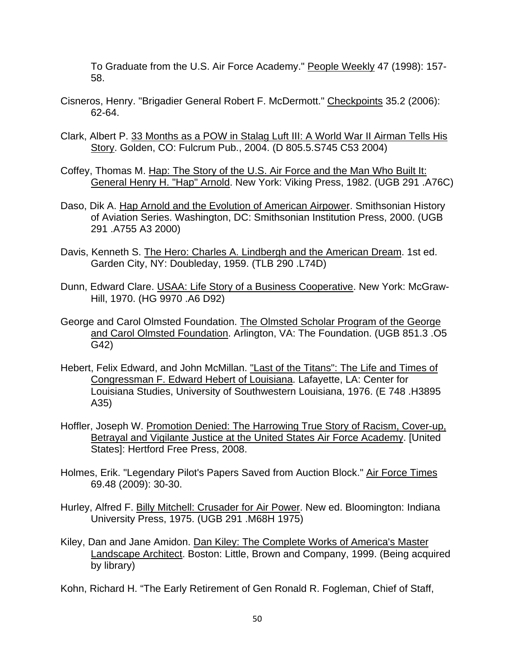To Graduate from the U.S. Air Force Academy." People Weekly 47 (1998): 157- 58.

- Cisneros, Henry. "Brigadier General Robert F. McDermott." Checkpoints 35.2 (2006): 62-64.
- Clark, Albert P. 33 Months as a POW in Stalag Luft III: A World War II Airman Tells His Story. Golden, CO: Fulcrum Pub., 2004. (D 805.5.S745 C53 2004)
- Coffey, Thomas M. Hap: The Story of the U.S. Air Force and the Man Who Built It: General Henry H. "Hap" Arnold. New York: Viking Press, 1982. (UGB 291 .A76C)
- Daso, Dik A. Hap Arnold and the Evolution of American Airpower. Smithsonian History of Aviation Series. Washington, DC: Smithsonian Institution Press, 2000. (UGB 291 .A755 A3 2000)
- Davis, Kenneth S. The Hero: Charles A. Lindbergh and the American Dream. 1st ed. Garden City, NY: Doubleday, 1959. (TLB 290 .L74D)
- Dunn, Edward Clare. USAA: Life Story of a Business Cooperative. New York: McGraw-Hill, 1970. (HG 9970 .A6 D92)
- George and Carol Olmsted Foundation. The Olmsted Scholar Program of the George and Carol Olmsted Foundation. Arlington, VA: The Foundation. (UGB 851.3 .O5 G42)
- Hebert, Felix Edward, and John McMillan. "Last of the Titans": The Life and Times of Congressman F. Edward Hebert of Louisiana. Lafayette, LA: Center for Louisiana Studies, University of Southwestern Louisiana, 1976. (E 748 .H3895 A35)
- Hoffler, Joseph W. Promotion Denied: The Harrowing True Story of Racism, Cover-up, Betrayal and Vigilante Justice at the United States Air Force Academy. [United States]: Hertford Free Press, 2008.
- Holmes, Erik. "Legendary Pilot's Papers Saved from Auction Block." Air Force Times 69.48 (2009): 30-30.
- Hurley, Alfred F. Billy Mitchell: Crusader for Air Power. New ed. Bloomington: Indiana University Press, 1975. (UGB 291 .M68H 1975)
- Kiley, Dan and Jane Amidon. Dan Kiley: The Complete Works of America's Master Landscape Architect. Boston: Little, Brown and Company, 1999. (Being acquired by library)
- Kohn, Richard H. "The Early Retirement of Gen Ronald R. Fogleman, Chief of Staff,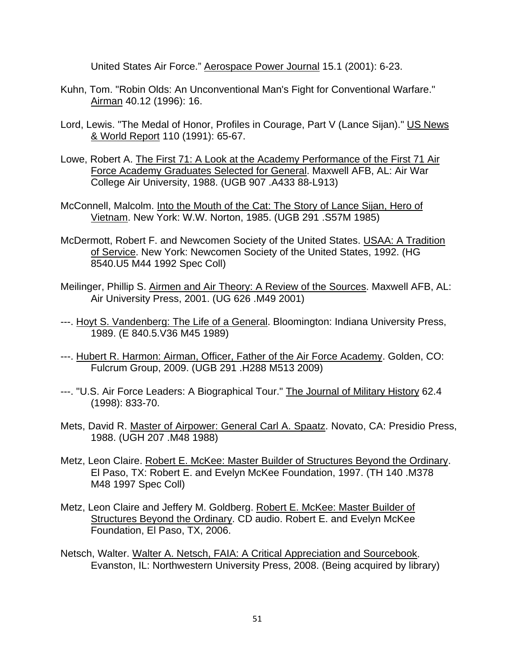United States Air Force." Aerospace Power Journal 15.1 (2001): 6-23.

- Kuhn, Tom. "Robin Olds: An Unconventional Man's Fight for Conventional Warfare." Airman 40.12 (1996): 16.
- Lord, Lewis. "The Medal of Honor, Profiles in Courage, Part V (Lance Sijan)." US News & World Report 110 (1991): 65-67.
- Lowe, Robert A. The First 71: A Look at the Academy Performance of the First 71 Air Force Academy Graduates Selected for General. Maxwell AFB, AL: Air War College Air University, 1988. (UGB 907 .A433 88-L913)
- McConnell, Malcolm. Into the Mouth of the Cat: The Story of Lance Sijan, Hero of Vietnam. New York: W.W. Norton, 1985. (UGB 291 .S57M 1985)
- McDermott, Robert F. and Newcomen Society of the United States. USAA: A Tradition of Service. New York: Newcomen Society of the United States, 1992. (HG 8540.U5 M44 1992 Spec Coll)
- Meilinger, Phillip S. Airmen and Air Theory: A Review of the Sources. Maxwell AFB, AL: Air University Press, 2001. (UG 626 .M49 2001)
- ---. Hoyt S. Vandenberg: The Life of a General. Bloomington: Indiana University Press, 1989. (E 840.5.V36 M45 1989)
- ---. Hubert R. Harmon: Airman, Officer, Father of the Air Force Academy. Golden, CO: Fulcrum Group, 2009. (UGB 291 .H288 M513 2009)
- ---. "U.S. Air Force Leaders: A Biographical Tour." The Journal of Military History 62.4 (1998): 833-70.
- Mets, David R. Master of Airpower: General Carl A. Spaatz. Novato, CA: Presidio Press, 1988. (UGH 207 .M48 1988)
- Metz, Leon Claire. Robert E. McKee: Master Builder of Structures Beyond the Ordinary. El Paso, TX: Robert E. and Evelyn McKee Foundation, 1997. (TH 140 .M378 M48 1997 Spec Coll)
- Metz, Leon Claire and Jeffery M. Goldberg. Robert E. McKee: Master Builder of Structures Beyond the Ordinary. CD audio. Robert E. and Evelyn McKee Foundation, El Paso, TX, 2006.
- Netsch, Walter. Walter A. Netsch, FAIA: A Critical Appreciation and Sourcebook. Evanston, IL: Northwestern University Press, 2008. (Being acquired by library)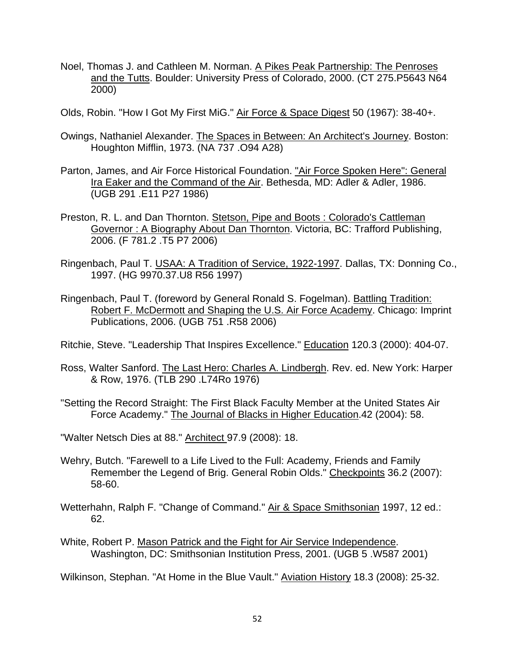- Noel, Thomas J. and Cathleen M. Norman. A Pikes Peak Partnership: The Penroses and the Tutts. Boulder: University Press of Colorado, 2000. (CT 275.P5643 N64 2000)
- Olds, Robin. "How I Got My First MiG." Air Force & Space Digest 50 (1967): 38-40+.
- Owings, Nathaniel Alexander. The Spaces in Between: An Architect's Journey. Boston: Houghton Mifflin, 1973. (NA 737 .O94 A28)
- Parton, James, and Air Force Historical Foundation. "Air Force Spoken Here": General Ira Eaker and the Command of the Air. Bethesda, MD: Adler & Adler, 1986. (UGB 291 .E11 P27 1986)
- Preston, R. L. and Dan Thornton. Stetson, Pipe and Boots : Colorado's Cattleman Governor : A Biography About Dan Thornton. Victoria, BC: Trafford Publishing, 2006. (F 781.2 .T5 P7 2006)
- Ringenbach, Paul T. USAA: A Tradition of Service, 1922-1997. Dallas, TX: Donning Co., 1997. (HG 9970.37.U8 R56 1997)
- Ringenbach, Paul T. (foreword by General Ronald S. Fogelman). Battling Tradition: Robert F. McDermott and Shaping the U.S. Air Force Academy. Chicago: Imprint Publications, 2006. (UGB 751 .R58 2006)
- Ritchie, Steve. "Leadership That Inspires Excellence." Education 120.3 (2000): 404-07.
- Ross, Walter Sanford. The Last Hero: Charles A. Lindbergh. Rev. ed. New York: Harper & Row, 1976. (TLB 290 .L74Ro 1976)
- "Setting the Record Straight: The First Black Faculty Member at the United States Air Force Academy." The Journal of Blacks in Higher Education.42 (2004): 58.
- "Walter Netsch Dies at 88." Architect 97.9 (2008): 18.
- Wehry, Butch. "Farewell to a Life Lived to the Full: Academy, Friends and Family Remember the Legend of Brig. General Robin Olds." Checkpoints 36.2 (2007): 58-60.
- Wetterhahn, Ralph F. "Change of Command." Air & Space Smithsonian 1997, 12 ed.: 62.
- White, Robert P. Mason Patrick and the Fight for Air Service Independence. Washington, DC: Smithsonian Institution Press, 2001. (UGB 5 .W587 2001)

Wilkinson, Stephan. "At Home in the Blue Vault." Aviation History 18.3 (2008): 25-32.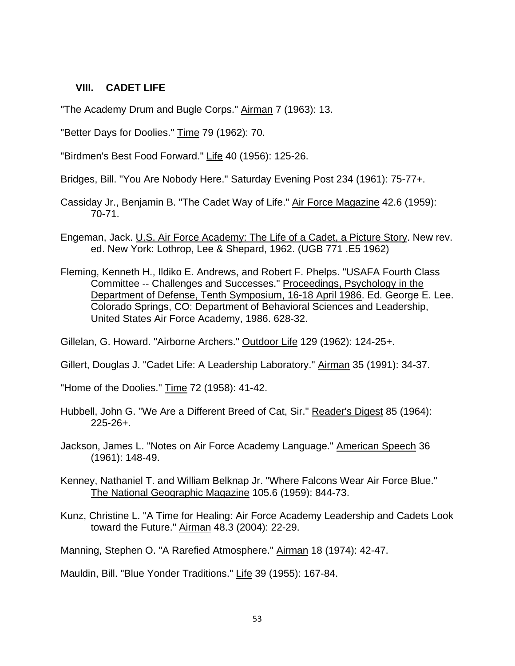#### **VIII. CADET LIFE**

"The Academy Drum and Bugle Corps." Airman 7 (1963): 13.

"Better Days for Doolies." Time 79 (1962): 70.

"Birdmen's Best Food Forward." Life 40 (1956): 125-26.

Bridges, Bill. "You Are Nobody Here." Saturday Evening Post 234 (1961): 75-77+.

- Cassiday Jr., Benjamin B. "The Cadet Way of Life." Air Force Magazine 42.6 (1959): 70-71.
- Engeman, Jack. U.S. Air Force Academy: The Life of a Cadet, a Picture Story. New rev. ed. New York: Lothrop, Lee & Shepard, 1962. (UGB 771 .E5 1962)
- Fleming, Kenneth H., Ildiko E. Andrews, and Robert F. Phelps. "USAFA Fourth Class Committee -- Challenges and Successes." Proceedings, Psychology in the Department of Defense, Tenth Symposium, 16-18 April 1986. Ed. George E. Lee. Colorado Springs, CO: Department of Behavioral Sciences and Leadership, United States Air Force Academy, 1986. 628-32.

Gillelan, G. Howard. "Airborne Archers." Outdoor Life 129 (1962): 124-25+.

Gillert, Douglas J. "Cadet Life: A Leadership Laboratory." Airman 35 (1991): 34-37.

"Home of the Doolies." Time 72 (1958): 41-42.

- Hubbell, John G. "We Are a Different Breed of Cat, Sir." Reader's Digest 85 (1964): 225-26+.
- Jackson, James L. "Notes on Air Force Academy Language." American Speech 36 (1961): 148-49.
- Kenney, Nathaniel T. and William Belknap Jr. "Where Falcons Wear Air Force Blue." The National Geographic Magazine 105.6 (1959): 844-73.
- Kunz, Christine L. "A Time for Healing: Air Force Academy Leadership and Cadets Look toward the Future." Airman 48.3 (2004): 22-29.

Manning, Stephen O. "A Rarefied Atmosphere." Airman 18 (1974): 42-47.

Mauldin, Bill. "Blue Yonder Traditions." Life 39 (1955): 167-84.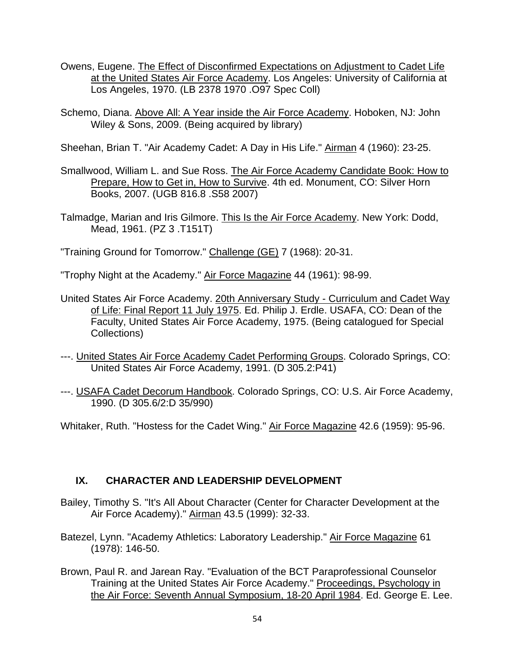- Owens, Eugene. The Effect of Disconfirmed Expectations on Adjustment to Cadet Life at the United States Air Force Academy. Los Angeles: University of California at Los Angeles, 1970. (LB 2378 1970 .O97 Spec Coll)
- Schemo, Diana. Above All: A Year inside the Air Force Academy. Hoboken, NJ: John Wiley & Sons, 2009. (Being acquired by library)

Sheehan, Brian T. "Air Academy Cadet: A Day in His Life." Airman 4 (1960): 23-25.

- Smallwood, William L. and Sue Ross. The Air Force Academy Candidate Book: How to Prepare, How to Get in, How to Survive. 4th ed. Monument, CO: Silver Horn Books, 2007. (UGB 816.8 .S58 2007)
- Talmadge, Marian and Iris Gilmore. This Is the Air Force Academy. New York: Dodd, Mead, 1961. (PZ 3 .T151T)

"Training Ground for Tomorrow." Challenge (GE) 7 (1968): 20-31.

"Trophy Night at the Academy." Air Force Magazine 44 (1961): 98-99.

- United States Air Force Academy. 20th Anniversary Study Curriculum and Cadet Way of Life: Final Report 11 July 1975. Ed. Philip J. Erdle. USAFA, CO: Dean of the Faculty, United States Air Force Academy, 1975. (Being catalogued for Special Collections)
- ---. United States Air Force Academy Cadet Performing Groups. Colorado Springs, CO: United States Air Force Academy, 1991. (D 305.2:P41)
- ---. USAFA Cadet Decorum Handbook. Colorado Springs, CO: U.S. Air Force Academy, 1990. (D 305.6/2:D 35/990)

Whitaker, Ruth. "Hostess for the Cadet Wing." Air Force Magazine 42.6 (1959): 95-96.

### **IX. CHARACTER AND LEADERSHIP DEVELOPMENT**

- Bailey, Timothy S. "It's All About Character (Center for Character Development at the Air Force Academy)." Airman 43.5 (1999): 32-33.
- Batezel, Lynn. "Academy Athletics: Laboratory Leadership." Air Force Magazine 61 (1978): 146-50.
- Brown, Paul R. and Jarean Ray. "Evaluation of the BCT Paraprofessional Counselor Training at the United States Air Force Academy." Proceedings, Psychology in the Air Force: Seventh Annual Symposium, 18-20 April 1984. Ed. George E. Lee.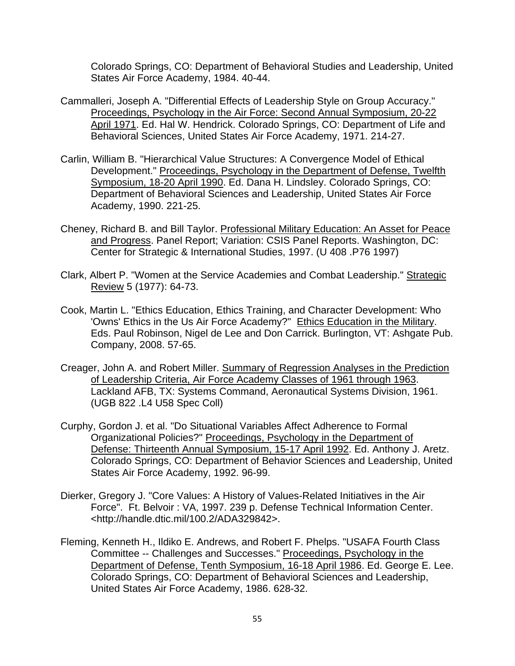Colorado Springs, CO: Department of Behavioral Studies and Leadership, United States Air Force Academy, 1984. 40-44.

- Cammalleri, Joseph A. "Differential Effects of Leadership Style on Group Accuracy." Proceedings, Psychology in the Air Force: Second Annual Symposium, 20-22 April 1971. Ed. Hal W. Hendrick. Colorado Springs, CO: Department of Life and Behavioral Sciences, United States Air Force Academy, 1971. 214-27.
- Carlin, William B. "Hierarchical Value Structures: A Convergence Model of Ethical Development." Proceedings, Psychology in the Department of Defense, Twelfth Symposium, 18-20 April 1990. Ed. Dana H. Lindsley. Colorado Springs, CO: Department of Behavioral Sciences and Leadership, United States Air Force Academy, 1990. 221-25.
- Cheney, Richard B. and Bill Taylor. Professional Military Education: An Asset for Peace and Progress. Panel Report; Variation: CSIS Panel Reports. Washington, DC: Center for Strategic & International Studies, 1997. (U 408 .P76 1997)
- Clark, Albert P. "Women at the Service Academies and Combat Leadership." Strategic Review 5 (1977): 64-73.
- Cook, Martin L. "Ethics Education, Ethics Training, and Character Development: Who 'Owns' Ethics in the Us Air Force Academy?" Ethics Education in the Military. Eds. Paul Robinson, Nigel de Lee and Don Carrick. Burlington, VT: Ashgate Pub. Company, 2008. 57-65.
- Creager, John A. and Robert Miller. Summary of Regression Analyses in the Prediction of Leadership Criteria, Air Force Academy Classes of 1961 through 1963. Lackland AFB, TX: Systems Command, Aeronautical Systems Division, 1961. (UGB 822 .L4 U58 Spec Coll)
- Curphy, Gordon J. et al. "Do Situational Variables Affect Adherence to Formal Organizational Policies?" Proceedings, Psychology in the Department of Defense: Thirteenth Annual Symposium, 15-17 April 1992. Ed. Anthony J. Aretz. Colorado Springs, CO: Department of Behavior Sciences and Leadership, United States Air Force Academy, 1992. 96-99.
- Dierker, Gregory J. "Core Values: A History of Values-Related Initiatives in the Air Force". Ft. Belvoir : VA, 1997. 239 p. Defense Technical Information Center. <http://handle.dtic.mil/100.2/ADA329842>.
- Fleming, Kenneth H., Ildiko E. Andrews, and Robert F. Phelps. "USAFA Fourth Class Committee -- Challenges and Successes." Proceedings, Psychology in the Department of Defense, Tenth Symposium, 16-18 April 1986. Ed. George E. Lee. Colorado Springs, CO: Department of Behavioral Sciences and Leadership, United States Air Force Academy, 1986. 628-32.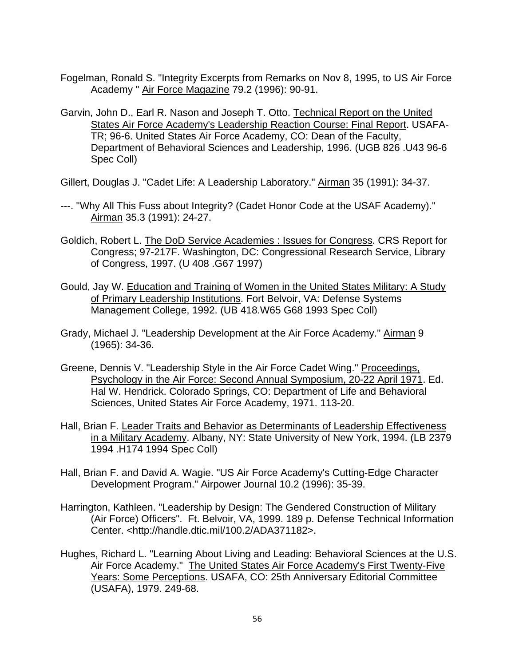- Fogelman, Ronald S. "Integrity Excerpts from Remarks on Nov 8, 1995, to US Air Force Academy " Air Force Magazine 79.2 (1996): 90-91.
- Garvin, John D., Earl R. Nason and Joseph T. Otto. Technical Report on the United States Air Force Academy's Leadership Reaction Course: Final Report. USAFA-TR; 96-6. United States Air Force Academy, CO: Dean of the Faculty, Department of Behavioral Sciences and Leadership, 1996. (UGB 826 .U43 96-6 Spec Coll)
- Gillert, Douglas J. "Cadet Life: A Leadership Laboratory." Airman 35 (1991): 34-37.
- ---. "Why All This Fuss about Integrity? (Cadet Honor Code at the USAF Academy)." Airman 35.3 (1991): 24-27.
- Goldich, Robert L. The DoD Service Academies : Issues for Congress. CRS Report for Congress; 97-217F. Washington, DC: Congressional Research Service, Library of Congress, 1997. (U 408 .G67 1997)
- Gould, Jay W. Education and Training of Women in the United States Military: A Study of Primary Leadership Institutions. Fort Belvoir, VA: Defense Systems Management College, 1992. (UB 418.W65 G68 1993 Spec Coll)
- Grady, Michael J. "Leadership Development at the Air Force Academy." Airman 9 (1965): 34-36.
- Greene, Dennis V. "Leadership Style in the Air Force Cadet Wing." Proceedings, Psychology in the Air Force: Second Annual Symposium, 20-22 April 1971. Ed. Hal W. Hendrick. Colorado Springs, CO: Department of Life and Behavioral Sciences, United States Air Force Academy, 1971. 113-20.
- Hall, Brian F. Leader Traits and Behavior as Determinants of Leadership Effectiveness in a Military Academy. Albany, NY: State University of New York, 1994. (LB 2379 1994 .H174 1994 Spec Coll)
- Hall, Brian F. and David A. Wagie. "US Air Force Academy's Cutting-Edge Character Development Program." Airpower Journal 10.2 (1996): 35-39.
- Harrington, Kathleen. "Leadership by Design: The Gendered Construction of Military (Air Force) Officers". Ft. Belvoir, VA, 1999. 189 p. Defense Technical Information Center. <http://handle.dtic.mil/100.2/ADA371182>.
- Hughes, Richard L. "Learning About Living and Leading: Behavioral Sciences at the U.S. Air Force Academy." The United States Air Force Academy's First Twenty-Five Years: Some Perceptions. USAFA, CO: 25th Anniversary Editorial Committee (USAFA), 1979. 249-68.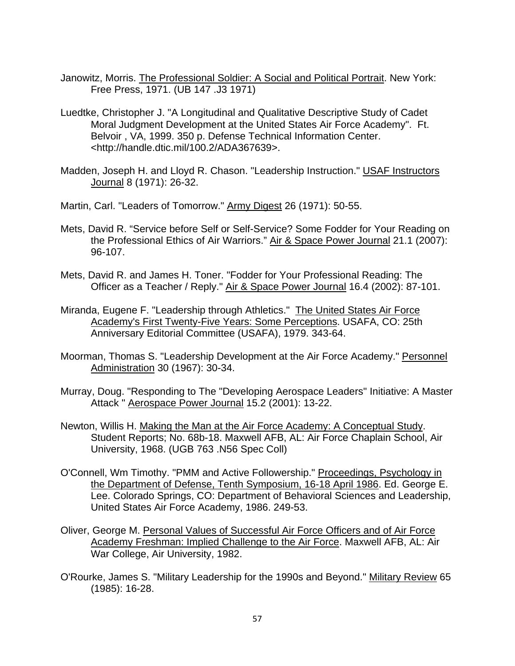- Janowitz, Morris. The Professional Soldier: A Social and Political Portrait. New York: Free Press, 1971. (UB 147 .J3 1971)
- Luedtke, Christopher J. "A Longitudinal and Qualitative Descriptive Study of Cadet Moral Judgment Development at the United States Air Force Academy". Ft. Belvoir , VA, 1999. 350 p. Defense Technical Information Center. <http://handle.dtic.mil/100.2/ADA367639>.
- Madden, Joseph H. and Lloyd R. Chason. "Leadership Instruction." USAF Instructors Journal 8 (1971): 26-32.
- Martin, Carl. "Leaders of Tomorrow." Army Digest 26 (1971): 50-55.
- Mets, David R. "Service before Self or Self-Service? Some Fodder for Your Reading on the Professional Ethics of Air Warriors." Air & Space Power Journal 21.1 (2007): 96-107.
- Mets, David R. and James H. Toner. "Fodder for Your Professional Reading: The Officer as a Teacher / Reply." Air & Space Power Journal 16.4 (2002): 87-101.
- Miranda, Eugene F. "Leadership through Athletics." The United States Air Force Academy's First Twenty-Five Years: Some Perceptions. USAFA, CO: 25th Anniversary Editorial Committee (USAFA), 1979. 343-64.
- Moorman, Thomas S. "Leadership Development at the Air Force Academy." Personnel Administration 30 (1967): 30-34.
- Murray, Doug. "Responding to The "Developing Aerospace Leaders" Initiative: A Master Attack " Aerospace Power Journal 15.2 (2001): 13-22.
- Newton, Willis H. Making the Man at the Air Force Academy: A Conceptual Study. Student Reports; No. 68b-18. Maxwell AFB, AL: Air Force Chaplain School, Air University, 1968. (UGB 763 .N56 Spec Coll)
- O'Connell, Wm Timothy. "PMM and Active Followership." Proceedings, Psychology in the Department of Defense, Tenth Symposium, 16-18 April 1986. Ed. George E. Lee. Colorado Springs, CO: Department of Behavioral Sciences and Leadership, United States Air Force Academy, 1986. 249-53.
- Oliver, George M. Personal Values of Successful Air Force Officers and of Air Force Academy Freshman: Implied Challenge to the Air Force. Maxwell AFB, AL: Air War College, Air University, 1982.
- O'Rourke, James S. "Military Leadership for the 1990s and Beyond." Military Review 65 (1985): 16-28.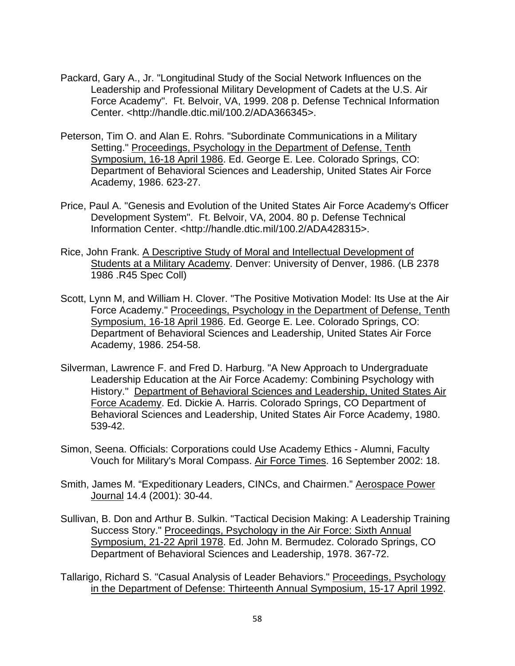- Packard, Gary A., Jr. "Longitudinal Study of the Social Network Influences on the Leadership and Professional Military Development of Cadets at the U.S. Air Force Academy". Ft. Belvoir, VA, 1999. 208 p. Defense Technical Information Center. <http://handle.dtic.mil/100.2/ADA366345>.
- Peterson, Tim O. and Alan E. Rohrs. "Subordinate Communications in a Military Setting." Proceedings, Psychology in the Department of Defense, Tenth Symposium, 16-18 April 1986. Ed. George E. Lee. Colorado Springs, CO: Department of Behavioral Sciences and Leadership, United States Air Force Academy, 1986. 623-27.
- Price, Paul A. "Genesis and Evolution of the United States Air Force Academy's Officer Development System". Ft. Belvoir, VA, 2004. 80 p. Defense Technical Information Center. <http://handle.dtic.mil/100.2/ADA428315>.
- Rice, John Frank. A Descriptive Study of Moral and Intellectual Development of Students at a Military Academy. Denver: University of Denver, 1986. (LB 2378 1986 .R45 Spec Coll)
- Scott, Lynn M, and William H. Clover. "The Positive Motivation Model: Its Use at the Air Force Academy." Proceedings, Psychology in the Department of Defense, Tenth Symposium, 16-18 April 1986. Ed. George E. Lee. Colorado Springs, CO: Department of Behavioral Sciences and Leadership, United States Air Force Academy, 1986. 254-58.
- Silverman, Lawrence F. and Fred D. Harburg. "A New Approach to Undergraduate Leadership Education at the Air Force Academy: Combining Psychology with History." Department of Behavioral Sciences and Leadership, United States Air Force Academy. Ed. Dickie A. Harris. Colorado Springs, CO Department of Behavioral Sciences and Leadership, United States Air Force Academy, 1980. 539-42.
- Simon, Seena. Officials: Corporations could Use Academy Ethics Alumni, Faculty Vouch for Military's Moral Compass. Air Force Times. 16 September 2002: 18.
- Smith, James M. "Expeditionary Leaders, CINCs, and Chairmen." Aerospace Power Journal 14.4 (2001): 30-44.
- Sullivan, B. Don and Arthur B. Sulkin. "Tactical Decision Making: A Leadership Training Success Story." Proceedings, Psychology in the Air Force: Sixth Annual Symposium, 21-22 April 1978. Ed. John M. Bermudez. Colorado Springs, CO Department of Behavioral Sciences and Leadership, 1978. 367-72.
- Tallarigo, Richard S. "Casual Analysis of Leader Behaviors." Proceedings, Psychology in the Department of Defense: Thirteenth Annual Symposium, 15-17 April 1992.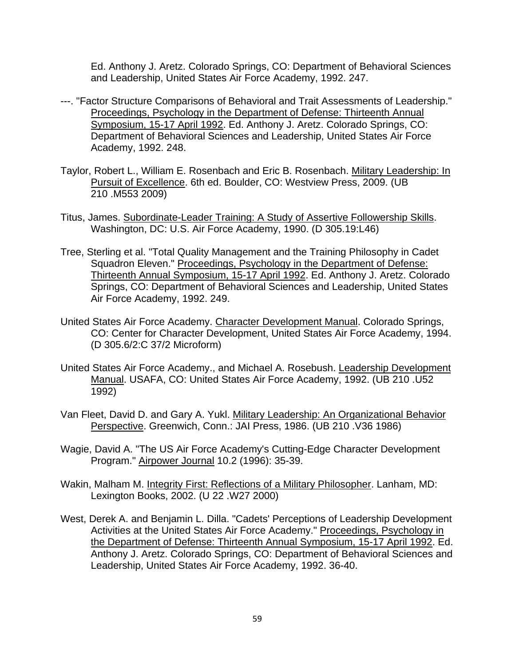Ed. Anthony J. Aretz. Colorado Springs, CO: Department of Behavioral Sciences and Leadership, United States Air Force Academy, 1992. 247.

- ---. "Factor Structure Comparisons of Behavioral and Trait Assessments of Leadership." Proceedings, Psychology in the Department of Defense: Thirteenth Annual Symposium, 15-17 April 1992. Ed. Anthony J. Aretz. Colorado Springs, CO: Department of Behavioral Sciences and Leadership, United States Air Force Academy, 1992. 248.
- Taylor, Robert L., William E. Rosenbach and Eric B. Rosenbach. Military Leadership: In Pursuit of Excellence. 6th ed. Boulder, CO: Westview Press, 2009. (UB 210 .M553 2009)
- Titus, James. Subordinate-Leader Training: A Study of Assertive Followership Skills. Washington, DC: U.S. Air Force Academy, 1990. (D 305.19:L46)
- Tree, Sterling et al. "Total Quality Management and the Training Philosophy in Cadet Squadron Eleven." Proceedings, Psychology in the Department of Defense: Thirteenth Annual Symposium, 15-17 April 1992. Ed. Anthony J. Aretz. Colorado Springs, CO: Department of Behavioral Sciences and Leadership, United States Air Force Academy, 1992. 249.
- United States Air Force Academy. Character Development Manual. Colorado Springs, CO: Center for Character Development, United States Air Force Academy, 1994. (D 305.6/2:C 37/2 Microform)
- United States Air Force Academy., and Michael A. Rosebush. Leadership Development Manual. USAFA, CO: United States Air Force Academy, 1992. (UB 210 .U52 1992)
- Van Fleet, David D. and Gary A. Yukl. Military Leadership: An Organizational Behavior Perspective. Greenwich, Conn.: JAI Press, 1986. (UB 210 .V36 1986)
- Wagie, David A. "The US Air Force Academy's Cutting-Edge Character Development Program." Airpower Journal 10.2 (1996): 35-39.
- Wakin, Malham M. Integrity First: Reflections of a Military Philosopher. Lanham, MD: Lexington Books, 2002. (U 22 .W27 2000)
- West, Derek A. and Benjamin L. Dilla. "Cadets' Perceptions of Leadership Development Activities at the United States Air Force Academy." Proceedings, Psychology in the Department of Defense: Thirteenth Annual Symposium, 15-17 April 1992. Ed. Anthony J. Aretz. Colorado Springs, CO: Department of Behavioral Sciences and Leadership, United States Air Force Academy, 1992. 36-40.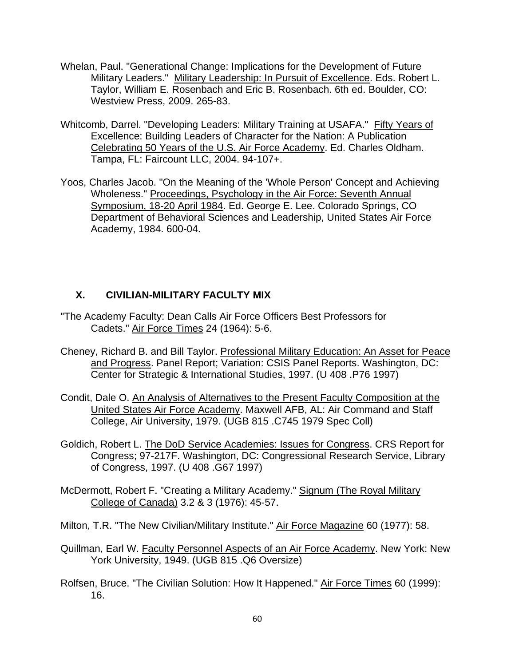- Whelan, Paul. "Generational Change: Implications for the Development of Future Military Leaders." Military Leadership: In Pursuit of Excellence. Eds. Robert L. Taylor, William E. Rosenbach and Eric B. Rosenbach. 6th ed. Boulder, CO: Westview Press, 2009. 265-83.
- Whitcomb, Darrel. "Developing Leaders: Military Training at USAFA." Fifty Years of Excellence: Building Leaders of Character for the Nation: A Publication Celebrating 50 Years of the U.S. Air Force Academy. Ed. Charles Oldham. Tampa, FL: Faircount LLC, 2004. 94-107+.
- Yoos, Charles Jacob. "On the Meaning of the 'Whole Person' Concept and Achieving Wholeness." Proceedings, Psychology in the Air Force: Seventh Annual Symposium, 18-20 April 1984. Ed. George E. Lee. Colorado Springs, CO Department of Behavioral Sciences and Leadership, United States Air Force Academy, 1984. 600-04.

### **X. CIVILIAN-MILITARY FACULTY MIX**

- "The Academy Faculty: Dean Calls Air Force Officers Best Professors for Cadets." Air Force Times 24 (1964): 5-6.
- Cheney, Richard B. and Bill Taylor. Professional Military Education: An Asset for Peace and Progress. Panel Report; Variation: CSIS Panel Reports. Washington, DC: Center for Strategic & International Studies, 1997. (U 408 .P76 1997)
- Condit, Dale O. An Analysis of Alternatives to the Present Faculty Composition at the United States Air Force Academy. Maxwell AFB, AL: Air Command and Staff College, Air University, 1979. (UGB 815 .C745 1979 Spec Coll)
- Goldich, Robert L. The DoD Service Academies: Issues for Congress. CRS Report for Congress; 97-217F. Washington, DC: Congressional Research Service, Library of Congress, 1997. (U 408 .G67 1997)
- McDermott, Robert F. "Creating a Military Academy." Signum (The Royal Military College of Canada) 3.2 & 3 (1976): 45-57.
- Milton, T.R. "The New Civilian/Military Institute." Air Force Magazine 60 (1977): 58.
- Quillman, Earl W. Faculty Personnel Aspects of an Air Force Academy. New York: New York University, 1949. (UGB 815 .Q6 Oversize)
- Rolfsen, Bruce. "The Civilian Solution: How It Happened." Air Force Times 60 (1999): 16.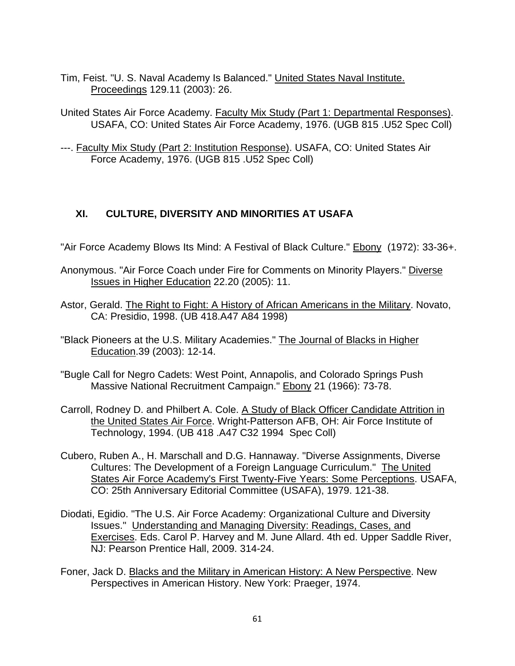- Tim, Feist. "U. S. Naval Academy Is Balanced." United States Naval Institute. Proceedings 129.11 (2003): 26.
- United States Air Force Academy. Faculty Mix Study (Part 1: Departmental Responses). USAFA, CO: United States Air Force Academy, 1976. (UGB 815 .U52 Spec Coll)
- ---. Faculty Mix Study (Part 2: Institution Response). USAFA, CO: United States Air Force Academy, 1976. (UGB 815 .U52 Spec Coll)

## **XI. CULTURE, DIVERSITY AND MINORITIES AT USAFA**

- "Air Force Academy Blows Its Mind: A Festival of Black Culture." **Ebony** (1972): 33-36+.
- Anonymous. "Air Force Coach under Fire for Comments on Minority Players." Diverse Issues in Higher Education 22.20 (2005): 11.
- Astor, Gerald. The Right to Fight: A History of African Americans in the Military. Novato, CA: Presidio, 1998. (UB 418.A47 A84 1998)
- "Black Pioneers at the U.S. Military Academies." The Journal of Blacks in Higher Education.39 (2003): 12-14.
- "Bugle Call for Negro Cadets: West Point, Annapolis, and Colorado Springs Push Massive National Recruitment Campaign." Ebony 21 (1966): 73-78.
- Carroll, Rodney D. and Philbert A. Cole. A Study of Black Officer Candidate Attrition in the United States Air Force. Wright-Patterson AFB, OH: Air Force Institute of Technology, 1994. (UB 418 .A47 C32 1994 Spec Coll)
- Cubero, Ruben A., H. Marschall and D.G. Hannaway. "Diverse Assignments, Diverse Cultures: The Development of a Foreign Language Curriculum." The United States Air Force Academy's First Twenty-Five Years: Some Perceptions. USAFA, CO: 25th Anniversary Editorial Committee (USAFA), 1979. 121-38.
- Diodati, Egidio. "The U.S. Air Force Academy: Organizational Culture and Diversity Issues." Understanding and Managing Diversity: Readings, Cases, and Exercises. Eds. Carol P. Harvey and M. June Allard. 4th ed. Upper Saddle River, NJ: Pearson Prentice Hall, 2009. 314-24.
- Foner, Jack D. Blacks and the Military in American History: A New Perspective. New Perspectives in American History. New York: Praeger, 1974.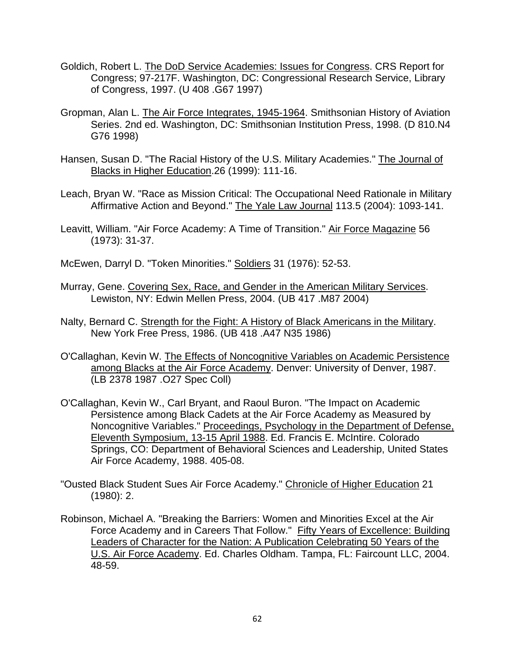- Goldich, Robert L. The DoD Service Academies: Issues for Congress. CRS Report for Congress; 97-217F. Washington, DC: Congressional Research Service, Library of Congress, 1997. (U 408 .G67 1997)
- Gropman, Alan L. The Air Force Integrates, 1945-1964. Smithsonian History of Aviation Series. 2nd ed. Washington, DC: Smithsonian Institution Press, 1998. (D 810.N4 G76 1998)
- Hansen, Susan D. "The Racial History of the U.S. Military Academies." The Journal of Blacks in Higher Education.26 (1999): 111-16.
- Leach, Bryan W. "Race as Mission Critical: The Occupational Need Rationale in Military Affirmative Action and Beyond." The Yale Law Journal 113.5 (2004): 1093-141.
- Leavitt, William. "Air Force Academy: A Time of Transition." Air Force Magazine 56 (1973): 31-37.
- McEwen, Darryl D. "Token Minorities." Soldiers 31 (1976): 52-53.
- Murray, Gene. Covering Sex, Race, and Gender in the American Military Services. Lewiston, NY: Edwin Mellen Press, 2004. (UB 417 .M87 2004)
- Nalty, Bernard C. Strength for the Fight: A History of Black Americans in the Military. New York Free Press, 1986. (UB 418 .A47 N35 1986)
- O'Callaghan, Kevin W. The Effects of Noncognitive Variables on Academic Persistence among Blacks at the Air Force Academy. Denver: University of Denver, 1987. (LB 2378 1987 .O27 Spec Coll)
- O'Callaghan, Kevin W., Carl Bryant, and Raoul Buron. "The Impact on Academic Persistence among Black Cadets at the Air Force Academy as Measured by Noncognitive Variables." Proceedings, Psychology in the Department of Defense, Eleventh Symposium, 13-15 April 1988. Ed. Francis E. McIntire. Colorado Springs, CO: Department of Behavioral Sciences and Leadership, United States Air Force Academy, 1988. 405-08.
- "Ousted Black Student Sues Air Force Academy." Chronicle of Higher Education 21 (1980): 2.
- Robinson, Michael A. "Breaking the Barriers: Women and Minorities Excel at the Air Force Academy and in Careers That Follow." Fifty Years of Excellence: Building Leaders of Character for the Nation: A Publication Celebrating 50 Years of the U.S. Air Force Academy. Ed. Charles Oldham. Tampa, FL: Faircount LLC, 2004. 48-59.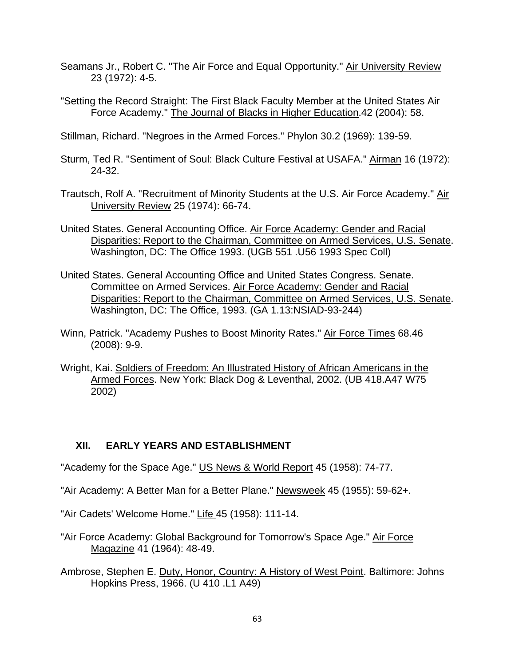- Seamans Jr., Robert C. "The Air Force and Equal Opportunity." Air University Review 23 (1972): 4-5.
- "Setting the Record Straight: The First Black Faculty Member at the United States Air Force Academy." The Journal of Blacks in Higher Education.42 (2004): 58.
- Stillman, Richard. "Negroes in the Armed Forces." Phylon 30.2 (1969): 139-59.
- Sturm, Ted R. "Sentiment of Soul: Black Culture Festival at USAFA." Airman 16 (1972): 24-32.
- Trautsch, Rolf A. "Recruitment of Minority Students at the U.S. Air Force Academy." Air University Review 25 (1974): 66-74.
- United States. General Accounting Office. Air Force Academy: Gender and Racial Disparities: Report to the Chairman, Committee on Armed Services, U.S. Senate. Washington, DC: The Office 1993. (UGB 551 .U56 1993 Spec Coll)
- United States. General Accounting Office and United States Congress. Senate. Committee on Armed Services. Air Force Academy: Gender and Racial Disparities: Report to the Chairman, Committee on Armed Services, U.S. Senate. Washington, DC: The Office, 1993. (GA 1.13:NSIAD-93-244)
- Winn, Patrick. "Academy Pushes to Boost Minority Rates." Air Force Times 68.46 (2008): 9-9.
- Wright, Kai. Soldiers of Freedom: An Illustrated History of African Americans in the Armed Forces. New York: Black Dog & Leventhal, 2002. (UB 418.A47 W75 2002)

# **XII. EARLY YEARS AND ESTABLISHMENT**

"Academy for the Space Age." US News & World Report 45 (1958): 74-77.

- "Air Academy: A Better Man for a Better Plane." Newsweek 45 (1955): 59-62+.
- "Air Cadets' Welcome Home." Life 45 (1958): 111-14.
- "Air Force Academy: Global Background for Tomorrow's Space Age." Air Force Magazine 41 (1964): 48-49.
- Ambrose, Stephen E. Duty, Honor, Country: A History of West Point. Baltimore: Johns Hopkins Press, 1966. (U 410 .L1 A49)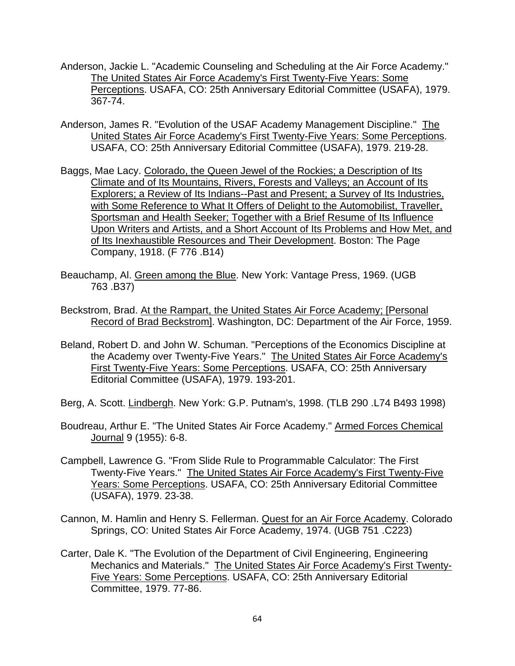- Anderson, Jackie L. "Academic Counseling and Scheduling at the Air Force Academy." The United States Air Force Academy's First Twenty-Five Years: Some Perceptions. USAFA, CO: 25th Anniversary Editorial Committee (USAFA), 1979. 367-74.
- Anderson, James R. "Evolution of the USAF Academy Management Discipline." The United States Air Force Academy's First Twenty-Five Years: Some Perceptions. USAFA, CO: 25th Anniversary Editorial Committee (USAFA), 1979. 219-28.
- Baggs, Mae Lacy. Colorado, the Queen Jewel of the Rockies; a Description of Its Climate and of Its Mountains, Rivers, Forests and Valleys; an Account of Its Explorers; a Review of Its Indians--Past and Present; a Survey of Its Industries, with Some Reference to What It Offers of Delight to the Automobilist, Traveller, Sportsman and Health Seeker; Together with a Brief Resume of Its Influence Upon Writers and Artists, and a Short Account of Its Problems and How Met, and of Its Inexhaustible Resources and Their Development. Boston: The Page Company, 1918. (F 776 .B14)
- Beauchamp, Al. Green among the Blue. New York: Vantage Press, 1969. (UGB 763 .B37)
- Beckstrom, Brad. At the Rampart, the United States Air Force Academy; [Personal Record of Brad Beckstrom]. Washington, DC: Department of the Air Force, 1959.
- Beland, Robert D. and John W. Schuman. "Perceptions of the Economics Discipline at the Academy over Twenty-Five Years." The United States Air Force Academy's First Twenty-Five Years: Some Perceptions. USAFA, CO: 25th Anniversary Editorial Committee (USAFA), 1979. 193-201.
- Berg, A. Scott. Lindbergh. New York: G.P. Putnam's, 1998. (TLB 290 .L74 B493 1998)
- Boudreau, Arthur E. "The United States Air Force Academy." Armed Forces Chemical Journal 9 (1955): 6-8.
- Campbell, Lawrence G. "From Slide Rule to Programmable Calculator: The First Twenty-Five Years." The United States Air Force Academy's First Twenty-Five Years: Some Perceptions. USAFA, CO: 25th Anniversary Editorial Committee (USAFA), 1979. 23-38.
- Cannon, M. Hamlin and Henry S. Fellerman. Quest for an Air Force Academy. Colorado Springs, CO: United States Air Force Academy, 1974. (UGB 751 .C223)
- Carter, Dale K. "The Evolution of the Department of Civil Engineering, Engineering Mechanics and Materials." The United States Air Force Academy's First Twenty-Five Years: Some Perceptions. USAFA, CO: 25th Anniversary Editorial Committee, 1979. 77-86.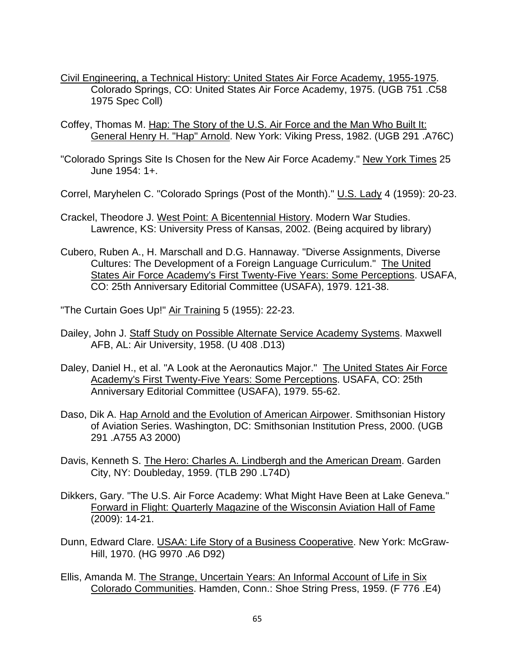- Civil Engineering, a Technical History: United States Air Force Academy, 1955-1975. Colorado Springs, CO: United States Air Force Academy, 1975. (UGB 751 .C58 1975 Spec Coll)
- Coffey, Thomas M. Hap: The Story of the U.S. Air Force and the Man Who Built It: General Henry H. "Hap" Arnold. New York: Viking Press, 1982. (UGB 291 .A76C)
- "Colorado Springs Site Is Chosen for the New Air Force Academy." New York Times 25 June 1954: 1+.
- Correl, Maryhelen C. "Colorado Springs (Post of the Month)." U.S. Lady 4 (1959): 20-23.
- Crackel, Theodore J. West Point: A Bicentennial History. Modern War Studies. Lawrence, KS: University Press of Kansas, 2002. (Being acquired by library)
- Cubero, Ruben A., H. Marschall and D.G. Hannaway. "Diverse Assignments, Diverse Cultures: The Development of a Foreign Language Curriculum." The United States Air Force Academy's First Twenty-Five Years: Some Perceptions. USAFA, CO: 25th Anniversary Editorial Committee (USAFA), 1979. 121-38.
- "The Curtain Goes Up!" Air Training 5 (1955): 22-23.
- Dailey, John J. Staff Study on Possible Alternate Service Academy Systems. Maxwell AFB, AL: Air University, 1958. (U 408 .D13)
- Daley, Daniel H., et al. "A Look at the Aeronautics Major." The United States Air Force Academy's First Twenty-Five Years: Some Perceptions. USAFA, CO: 25th Anniversary Editorial Committee (USAFA), 1979. 55-62.
- Daso, Dik A. Hap Arnold and the Evolution of American Airpower. Smithsonian History of Aviation Series. Washington, DC: Smithsonian Institution Press, 2000. (UGB 291 .A755 A3 2000)
- Davis, Kenneth S. The Hero: Charles A. Lindbergh and the American Dream. Garden City, NY: Doubleday, 1959. (TLB 290 .L74D)
- Dikkers, Gary. "The U.S. Air Force Academy: What Might Have Been at Lake Geneva." Forward in Flight: Quarterly Magazine of the Wisconsin Aviation Hall of Fame (2009): 14-21.
- Dunn, Edward Clare. USAA: Life Story of a Business Cooperative. New York: McGraw-Hill, 1970. (HG 9970 .A6 D92)
- Ellis, Amanda M. The Strange, Uncertain Years: An Informal Account of Life in Six Colorado Communities. Hamden, Conn.: Shoe String Press, 1959. (F 776 .E4)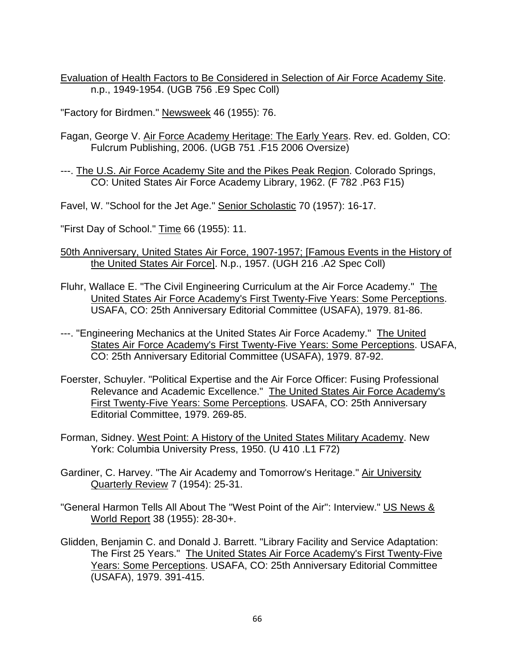Evaluation of Health Factors to Be Considered in Selection of Air Force Academy Site. n.p., 1949-1954. (UGB 756 .E9 Spec Coll)

"Factory for Birdmen." Newsweek 46 (1955): 76.

Fagan, George V. Air Force Academy Heritage: The Early Years. Rev. ed. Golden, CO: Fulcrum Publishing, 2006. (UGB 751 .F15 2006 Oversize)

---. The U.S. Air Force Academy Site and the Pikes Peak Region. Colorado Springs, CO: United States Air Force Academy Library, 1962. (F 782 .P63 F15)

Favel, W. "School for the Jet Age." Senior Scholastic 70 (1957): 16-17.

"First Day of School." Time 66 (1955): 11.

- 50th Anniversary, United States Air Force, 1907-1957; [Famous Events in the History of the United States Air Force]. N.p., 1957. (UGH 216 .A2 Spec Coll)
- Fluhr, Wallace E. "The Civil Engineering Curriculum at the Air Force Academy." The United States Air Force Academy's First Twenty-Five Years: Some Perceptions. USAFA, CO: 25th Anniversary Editorial Committee (USAFA), 1979. 81-86.
- ---. "Engineering Mechanics at the United States Air Force Academy." The United States Air Force Academy's First Twenty-Five Years: Some Perceptions. USAFA, CO: 25th Anniversary Editorial Committee (USAFA), 1979. 87-92.
- Foerster, Schuyler. "Political Expertise and the Air Force Officer: Fusing Professional Relevance and Academic Excellence." The United States Air Force Academy's First Twenty-Five Years: Some Perceptions. USAFA, CO: 25th Anniversary Editorial Committee, 1979. 269-85.
- Forman, Sidney. West Point: A History of the United States Military Academy. New York: Columbia University Press, 1950. (U 410 .L1 F72)
- Gardiner, C. Harvey. "The Air Academy and Tomorrow's Heritage." Air University Quarterly Review 7 (1954): 25-31.
- "General Harmon Tells All About The "West Point of the Air": Interview." US News & World Report 38 (1955): 28-30+.
- Glidden, Benjamin C. and Donald J. Barrett. "Library Facility and Service Adaptation: The First 25 Years." The United States Air Force Academy's First Twenty-Five Years: Some Perceptions. USAFA, CO: 25th Anniversary Editorial Committee (USAFA), 1979. 391-415.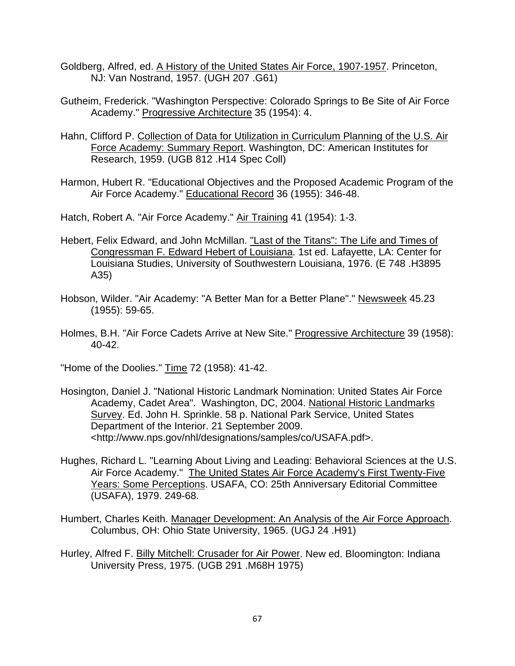- Goldberg, Alfred, ed. A History of the United States Air Force, 1907-1957. Princeton, NJ: Van Nostrand, 1957. (UGH 207 .G61)
- Gutheim, Frederick. "Washington Perspective: Colorado Springs to Be Site of Air Force Academy." Progressive Architecture 35 (1954): 4.
- Hahn, Clifford P. Collection of Data for Utilization in Curriculum Planning of the U.S. Air Force Academy: Summary Report. Washington, DC: American Institutes for Research, 1959. (UGB 812 .H14 Spec Coll)
- Harmon, Hubert R. "Educational Objectives and the Proposed Academic Program of the Air Force Academy." Educational Record 36 (1955): 346-48.

Hatch, Robert A. "Air Force Academy." Air Training 41 (1954): 1-3.

- Hebert, Felix Edward, and John McMillan. "Last of the Titans": The Life and Times of Congressman F. Edward Hebert of Louisiana. 1st ed. Lafayette, LA: Center for Louisiana Studies, University of Southwestern Louisiana, 1976. (E 748 .H3895 A35)
- Hobson, Wilder. "Air Academy: "A Better Man for a Better Plane"." Newsweek 45.23 (1955): 59-65.
- Holmes, B.H. "Air Force Cadets Arrive at New Site." Progressive Architecture 39 (1958): 40-42.

"Home of the Doolies." Time 72 (1958): 41-42.

- Hosington, Daniel J. "National Historic Landmark Nomination: United States Air Force Academy, Cadet Area". Washington, DC, 2004. National Historic Landmarks Survey. Ed. John H. Sprinkle. 58 p. National Park Service, United States Department of the Interior. 21 September 2009. <http://www.nps.gov/nhl/designations/samples/co/USAFA.pdf>.
- Hughes, Richard L. "Learning About Living and Leading: Behavioral Sciences at the U.S. Air Force Academy." The United States Air Force Academy's First Twenty-Five Years: Some Perceptions. USAFA, CO: 25th Anniversary Editorial Committee (USAFA), 1979. 249-68.
- Humbert, Charles Keith. Manager Development: An Analysis of the Air Force Approach. Columbus, OH: Ohio State University, 1965. (UGJ 24 .H91)
- Hurley, Alfred F. Billy Mitchell: Crusader for Air Power. New ed. Bloomington: Indiana University Press, 1975. (UGB 291 .M68H 1975)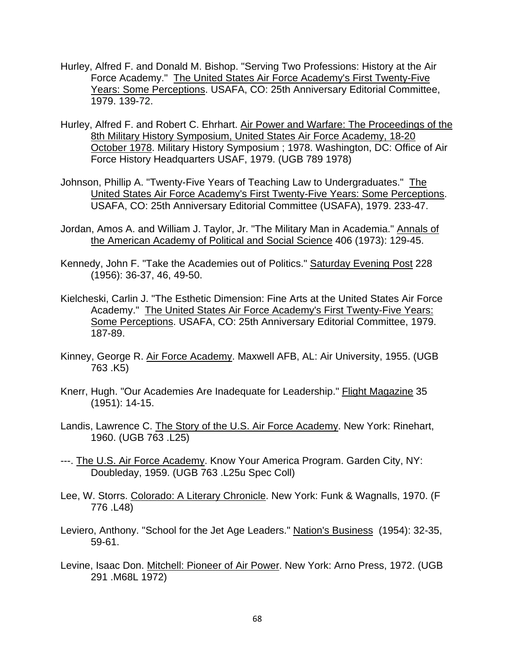- Hurley, Alfred F. and Donald M. Bishop. "Serving Two Professions: History at the Air Force Academy." The United States Air Force Academy's First Twenty-Five Years: Some Perceptions. USAFA, CO: 25th Anniversary Editorial Committee, 1979. 139-72.
- Hurley, Alfred F. and Robert C. Ehrhart. Air Power and Warfare: The Proceedings of the 8th Military History Symposium, United States Air Force Academy, 18-20 October 1978. Military History Symposium ; 1978. Washington, DC: Office of Air Force History Headquarters USAF, 1979. (UGB 789 1978)
- Johnson, Phillip A. "Twenty-Five Years of Teaching Law to Undergraduates." The United States Air Force Academy's First Twenty-Five Years: Some Perceptions. USAFA, CO: 25th Anniversary Editorial Committee (USAFA), 1979. 233-47.
- Jordan, Amos A. and William J. Taylor, Jr. "The Military Man in Academia." Annals of the American Academy of Political and Social Science 406 (1973): 129-45.
- Kennedy, John F. "Take the Academies out of Politics." Saturday Evening Post 228 (1956): 36-37, 46, 49-50.
- Kielcheski, Carlin J. "The Esthetic Dimension: Fine Arts at the United States Air Force Academy." The United States Air Force Academy's First Twenty-Five Years: Some Perceptions. USAFA, CO: 25th Anniversary Editorial Committee, 1979. 187-89.
- Kinney, George R. Air Force Academy. Maxwell AFB, AL: Air University, 1955. (UGB 763 .K5)
- Knerr, Hugh. "Our Academies Are Inadequate for Leadership." Flight Magazine 35 (1951): 14-15.
- Landis, Lawrence C. The Story of the U.S. Air Force Academy. New York: Rinehart, 1960. (UGB 763 .L25)
- ---. The U.S. Air Force Academy. Know Your America Program. Garden City, NY: Doubleday, 1959. (UGB 763 .L25u Spec Coll)
- Lee, W. Storrs. Colorado: A Literary Chronicle. New York: Funk & Wagnalls, 1970. (F 776 .L48)
- Leviero, Anthony. "School for the Jet Age Leaders." Nation's Business (1954): 32-35, 59-61.
- Levine, Isaac Don. Mitchell: Pioneer of Air Power. New York: Arno Press, 1972. (UGB 291 .M68L 1972)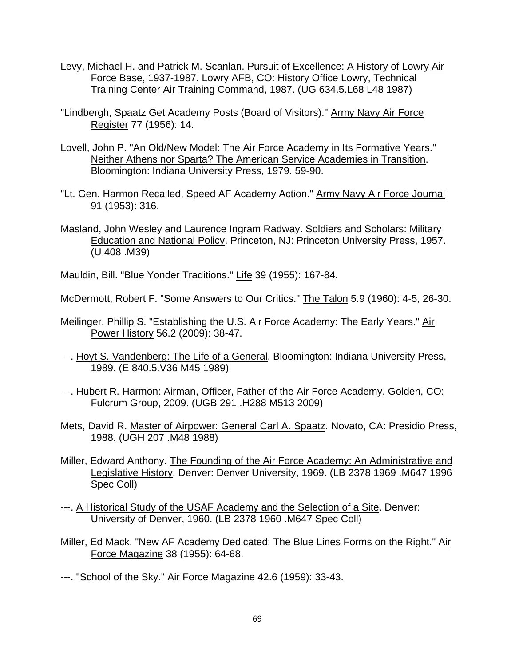- Levy, Michael H. and Patrick M. Scanlan. Pursuit of Excellence: A History of Lowry Air Force Base, 1937-1987. Lowry AFB, CO: History Office Lowry, Technical Training Center Air Training Command, 1987. (UG 634.5.L68 L48 1987)
- "Lindbergh, Spaatz Get Academy Posts (Board of Visitors)." Army Navy Air Force Register 77 (1956): 14.
- Lovell, John P. "An Old/New Model: The Air Force Academy in Its Formative Years." Neither Athens nor Sparta? The American Service Academies in Transition. Bloomington: Indiana University Press, 1979. 59-90.
- "Lt. Gen. Harmon Recalled, Speed AF Academy Action." Army Navy Air Force Journal 91 (1953): 316.
- Masland, John Wesley and Laurence Ingram Radway. Soldiers and Scholars: Military Education and National Policy. Princeton, NJ: Princeton University Press, 1957. (U 408 .M39)

Mauldin, Bill. "Blue Yonder Traditions." Life 39 (1955): 167-84.

McDermott, Robert F. "Some Answers to Our Critics." The Talon 5.9 (1960): 4-5, 26-30.

- Meilinger, Phillip S. "Establishing the U.S. Air Force Academy: The Early Years." Air Power History 56.2 (2009): 38-47.
- ---. Hoyt S. Vandenberg: The Life of a General. Bloomington: Indiana University Press, 1989. (E 840.5.V36 M45 1989)
- ---. Hubert R. Harmon: Airman, Officer, Father of the Air Force Academy. Golden, CO: Fulcrum Group, 2009. (UGB 291 .H288 M513 2009)
- Mets, David R. Master of Airpower: General Carl A. Spaatz. Novato, CA: Presidio Press, 1988. (UGH 207 .M48 1988)
- Miller, Edward Anthony. The Founding of the Air Force Academy: An Administrative and Legislative History. Denver: Denver University, 1969. (LB 2378 1969 .M647 1996 Spec Coll)
- ---. A Historical Study of the USAF Academy and the Selection of a Site. Denver: University of Denver, 1960. (LB 2378 1960 .M647 Spec Coll)
- Miller, Ed Mack. "New AF Academy Dedicated: The Blue Lines Forms on the Right." Air Force Magazine 38 (1955): 64-68.

---. "School of the Sky." Air Force Magazine 42.6 (1959): 33-43.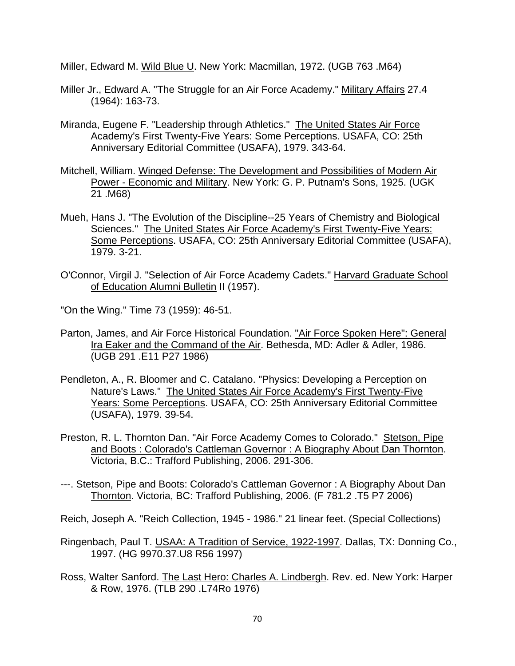Miller, Edward M. Wild Blue U. New York: Macmillan, 1972. (UGB 763 .M64)

- Miller Jr., Edward A. "The Struggle for an Air Force Academy." Military Affairs 27.4 (1964): 163-73.
- Miranda, Eugene F. "Leadership through Athletics." The United States Air Force Academy's First Twenty-Five Years: Some Perceptions. USAFA, CO: 25th Anniversary Editorial Committee (USAFA), 1979. 343-64.
- Mitchell, William. Winged Defense: The Development and Possibilities of Modern Air Power - Economic and Military. New York: G. P. Putnam's Sons, 1925. (UGK 21 .M68)
- Mueh, Hans J. "The Evolution of the Discipline--25 Years of Chemistry and Biological Sciences." The United States Air Force Academy's First Twenty-Five Years: Some Perceptions. USAFA, CO: 25th Anniversary Editorial Committee (USAFA), 1979. 3-21.
- O'Connor, Virgil J. "Selection of Air Force Academy Cadets." Harvard Graduate School of Education Alumni Bulletin II (1957).

"On the Wing." Time 73 (1959): 46-51.

- Parton, James, and Air Force Historical Foundation. "Air Force Spoken Here": General Ira Eaker and the Command of the Air. Bethesda, MD: Adler & Adler, 1986. (UGB 291 .E11 P27 1986)
- Pendleton, A., R. Bloomer and C. Catalano. "Physics: Developing a Perception on Nature's Laws." The United States Air Force Academy's First Twenty-Five Years: Some Perceptions. USAFA, CO: 25th Anniversary Editorial Committee (USAFA), 1979. 39-54.
- Preston, R. L. Thornton Dan. "Air Force Academy Comes to Colorado." Stetson, Pipe and Boots : Colorado's Cattleman Governor : A Biography About Dan Thornton. Victoria, B.C.: Trafford Publishing, 2006. 291-306.
- ---. Stetson, Pipe and Boots: Colorado's Cattleman Governor : A Biography About Dan Thornton. Victoria, BC: Trafford Publishing, 2006. (F 781.2 .T5 P7 2006)

Reich, Joseph A. "Reich Collection, 1945 - 1986." 21 linear feet. (Special Collections)

- Ringenbach, Paul T. USAA: A Tradition of Service, 1922-1997. Dallas, TX: Donning Co., 1997. (HG 9970.37.U8 R56 1997)
- Ross, Walter Sanford. The Last Hero: Charles A. Lindbergh. Rev. ed. New York: Harper & Row, 1976. (TLB 290 .L74Ro 1976)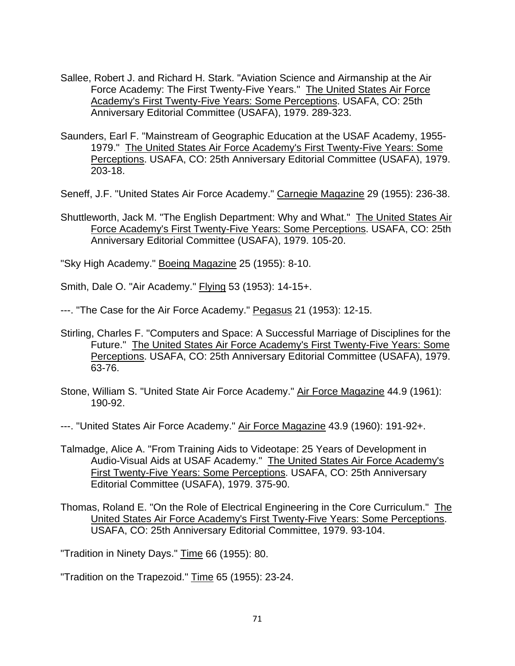- Sallee, Robert J. and Richard H. Stark. "Aviation Science and Airmanship at the Air Force Academy: The First Twenty-Five Years." The United States Air Force Academy's First Twenty-Five Years: Some Perceptions. USAFA, CO: 25th Anniversary Editorial Committee (USAFA), 1979. 289-323.
- Saunders, Earl F. "Mainstream of Geographic Education at the USAF Academy, 1955- 1979." The United States Air Force Academy's First Twenty-Five Years: Some Perceptions. USAFA, CO: 25th Anniversary Editorial Committee (USAFA), 1979. 203-18.

Seneff, J.F. "United States Air Force Academy." Carnegie Magazine 29 (1955): 236-38.

Shuttleworth, Jack M. "The English Department: Why and What." The United States Air Force Academy's First Twenty-Five Years: Some Perceptions. USAFA, CO: 25th Anniversary Editorial Committee (USAFA), 1979. 105-20.

"Sky High Academy." Boeing Magazine 25 (1955): 8-10.

Smith, Dale O. "Air Academy." Flying 53 (1953): 14-15+.

---. "The Case for the Air Force Academy." Pegasus 21 (1953): 12-15.

- Stirling, Charles F. "Computers and Space: A Successful Marriage of Disciplines for the Future." The United States Air Force Academy's First Twenty-Five Years: Some Perceptions. USAFA, CO: 25th Anniversary Editorial Committee (USAFA), 1979. 63-76.
- Stone, William S. "United State Air Force Academy." Air Force Magazine 44.9 (1961): 190-92.
- ---. "United States Air Force Academy." Air Force Magazine 43.9 (1960): 191-92+.
- Talmadge, Alice A. "From Training Aids to Videotape: 25 Years of Development in Audio-Visual Aids at USAF Academy." The United States Air Force Academy's First Twenty-Five Years: Some Perceptions. USAFA, CO: 25th Anniversary Editorial Committee (USAFA), 1979. 375-90.
- Thomas, Roland E. "On the Role of Electrical Engineering in the Core Curriculum." The United States Air Force Academy's First Twenty-Five Years: Some Perceptions. USAFA, CO: 25th Anniversary Editorial Committee, 1979. 93-104.

"Tradition in Ninety Days." Time 66 (1955): 80.

"Tradition on the Trapezoid." Time 65 (1955): 23-24.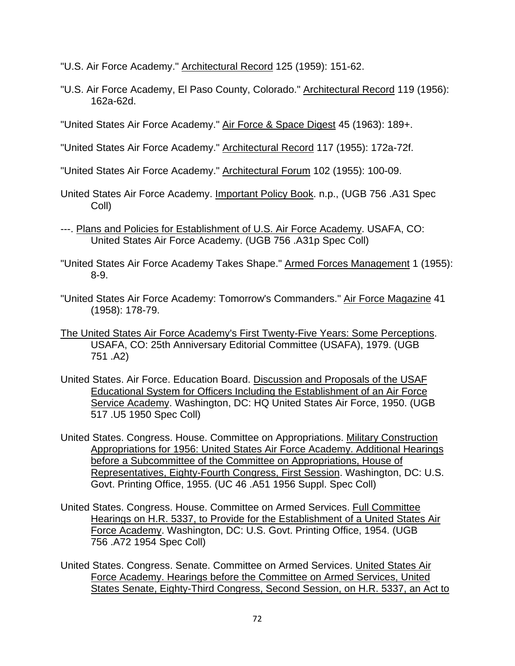"U.S. Air Force Academy." Architectural Record 125 (1959): 151-62.

"U.S. Air Force Academy, El Paso County, Colorado." Architectural Record 119 (1956): 162a-62d.

"United States Air Force Academy." Air Force & Space Digest 45 (1963): 189+.

"United States Air Force Academy." Architectural Record 117 (1955): 172a-72f.

"United States Air Force Academy." Architectural Forum 102 (1955): 100-09.

- United States Air Force Academy. Important Policy Book. n.p., (UGB 756 .A31 Spec Coll)
- ---. Plans and Policies for Establishment of U.S. Air Force Academy. USAFA, CO: United States Air Force Academy. (UGB 756 .A31p Spec Coll)
- "United States Air Force Academy Takes Shape." Armed Forces Management 1 (1955): 8-9.
- "United States Air Force Academy: Tomorrow's Commanders." Air Force Magazine 41 (1958): 178-79.
- The United States Air Force Academy's First Twenty-Five Years: Some Perceptions. USAFA, CO: 25th Anniversary Editorial Committee (USAFA), 1979. (UGB 751 .A2)
- United States. Air Force. Education Board. Discussion and Proposals of the USAF Educational System for Officers Including the Establishment of an Air Force Service Academy. Washington, DC: HQ United States Air Force, 1950. (UGB 517 .U5 1950 Spec Coll)
- United States. Congress. House. Committee on Appropriations. Military Construction Appropriations for 1956: United States Air Force Academy. Additional Hearings before a Subcommittee of the Committee on Appropriations, House of Representatives, Eighty-Fourth Congress, First Session. Washington, DC: U.S. Govt. Printing Office, 1955. (UC 46 .A51 1956 Suppl. Spec Coll)
- United States. Congress. House. Committee on Armed Services. Full Committee Hearings on H.R. 5337, to Provide for the Establishment of a United States Air Force Academy. Washington, DC: U.S. Govt. Printing Office, 1954. (UGB 756 .A72 1954 Spec Coll)
- United States. Congress. Senate. Committee on Armed Services. United States Air Force Academy. Hearings before the Committee on Armed Services, United States Senate, Eighty-Third Congress, Second Session, on H.R. 5337, an Act to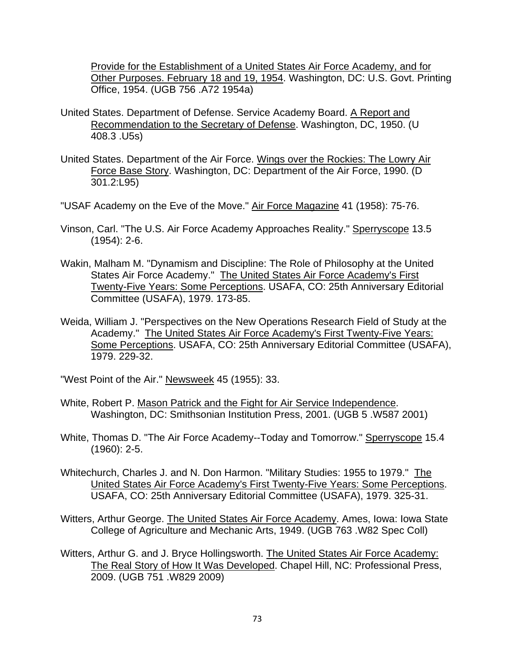Provide for the Establishment of a United States Air Force Academy, and for Other Purposes. February 18 and 19, 1954. Washington, DC: U.S. Govt. Printing Office, 1954. (UGB 756 .A72 1954a)

- United States. Department of Defense. Service Academy Board. A Report and Recommendation to the Secretary of Defense. Washington, DC, 1950. (U 408.3 .U5s)
- United States. Department of the Air Force. Wings over the Rockies: The Lowry Air Force Base Story. Washington, DC: Department of the Air Force, 1990. (D 301.2:L95)
- "USAF Academy on the Eve of the Move." Air Force Magazine 41 (1958): 75-76.
- Vinson, Carl. "The U.S. Air Force Academy Approaches Reality." Sperryscope 13.5 (1954): 2-6.
- Wakin, Malham M. "Dynamism and Discipline: The Role of Philosophy at the United States Air Force Academy." The United States Air Force Academy's First Twenty-Five Years: Some Perceptions. USAFA, CO: 25th Anniversary Editorial Committee (USAFA), 1979. 173-85.
- Weida, William J. "Perspectives on the New Operations Research Field of Study at the Academy." The United States Air Force Academy's First Twenty-Five Years: Some Perceptions. USAFA, CO: 25th Anniversary Editorial Committee (USAFA), 1979. 229-32.
- "West Point of the Air." Newsweek 45 (1955): 33.
- White, Robert P. Mason Patrick and the Fight for Air Service Independence. Washington, DC: Smithsonian Institution Press, 2001. (UGB 5 .W587 2001)
- White, Thomas D. "The Air Force Academy--Today and Tomorrow." Sperryscope 15.4 (1960): 2-5.
- Whitechurch, Charles J. and N. Don Harmon. "Military Studies: 1955 to 1979." The United States Air Force Academy's First Twenty-Five Years: Some Perceptions. USAFA, CO: 25th Anniversary Editorial Committee (USAFA), 1979. 325-31.
- Witters, Arthur George. The United States Air Force Academy. Ames, Iowa: Iowa State College of Agriculture and Mechanic Arts, 1949. (UGB 763 .W82 Spec Coll)
- Witters, Arthur G. and J. Bryce Hollingsworth. The United States Air Force Academy: The Real Story of How It Was Developed. Chapel Hill, NC: Professional Press, 2009. (UGB 751 .W829 2009)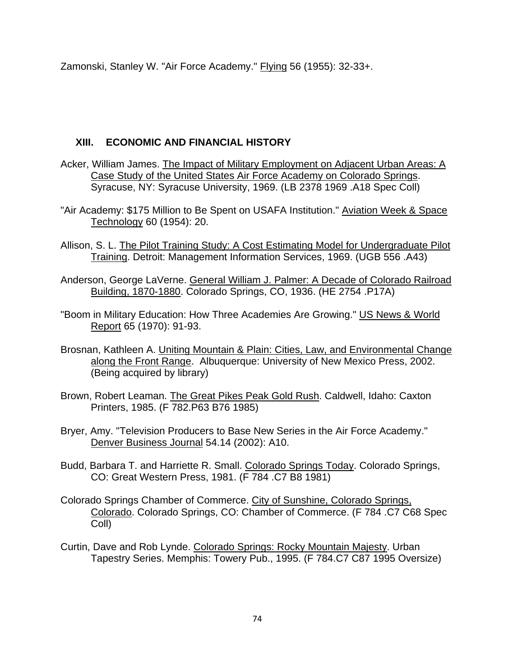Zamonski, Stanley W. "Air Force Academy." Flying 56 (1955): 32-33+.

## **XIII. ECONOMIC AND FINANCIAL HISTORY**

- Acker, William James. The Impact of Military Employment on Adjacent Urban Areas: A Case Study of the United States Air Force Academy on Colorado Springs. Syracuse, NY: Syracuse University, 1969. (LB 2378 1969 .A18 Spec Coll)
- "Air Academy: \$175 Million to Be Spent on USAFA Institution." Aviation Week & Space Technology 60 (1954): 20.
- Allison, S. L. The Pilot Training Study: A Cost Estimating Model for Undergraduate Pilot Training. Detroit: Management Information Services, 1969. (UGB 556 .A43)
- Anderson, George LaVerne. General William J. Palmer: A Decade of Colorado Railroad Building, 1870-1880. Colorado Springs, CO, 1936. (HE 2754 .P17A)
- "Boom in Military Education: How Three Academies Are Growing." US News & World Report 65 (1970): 91-93.
- Brosnan, Kathleen A. Uniting Mountain & Plain: Cities, Law, and Environmental Change along the Front Range. Albuquerque: University of New Mexico Press, 2002. (Being acquired by library)
- Brown, Robert Leaman. The Great Pikes Peak Gold Rush. Caldwell, Idaho: Caxton Printers, 1985. (F 782.P63 B76 1985)
- Bryer, Amy. "Television Producers to Base New Series in the Air Force Academy." Denver Business Journal 54.14 (2002): A10.
- Budd, Barbara T. and Harriette R. Small. Colorado Springs Today. Colorado Springs, CO: Great Western Press, 1981. (F 784 .C7 B8 1981)
- Colorado Springs Chamber of Commerce. City of Sunshine, Colorado Springs, Colorado. Colorado Springs, CO: Chamber of Commerce. (F 784 .C7 C68 Spec Coll)
- Curtin, Dave and Rob Lynde. Colorado Springs: Rocky Mountain Majesty. Urban Tapestry Series. Memphis: Towery Pub., 1995. (F 784.C7 C87 1995 Oversize)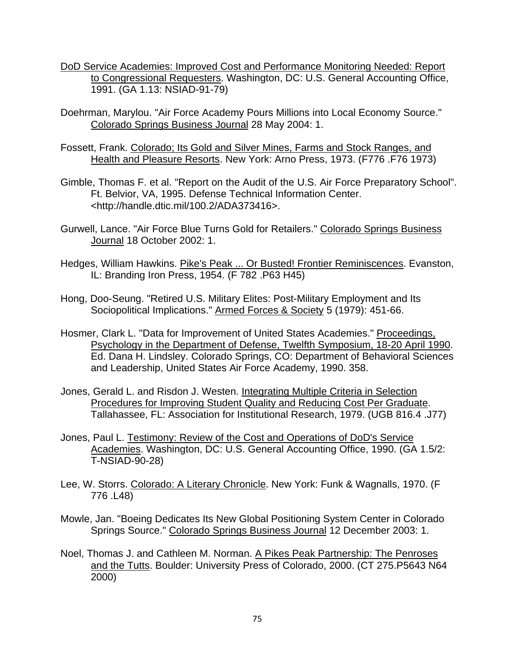- DoD Service Academies: Improved Cost and Performance Monitoring Needed: Report to Congressional Requesters. Washington, DC: U.S. General Accounting Office, 1991. (GA 1.13: NSIAD-91-79)
- Doehrman, Marylou. "Air Force Academy Pours Millions into Local Economy Source." Colorado Springs Business Journal 28 May 2004: 1.
- Fossett, Frank. Colorado; Its Gold and Silver Mines, Farms and Stock Ranges, and Health and Pleasure Resorts. New York: Arno Press, 1973. (F776 .F76 1973)
- Gimble, Thomas F. et al. "Report on the Audit of the U.S. Air Force Preparatory School". Ft. Belvior, VA, 1995. Defense Technical Information Center. <http://handle.dtic.mil/100.2/ADA373416>.
- Gurwell, Lance. "Air Force Blue Turns Gold for Retailers." Colorado Springs Business Journal 18 October 2002: 1.
- Hedges, William Hawkins. Pike's Peak ... Or Busted! Frontier Reminiscences. Evanston, IL: Branding Iron Press, 1954. (F 782 .P63 H45)
- Hong, Doo-Seung. "Retired U.S. Military Elites: Post-Military Employment and Its Sociopolitical Implications." Armed Forces & Society 5 (1979): 451-66.
- Hosmer, Clark L. "Data for Improvement of United States Academies." Proceedings, Psychology in the Department of Defense, Twelfth Symposium, 18-20 April 1990. Ed. Dana H. Lindsley. Colorado Springs, CO: Department of Behavioral Sciences and Leadership, United States Air Force Academy, 1990. 358.
- Jones, Gerald L. and Risdon J. Westen. Integrating Multiple Criteria in Selection Procedures for Improving Student Quality and Reducing Cost Per Graduate. Tallahassee, FL: Association for Institutional Research, 1979. (UGB 816.4 .J77)
- Jones, Paul L. Testimony: Review of the Cost and Operations of DoD's Service Academies. Washington, DC: U.S. General Accounting Office, 1990. (GA 1.5/2: T-NSIAD-90-28)
- Lee, W. Storrs. Colorado: A Literary Chronicle. New York: Funk & Wagnalls, 1970. (F 776 .L48)
- Mowle, Jan. "Boeing Dedicates Its New Global Positioning System Center in Colorado Springs Source." Colorado Springs Business Journal 12 December 2003: 1.
- Noel, Thomas J. and Cathleen M. Norman. A Pikes Peak Partnership: The Penroses and the Tutts. Boulder: University Press of Colorado, 2000. (CT 275.P5643 N64 2000)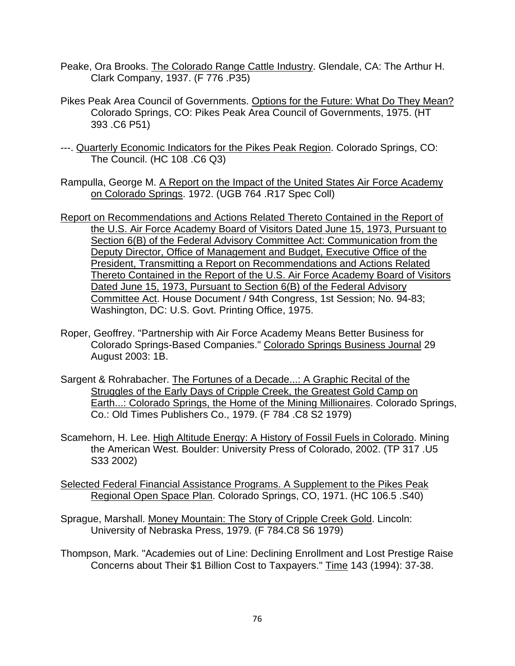- Peake, Ora Brooks. The Colorado Range Cattle Industry. Glendale, CA: The Arthur H. Clark Company, 1937. (F 776 .P35)
- Pikes Peak Area Council of Governments. Options for the Future: What Do They Mean? Colorado Springs, CO: Pikes Peak Area Council of Governments, 1975. (HT 393 .C6 P51)
- ---. Quarterly Economic Indicators for the Pikes Peak Region. Colorado Springs, CO: The Council. (HC 108 .C6 Q3)
- Rampulla, George M. A Report on the Impact of the United States Air Force Academy on Colorado Springs. 1972. (UGB 764 .R17 Spec Coll)
- Report on Recommendations and Actions Related Thereto Contained in the Report of the U.S. Air Force Academy Board of Visitors Dated June 15, 1973, Pursuant to Section 6(B) of the Federal Advisory Committee Act: Communication from the Deputy Director, Office of Management and Budget, Executive Office of the President, Transmitting a Report on Recommendations and Actions Related Thereto Contained in the Report of the U.S. Air Force Academy Board of Visitors Dated June 15, 1973, Pursuant to Section 6(B) of the Federal Advisory Committee Act. House Document / 94th Congress, 1st Session; No. 94-83; Washington, DC: U.S. Govt. Printing Office, 1975.
- Roper, Geoffrey. "Partnership with Air Force Academy Means Better Business for Colorado Springs-Based Companies." Colorado Springs Business Journal 29 August 2003: 1B.
- Sargent & Rohrabacher. The Fortunes of a Decade...: A Graphic Recital of the Struggles of the Early Days of Cripple Creek, the Greatest Gold Camp on Earth...: Colorado Springs, the Home of the Mining Millionaires. Colorado Springs, Co.: Old Times Publishers Co., 1979. (F 784 .C8 S2 1979)
- Scamehorn, H. Lee. High Altitude Energy: A History of Fossil Fuels in Colorado. Mining the American West. Boulder: University Press of Colorado, 2002. (TP 317 .U5 S33 2002)

Selected Federal Financial Assistance Programs. A Supplement to the Pikes Peak Regional Open Space Plan. Colorado Springs, CO, 1971. (HC 106.5 .S40)

- Sprague, Marshall. Money Mountain: The Story of Cripple Creek Gold. Lincoln: University of Nebraska Press, 1979. (F 784.C8 S6 1979)
- Thompson, Mark. "Academies out of Line: Declining Enrollment and Lost Prestige Raise Concerns about Their \$1 Billion Cost to Taxpayers." Time 143 (1994): 37-38.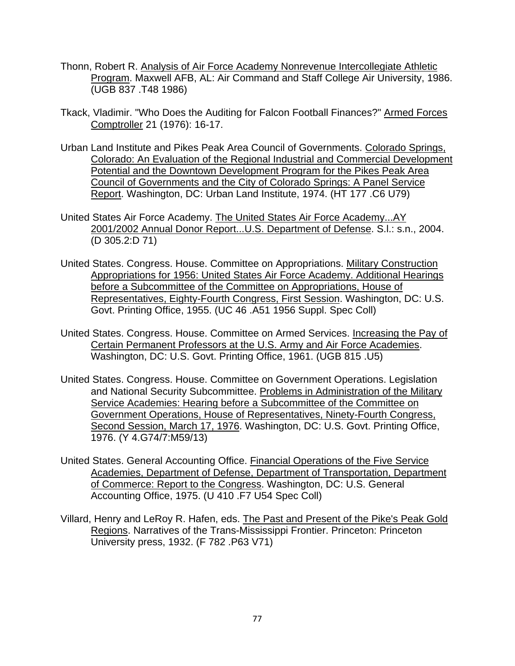- Thonn, Robert R. Analysis of Air Force Academy Nonrevenue Intercollegiate Athletic Program. Maxwell AFB, AL: Air Command and Staff College Air University, 1986. (UGB 837 .T48 1986)
- Tkack, Vladimir. "Who Does the Auditing for Falcon Football Finances?" Armed Forces Comptroller 21 (1976): 16-17.
- Urban Land Institute and Pikes Peak Area Council of Governments. Colorado Springs, Colorado: An Evaluation of the Regional Industrial and Commercial Development Potential and the Downtown Development Program for the Pikes Peak Area Council of Governments and the City of Colorado Springs: A Panel Service Report. Washington, DC: Urban Land Institute, 1974. (HT 177 .C6 U79)
- United States Air Force Academy. The United States Air Force Academy...AY 2001/2002 Annual Donor Report...U.S. Department of Defense. S.l.: s.n., 2004. (D 305.2:D 71)
- United States. Congress. House. Committee on Appropriations. Military Construction Appropriations for 1956: United States Air Force Academy. Additional Hearings before a Subcommittee of the Committee on Appropriations, House of Representatives, Eighty-Fourth Congress, First Session. Washington, DC: U.S. Govt. Printing Office, 1955. (UC 46 .A51 1956 Suppl. Spec Coll)
- United States. Congress. House. Committee on Armed Services. Increasing the Pay of Certain Permanent Professors at the U.S. Army and Air Force Academies. Washington, DC: U.S. Govt. Printing Office, 1961. (UGB 815 .U5)
- United States. Congress. House. Committee on Government Operations. Legislation and National Security Subcommittee. Problems in Administration of the Military Service Academies: Hearing before a Subcommittee of the Committee on Government Operations, House of Representatives, Ninety-Fourth Congress, Second Session, March 17, 1976. Washington, DC: U.S. Govt. Printing Office, 1976. (Y 4.G74/7:M59/13)
- United States. General Accounting Office. Financial Operations of the Five Service Academies, Department of Defense, Department of Transportation, Department of Commerce: Report to the Congress. Washington, DC: U.S. General Accounting Office, 1975. (U 410 .F7 U54 Spec Coll)
- Villard, Henry and LeRoy R. Hafen, eds. The Past and Present of the Pike's Peak Gold Regions. Narratives of the Trans-Mississippi Frontier. Princeton: Princeton University press, 1932. (F 782 .P63 V71)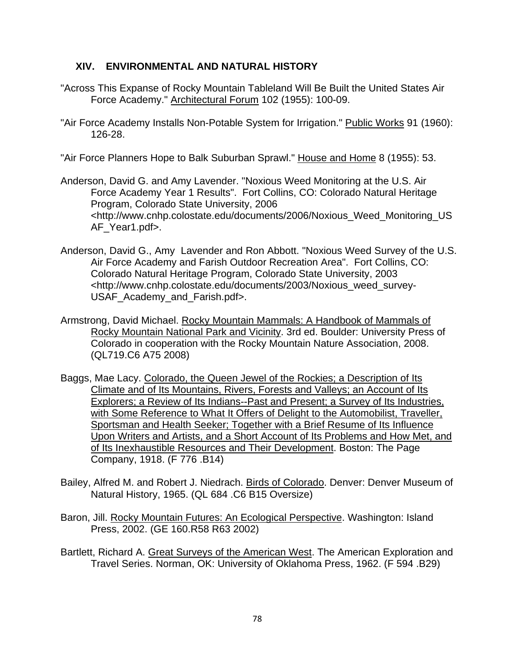### **XIV. ENVIRONMENTAL AND NATURAL HISTORY**

- "Across This Expanse of Rocky Mountain Tableland Will Be Built the United States Air Force Academy." Architectural Forum 102 (1955): 100-09.
- "Air Force Academy Installs Non-Potable System for Irrigation." Public Works 91 (1960): 126-28.

"Air Force Planners Hope to Balk Suburban Sprawl." House and Home 8 (1955): 53.

- Anderson, David G. and Amy Lavender. "Noxious Weed Monitoring at the U.S. Air Force Academy Year 1 Results". Fort Collins, CO: Colorado Natural Heritage Program, Colorado State University, 2006 <http://www.cnhp.colostate.edu/documents/2006/Noxious\_Weed\_Monitoring\_US AF Year1.pdf>.
- Anderson, David G., Amy Lavender and Ron Abbott. "Noxious Weed Survey of the U.S. Air Force Academy and Farish Outdoor Recreation Area". Fort Collins, CO: Colorado Natural Heritage Program, Colorado State University, 2003 <http://www.cnhp.colostate.edu/documents/2003/Noxious\_weed\_survey-USAF Academy and Farish.pdf>.
- Armstrong, David Michael. Rocky Mountain Mammals: A Handbook of Mammals of Rocky Mountain National Park and Vicinity. 3rd ed. Boulder: University Press of Colorado in cooperation with the Rocky Mountain Nature Association, 2008. (QL719.C6 A75 2008)
- Baggs, Mae Lacy. Colorado, the Queen Jewel of the Rockies; a Description of Its Climate and of Its Mountains, Rivers, Forests and Valleys; an Account of Its Explorers; a Review of Its Indians--Past and Present; a Survey of Its Industries, with Some Reference to What It Offers of Delight to the Automobilist, Traveller, Sportsman and Health Seeker; Together with a Brief Resume of Its Influence Upon Writers and Artists, and a Short Account of Its Problems and How Met, and of Its Inexhaustible Resources and Their Development. Boston: The Page Company, 1918. (F 776 .B14)
- Bailey, Alfred M. and Robert J. Niedrach. Birds of Colorado. Denver: Denver Museum of Natural History, 1965. (QL 684 .C6 B15 Oversize)
- Baron, Jill. Rocky Mountain Futures: An Ecological Perspective. Washington: Island Press, 2002. (GE 160.R58 R63 2002)
- Bartlett, Richard A. Great Surveys of the American West. The American Exploration and Travel Series. Norman, OK: University of Oklahoma Press, 1962. (F 594 .B29)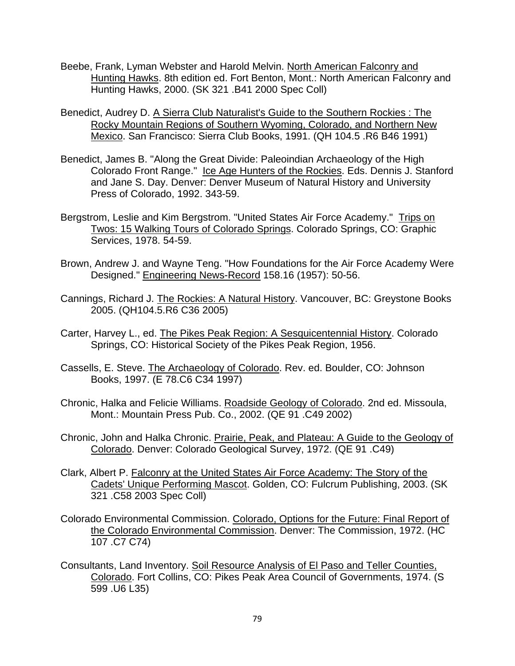- Beebe, Frank, Lyman Webster and Harold Melvin. North American Falconry and Hunting Hawks. 8th edition ed. Fort Benton, Mont.: North American Falconry and Hunting Hawks, 2000. (SK 321 .B41 2000 Spec Coll)
- Benedict, Audrey D. A Sierra Club Naturalist's Guide to the Southern Rockies : The Rocky Mountain Regions of Southern Wyoming, Colorado, and Northern New Mexico. San Francisco: Sierra Club Books, 1991. (QH 104.5 .R6 B46 1991)
- Benedict, James B. "Along the Great Divide: Paleoindian Archaeology of the High Colorado Front Range." Ice Age Hunters of the Rockies. Eds. Dennis J. Stanford and Jane S. Day. Denver: Denver Museum of Natural History and University Press of Colorado, 1992. 343-59.
- Bergstrom, Leslie and Kim Bergstrom. "United States Air Force Academy." Trips on Twos: 15 Walking Tours of Colorado Springs. Colorado Springs, CO: Graphic Services, 1978. 54-59.
- Brown, Andrew J. and Wayne Teng. "How Foundations for the Air Force Academy Were Designed." Engineering News-Record 158.16 (1957): 50-56.
- Cannings, Richard J. The Rockies: A Natural History. Vancouver, BC: Greystone Books 2005. (QH104.5.R6 C36 2005)
- Carter, Harvey L., ed. The Pikes Peak Region: A Sesquicentennial History. Colorado Springs, CO: Historical Society of the Pikes Peak Region, 1956.
- Cassells, E. Steve. The Archaeology of Colorado. Rev. ed. Boulder, CO: Johnson Books, 1997. (E 78.C6 C34 1997)
- Chronic, Halka and Felicie Williams. Roadside Geology of Colorado. 2nd ed. Missoula, Mont.: Mountain Press Pub. Co., 2002. (QE 91 .C49 2002)
- Chronic, John and Halka Chronic. Prairie, Peak, and Plateau: A Guide to the Geology of Colorado. Denver: Colorado Geological Survey, 1972. (QE 91 .C49)
- Clark, Albert P. Falconry at the United States Air Force Academy: The Story of the Cadets' Unique Performing Mascot. Golden, CO: Fulcrum Publishing, 2003. (SK 321 .C58 2003 Spec Coll)
- Colorado Environmental Commission. Colorado, Options for the Future: Final Report of the Colorado Environmental Commission. Denver: The Commission, 1972. (HC 107 .C7 C74)
- Consultants, Land Inventory. Soil Resource Analysis of El Paso and Teller Counties, Colorado. Fort Collins, CO: Pikes Peak Area Council of Governments, 1974. (S 599 .U6 L35)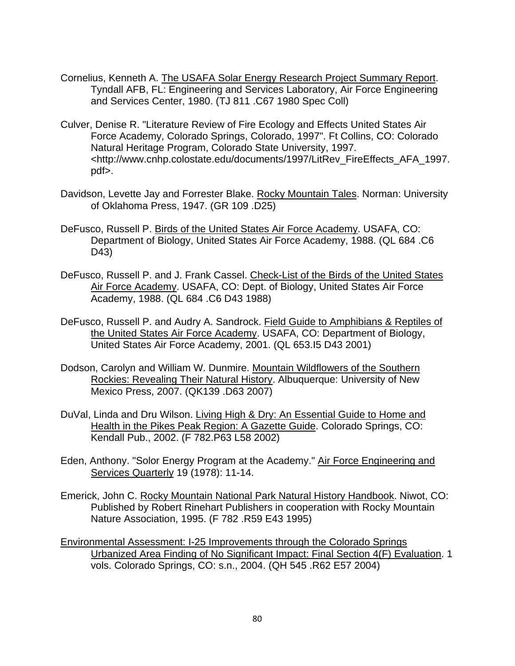- Cornelius, Kenneth A. The USAFA Solar Energy Research Project Summary Report. Tyndall AFB, FL: Engineering and Services Laboratory, Air Force Engineering and Services Center, 1980. (TJ 811 .C67 1980 Spec Coll)
- Culver, Denise R. "Literature Review of Fire Ecology and Effects United States Air Force Academy, Colorado Springs, Colorado, 1997". Ft Collins, CO: Colorado Natural Heritage Program, Colorado State University, 1997. <http://www.cnhp.colostate.edu/documents/1997/LitRev\_FireEffects\_AFA\_1997. pdf>.
- Davidson, Levette Jay and Forrester Blake. Rocky Mountain Tales. Norman: University of Oklahoma Press, 1947. (GR 109 .D25)
- DeFusco, Russell P. Birds of the United States Air Force Academy. USAFA, CO: Department of Biology, United States Air Force Academy, 1988. (QL 684 .C6 D43)
- DeFusco, Russell P. and J. Frank Cassel. Check-List of the Birds of the United States Air Force Academy. USAFA, CO: Dept. of Biology, United States Air Force Academy, 1988. (QL 684 .C6 D43 1988)
- DeFusco, Russell P. and Audry A. Sandrock. Field Guide to Amphibians & Reptiles of the United States Air Force Academy. USAFA, CO: Department of Biology, United States Air Force Academy, 2001. (QL 653.I5 D43 2001)
- Dodson, Carolyn and William W. Dunmire. Mountain Wildflowers of the Southern Rockies: Revealing Their Natural History. Albuquerque: University of New Mexico Press, 2007. (QK139 .D63 2007)
- DuVal, Linda and Dru Wilson. Living High & Dry: An Essential Guide to Home and Health in the Pikes Peak Region: A Gazette Guide. Colorado Springs, CO: Kendall Pub., 2002. (F 782.P63 L58 2002)
- Eden, Anthony. "Solor Energy Program at the Academy." Air Force Engineering and Services Quarterly 19 (1978): 11-14.
- Emerick, John C. Rocky Mountain National Park Natural History Handbook. Niwot, CO: Published by Robert Rinehart Publishers in cooperation with Rocky Mountain Nature Association, 1995. (F 782 .R59 E43 1995)
- Environmental Assessment: I-25 Improvements through the Colorado Springs Urbanized Area Finding of No Significant Impact: Final Section 4(F) Evaluation. 1 vols. Colorado Springs, CO: s.n., 2004. (QH 545 .R62 E57 2004)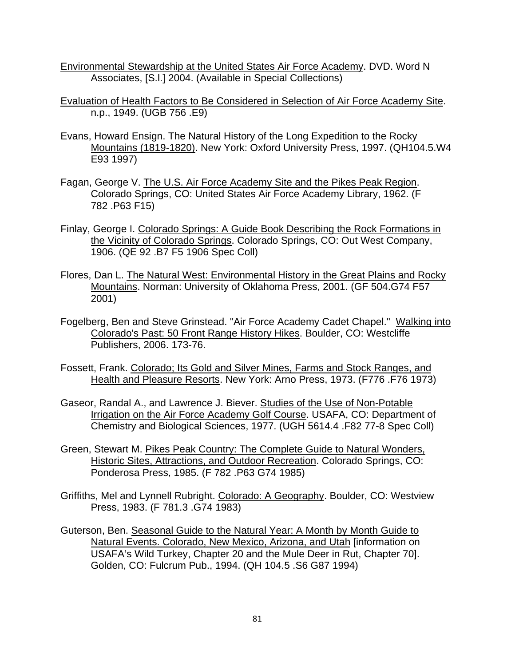- Environmental Stewardship at the United States Air Force Academy. DVD. Word N Associates, [S.l.] 2004. (Available in Special Collections)
- Evaluation of Health Factors to Be Considered in Selection of Air Force Academy Site. n.p., 1949. (UGB 756 .E9)
- Evans, Howard Ensign. The Natural History of the Long Expedition to the Rocky Mountains (1819-1820). New York: Oxford University Press, 1997. (QH104.5.W4 E93 1997)
- Fagan, George V. The U.S. Air Force Academy Site and the Pikes Peak Region. Colorado Springs, CO: United States Air Force Academy Library, 1962. (F 782 .P63 F15)
- Finlay, George I. Colorado Springs: A Guide Book Describing the Rock Formations in the Vicinity of Colorado Springs. Colorado Springs, CO: Out West Company, 1906. (QE 92 .B7 F5 1906 Spec Coll)
- Flores, Dan L. The Natural West: Environmental History in the Great Plains and Rocky Mountains. Norman: University of Oklahoma Press, 2001. (GF 504.G74 F57 2001)
- Fogelberg, Ben and Steve Grinstead. "Air Force Academy Cadet Chapel." Walking into Colorado's Past: 50 Front Range History Hikes. Boulder, CO: Westcliffe Publishers, 2006. 173-76.
- Fossett, Frank. Colorado; Its Gold and Silver Mines, Farms and Stock Ranges, and Health and Pleasure Resorts. New York: Arno Press, 1973. (F776 .F76 1973)
- Gaseor, Randal A., and Lawrence J. Biever. Studies of the Use of Non-Potable Irrigation on the Air Force Academy Golf Course. USAFA, CO: Department of Chemistry and Biological Sciences, 1977. (UGH 5614.4 .F82 77-8 Spec Coll)
- Green, Stewart M. Pikes Peak Country: The Complete Guide to Natural Wonders, Historic Sites, Attractions, and Outdoor Recreation. Colorado Springs, CO: Ponderosa Press, 1985. (F 782 .P63 G74 1985)
- Griffiths, Mel and Lynnell Rubright. Colorado: A Geography. Boulder, CO: Westview Press, 1983. (F 781.3 .G74 1983)
- Guterson, Ben. Seasonal Guide to the Natural Year: A Month by Month Guide to Natural Events. Colorado, New Mexico, Arizona, and Utah [information on USAFA's Wild Turkey, Chapter 20 and the Mule Deer in Rut, Chapter 70]. Golden, CO: Fulcrum Pub., 1994. (QH 104.5 .S6 G87 1994)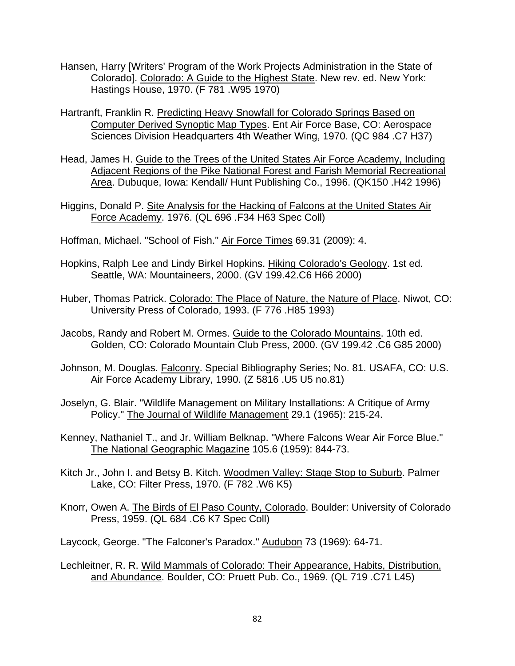- Hansen, Harry [Writers' Program of the Work Projects Administration in the State of Colorado]. Colorado: A Guide to the Highest State. New rev. ed. New York: Hastings House, 1970. (F 781 .W95 1970)
- Hartranft, Franklin R. Predicting Heavy Snowfall for Colorado Springs Based on Computer Derived Synoptic Map Types. Ent Air Force Base, CO: Aerospace Sciences Division Headquarters 4th Weather Wing, 1970. (QC 984 .C7 H37)
- Head, James H. Guide to the Trees of the United States Air Force Academy, Including Adjacent Regions of the Pike National Forest and Farish Memorial Recreational Area. Dubuque, Iowa: Kendall/ Hunt Publishing Co., 1996. (QK150 .H42 1996)
- Higgins, Donald P. Site Analysis for the Hacking of Falcons at the United States Air Force Academy. 1976. (QL 696 .F34 H63 Spec Coll)
- Hoffman, Michael. "School of Fish." Air Force Times 69.31 (2009): 4.
- Hopkins, Ralph Lee and Lindy Birkel Hopkins. Hiking Colorado's Geology. 1st ed. Seattle, WA: Mountaineers, 2000. (GV 199.42.C6 H66 2000)
- Huber, Thomas Patrick. Colorado: The Place of Nature, the Nature of Place. Niwot, CO: University Press of Colorado, 1993. (F 776 .H85 1993)
- Jacobs, Randy and Robert M. Ormes. Guide to the Colorado Mountains. 10th ed. Golden, CO: Colorado Mountain Club Press, 2000. (GV 199.42 .C6 G85 2000)
- Johnson, M. Douglas. Falconry. Special Bibliography Series; No. 81. USAFA, CO: U.S. Air Force Academy Library, 1990. (Z 5816 .U5 U5 no.81)
- Joselyn, G. Blair. "Wildlife Management on Military Installations: A Critique of Army Policy." The Journal of Wildlife Management 29.1 (1965): 215-24.
- Kenney, Nathaniel T., and Jr. William Belknap. "Where Falcons Wear Air Force Blue." The National Geographic Magazine 105.6 (1959): 844-73.
- Kitch Jr., John I. and Betsy B. Kitch. Woodmen Valley: Stage Stop to Suburb. Palmer Lake, CO: Filter Press, 1970. (F 782 .W6 K5)
- Knorr, Owen A. The Birds of El Paso County, Colorado. Boulder: University of Colorado Press, 1959. (QL 684 .C6 K7 Spec Coll)

Laycock, George. "The Falconer's Paradox." Audubon 73 (1969): 64-71.

Lechleitner, R. R. Wild Mammals of Colorado: Their Appearance, Habits, Distribution, and Abundance. Boulder, CO: Pruett Pub. Co., 1969. (QL 719 .C71 L45)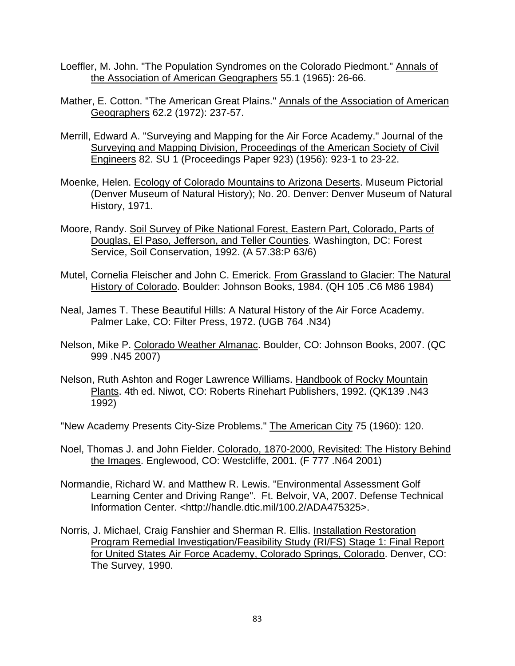- Loeffler, M. John. "The Population Syndromes on the Colorado Piedmont." Annals of the Association of American Geographers 55.1 (1965): 26-66.
- Mather, E. Cotton. "The American Great Plains." Annals of the Association of American Geographers 62.2 (1972): 237-57.
- Merrill, Edward A. "Surveying and Mapping for the Air Force Academy." Journal of the Surveying and Mapping Division, Proceedings of the American Society of Civil Engineers 82. SU 1 (Proceedings Paper 923) (1956): 923-1 to 23-22.
- Moenke, Helen. Ecology of Colorado Mountains to Arizona Deserts. Museum Pictorial (Denver Museum of Natural History); No. 20. Denver: Denver Museum of Natural History, 1971.
- Moore, Randy. Soil Survey of Pike National Forest, Eastern Part, Colorado, Parts of Douglas, El Paso, Jefferson, and Teller Counties. Washington, DC: Forest Service, Soil Conservation, 1992. (A 57.38:P 63/6)
- Mutel, Cornelia Fleischer and John C. Emerick. From Grassland to Glacier: The Natural History of Colorado. Boulder: Johnson Books, 1984. (QH 105 .C6 M86 1984)
- Neal, James T. These Beautiful Hills: A Natural History of the Air Force Academy. Palmer Lake, CO: Filter Press, 1972. (UGB 764 .N34)
- Nelson, Mike P. Colorado Weather Almanac. Boulder, CO: Johnson Books, 2007. (QC 999 .N45 2007)
- Nelson, Ruth Ashton and Roger Lawrence Williams. Handbook of Rocky Mountain Plants. 4th ed. Niwot, CO: Roberts Rinehart Publishers, 1992. (QK139 .N43 1992)
- "New Academy Presents City-Size Problems." The American City 75 (1960): 120.
- Noel, Thomas J. and John Fielder. Colorado, 1870-2000, Revisited: The History Behind the Images. Englewood, CO: Westcliffe, 2001. (F 777 .N64 2001)
- Normandie, Richard W. and Matthew R. Lewis. "Environmental Assessment Golf Learning Center and Driving Range". Ft. Belvoir, VA, 2007. Defense Technical Information Center. <http://handle.dtic.mil/100.2/ADA475325>.
- Norris, J. Michael, Craig Fanshier and Sherman R. Ellis. Installation Restoration Program Remedial Investigation/Feasibility Study (RI/FS) Stage 1: Final Report for United States Air Force Academy, Colorado Springs, Colorado. Denver, CO: The Survey, 1990.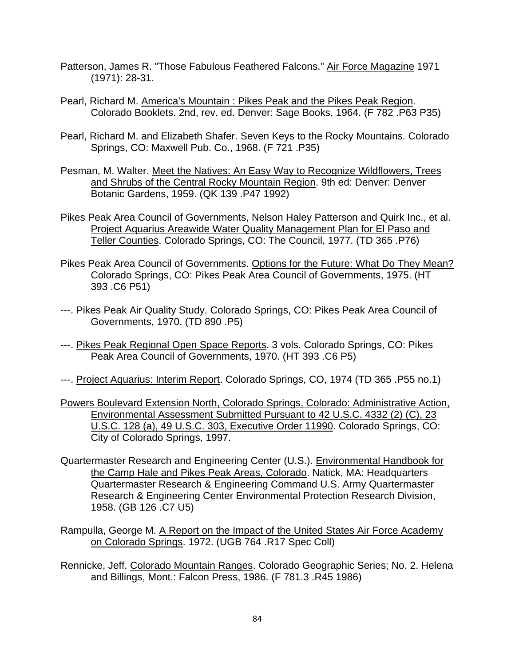- Patterson, James R. "Those Fabulous Feathered Falcons." Air Force Magazine 1971 (1971): 28-31.
- Pearl, Richard M. America's Mountain : Pikes Peak and the Pikes Peak Region. Colorado Booklets. 2nd, rev. ed. Denver: Sage Books, 1964. (F 782 .P63 P35)
- Pearl, Richard M. and Elizabeth Shafer. Seven Keys to the Rocky Mountains. Colorado Springs, CO: Maxwell Pub. Co., 1968. (F 721 .P35)
- Pesman, M. Walter. Meet the Natives: An Easy Way to Recognize Wildflowers, Trees and Shrubs of the Central Rocky Mountain Region. 9th ed: Denver: Denver Botanic Gardens, 1959. (QK 139 .P47 1992)
- Pikes Peak Area Council of Governments, Nelson Haley Patterson and Quirk Inc., et al. Project Aquarius Areawide Water Quality Management Plan for El Paso and Teller Counties. Colorado Springs, CO: The Council, 1977. (TD 365 .P76)
- Pikes Peak Area Council of Governments. Options for the Future: What Do They Mean? Colorado Springs, CO: Pikes Peak Area Council of Governments, 1975. (HT 393 .C6 P51)
- ---. Pikes Peak Air Quality Study. Colorado Springs, CO: Pikes Peak Area Council of Governments, 1970. (TD 890 .P5)
- ---. Pikes Peak Regional Open Space Reports. 3 vols. Colorado Springs, CO: Pikes Peak Area Council of Governments, 1970. (HT 393 .C6 P5)
- ---. Project Aquarius: Interim Report. Colorado Springs, CO, 1974 (TD 365 .P55 no.1)
- Powers Boulevard Extension North, Colorado Springs, Colorado: Administrative Action, Environmental Assessment Submitted Pursuant to 42 U.S.C. 4332 (2) (C), 23 U.S.C. 128 (a), 49 U.S.C. 303, Executive Order 11990. Colorado Springs, CO: City of Colorado Springs, 1997.
- Quartermaster Research and Engineering Center (U.S.). Environmental Handbook for the Camp Hale and Pikes Peak Areas, Colorado. Natick, MA: Headquarters Quartermaster Research & Engineering Command U.S. Army Quartermaster Research & Engineering Center Environmental Protection Research Division, 1958. (GB 126 .C7 U5)
- Rampulla, George M. A Report on the Impact of the United States Air Force Academy on Colorado Springs. 1972. (UGB 764 .R17 Spec Coll)
- Rennicke, Jeff. Colorado Mountain Ranges. Colorado Geographic Series; No. 2. Helena and Billings, Mont.: Falcon Press, 1986. (F 781.3 .R45 1986)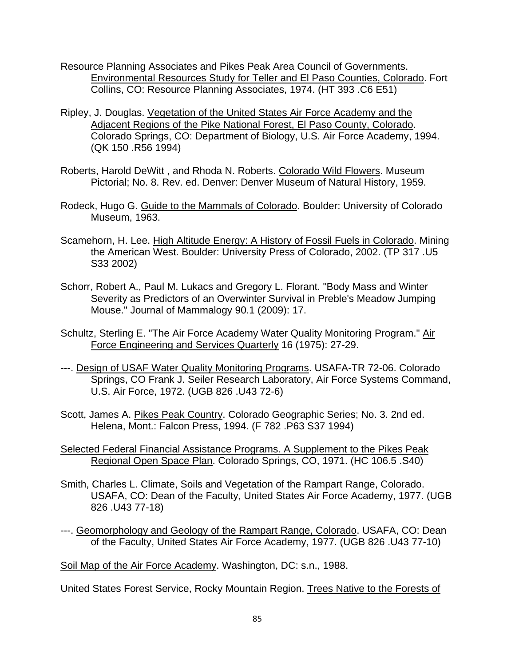- Resource Planning Associates and Pikes Peak Area Council of Governments. Environmental Resources Study for Teller and El Paso Counties, Colorado. Fort Collins, CO: Resource Planning Associates, 1974. (HT 393 .C6 E51)
- Ripley, J. Douglas. Vegetation of the United States Air Force Academy and the Adjacent Regions of the Pike National Forest, El Paso County, Colorado. Colorado Springs, CO: Department of Biology, U.S. Air Force Academy, 1994. (QK 150 .R56 1994)
- Roberts, Harold DeWitt , and Rhoda N. Roberts. Colorado Wild Flowers. Museum Pictorial; No. 8. Rev. ed. Denver: Denver Museum of Natural History, 1959.
- Rodeck, Hugo G. Guide to the Mammals of Colorado. Boulder: University of Colorado Museum, 1963.
- Scamehorn, H. Lee. High Altitude Energy: A History of Fossil Fuels in Colorado. Mining the American West. Boulder: University Press of Colorado, 2002. (TP 317 .U5 S33 2002)
- Schorr, Robert A., Paul M. Lukacs and Gregory L. Florant. "Body Mass and Winter Severity as Predictors of an Overwinter Survival in Preble's Meadow Jumping Mouse." Journal of Mammalogy 90.1 (2009): 17.
- Schultz, Sterling E. "The Air Force Academy Water Quality Monitoring Program." Air Force Engineering and Services Quarterly 16 (1975): 27-29.
- ---. Design of USAF Water Quality Monitoring Programs. USAFA-TR 72-06. Colorado Springs, CO Frank J. Seiler Research Laboratory, Air Force Systems Command, U.S. Air Force, 1972. (UGB 826 .U43 72-6)
- Scott, James A. Pikes Peak Country. Colorado Geographic Series; No. 3. 2nd ed. Helena, Mont.: Falcon Press, 1994. (F 782 .P63 S37 1994)
- Selected Federal Financial Assistance Programs. A Supplement to the Pikes Peak Regional Open Space Plan. Colorado Springs, CO, 1971. (HC 106.5 .S40)
- Smith, Charles L. Climate, Soils and Vegetation of the Rampart Range, Colorado. USAFA, CO: Dean of the Faculty, United States Air Force Academy, 1977. (UGB 826 .U43 77-18)
- ---. Geomorphology and Geology of the Rampart Range, Colorado. USAFA, CO: Dean of the Faculty, United States Air Force Academy, 1977. (UGB 826 .U43 77-10)

Soil Map of the Air Force Academy. Washington, DC: s.n., 1988.

United States Forest Service, Rocky Mountain Region. Trees Native to the Forests of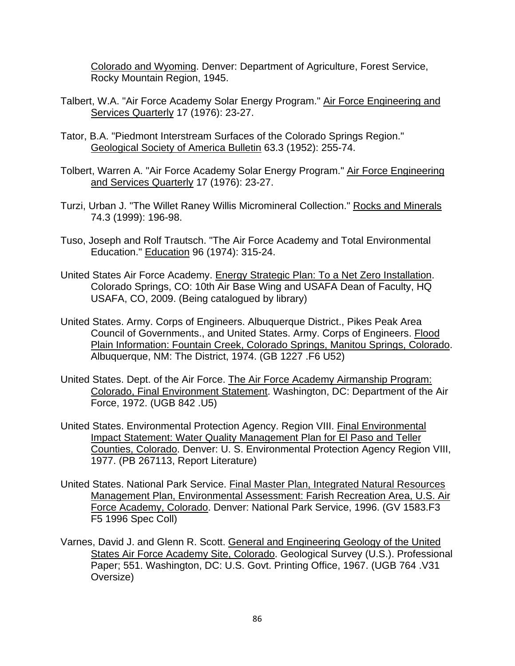Colorado and Wyoming. Denver: Department of Agriculture, Forest Service, Rocky Mountain Region, 1945.

- Talbert, W.A. "Air Force Academy Solar Energy Program." Air Force Engineering and Services Quarterly 17 (1976): 23-27.
- Tator, B.A. "Piedmont Interstream Surfaces of the Colorado Springs Region." Geological Society of America Bulletin 63.3 (1952): 255-74.
- Tolbert, Warren A. "Air Force Academy Solar Energy Program." Air Force Engineering and Services Quarterly 17 (1976): 23-27.
- Turzi, Urban J. "The Willet Raney Willis Micromineral Collection." Rocks and Minerals 74.3 (1999): 196-98.
- Tuso, Joseph and Rolf Trautsch. "The Air Force Academy and Total Environmental Education." Education 96 (1974): 315-24.
- United States Air Force Academy. Energy Strategic Plan: To a Net Zero Installation. Colorado Springs, CO: 10th Air Base Wing and USAFA Dean of Faculty, HQ USAFA, CO, 2009. (Being catalogued by library)
- United States. Army. Corps of Engineers. Albuquerque District., Pikes Peak Area Council of Governments., and United States. Army. Corps of Engineers. Flood Plain Information: Fountain Creek, Colorado Springs, Manitou Springs, Colorado. Albuquerque, NM: The District, 1974. (GB 1227 .F6 U52)
- United States. Dept. of the Air Force. The Air Force Academy Airmanship Program: Colorado, Final Environment Statement. Washington, DC: Department of the Air Force, 1972. (UGB 842 .U5)
- United States. Environmental Protection Agency. Region VIII. Final Environmental Impact Statement: Water Quality Management Plan for El Paso and Teller Counties, Colorado. Denver: U. S. Environmental Protection Agency Region VIII, 1977. (PB 267113, Report Literature)
- United States. National Park Service. Final Master Plan, Integrated Natural Resources Management Plan, Environmental Assessment: Farish Recreation Area, U.S. Air Force Academy, Colorado. Denver: National Park Service, 1996. (GV 1583.F3 F5 1996 Spec Coll)
- Varnes, David J. and Glenn R. Scott. General and Engineering Geology of the United States Air Force Academy Site, Colorado. Geological Survey (U.S.). Professional Paper; 551. Washington, DC: U.S. Govt. Printing Office, 1967. (UGB 764 .V31 Oversize)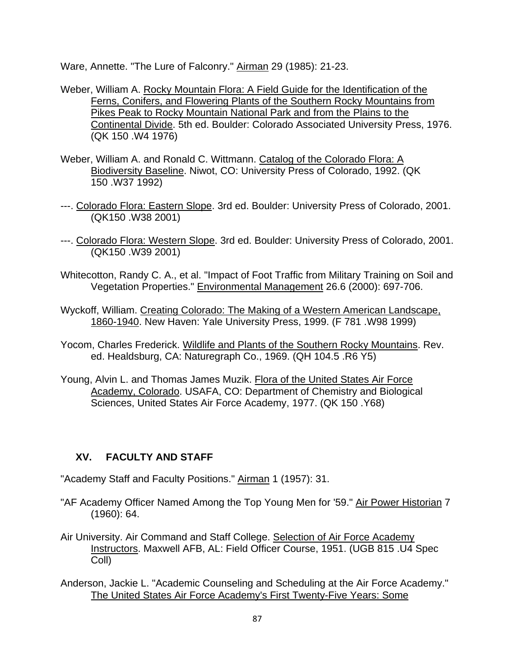Ware, Annette. "The Lure of Falconry." Airman 29 (1985): 21-23.

- Weber, William A. Rocky Mountain Flora: A Field Guide for the Identification of the Ferns, Conifers, and Flowering Plants of the Southern Rocky Mountains from Pikes Peak to Rocky Mountain National Park and from the Plains to the Continental Divide. 5th ed. Boulder: Colorado Associated University Press, 1976. (QK 150 .W4 1976)
- Weber, William A. and Ronald C. Wittmann. Catalog of the Colorado Flora: A Biodiversity Baseline. Niwot, CO: University Press of Colorado, 1992. (QK 150 .W37 1992)
- ---. Colorado Flora: Eastern Slope. 3rd ed. Boulder: University Press of Colorado, 2001. (QK150 .W38 2001)
- ---. Colorado Flora: Western Slope. 3rd ed. Boulder: University Press of Colorado, 2001. (QK150 .W39 2001)
- Whitecotton, Randy C. A., et al. "Impact of Foot Traffic from Military Training on Soil and Vegetation Properties." Environmental Management 26.6 (2000): 697-706.
- Wyckoff, William. Creating Colorado: The Making of a Western American Landscape, 1860-1940. New Haven: Yale University Press, 1999. (F 781 .W98 1999)
- Yocom, Charles Frederick. Wildlife and Plants of the Southern Rocky Mountains. Rev. ed. Healdsburg, CA: Naturegraph Co., 1969. (QH 104.5 .R6 Y5)
- Young, Alvin L. and Thomas James Muzik. Flora of the United States Air Force Academy, Colorado. USAFA, CO: Department of Chemistry and Biological Sciences, United States Air Force Academy, 1977. (QK 150 .Y68)

## **XV. FACULTY AND STAFF**

- "Academy Staff and Faculty Positions." Airman 1 (1957): 31.
- "AF Academy Officer Named Among the Top Young Men for '59." Air Power Historian 7 (1960): 64.
- Air University. Air Command and Staff College. Selection of Air Force Academy Instructors. Maxwell AFB, AL: Field Officer Course, 1951. (UGB 815 .U4 Spec Coll)
- Anderson, Jackie L. "Academic Counseling and Scheduling at the Air Force Academy." The United States Air Force Academy's First Twenty-Five Years: Some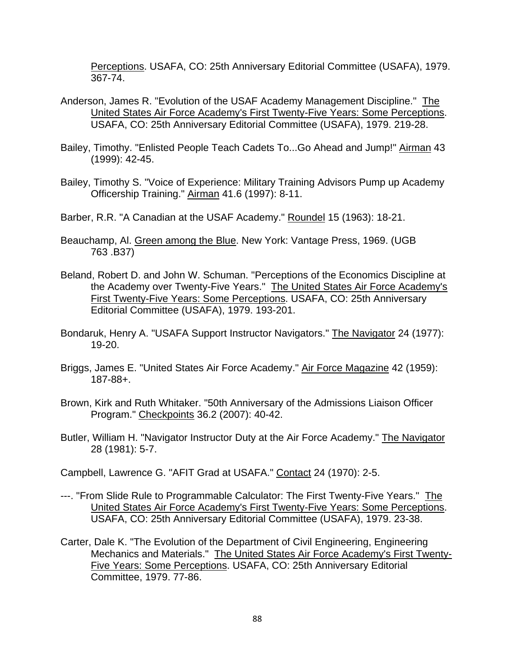Perceptions. USAFA, CO: 25th Anniversary Editorial Committee (USAFA), 1979. 367-74.

- Anderson, James R. "Evolution of the USAF Academy Management Discipline." The United States Air Force Academy's First Twenty-Five Years: Some Perceptions. USAFA, CO: 25th Anniversary Editorial Committee (USAFA), 1979. 219-28.
- Bailey, Timothy. "Enlisted People Teach Cadets To...Go Ahead and Jump!" Airman 43 (1999): 42-45.
- Bailey, Timothy S. "Voice of Experience: Military Training Advisors Pump up Academy Officership Training." Airman 41.6 (1997): 8-11.

Barber, R.R. "A Canadian at the USAF Academy." Roundel 15 (1963): 18-21.

- Beauchamp, Al. Green among the Blue. New York: Vantage Press, 1969. (UGB 763 .B37)
- Beland, Robert D. and John W. Schuman. "Perceptions of the Economics Discipline at the Academy over Twenty-Five Years." The United States Air Force Academy's First Twenty-Five Years: Some Perceptions. USAFA, CO: 25th Anniversary Editorial Committee (USAFA), 1979. 193-201.
- Bondaruk, Henry A. "USAFA Support Instructor Navigators." The Navigator 24 (1977): 19-20.
- Briggs, James E. "United States Air Force Academy." Air Force Magazine 42 (1959): 187-88+.
- Brown, Kirk and Ruth Whitaker. "50th Anniversary of the Admissions Liaison Officer Program." Checkpoints 36.2 (2007): 40-42.
- Butler, William H. "Navigator Instructor Duty at the Air Force Academy." The Navigator 28 (1981): 5-7.

Campbell, Lawrence G. "AFIT Grad at USAFA." Contact 24 (1970): 2-5.

- ---. "From Slide Rule to Programmable Calculator: The First Twenty-Five Years." The United States Air Force Academy's First Twenty-Five Years: Some Perceptions. USAFA, CO: 25th Anniversary Editorial Committee (USAFA), 1979. 23-38.
- Carter, Dale K. "The Evolution of the Department of Civil Engineering, Engineering Mechanics and Materials." The United States Air Force Academy's First Twenty-Five Years: Some Perceptions. USAFA, CO: 25th Anniversary Editorial Committee, 1979. 77-86.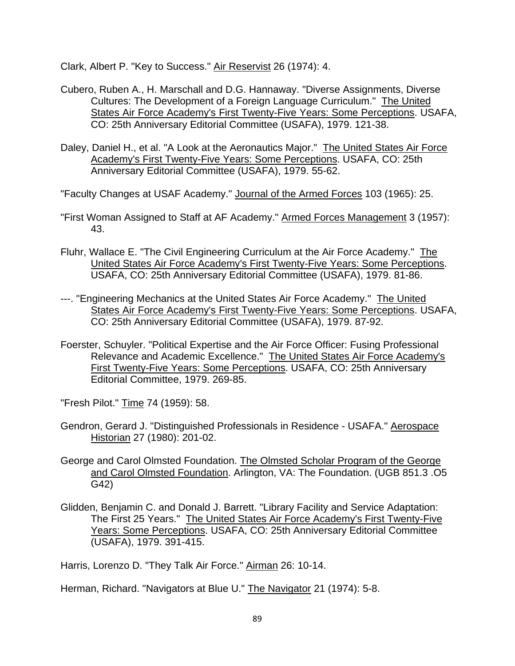Clark, Albert P. "Key to Success." Air Reservist 26 (1974): 4.

- Cubero, Ruben A., H. Marschall and D.G. Hannaway. "Diverse Assignments, Diverse Cultures: The Development of a Foreign Language Curriculum." The United States Air Force Academy's First Twenty-Five Years: Some Perceptions. USAFA, CO: 25th Anniversary Editorial Committee (USAFA), 1979. 121-38.
- Daley, Daniel H., et al. "A Look at the Aeronautics Major." The United States Air Force Academy's First Twenty-Five Years: Some Perceptions. USAFA, CO: 25th Anniversary Editorial Committee (USAFA), 1979. 55-62.

"Faculty Changes at USAF Academy." Journal of the Armed Forces 103 (1965): 25.

- "First Woman Assigned to Staff at AF Academy." Armed Forces Management 3 (1957): 43.
- Fluhr, Wallace E. "The Civil Engineering Curriculum at the Air Force Academy." The United States Air Force Academy's First Twenty-Five Years: Some Perceptions. USAFA, CO: 25th Anniversary Editorial Committee (USAFA), 1979. 81-86.
- ---. "Engineering Mechanics at the United States Air Force Academy." The United States Air Force Academy's First Twenty-Five Years: Some Perceptions. USAFA, CO: 25th Anniversary Editorial Committee (USAFA), 1979. 87-92.
- Foerster, Schuyler. "Political Expertise and the Air Force Officer: Fusing Professional Relevance and Academic Excellence." The United States Air Force Academy's First Twenty-Five Years: Some Perceptions. USAFA, CO: 25th Anniversary Editorial Committee, 1979. 269-85.

"Fresh Pilot." Time 74 (1959): 58.

- Gendron, Gerard J. "Distinguished Professionals in Residence USAFA." Aerospace Historian 27 (1980): 201-02.
- George and Carol Olmsted Foundation. The Olmsted Scholar Program of the George and Carol Olmsted Foundation. Arlington, VA: The Foundation. (UGB 851.3 .O5 G42)
- Glidden, Benjamin C. and Donald J. Barrett. "Library Facility and Service Adaptation: The First 25 Years." The United States Air Force Academy's First Twenty-Five Years: Some Perceptions. USAFA, CO: 25th Anniversary Editorial Committee (USAFA), 1979. 391-415.

Harris, Lorenzo D. "They Talk Air Force." Airman 26: 10-14.

Herman, Richard. "Navigators at Blue U." The Navigator 21 (1974): 5-8.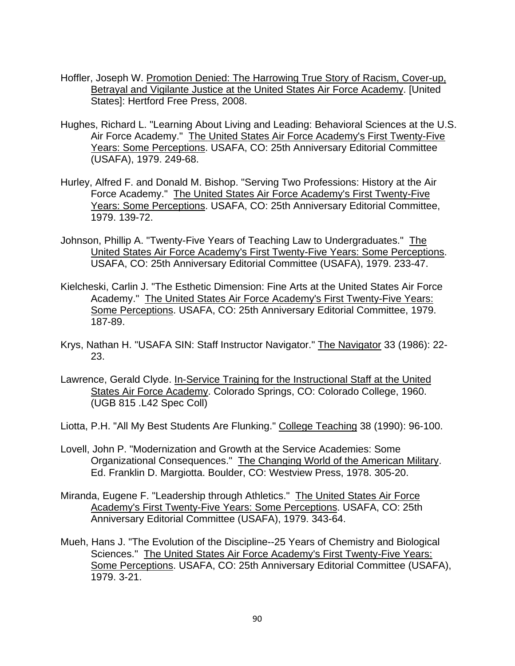- Hoffler, Joseph W. Promotion Denied: The Harrowing True Story of Racism, Cover-up, Betrayal and Vigilante Justice at the United States Air Force Academy. [United States]: Hertford Free Press, 2008.
- Hughes, Richard L. "Learning About Living and Leading: Behavioral Sciences at the U.S. Air Force Academy." The United States Air Force Academy's First Twenty-Five Years: Some Perceptions. USAFA, CO: 25th Anniversary Editorial Committee (USAFA), 1979. 249-68.
- Hurley, Alfred F. and Donald M. Bishop. "Serving Two Professions: History at the Air Force Academy." The United States Air Force Academy's First Twenty-Five Years: Some Perceptions. USAFA, CO: 25th Anniversary Editorial Committee, 1979. 139-72.
- Johnson, Phillip A. "Twenty-Five Years of Teaching Law to Undergraduates." The United States Air Force Academy's First Twenty-Five Years: Some Perceptions. USAFA, CO: 25th Anniversary Editorial Committee (USAFA), 1979. 233-47.
- Kielcheski, Carlin J. "The Esthetic Dimension: Fine Arts at the United States Air Force Academy." The United States Air Force Academy's First Twenty-Five Years: Some Perceptions. USAFA, CO: 25th Anniversary Editorial Committee, 1979. 187-89.
- Krys, Nathan H. "USAFA SIN: Staff Instructor Navigator." The Navigator 33 (1986): 22- 23.
- Lawrence, Gerald Clyde. In-Service Training for the Instructional Staff at the United States Air Force Academy. Colorado Springs, CO: Colorado College, 1960. (UGB 815 .L42 Spec Coll)
- Liotta, P.H. "All My Best Students Are Flunking." College Teaching 38 (1990): 96-100.
- Lovell, John P. "Modernization and Growth at the Service Academies: Some Organizational Consequences." The Changing World of the American Military. Ed. Franklin D. Margiotta. Boulder, CO: Westview Press, 1978. 305-20.
- Miranda, Eugene F. "Leadership through Athletics." The United States Air Force Academy's First Twenty-Five Years: Some Perceptions. USAFA, CO: 25th Anniversary Editorial Committee (USAFA), 1979. 343-64.
- Mueh, Hans J. "The Evolution of the Discipline--25 Years of Chemistry and Biological Sciences." The United States Air Force Academy's First Twenty-Five Years: Some Perceptions. USAFA, CO: 25th Anniversary Editorial Committee (USAFA), 1979. 3-21.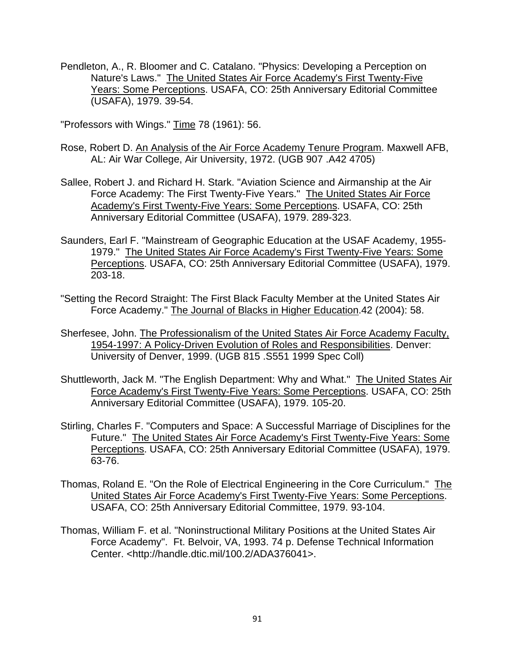Pendleton, A., R. Bloomer and C. Catalano. "Physics: Developing a Perception on Nature's Laws." The United States Air Force Academy's First Twenty-Five Years: Some Perceptions. USAFA, CO: 25th Anniversary Editorial Committee (USAFA), 1979. 39-54.

"Professors with Wings." Time 78 (1961): 56.

- Rose, Robert D. An Analysis of the Air Force Academy Tenure Program. Maxwell AFB, AL: Air War College, Air University, 1972. (UGB 907 .A42 4705)
- Sallee, Robert J. and Richard H. Stark. "Aviation Science and Airmanship at the Air Force Academy: The First Twenty-Five Years." The United States Air Force Academy's First Twenty-Five Years: Some Perceptions. USAFA, CO: 25th Anniversary Editorial Committee (USAFA), 1979. 289-323.
- Saunders, Earl F. "Mainstream of Geographic Education at the USAF Academy, 1955- 1979." The United States Air Force Academy's First Twenty-Five Years: Some Perceptions. USAFA, CO: 25th Anniversary Editorial Committee (USAFA), 1979. 203-18.
- "Setting the Record Straight: The First Black Faculty Member at the United States Air Force Academy." The Journal of Blacks in Higher Education.42 (2004): 58.
- Sherfesee, John. The Professionalism of the United States Air Force Academy Faculty, 1954-1997: A Policy-Driven Evolution of Roles and Responsibilities. Denver: University of Denver, 1999. (UGB 815 .S551 1999 Spec Coll)
- Shuttleworth, Jack M. "The English Department: Why and What." The United States Air Force Academy's First Twenty-Five Years: Some Perceptions. USAFA, CO: 25th Anniversary Editorial Committee (USAFA), 1979. 105-20.
- Stirling, Charles F. "Computers and Space: A Successful Marriage of Disciplines for the Future." The United States Air Force Academy's First Twenty-Five Years: Some Perceptions. USAFA, CO: 25th Anniversary Editorial Committee (USAFA), 1979. 63-76.
- Thomas, Roland E. "On the Role of Electrical Engineering in the Core Curriculum." The United States Air Force Academy's First Twenty-Five Years: Some Perceptions. USAFA, CO: 25th Anniversary Editorial Committee, 1979. 93-104.
- Thomas, William F. et al. "Noninstructional Military Positions at the United States Air Force Academy". Ft. Belvoir, VA, 1993. 74 p. Defense Technical Information Center. <http://handle.dtic.mil/100.2/ADA376041>.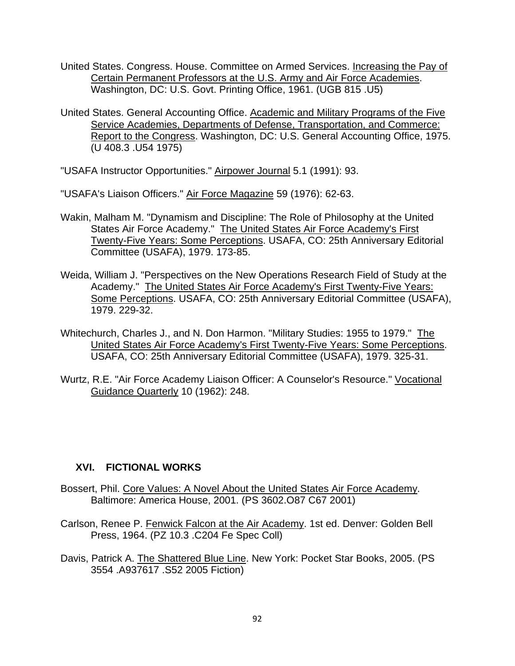- United States. Congress. House. Committee on Armed Services. Increasing the Pay of Certain Permanent Professors at the U.S. Army and Air Force Academies. Washington, DC: U.S. Govt. Printing Office, 1961. (UGB 815 .U5)
- United States. General Accounting Office. Academic and Military Programs of the Five Service Academies, Departments of Defense, Transportation, and Commerce: Report to the Congress. Washington, DC: U.S. General Accounting Office, 1975. (U 408.3 .U54 1975)

"USAFA Instructor Opportunities." Airpower Journal 5.1 (1991): 93.

"USAFA's Liaison Officers." Air Force Magazine 59 (1976): 62-63.

- Wakin, Malham M. "Dynamism and Discipline: The Role of Philosophy at the United States Air Force Academy." The United States Air Force Academy's First Twenty-Five Years: Some Perceptions. USAFA, CO: 25th Anniversary Editorial Committee (USAFA), 1979. 173-85.
- Weida, William J. "Perspectives on the New Operations Research Field of Study at the Academy." The United States Air Force Academy's First Twenty-Five Years: Some Perceptions. USAFA, CO: 25th Anniversary Editorial Committee (USAFA), 1979. 229-32.
- Whitechurch, Charles J., and N. Don Harmon. "Military Studies: 1955 to 1979." The United States Air Force Academy's First Twenty-Five Years: Some Perceptions. USAFA, CO: 25th Anniversary Editorial Committee (USAFA), 1979. 325-31.
- Wurtz, R.E. "Air Force Academy Liaison Officer: A Counselor's Resource." Vocational Guidance Quarterly 10 (1962): 248.

#### **XVI. FICTIONAL WORKS**

- Bossert, Phil. Core Values: A Novel About the United States Air Force Academy. Baltimore: America House, 2001. (PS 3602.O87 C67 2001)
- Carlson, Renee P. Fenwick Falcon at the Air Academy. 1st ed. Denver: Golden Bell Press, 1964. (PZ 10.3 .C204 Fe Spec Coll)
- Davis, Patrick A. The Shattered Blue Line. New York: Pocket Star Books, 2005. (PS 3554 .A937617 .S52 2005 Fiction)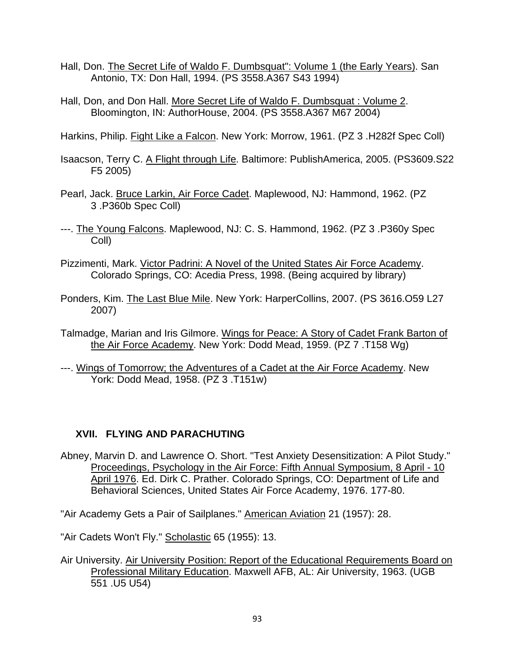- Hall, Don. The Secret Life of Waldo F. Dumbsquat": Volume 1 (the Early Years). San Antonio, TX: Don Hall, 1994. (PS 3558.A367 S43 1994)
- Hall, Don, and Don Hall. More Secret Life of Waldo F. Dumbsquat: Volume 2. Bloomington, IN: AuthorHouse, 2004. (PS 3558.A367 M67 2004)

Harkins, Philip. Fight Like a Falcon. New York: Morrow, 1961. (PZ 3 .H282f Spec Coll)

- Isaacson, Terry C. A Flight through Life. Baltimore: PublishAmerica, 2005. (PS3609.S22 F5 2005)
- Pearl, Jack. Bruce Larkin, Air Force Cadet. Maplewood, NJ: Hammond, 1962. (PZ 3 .P360b Spec Coll)
- ---. The Young Falcons. Maplewood, NJ: C. S. Hammond, 1962. (PZ 3 .P360y Spec Coll)
- Pizzimenti, Mark. Victor Padrini: A Novel of the United States Air Force Academy. Colorado Springs, CO: Acedia Press, 1998. (Being acquired by library)
- Ponders, Kim. The Last Blue Mile. New York: HarperCollins, 2007. (PS 3616.O59 L27 2007)
- Talmadge, Marian and Iris Gilmore. Wings for Peace: A Story of Cadet Frank Barton of the Air Force Academy. New York: Dodd Mead, 1959. (PZ 7 .T158 Wg)
- ---. Wings of Tomorrow; the Adventures of a Cadet at the Air Force Academy. New York: Dodd Mead, 1958. (PZ 3 .T151w)

# **XVII. FLYING AND PARACHUTING**

Abney, Marvin D. and Lawrence O. Short. "Test Anxiety Desensitization: A Pilot Study." Proceedings, Psychology in the Air Force: Fifth Annual Symposium, 8 April - 10 April 1976. Ed. Dirk C. Prather. Colorado Springs, CO: Department of Life and Behavioral Sciences, United States Air Force Academy, 1976. 177-80.

"Air Academy Gets a Pair of Sailplanes." American Aviation 21 (1957): 28.

"Air Cadets Won't Fly." Scholastic 65 (1955): 13.

Air University. Air University Position: Report of the Educational Requirements Board on Professional Military Education. Maxwell AFB, AL: Air University, 1963. (UGB 551 .U5 U54)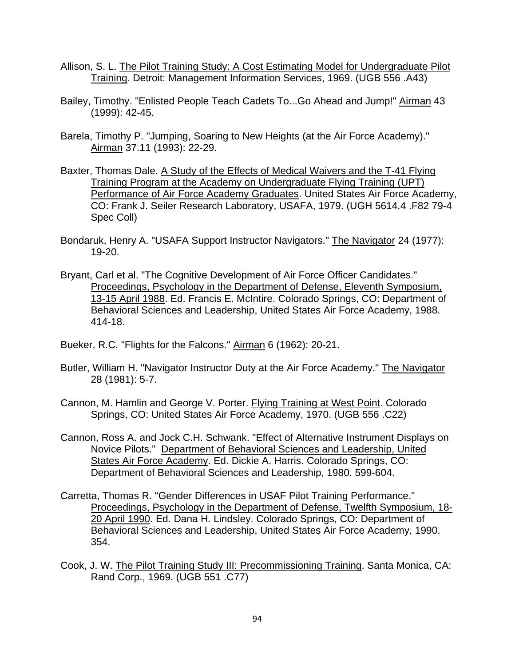- Allison, S. L. The Pilot Training Study: A Cost Estimating Model for Undergraduate Pilot Training. Detroit: Management Information Services, 1969. (UGB 556 .A43)
- Bailey, Timothy. "Enlisted People Teach Cadets To...Go Ahead and Jump!" Airman 43 (1999): 42-45.
- Barela, Timothy P. "Jumping, Soaring to New Heights (at the Air Force Academy)." Airman 37.11 (1993): 22-29.
- Baxter, Thomas Dale. A Study of the Effects of Medical Waivers and the T-41 Flying Training Program at the Academy on Undergraduate Flying Training (UPT) Performance of Air Force Academy Graduates. United States Air Force Academy, CO: Frank J. Seiler Research Laboratory, USAFA, 1979. (UGH 5614.4 .F82 79-4 Spec Coll)
- Bondaruk, Henry A. "USAFA Support Instructor Navigators." The Navigator 24 (1977): 19-20.
- Bryant, Carl et al. "The Cognitive Development of Air Force Officer Candidates." Proceedings, Psychology in the Department of Defense, Eleventh Symposium, 13-15 April 1988. Ed. Francis E. McIntire. Colorado Springs, CO: Department of Behavioral Sciences and Leadership, United States Air Force Academy, 1988. 414-18.
- Bueker, R.C. "Flights for the Falcons." Airman 6 (1962): 20-21.
- Butler, William H. "Navigator Instructor Duty at the Air Force Academy." The Navigator 28 (1981): 5-7.
- Cannon, M. Hamlin and George V. Porter. Flying Training at West Point. Colorado Springs, CO: United States Air Force Academy, 1970. (UGB 556 .C22)
- Cannon, Ross A. and Jock C.H. Schwank. "Effect of Alternative Instrument Displays on Novice Pilots." Department of Behavioral Sciences and Leadership, United States Air Force Academy. Ed. Dickie A. Harris. Colorado Springs, CO: Department of Behavioral Sciences and Leadership, 1980. 599-604.
- Carretta, Thomas R. "Gender Differences in USAF Pilot Training Performance." Proceedings, Psychology in the Department of Defense, Twelfth Symposium, 18- 20 April 1990. Ed. Dana H. Lindsley. Colorado Springs, CO: Department of Behavioral Sciences and Leadership, United States Air Force Academy, 1990. 354.
- Cook, J. W. The Pilot Training Study III: Precommissioning Training. Santa Monica, CA: Rand Corp., 1969. (UGB 551 .C77)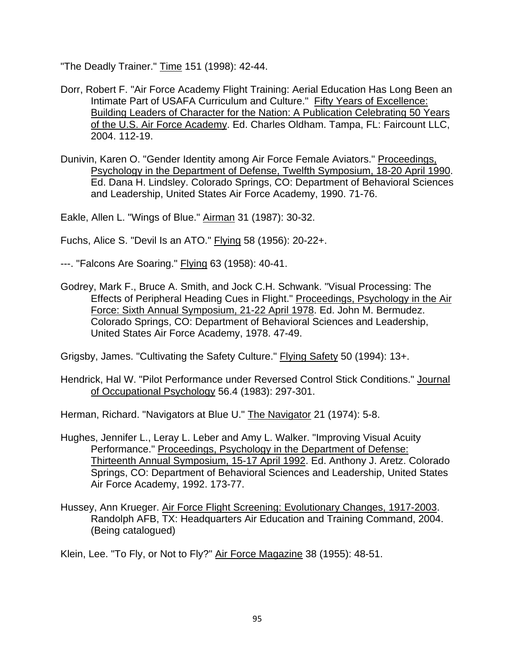"The Deadly Trainer." Time 151 (1998): 42-44.

- Dorr, Robert F. "Air Force Academy Flight Training: Aerial Education Has Long Been an Intimate Part of USAFA Curriculum and Culture." Fifty Years of Excellence: Building Leaders of Character for the Nation: A Publication Celebrating 50 Years of the U.S. Air Force Academy. Ed. Charles Oldham. Tampa, FL: Faircount LLC, 2004. 112-19.
- Dunivin, Karen O. "Gender Identity among Air Force Female Aviators." Proceedings, Psychology in the Department of Defense, Twelfth Symposium, 18-20 April 1990. Ed. Dana H. Lindsley. Colorado Springs, CO: Department of Behavioral Sciences and Leadership, United States Air Force Academy, 1990. 71-76.

Eakle, Allen L. "Wings of Blue." Airman 31 (1987): 30-32.

Fuchs, Alice S. "Devil Is an ATO." Flying 58 (1956): 20-22+.

- ---. "Falcons Are Soaring." **Flying 63 (1958): 40-41.**
- Godrey, Mark F., Bruce A. Smith, and Jock C.H. Schwank. "Visual Processing: The Effects of Peripheral Heading Cues in Flight." Proceedings, Psychology in the Air Force: Sixth Annual Symposium, 21-22 April 1978. Ed. John M. Bermudez. Colorado Springs, CO: Department of Behavioral Sciences and Leadership, United States Air Force Academy, 1978. 47-49.

Grigsby, James. "Cultivating the Safety Culture." Flying Safety 50 (1994): 13+.

Hendrick, Hal W. "Pilot Performance under Reversed Control Stick Conditions." Journal of Occupational Psychology 56.4 (1983): 297-301.

Herman, Richard. "Navigators at Blue U." The Navigator 21 (1974): 5-8.

- Hughes, Jennifer L., Leray L. Leber and Amy L. Walker. "Improving Visual Acuity Performance." Proceedings, Psychology in the Department of Defense: Thirteenth Annual Symposium, 15-17 April 1992. Ed. Anthony J. Aretz. Colorado Springs, CO: Department of Behavioral Sciences and Leadership, United States Air Force Academy, 1992. 173-77.
- Hussey, Ann Krueger. Air Force Flight Screening: Evolutionary Changes, 1917-2003. Randolph AFB, TX: Headquarters Air Education and Training Command, 2004. (Being catalogued)

Klein, Lee. "To Fly, or Not to Fly?" Air Force Magazine 38 (1955): 48-51.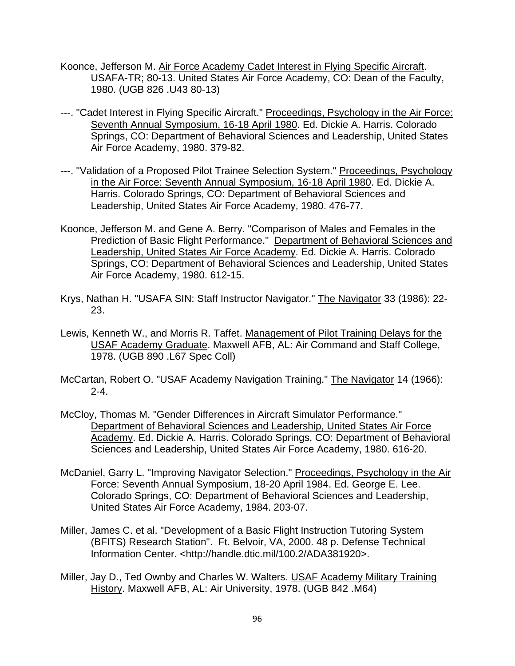- Koonce, Jefferson M. Air Force Academy Cadet Interest in Flying Specific Aircraft. USAFA-TR; 80-13. United States Air Force Academy, CO: Dean of the Faculty, 1980. (UGB 826 .U43 80-13)
- ---. "Cadet Interest in Flying Specific Aircraft." Proceedings, Psychology in the Air Force: Seventh Annual Symposium, 16-18 April 1980. Ed. Dickie A. Harris. Colorado Springs, CO: Department of Behavioral Sciences and Leadership, United States Air Force Academy, 1980. 379-82.
- ---. "Validation of a Proposed Pilot Trainee Selection System." Proceedings, Psychology in the Air Force: Seventh Annual Symposium, 16-18 April 1980. Ed. Dickie A. Harris. Colorado Springs, CO: Department of Behavioral Sciences and Leadership, United States Air Force Academy, 1980. 476-77.
- Koonce, Jefferson M. and Gene A. Berry. "Comparison of Males and Females in the Prediction of Basic Flight Performance." Department of Behavioral Sciences and Leadership, United States Air Force Academy. Ed. Dickie A. Harris. Colorado Springs, CO: Department of Behavioral Sciences and Leadership, United States Air Force Academy, 1980. 612-15.
- Krys, Nathan H. "USAFA SIN: Staff Instructor Navigator." The Navigator 33 (1986): 22- 23.
- Lewis, Kenneth W., and Morris R. Taffet. Management of Pilot Training Delays for the USAF Academy Graduate. Maxwell AFB, AL: Air Command and Staff College, 1978. (UGB 890 .L67 Spec Coll)
- McCartan, Robert O. "USAF Academy Navigation Training." The Navigator 14 (1966):  $2 - 4.$
- McCloy, Thomas M. "Gender Differences in Aircraft Simulator Performance." Department of Behavioral Sciences and Leadership, United States Air Force Academy. Ed. Dickie A. Harris. Colorado Springs, CO: Department of Behavioral Sciences and Leadership, United States Air Force Academy, 1980. 616-20.
- McDaniel, Garry L. "Improving Navigator Selection." Proceedings, Psychology in the Air Force: Seventh Annual Symposium, 18-20 April 1984. Ed. George E. Lee. Colorado Springs, CO: Department of Behavioral Sciences and Leadership, United States Air Force Academy, 1984. 203-07.
- Miller, James C. et al. "Development of a Basic Flight Instruction Tutoring System (BFITS) Research Station". Ft. Belvoir, VA, 2000. 48 p. Defense Technical Information Center. <http://handle.dtic.mil/100.2/ADA381920>.
- Miller, Jay D., Ted Ownby and Charles W. Walters. USAF Academy Military Training History. Maxwell AFB, AL: Air University, 1978. (UGB 842 .M64)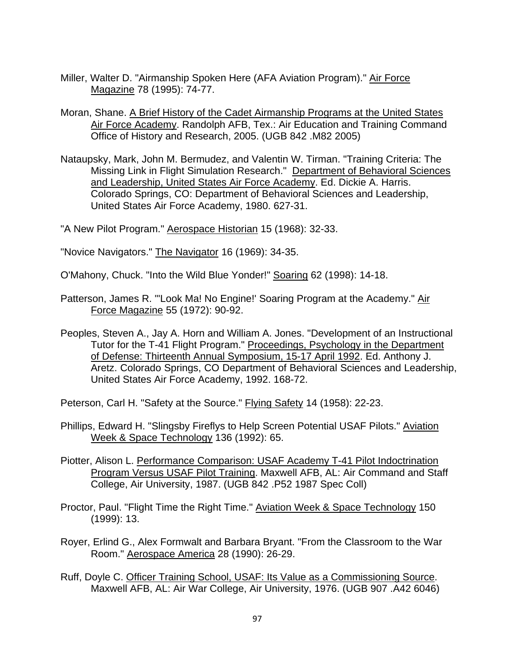- Miller, Walter D. "Airmanship Spoken Here (AFA Aviation Program)." Air Force Magazine 78 (1995): 74-77.
- Moran, Shane. A Brief History of the Cadet Airmanship Programs at the United States Air Force Academy. Randolph AFB, Tex.: Air Education and Training Command Office of History and Research, 2005. (UGB 842 .M82 2005)
- Nataupsky, Mark, John M. Bermudez, and Valentin W. Tirman. "Training Criteria: The Missing Link in Flight Simulation Research." Department of Behavioral Sciences and Leadership, United States Air Force Academy. Ed. Dickie A. Harris. Colorado Springs, CO: Department of Behavioral Sciences and Leadership, United States Air Force Academy, 1980. 627-31.

"A New Pilot Program." Aerospace Historian 15 (1968): 32-33.

"Novice Navigators." The Navigator 16 (1969): 34-35.

O'Mahony, Chuck. "Into the Wild Blue Yonder!" Soaring 62 (1998): 14-18.

- Patterson, James R. "'Look Ma! No Engine!' Soaring Program at the Academy." Air Force Magazine 55 (1972): 90-92.
- Peoples, Steven A., Jay A. Horn and William A. Jones. "Development of an Instructional Tutor for the T-41 Flight Program." Proceedings, Psychology in the Department of Defense: Thirteenth Annual Symposium, 15-17 April 1992. Ed. Anthony J. Aretz. Colorado Springs, CO Department of Behavioral Sciences and Leadership, United States Air Force Academy, 1992. 168-72.

Peterson, Carl H. "Safety at the Source." Flying Safety 14 (1958): 22-23.

- Phillips, Edward H. "Slingsby Fireflys to Help Screen Potential USAF Pilots." Aviation Week & Space Technology 136 (1992): 65.
- Piotter, Alison L. Performance Comparison: USAF Academy T-41 Pilot Indoctrination Program Versus USAF Pilot Training. Maxwell AFB, AL: Air Command and Staff College, Air University, 1987. (UGB 842 .P52 1987 Spec Coll)
- Proctor, Paul. "Flight Time the Right Time." Aviation Week & Space Technology 150 (1999): 13.
- Royer, Erlind G., Alex Formwalt and Barbara Bryant. "From the Classroom to the War Room." Aerospace America 28 (1990): 26-29.
- Ruff, Doyle C. Officer Training School, USAF: Its Value as a Commissioning Source. Maxwell AFB, AL: Air War College, Air University, 1976. (UGB 907 .A42 6046)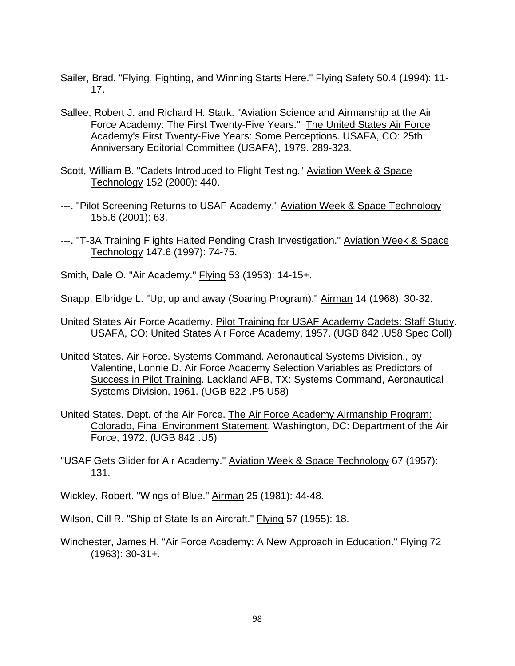- Sailer, Brad. "Flying, Fighting, and Winning Starts Here." Flying Safety 50.4 (1994): 11-17.
- Sallee, Robert J. and Richard H. Stark. "Aviation Science and Airmanship at the Air Force Academy: The First Twenty-Five Years." The United States Air Force Academy's First Twenty-Five Years: Some Perceptions. USAFA, CO: 25th Anniversary Editorial Committee (USAFA), 1979. 289-323.
- Scott, William B. "Cadets Introduced to Flight Testing." Aviation Week & Space Technology 152 (2000): 440.
- ---. "Pilot Screening Returns to USAF Academy." Aviation Week & Space Technology 155.6 (2001): 63.
- ---. "T-3A Training Flights Halted Pending Crash Investigation." Aviation Week & Space Technology 147.6 (1997): 74-75.
- Smith, Dale O. "Air Academy." Flying 53 (1953): 14-15+.
- Snapp, Elbridge L. "Up, up and away (Soaring Program)." Airman 14 (1968): 30-32.
- United States Air Force Academy. Pilot Training for USAF Academy Cadets: Staff Study. USAFA, CO: United States Air Force Academy, 1957. (UGB 842 .U58 Spec Coll)
- United States. Air Force. Systems Command. Aeronautical Systems Division., by Valentine, Lonnie D. Air Force Academy Selection Variables as Predictors of Success in Pilot Training. Lackland AFB, TX: Systems Command, Aeronautical Systems Division, 1961. (UGB 822 .P5 U58)
- United States. Dept. of the Air Force. The Air Force Academy Airmanship Program: Colorado, Final Environment Statement. Washington, DC: Department of the Air Force, 1972. (UGB 842 .U5)
- "USAF Gets Glider for Air Academy." Aviation Week & Space Technology 67 (1957): 131.
- Wickley, Robert. "Wings of Blue." Airman 25 (1981): 44-48.

Wilson, Gill R. "Ship of State Is an Aircraft." Flying 57 (1955): 18.

Winchester, James H. "Air Force Academy: A New Approach in Education." Flying 72 (1963): 30-31+.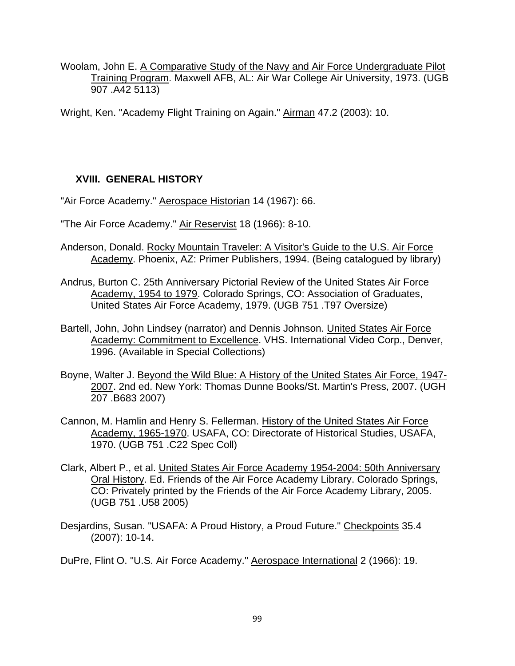Woolam, John E. A Comparative Study of the Navy and Air Force Undergraduate Pilot Training Program. Maxwell AFB, AL: Air War College Air University, 1973. (UGB 907 .A42 5113)

Wright, Ken. "Academy Flight Training on Again." Airman 47.2 (2003): 10.

## **XVIII. GENERAL HISTORY**

"Air Force Academy." Aerospace Historian 14 (1967): 66.

"The Air Force Academy." Air Reservist 18 (1966): 8-10.

- Anderson, Donald. Rocky Mountain Traveler: A Visitor's Guide to the U.S. Air Force Academy. Phoenix, AZ: Primer Publishers, 1994. (Being catalogued by library)
- Andrus, Burton C. 25th Anniversary Pictorial Review of the United States Air Force Academy, 1954 to 1979. Colorado Springs, CO: Association of Graduates, United States Air Force Academy, 1979. (UGB 751 .T97 Oversize)
- Bartell, John, John Lindsey (narrator) and Dennis Johnson. United States Air Force Academy: Commitment to Excellence. VHS. International Video Corp., Denver, 1996. (Available in Special Collections)
- Boyne, Walter J. Beyond the Wild Blue: A History of the United States Air Force, 1947- 2007. 2nd ed. New York: Thomas Dunne Books/St. Martin's Press, 2007. (UGH 207 .B683 2007)
- Cannon, M. Hamlin and Henry S. Fellerman. History of the United States Air Force Academy, 1965-1970. USAFA, CO: Directorate of Historical Studies, USAFA, 1970. (UGB 751 .C22 Spec Coll)
- Clark, Albert P., et al. United States Air Force Academy 1954-2004: 50th Anniversary Oral History. Ed. Friends of the Air Force Academy Library. Colorado Springs, CO: Privately printed by the Friends of the Air Force Academy Library, 2005. (UGB 751 .U58 2005)
- Desjardins, Susan. "USAFA: A Proud History, a Proud Future." Checkpoints 35.4 (2007): 10-14.

DuPre, Flint O. "U.S. Air Force Academy." Aerospace International 2 (1966): 19.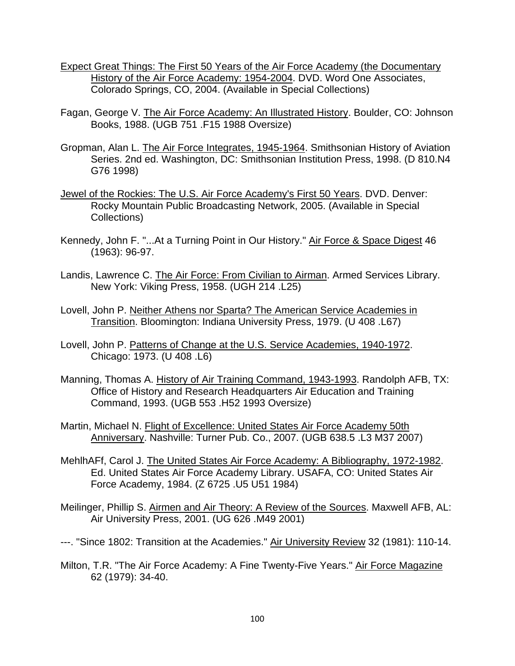- Expect Great Things: The First 50 Years of the Air Force Academy (the Documentary History of the Air Force Academy: 1954-2004. DVD. Word One Associates, Colorado Springs, CO, 2004. (Available in Special Collections)
- Fagan, George V. The Air Force Academy: An Illustrated History. Boulder, CO: Johnson Books, 1988. (UGB 751 .F15 1988 Oversize)
- Gropman, Alan L. The Air Force Integrates, 1945-1964. Smithsonian History of Aviation Series. 2nd ed. Washington, DC: Smithsonian Institution Press, 1998. (D 810.N4 G76 1998)
- Jewel of the Rockies: The U.S. Air Force Academy's First 50 Years. DVD. Denver: Rocky Mountain Public Broadcasting Network, 2005. (Available in Special Collections)
- Kennedy, John F. "...At a Turning Point in Our History." Air Force & Space Digest 46 (1963): 96-97.
- Landis, Lawrence C. The Air Force: From Civilian to Airman. Armed Services Library. New York: Viking Press, 1958. (UGH 214 .L25)
- Lovell, John P. Neither Athens nor Sparta? The American Service Academies in Transition. Bloomington: Indiana University Press, 1979. (U 408 .L67)
- Lovell, John P. Patterns of Change at the U.S. Service Academies, 1940-1972. Chicago: 1973. (U 408 .L6)
- Manning, Thomas A. History of Air Training Command, 1943-1993. Randolph AFB, TX: Office of History and Research Headquarters Air Education and Training Command, 1993. (UGB 553 .H52 1993 Oversize)
- Martin, Michael N. Flight of Excellence: United States Air Force Academy 50th Anniversary. Nashville: Turner Pub. Co., 2007. (UGB 638.5 .L3 M37 2007)
- MehlhAFf, Carol J. The United States Air Force Academy: A Bibliography, 1972-1982. Ed. United States Air Force Academy Library. USAFA, CO: United States Air Force Academy, 1984. (Z 6725 .U5 U51 1984)
- Meilinger, Phillip S. Airmen and Air Theory: A Review of the Sources. Maxwell AFB, AL: Air University Press, 2001. (UG 626 .M49 2001)
- ---. "Since 1802: Transition at the Academies." Air University Review 32 (1981): 110-14.
- Milton, T.R. "The Air Force Academy: A Fine Twenty-Five Years." Air Force Magazine 62 (1979): 34-40.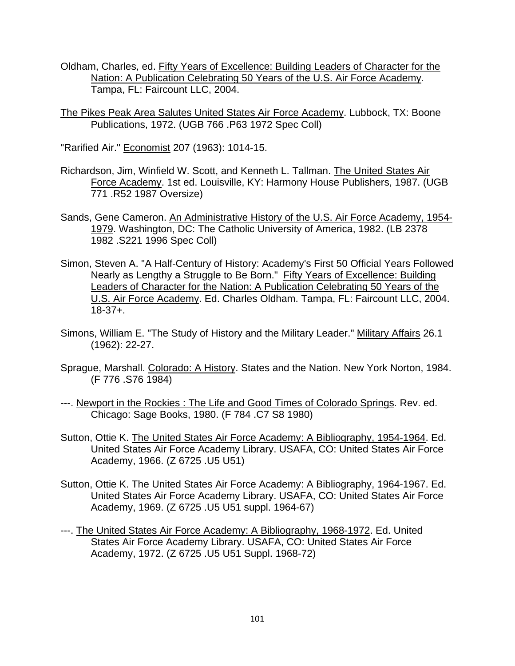- Oldham, Charles, ed. Fifty Years of Excellence: Building Leaders of Character for the Nation: A Publication Celebrating 50 Years of the U.S. Air Force Academy. Tampa, FL: Faircount LLC, 2004.
- The Pikes Peak Area Salutes United States Air Force Academy. Lubbock, TX: Boone Publications, 1972. (UGB 766 .P63 1972 Spec Coll)

"Rarified Air." Economist 207 (1963): 1014-15.

- Richardson, Jim, Winfield W. Scott, and Kenneth L. Tallman. The United States Air Force Academy. 1st ed. Louisville, KY: Harmony House Publishers, 1987. (UGB 771 .R52 1987 Oversize)
- Sands, Gene Cameron. An Administrative History of the U.S. Air Force Academy, 1954- 1979. Washington, DC: The Catholic University of America, 1982. (LB 2378 1982 .S221 1996 Spec Coll)
- Simon, Steven A. "A Half-Century of History: Academy's First 50 Official Years Followed Nearly as Lengthy a Struggle to Be Born." Fifty Years of Excellence: Building Leaders of Character for the Nation: A Publication Celebrating 50 Years of the U.S. Air Force Academy. Ed. Charles Oldham. Tampa, FL: Faircount LLC, 2004. 18-37+.
- Simons, William E. "The Study of History and the Military Leader." Military Affairs 26.1 (1962): 22-27.
- Sprague, Marshall. Colorado: A History. States and the Nation. New York Norton, 1984. (F 776 .S76 1984)
- ---. Newport in the Rockies : The Life and Good Times of Colorado Springs. Rev. ed. Chicago: Sage Books, 1980. (F 784 .C7 S8 1980)
- Sutton, Ottie K. The United States Air Force Academy: A Bibliography, 1954-1964. Ed. United States Air Force Academy Library. USAFA, CO: United States Air Force Academy, 1966. (Z 6725 .U5 U51)
- Sutton, Ottie K. The United States Air Force Academy: A Bibliography, 1964-1967. Ed. United States Air Force Academy Library. USAFA, CO: United States Air Force Academy, 1969. (Z 6725 .U5 U51 suppl. 1964-67)
- ---. The United States Air Force Academy: A Bibliography, 1968-1972. Ed. United States Air Force Academy Library. USAFA, CO: United States Air Force Academy, 1972. (Z 6725 .U5 U51 Suppl. 1968-72)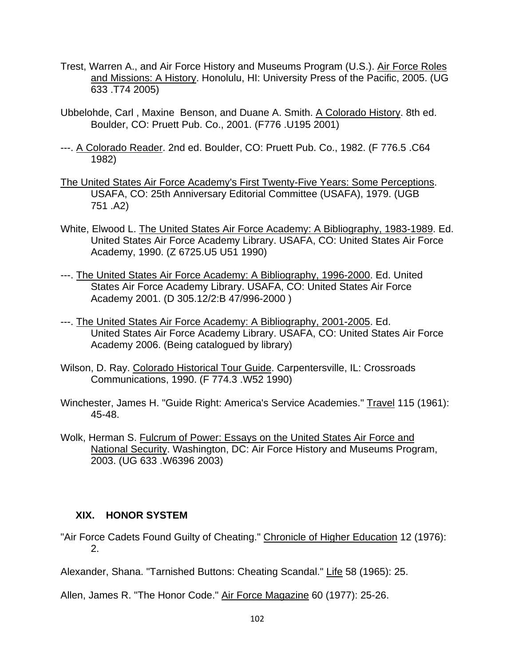- Trest, Warren A., and Air Force History and Museums Program (U.S.). Air Force Roles and Missions: A History. Honolulu, HI: University Press of the Pacific, 2005. (UG 633 .T74 2005)
- Ubbelohde, Carl , Maxine Benson, and Duane A. Smith. A Colorado History. 8th ed. Boulder, CO: Pruett Pub. Co., 2001. (F776 .U195 2001)
- ---. A Colorado Reader. 2nd ed. Boulder, CO: Pruett Pub. Co., 1982. (F 776.5 .C64 1982)
- The United States Air Force Academy's First Twenty-Five Years: Some Perceptions. USAFA, CO: 25th Anniversary Editorial Committee (USAFA), 1979. (UGB 751 .A2)
- White, Elwood L. The United States Air Force Academy: A Bibliography, 1983-1989. Ed. United States Air Force Academy Library. USAFA, CO: United States Air Force Academy, 1990. (Z 6725.U5 U51 1990)
- ---. The United States Air Force Academy: A Bibliography, 1996-2000. Ed. United States Air Force Academy Library. USAFA, CO: United States Air Force Academy 2001. (D 305.12/2:B 47/996-2000 )
- ---. The United States Air Force Academy: A Bibliography, 2001-2005. Ed. United States Air Force Academy Library. USAFA, CO: United States Air Force Academy 2006. (Being catalogued by library)
- Wilson, D. Ray. Colorado Historical Tour Guide. Carpentersville, IL: Crossroads Communications, 1990. (F 774.3 .W52 1990)
- Winchester, James H. "Guide Right: America's Service Academies." Travel 115 (1961): 45-48.
- Wolk, Herman S. Fulcrum of Power: Essays on the United States Air Force and National Security. Washington, DC: Air Force History and Museums Program, 2003. (UG 633 .W6396 2003)

# **XIX. HONOR SYSTEM**

"Air Force Cadets Found Guilty of Cheating." Chronicle of Higher Education 12 (1976): 2.

Alexander, Shana. "Tarnished Buttons: Cheating Scandal." Life 58 (1965): 25.

Allen, James R. "The Honor Code." Air Force Magazine 60 (1977): 25-26.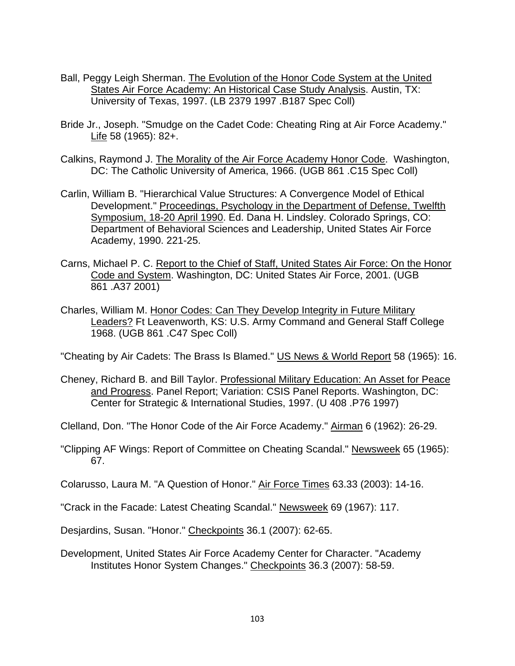- Ball, Peggy Leigh Sherman. The Evolution of the Honor Code System at the United States Air Force Academy: An Historical Case Study Analysis. Austin, TX: University of Texas, 1997. (LB 2379 1997 .B187 Spec Coll)
- Bride Jr., Joseph. "Smudge on the Cadet Code: Cheating Ring at Air Force Academy." Life 58 (1965): 82+.
- Calkins, Raymond J. The Morality of the Air Force Academy Honor Code. Washington, DC: The Catholic University of America, 1966. (UGB 861 .C15 Spec Coll)
- Carlin, William B. "Hierarchical Value Structures: A Convergence Model of Ethical Development." Proceedings, Psychology in the Department of Defense, Twelfth Symposium, 18-20 April 1990. Ed. Dana H. Lindsley. Colorado Springs, CO: Department of Behavioral Sciences and Leadership, United States Air Force Academy, 1990. 221-25.
- Carns, Michael P. C. Report to the Chief of Staff, United States Air Force: On the Honor Code and System. Washington, DC: United States Air Force, 2001. (UGB 861 .A37 2001)
- Charles, William M. Honor Codes: Can They Develop Integrity in Future Military Leaders? Ft Leavenworth, KS: U.S. Army Command and General Staff College 1968. (UGB 861 .C47 Spec Coll)

"Cheating by Air Cadets: The Brass Is Blamed." US News & World Report 58 (1965): 16.

- Cheney, Richard B. and Bill Taylor. Professional Military Education: An Asset for Peace and Progress. Panel Report; Variation: CSIS Panel Reports. Washington, DC: Center for Strategic & International Studies, 1997. (U 408 .P76 1997)
- Clelland, Don. "The Honor Code of the Air Force Academy." Airman 6 (1962): 26-29.
- "Clipping AF Wings: Report of Committee on Cheating Scandal." Newsweek 65 (1965): 67.

Colarusso, Laura M. "A Question of Honor." Air Force Times 63.33 (2003): 14-16.

"Crack in the Facade: Latest Cheating Scandal." Newsweek 69 (1967): 117.

Desjardins, Susan. "Honor." Checkpoints 36.1 (2007): 62-65.

Development, United States Air Force Academy Center for Character. "Academy Institutes Honor System Changes." Checkpoints 36.3 (2007): 58-59.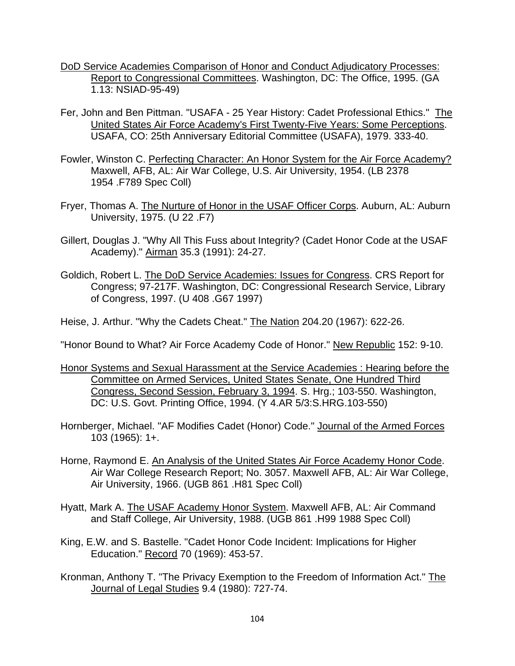- DoD Service Academies Comparison of Honor and Conduct Adjudicatory Processes: Report to Congressional Committees. Washington, DC: The Office, 1995. (GA 1.13: NSIAD-95-49)
- Fer, John and Ben Pittman. "USAFA 25 Year History: Cadet Professional Ethics." The United States Air Force Academy's First Twenty-Five Years: Some Perceptions. USAFA, CO: 25th Anniversary Editorial Committee (USAFA), 1979. 333-40.
- Fowler, Winston C. Perfecting Character: An Honor System for the Air Force Academy? Maxwell, AFB, AL: Air War College, U.S. Air University, 1954. (LB 2378 1954 .F789 Spec Coll)
- Fryer, Thomas A. The Nurture of Honor in the USAF Officer Corps. Auburn, AL: Auburn University, 1975. (U 22 .F7)
- Gillert, Douglas J. "Why All This Fuss about Integrity? (Cadet Honor Code at the USAF Academy)." Airman 35.3 (1991): 24-27.
- Goldich, Robert L. The DoD Service Academies: Issues for Congress. CRS Report for Congress; 97-217F. Washington, DC: Congressional Research Service, Library of Congress, 1997. (U 408 .G67 1997)
- Heise, J. Arthur. "Why the Cadets Cheat." The Nation 204.20 (1967): 622-26.

"Honor Bound to What? Air Force Academy Code of Honor." New Republic 152: 9-10.

- Honor Systems and Sexual Harassment at the Service Academies : Hearing before the Committee on Armed Services, United States Senate, One Hundred Third Congress, Second Session, February 3, 1994. S. Hrg.; 103-550. Washington, DC: U.S. Govt. Printing Office, 1994. (Y 4.AR 5/3:S.HRG.103-550)
- Hornberger, Michael. "AF Modifies Cadet (Honor) Code." Journal of the Armed Forces 103 (1965): 1+.
- Horne, Raymond E. An Analysis of the United States Air Force Academy Honor Code. Air War College Research Report; No. 3057. Maxwell AFB, AL: Air War College, Air University, 1966. (UGB 861 .H81 Spec Coll)
- Hyatt, Mark A. The USAF Academy Honor System. Maxwell AFB, AL: Air Command and Staff College, Air University, 1988. (UGB 861 .H99 1988 Spec Coll)
- King, E.W. and S. Bastelle. "Cadet Honor Code Incident: Implications for Higher Education." Record 70 (1969): 453-57.
- Kronman, Anthony T. "The Privacy Exemption to the Freedom of Information Act." The Journal of Legal Studies 9.4 (1980): 727-74.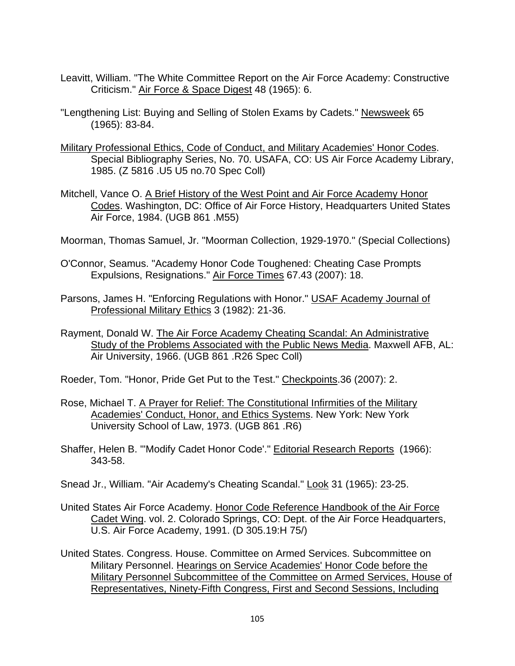- Leavitt, William. "The White Committee Report on the Air Force Academy: Constructive Criticism." Air Force & Space Digest 48 (1965): 6.
- "Lengthening List: Buying and Selling of Stolen Exams by Cadets." Newsweek 65 (1965): 83-84.
- Military Professional Ethics, Code of Conduct, and Military Academies' Honor Codes. Special Bibliography Series, No. 70. USAFA, CO: US Air Force Academy Library, 1985. (Z 5816 .U5 U5 no.70 Spec Coll)
- Mitchell, Vance O. A Brief History of the West Point and Air Force Academy Honor Codes. Washington, DC: Office of Air Force History, Headquarters United States Air Force, 1984. (UGB 861 .M55)
- Moorman, Thomas Samuel, Jr. "Moorman Collection, 1929-1970." (Special Collections)
- O'Connor, Seamus. "Academy Honor Code Toughened: Cheating Case Prompts Expulsions, Resignations." Air Force Times 67.43 (2007): 18.
- Parsons, James H. "Enforcing Regulations with Honor." USAF Academy Journal of Professional Military Ethics 3 (1982): 21-36.
- Rayment, Donald W. The Air Force Academy Cheating Scandal: An Administrative Study of the Problems Associated with the Public News Media. Maxwell AFB, AL: Air University, 1966. (UGB 861 .R26 Spec Coll)
- Roeder, Tom. "Honor, Pride Get Put to the Test." Checkpoints.36 (2007): 2.
- Rose, Michael T. A Prayer for Relief: The Constitutional Infirmities of the Military Academies' Conduct, Honor, and Ethics Systems. New York: New York University School of Law, 1973. (UGB 861 .R6)
- Shaffer, Helen B. "'Modify Cadet Honor Code'." Editorial Research Reports (1966): 343-58.
- Snead Jr., William. "Air Academy's Cheating Scandal." Look 31 (1965): 23-25.
- United States Air Force Academy. Honor Code Reference Handbook of the Air Force Cadet Wing. vol. 2. Colorado Springs, CO: Dept. of the Air Force Headquarters, U.S. Air Force Academy, 1991. (D 305.19:H 75/)
- United States. Congress. House. Committee on Armed Services. Subcommittee on Military Personnel. Hearings on Service Academies' Honor Code before the Military Personnel Subcommittee of the Committee on Armed Services, House of Representatives, Ninety-Fifth Congress, First and Second Sessions, Including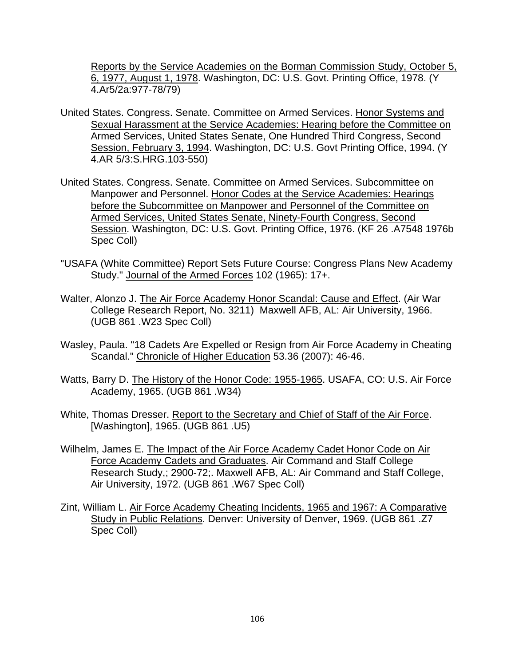Reports by the Service Academies on the Borman Commission Study, October 5, 6, 1977, August 1, 1978. Washington, DC: U.S. Govt. Printing Office, 1978. (Y 4.Ar5/2a:977-78/79)

- United States. Congress. Senate. Committee on Armed Services. Honor Systems and Sexual Harassment at the Service Academies: Hearing before the Committee on Armed Services, United States Senate, One Hundred Third Congress, Second Session, February 3, 1994. Washington, DC: U.S. Govt Printing Office, 1994. (Y 4.AR 5/3:S.HRG.103-550)
- United States. Congress. Senate. Committee on Armed Services. Subcommittee on Manpower and Personnel. Honor Codes at the Service Academies: Hearings before the Subcommittee on Manpower and Personnel of the Committee on Armed Services, United States Senate, Ninety-Fourth Congress, Second Session. Washington, DC: U.S. Govt. Printing Office, 1976. (KF 26 .A7548 1976b Spec Coll)
- "USAFA (White Committee) Report Sets Future Course: Congress Plans New Academy Study." Journal of the Armed Forces 102 (1965): 17+.
- Walter, Alonzo J. The Air Force Academy Honor Scandal: Cause and Effect. (Air War College Research Report, No. 3211) Maxwell AFB, AL: Air University, 1966. (UGB 861 .W23 Spec Coll)
- Wasley, Paula. "18 Cadets Are Expelled or Resign from Air Force Academy in Cheating Scandal." Chronicle of Higher Education 53.36 (2007): 46-46.
- Watts, Barry D. The History of the Honor Code: 1955-1965. USAFA, CO: U.S. Air Force Academy, 1965. (UGB 861 .W34)
- White, Thomas Dresser. Report to the Secretary and Chief of Staff of the Air Force. [Washington], 1965. (UGB 861 .U5)
- Wilhelm, James E. The Impact of the Air Force Academy Cadet Honor Code on Air Force Academy Cadets and Graduates. Air Command and Staff College Research Study,; 2900-72;. Maxwell AFB, AL: Air Command and Staff College, Air University, 1972. (UGB 861 .W67 Spec Coll)
- Zint, William L. Air Force Academy Cheating Incidents, 1965 and 1967: A Comparative Study in Public Relations. Denver: University of Denver, 1969. (UGB 861 .Z7 Spec Coll)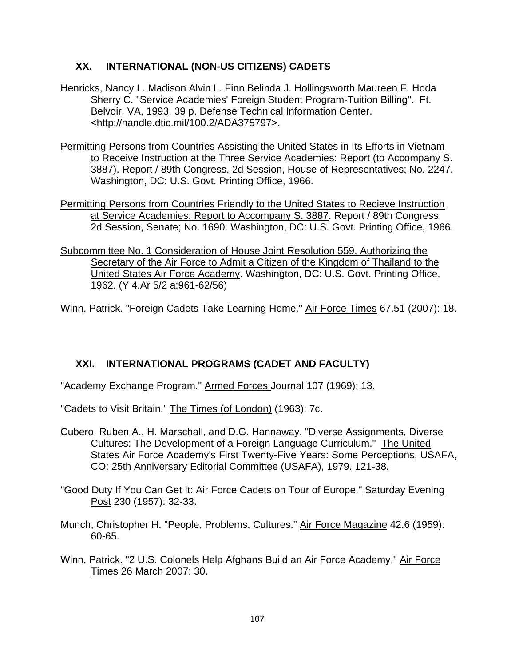# **XX. INTERNATIONAL (NON-US CITIZENS) CADETS**

- Henricks, Nancy L. Madison Alvin L. Finn Belinda J. Hollingsworth Maureen F. Hoda Sherry C. "Service Academies' Foreign Student Program-Tuition Billing". Ft. Belvoir, VA, 1993. 39 p. Defense Technical Information Center. <http://handle.dtic.mil/100.2/ADA375797>.
- Permitting Persons from Countries Assisting the United States in Its Efforts in Vietnam to Receive Instruction at the Three Service Academies: Report (to Accompany S. 3887). Report / 89th Congress, 2d Session, House of Representatives; No. 2247. Washington, DC: U.S. Govt. Printing Office, 1966.
- Permitting Persons from Countries Friendly to the United States to Recieve Instruction at Service Academies: Report to Accompany S. 3887. Report / 89th Congress, 2d Session, Senate; No. 1690. Washington, DC: U.S. Govt. Printing Office, 1966.
- Subcommittee No. 1 Consideration of House Joint Resolution 559, Authorizing the Secretary of the Air Force to Admit a Citizen of the Kingdom of Thailand to the United States Air Force Academy. Washington, DC: U.S. Govt. Printing Office, 1962. (Y 4.Ar 5/2 a:961-62/56)

Winn, Patrick. "Foreign Cadets Take Learning Home." Air Force Times 67.51 (2007): 18.

# **XXI. INTERNATIONAL PROGRAMS (CADET AND FACULTY)**

"Academy Exchange Program." Armed Forces Journal 107 (1969): 13.

"Cadets to Visit Britain." The Times (of London) (1963): 7c.

Cubero, Ruben A., H. Marschall, and D.G. Hannaway. "Diverse Assignments, Diverse Cultures: The Development of a Foreign Language Curriculum." The United States Air Force Academy's First Twenty-Five Years: Some Perceptions. USAFA, CO: 25th Anniversary Editorial Committee (USAFA), 1979. 121-38.

"Good Duty If You Can Get It: Air Force Cadets on Tour of Europe." Saturday Evening Post 230 (1957): 32-33.

- Munch, Christopher H. "People, Problems, Cultures." Air Force Magazine 42.6 (1959): 60-65.
- Winn, Patrick. "2 U.S. Colonels Help Afghans Build an Air Force Academy." Air Force Times 26 March 2007: 30.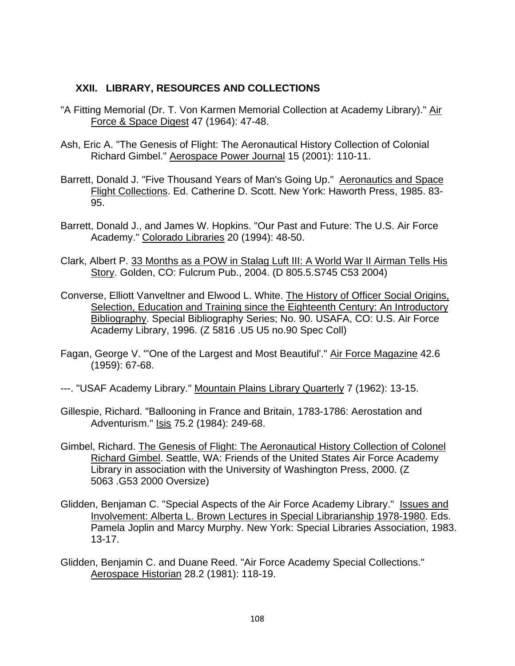# **XXII. LIBRARY, RESOURCES AND COLLECTIONS**

- "A Fitting Memorial (Dr. T. Von Karmen Memorial Collection at Academy Library)." Air Force & Space Digest 47 (1964): 47-48.
- Ash, Eric A. "The Genesis of Flight: The Aeronautical History Collection of Colonial Richard Gimbel." Aerospace Power Journal 15 (2001): 110-11.
- Barrett, Donald J. "Five Thousand Years of Man's Going Up." Aeronautics and Space Flight Collections. Ed. Catherine D. Scott. New York: Haworth Press, 1985. 83- 95.
- Barrett, Donald J., and James W. Hopkins. "Our Past and Future: The U.S. Air Force Academy." Colorado Libraries 20 (1994): 48-50.
- Clark, Albert P. 33 Months as a POW in Stalag Luft III: A World War II Airman Tells His Story. Golden, CO: Fulcrum Pub., 2004. (D 805.5.S745 C53 2004)
- Converse, Elliott Vanveltner and Elwood L. White. The History of Officer Social Origins, Selection, Education and Training since the Eighteenth Century: An Introductory Bibliography. Special Bibliography Series; No. 90. USAFA, CO: U.S. Air Force Academy Library, 1996. (Z 5816 .U5 U5 no.90 Spec Coll)
- Fagan, George V. "'One of the Largest and Most Beautiful'." Air Force Magazine 42.6 (1959): 67-68.
- ---. "USAF Academy Library." Mountain Plains Library Quarterly 7 (1962): 13-15.
- Gillespie, Richard. "Ballooning in France and Britain, 1783-1786: Aerostation and Adventurism." Isis 75.2 (1984): 249-68.
- Gimbel, Richard. The Genesis of Flight: The Aeronautical History Collection of Colonel Richard Gimbel. Seattle, WA: Friends of the United States Air Force Academy Library in association with the University of Washington Press, 2000. (Z 5063 .G53 2000 Oversize)
- Glidden, Benjaman C. "Special Aspects of the Air Force Academy Library." Issues and Involvement: Alberta L. Brown Lectures in Special Librarianship 1978-1980. Eds. Pamela Joplin and Marcy Murphy. New York: Special Libraries Association, 1983. 13-17.
- Glidden, Benjamin C. and Duane Reed. "Air Force Academy Special Collections." Aerospace Historian 28.2 (1981): 118-19.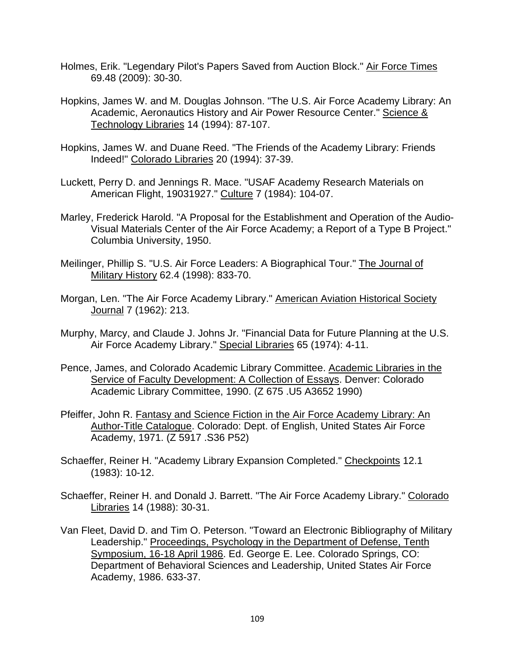- Holmes, Erik. "Legendary Pilot's Papers Saved from Auction Block." Air Force Times 69.48 (2009): 30-30.
- Hopkins, James W. and M. Douglas Johnson. "The U.S. Air Force Academy Library: An Academic, Aeronautics History and Air Power Resource Center." Science & Technology Libraries 14 (1994): 87-107.
- Hopkins, James W. and Duane Reed. "The Friends of the Academy Library: Friends Indeed!" Colorado Libraries 20 (1994): 37-39.
- Luckett, Perry D. and Jennings R. Mace. "USAF Academy Research Materials on American Flight, 19031927." Culture 7 (1984): 104-07.
- Marley, Frederick Harold. "A Proposal for the Establishment and Operation of the Audio-Visual Materials Center of the Air Force Academy; a Report of a Type B Project." Columbia University, 1950.
- Meilinger, Phillip S. "U.S. Air Force Leaders: A Biographical Tour." The Journal of Military History 62.4 (1998): 833-70.
- Morgan, Len. "The Air Force Academy Library." American Aviation Historical Society Journal 7 (1962): 213.
- Murphy, Marcy, and Claude J. Johns Jr. "Financial Data for Future Planning at the U.S. Air Force Academy Library." Special Libraries 65 (1974): 4-11.
- Pence, James, and Colorado Academic Library Committee. Academic Libraries in the Service of Faculty Development: A Collection of Essays. Denver: Colorado Academic Library Committee, 1990. (Z 675 .U5 A3652 1990)
- Pfeiffer, John R. Fantasy and Science Fiction in the Air Force Academy Library: An Author-Title Catalogue. Colorado: Dept. of English, United States Air Force Academy, 1971. (Z 5917 .S36 P52)
- Schaeffer, Reiner H. "Academy Library Expansion Completed." Checkpoints 12.1 (1983): 10-12.
- Schaeffer, Reiner H. and Donald J. Barrett. "The Air Force Academy Library." Colorado Libraries 14 (1988): 30-31.
- Van Fleet, David D. and Tim O. Peterson. "Toward an Electronic Bibliography of Military Leadership." Proceedings, Psychology in the Department of Defense, Tenth Symposium, 16-18 April 1986. Ed. George E. Lee. Colorado Springs, CO: Department of Behavioral Sciences and Leadership, United States Air Force Academy, 1986. 633-37.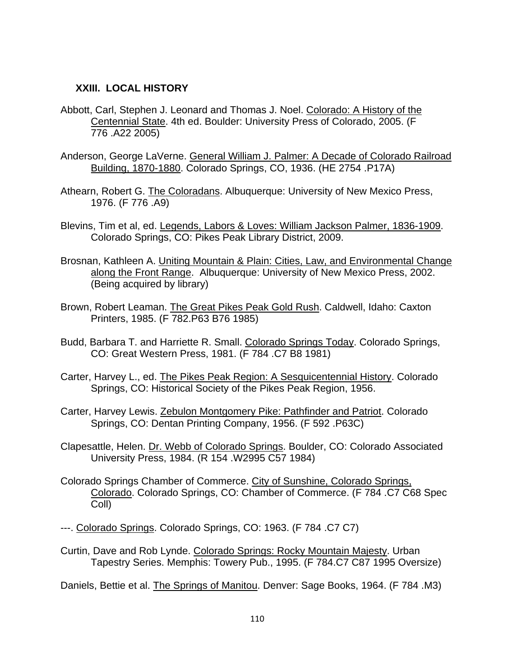#### **XXIII. LOCAL HISTORY**

- Abbott, Carl, Stephen J. Leonard and Thomas J. Noel. Colorado: A History of the Centennial State. 4th ed. Boulder: University Press of Colorado, 2005. (F 776 .A22 2005)
- Anderson, George LaVerne. General William J. Palmer: A Decade of Colorado Railroad Building, 1870-1880. Colorado Springs, CO, 1936. (HE 2754 .P17A)
- Athearn, Robert G. The Coloradans. Albuquerque: University of New Mexico Press, 1976. (F 776 .A9)
- Blevins, Tim et al, ed. Legends, Labors & Loves: William Jackson Palmer, 1836-1909. Colorado Springs, CO: Pikes Peak Library District, 2009.
- Brosnan, Kathleen A. Uniting Mountain & Plain: Cities, Law, and Environmental Change along the Front Range. Albuquerque: University of New Mexico Press, 2002. (Being acquired by library)
- Brown, Robert Leaman. The Great Pikes Peak Gold Rush. Caldwell, Idaho: Caxton Printers, 1985. (F 782.P63 B76 1985)
- Budd, Barbara T. and Harriette R. Small. Colorado Springs Today. Colorado Springs, CO: Great Western Press, 1981. (F 784 .C7 B8 1981)
- Carter, Harvey L., ed. The Pikes Peak Region: A Sesquicentennial History. Colorado Springs, CO: Historical Society of the Pikes Peak Region, 1956.
- Carter, Harvey Lewis. Zebulon Montgomery Pike: Pathfinder and Patriot. Colorado Springs, CO: Dentan Printing Company, 1956. (F 592 .P63C)
- Clapesattle, Helen. Dr. Webb of Colorado Springs. Boulder, CO: Colorado Associated University Press, 1984. (R 154 .W2995 C57 1984)
- Colorado Springs Chamber of Commerce. City of Sunshine, Colorado Springs, Colorado. Colorado Springs, CO: Chamber of Commerce. (F 784 .C7 C68 Spec Coll)
- ---. Colorado Springs. Colorado Springs, CO: 1963. (F 784 .C7 C7)
- Curtin, Dave and Rob Lynde. Colorado Springs: Rocky Mountain Majesty. Urban Tapestry Series. Memphis: Towery Pub., 1995. (F 784.C7 C87 1995 Oversize)

Daniels, Bettie et al. The Springs of Manitou. Denver: Sage Books, 1964. (F 784 .M3)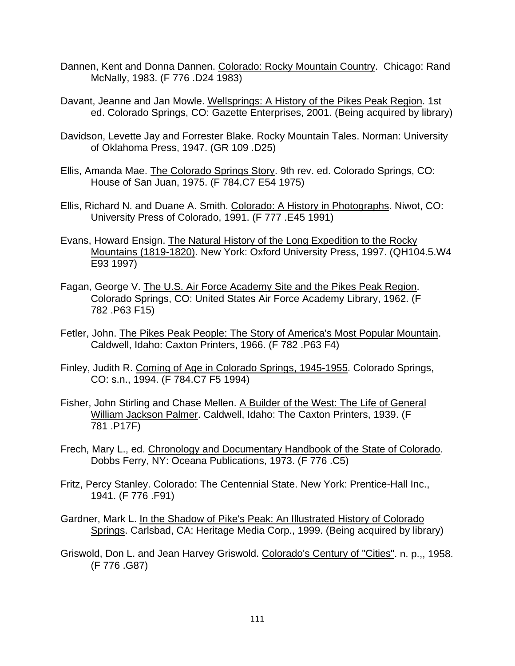- Dannen, Kent and Donna Dannen. Colorado: Rocky Mountain Country. Chicago: Rand McNally, 1983. (F 776 .D24 1983)
- Davant, Jeanne and Jan Mowle. Wellsprings: A History of the Pikes Peak Region. 1st ed. Colorado Springs, CO: Gazette Enterprises, 2001. (Being acquired by library)
- Davidson, Levette Jay and Forrester Blake. Rocky Mountain Tales. Norman: University of Oklahoma Press, 1947. (GR 109 .D25)
- Ellis, Amanda Mae. The Colorado Springs Story. 9th rev. ed. Colorado Springs, CO: House of San Juan, 1975. (F 784.C7 E54 1975)
- Ellis, Richard N. and Duane A. Smith. Colorado: A History in Photographs. Niwot, CO: University Press of Colorado, 1991. (F 777 .E45 1991)
- Evans, Howard Ensign. The Natural History of the Long Expedition to the Rocky Mountains (1819-1820). New York: Oxford University Press, 1997. (QH104.5.W4 E93 1997)
- Fagan, George V. The U.S. Air Force Academy Site and the Pikes Peak Region. Colorado Springs, CO: United States Air Force Academy Library, 1962. (F 782 .P63 F15)
- Fetler, John. The Pikes Peak People: The Story of America's Most Popular Mountain. Caldwell, Idaho: Caxton Printers, 1966. (F 782 .P63 F4)
- Finley, Judith R. Coming of Age in Colorado Springs, 1945-1955. Colorado Springs, CO: s.n., 1994. (F 784.C7 F5 1994)
- Fisher, John Stirling and Chase Mellen. A Builder of the West: The Life of General William Jackson Palmer. Caldwell, Idaho: The Caxton Printers, 1939. (F 781 .P17F)
- Frech, Mary L., ed. Chronology and Documentary Handbook of the State of Colorado. Dobbs Ferry, NY: Oceana Publications, 1973. (F 776 .C5)
- Fritz, Percy Stanley. Colorado: The Centennial State. New York: Prentice-Hall Inc., 1941. (F 776 .F91)
- Gardner, Mark L. In the Shadow of Pike's Peak: An Illustrated History of Colorado Springs. Carlsbad, CA: Heritage Media Corp., 1999. (Being acquired by library)
- Griswold, Don L. and Jean Harvey Griswold. Colorado's Century of "Cities". n. p.,, 1958. (F 776 .G87)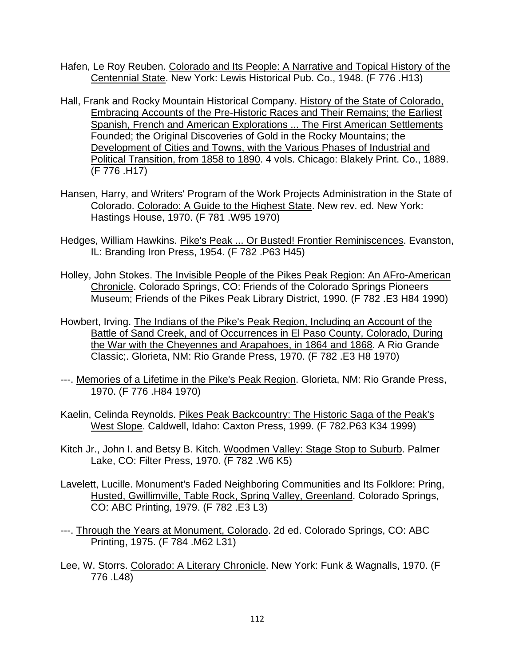- Hafen, Le Roy Reuben. Colorado and Its People: A Narrative and Topical History of the Centennial State. New York: Lewis Historical Pub. Co., 1948. (F 776 .H13)
- Hall, Frank and Rocky Mountain Historical Company. History of the State of Colorado, Embracing Accounts of the Pre-Historic Races and Their Remains; the Earliest Spanish, French and American Explorations ... The First American Settlements Founded; the Original Discoveries of Gold in the Rocky Mountains; the Development of Cities and Towns, with the Various Phases of Industrial and Political Transition, from 1858 to 1890. 4 vols. Chicago: Blakely Print. Co., 1889. (F 776 .H17)
- Hansen, Harry, and Writers' Program of the Work Projects Administration in the State of Colorado. Colorado: A Guide to the Highest State. New rev. ed. New York: Hastings House, 1970. (F 781 .W95 1970)
- Hedges, William Hawkins. Pike's Peak ... Or Busted! Frontier Reminiscences. Evanston, IL: Branding Iron Press, 1954. (F 782 .P63 H45)
- Holley, John Stokes. The Invisible People of the Pikes Peak Region: An AFro-American Chronicle. Colorado Springs, CO: Friends of the Colorado Springs Pioneers Museum; Friends of the Pikes Peak Library District, 1990. (F 782 .E3 H84 1990)
- Howbert, Irving. The Indians of the Pike's Peak Region, Including an Account of the Battle of Sand Creek, and of Occurrences in El Paso County, Colorado, During the War with the Cheyennes and Arapahoes, in 1864 and 1868. A Rio Grande Classic;. Glorieta, NM: Rio Grande Press, 1970. (F 782 .E3 H8 1970)
- ---. Memories of a Lifetime in the Pike's Peak Region. Glorieta, NM: Rio Grande Press, 1970. (F 776 .H84 1970)
- Kaelin, Celinda Reynolds. Pikes Peak Backcountry: The Historic Saga of the Peak's West Slope. Caldwell, Idaho: Caxton Press, 1999. (F 782.P63 K34 1999)
- Kitch Jr., John I. and Betsy B. Kitch. Woodmen Valley: Stage Stop to Suburb. Palmer Lake, CO: Filter Press, 1970. (F 782 .W6 K5)
- Lavelett, Lucille. Monument's Faded Neighboring Communities and Its Folklore: Pring, Husted, Gwillimville, Table Rock, Spring Valley, Greenland. Colorado Springs, CO: ABC Printing, 1979. (F 782 .E3 L3)
- ---. Through the Years at Monument, Colorado. 2d ed. Colorado Springs, CO: ABC Printing, 1975. (F 784 .M62 L31)
- Lee, W. Storrs. Colorado: A Literary Chronicle. New York: Funk & Wagnalls, 1970. (F 776 .L48)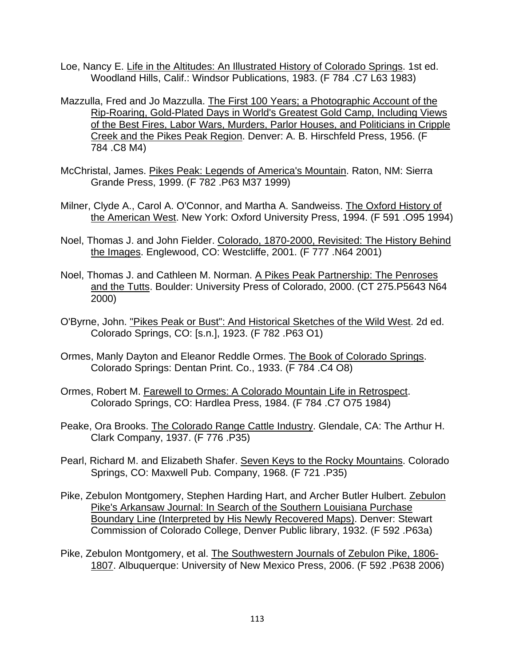- Loe, Nancy E. Life in the Altitudes: An Illustrated History of Colorado Springs. 1st ed. Woodland Hills, Calif.: Windsor Publications, 1983. (F 784 .C7 L63 1983)
- Mazzulla, Fred and Jo Mazzulla. The First 100 Years; a Photographic Account of the Rip-Roaring, Gold-Plated Days in World's Greatest Gold Camp, Including Views of the Best Fires, Labor Wars, Murders, Parlor Houses, and Politicians in Cripple Creek and the Pikes Peak Region. Denver: A. B. Hirschfeld Press, 1956. (F 784 .C8 M4)
- McChristal, James. Pikes Peak: Legends of America's Mountain. Raton, NM: Sierra Grande Press, 1999. (F 782 .P63 M37 1999)
- Milner, Clyde A., Carol A. O'Connor, and Martha A. Sandweiss. The Oxford History of the American West. New York: Oxford University Press, 1994. (F 591 .O95 1994)
- Noel, Thomas J. and John Fielder. Colorado, 1870-2000, Revisited: The History Behind the Images. Englewood, CO: Westcliffe, 2001. (F 777 .N64 2001)
- Noel, Thomas J. and Cathleen M. Norman. A Pikes Peak Partnership: The Penroses and the Tutts. Boulder: University Press of Colorado, 2000. (CT 275.P5643 N64 2000)
- O'Byrne, John. "Pikes Peak or Bust": And Historical Sketches of the Wild West. 2d ed. Colorado Springs, CO: [s.n.], 1923. (F 782 .P63 O1)
- Ormes, Manly Dayton and Eleanor Reddle Ormes. The Book of Colorado Springs. Colorado Springs: Dentan Print. Co., 1933. (F 784 .C4 O8)
- Ormes, Robert M. Farewell to Ormes: A Colorado Mountain Life in Retrospect. Colorado Springs, CO: Hardlea Press, 1984. (F 784 .C7 O75 1984)
- Peake, Ora Brooks. The Colorado Range Cattle Industry. Glendale, CA: The Arthur H. Clark Company, 1937. (F 776 .P35)
- Pearl, Richard M. and Elizabeth Shafer. Seven Keys to the Rocky Mountains. Colorado Springs, CO: Maxwell Pub. Company, 1968. (F 721 .P35)
- Pike, Zebulon Montgomery, Stephen Harding Hart, and Archer Butler Hulbert. Zebulon Pike's Arkansaw Journal: In Search of the Southern Louisiana Purchase Boundary Line (Interpreted by His Newly Recovered Maps). Denver: Stewart Commission of Colorado College, Denver Public library, 1932. (F 592 .P63a)
- Pike, Zebulon Montgomery, et al. The Southwestern Journals of Zebulon Pike, 1806- 1807. Albuquerque: University of New Mexico Press, 2006. (F 592 .P638 2006)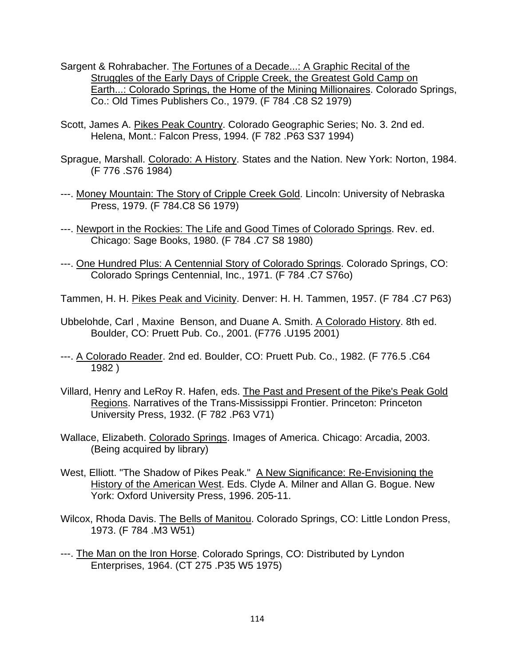- Sargent & Rohrabacher. The Fortunes of a Decade...: A Graphic Recital of the Struggles of the Early Days of Cripple Creek, the Greatest Gold Camp on Earth...: Colorado Springs, the Home of the Mining Millionaires. Colorado Springs, Co.: Old Times Publishers Co., 1979. (F 784 .C8 S2 1979)
- Scott, James A. Pikes Peak Country. Colorado Geographic Series; No. 3. 2nd ed. Helena, Mont.: Falcon Press, 1994. (F 782 .P63 S37 1994)
- Sprague, Marshall. Colorado: A History. States and the Nation. New York: Norton, 1984. (F 776 .S76 1984)
- ---. Money Mountain: The Story of Cripple Creek Gold. Lincoln: University of Nebraska Press, 1979. (F 784.C8 S6 1979)
- ---. Newport in the Rockies: The Life and Good Times of Colorado Springs. Rev. ed. Chicago: Sage Books, 1980. (F 784 .C7 S8 1980)
- ---. One Hundred Plus: A Centennial Story of Colorado Springs. Colorado Springs, CO: Colorado Springs Centennial, Inc., 1971. (F 784 .C7 S76o)
- Tammen, H. H. Pikes Peak and Vicinity. Denver: H. H. Tammen, 1957. (F 784 .C7 P63)
- Ubbelohde, Carl , Maxine Benson, and Duane A. Smith. A Colorado History. 8th ed. Boulder, CO: Pruett Pub. Co., 2001. (F776 .U195 2001)
- ---. A Colorado Reader. 2nd ed. Boulder, CO: Pruett Pub. Co., 1982. (F 776.5 .C64 1982 )
- Villard, Henry and LeRoy R. Hafen, eds. The Past and Present of the Pike's Peak Gold Regions. Narratives of the Trans-Mississippi Frontier. Princeton: Princeton University Press, 1932. (F 782 .P63 V71)
- Wallace, Elizabeth. Colorado Springs. Images of America. Chicago: Arcadia, 2003. (Being acquired by library)
- West, Elliott. "The Shadow of Pikes Peak." A New Significance: Re-Envisioning the History of the American West. Eds. Clyde A. Milner and Allan G. Bogue. New York: Oxford University Press, 1996. 205-11.
- Wilcox, Rhoda Davis. The Bells of Manitou. Colorado Springs, CO: Little London Press, 1973. (F 784 .M3 W51)
- ---. The Man on the Iron Horse. Colorado Springs, CO: Distributed by Lyndon Enterprises, 1964. (CT 275 .P35 W5 1975)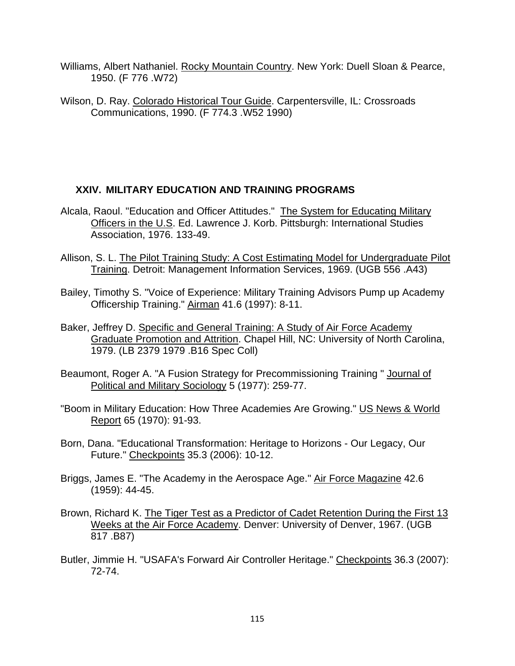- Williams, Albert Nathaniel. Rocky Mountain Country. New York: Duell Sloan & Pearce, 1950. (F 776 .W72)
- Wilson, D. Ray. Colorado Historical Tour Guide. Carpentersville, IL: Crossroads Communications, 1990. (F 774.3 .W52 1990)

# **XXIV. MILITARY EDUCATION AND TRAINING PROGRAMS**

- Alcala, Raoul. "Education and Officer Attitudes." The System for Educating Military Officers in the U.S. Ed. Lawrence J. Korb. Pittsburgh: International Studies Association, 1976. 133-49.
- Allison, S. L. The Pilot Training Study: A Cost Estimating Model for Undergraduate Pilot Training. Detroit: Management Information Services, 1969. (UGB 556 .A43)
- Bailey, Timothy S. "Voice of Experience: Military Training Advisors Pump up Academy Officership Training." Airman 41.6 (1997): 8-11.
- Baker, Jeffrey D. Specific and General Training: A Study of Air Force Academy Graduate Promotion and Attrition. Chapel Hill, NC: University of North Carolina, 1979. (LB 2379 1979 .B16 Spec Coll)
- Beaumont, Roger A. "A Fusion Strategy for Precommissioning Training " Journal of Political and Military Sociology 5 (1977): 259-77.
- "Boom in Military Education: How Three Academies Are Growing." US News & World Report 65 (1970): 91-93.
- Born, Dana. "Educational Transformation: Heritage to Horizons Our Legacy, Our Future." Checkpoints 35.3 (2006): 10-12.
- Briggs, James E. "The Academy in the Aerospace Age." Air Force Magazine 42.6 (1959): 44-45.
- Brown, Richard K. The Tiger Test as a Predictor of Cadet Retention During the First 13 Weeks at the Air Force Academy. Denver: University of Denver, 1967. (UGB 817 .B87)
- Butler, Jimmie H. "USAFA's Forward Air Controller Heritage." Checkpoints 36.3 (2007): 72-74.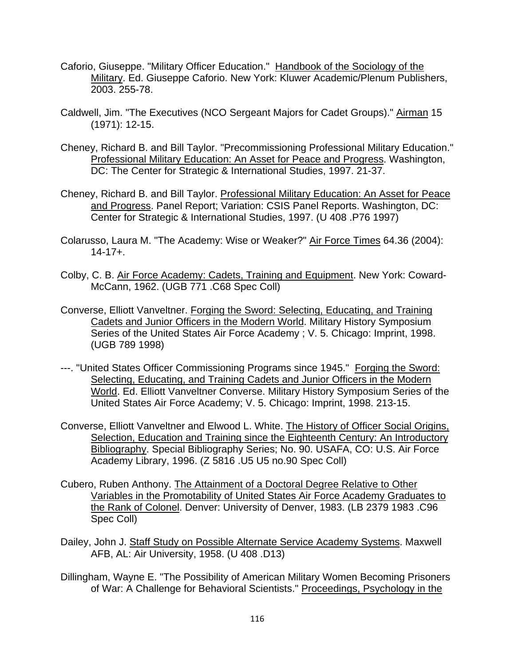- Caforio, Giuseppe. "Military Officer Education." Handbook of the Sociology of the Military. Ed. Giuseppe Caforio. New York: Kluwer Academic/Plenum Publishers, 2003. 255-78.
- Caldwell, Jim. "The Executives (NCO Sergeant Majors for Cadet Groups)." Airman 15 (1971): 12-15.
- Cheney, Richard B. and Bill Taylor. "Precommissioning Professional Military Education." Professional Military Education: An Asset for Peace and Progress. Washington, DC: The Center for Strategic & International Studies, 1997. 21-37.
- Cheney, Richard B. and Bill Taylor. Professional Military Education: An Asset for Peace and Progress. Panel Report; Variation: CSIS Panel Reports. Washington, DC: Center for Strategic & International Studies, 1997. (U 408 .P76 1997)
- Colarusso, Laura M. "The Academy: Wise or Weaker?" Air Force Times 64.36 (2004): 14-17+.
- Colby, C. B. Air Force Academy: Cadets, Training and Equipment. New York: Coward-McCann, 1962. (UGB 771 .C68 Spec Coll)
- Converse, Elliott Vanveltner. Forging the Sword: Selecting, Educating, and Training Cadets and Junior Officers in the Modern World. Military History Symposium Series of the United States Air Force Academy ; V. 5. Chicago: Imprint, 1998. (UGB 789 1998)
- ---. "United States Officer Commissioning Programs since 1945." Forging the Sword: Selecting, Educating, and Training Cadets and Junior Officers in the Modern World. Ed. Elliott Vanveltner Converse. Military History Symposium Series of the United States Air Force Academy; V. 5. Chicago: Imprint, 1998. 213-15.
- Converse, Elliott Vanveltner and Elwood L. White. The History of Officer Social Origins, Selection, Education and Training since the Eighteenth Century: An Introductory Bibliography. Special Bibliography Series; No. 90. USAFA, CO: U.S. Air Force Academy Library, 1996. (Z 5816 .U5 U5 no.90 Spec Coll)
- Cubero, Ruben Anthony. The Attainment of a Doctoral Degree Relative to Other Variables in the Promotability of United States Air Force Academy Graduates to the Rank of Colonel. Denver: University of Denver, 1983. (LB 2379 1983 .C96 Spec Coll)
- Dailey, John J. Staff Study on Possible Alternate Service Academy Systems. Maxwell AFB, AL: Air University, 1958. (U 408 .D13)
- Dillingham, Wayne E. "The Possibility of American Military Women Becoming Prisoners of War: A Challenge for Behavioral Scientists." Proceedings, Psychology in the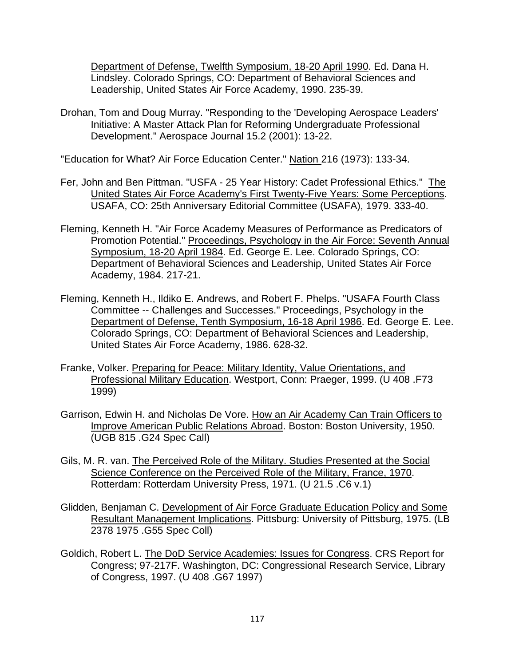Department of Defense, Twelfth Symposium, 18-20 April 1990. Ed. Dana H. Lindsley. Colorado Springs, CO: Department of Behavioral Sciences and Leadership, United States Air Force Academy, 1990. 235-39.

Drohan, Tom and Doug Murray. "Responding to the 'Developing Aerospace Leaders' Initiative: A Master Attack Plan for Reforming Undergraduate Professional Development." Aerospace Journal 15.2 (2001): 13-22.

"Education for What? Air Force Education Center." Nation 216 (1973): 133-34.

- Fer, John and Ben Pittman. "USFA 25 Year History: Cadet Professional Ethics." The United States Air Force Academy's First Twenty-Five Years: Some Perceptions. USAFA, CO: 25th Anniversary Editorial Committee (USAFA), 1979. 333-40.
- Fleming, Kenneth H. "Air Force Academy Measures of Performance as Predicators of Promotion Potential." Proceedings, Psychology in the Air Force: Seventh Annual Symposium, 18-20 April 1984. Ed. George E. Lee. Colorado Springs, CO: Department of Behavioral Sciences and Leadership, United States Air Force Academy, 1984. 217-21.
- Fleming, Kenneth H., Ildiko E. Andrews, and Robert F. Phelps. "USAFA Fourth Class Committee -- Challenges and Successes." Proceedings, Psychology in the Department of Defense, Tenth Symposium, 16-18 April 1986. Ed. George E. Lee. Colorado Springs, CO: Department of Behavioral Sciences and Leadership, United States Air Force Academy, 1986. 628-32.
- Franke, Volker. Preparing for Peace: Military Identity, Value Orientations, and Professional Military Education. Westport, Conn: Praeger, 1999. (U 408 .F73 1999)
- Garrison, Edwin H. and Nicholas De Vore. How an Air Academy Can Train Officers to Improve American Public Relations Abroad. Boston: Boston University, 1950. (UGB 815 .G24 Spec Call)
- Gils, M. R. van. The Perceived Role of the Military. Studies Presented at the Social Science Conference on the Perceived Role of the Military, France, 1970. Rotterdam: Rotterdam University Press, 1971. (U 21.5 .C6 v.1)
- Glidden, Benjaman C. Development of Air Force Graduate Education Policy and Some Resultant Management Implications. Pittsburg: University of Pittsburg, 1975. (LB 2378 1975 .G55 Spec Coll)
- Goldich, Robert L. The DoD Service Academies: Issues for Congress. CRS Report for Congress; 97-217F. Washington, DC: Congressional Research Service, Library of Congress, 1997. (U 408 .G67 1997)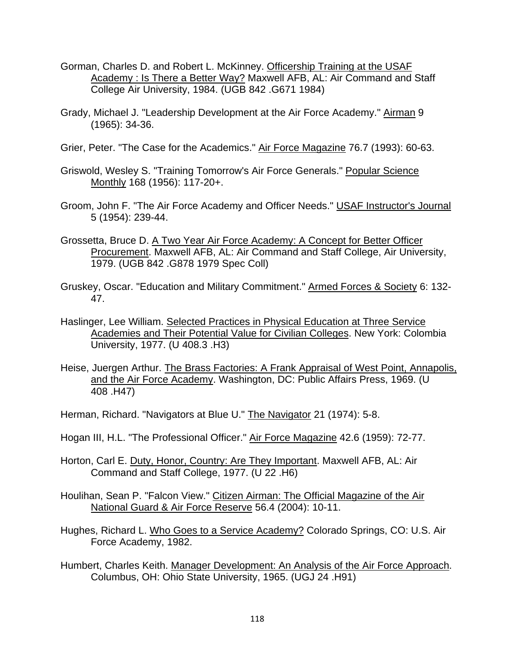- Gorman, Charles D. and Robert L. McKinney. Officership Training at the USAF Academy : Is There a Better Way? Maxwell AFB, AL: Air Command and Staff College Air University, 1984. (UGB 842 .G671 1984)
- Grady, Michael J. "Leadership Development at the Air Force Academy." Airman 9 (1965): 34-36.
- Grier, Peter. "The Case for the Academics." Air Force Magazine 76.7 (1993): 60-63.
- Griswold, Wesley S. "Training Tomorrow's Air Force Generals." Popular Science Monthly 168 (1956): 117-20+.
- Groom, John F. "The Air Force Academy and Officer Needs." USAF Instructor's Journal 5 (1954): 239-44.
- Grossetta, Bruce D. A Two Year Air Force Academy: A Concept for Better Officer Procurement. Maxwell AFB, AL: Air Command and Staff College, Air University, 1979. (UGB 842 .G878 1979 Spec Coll)
- Gruskey, Oscar. "Education and Military Commitment." Armed Forces & Society 6: 132- 47.
- Haslinger, Lee William. Selected Practices in Physical Education at Three Service Academies and Their Potential Value for Civilian Colleges. New York: Colombia University, 1977. (U 408.3 .H3)
- Heise, Juergen Arthur. The Brass Factories: A Frank Appraisal of West Point, Annapolis, and the Air Force Academy. Washington, DC: Public Affairs Press, 1969. (U 408 .H47)
- Herman, Richard. "Navigators at Blue U." The Navigator 21 (1974): 5-8.
- Hogan III, H.L. "The Professional Officer." Air Force Magazine 42.6 (1959): 72-77.
- Horton, Carl E. Duty, Honor, Country: Are They Important. Maxwell AFB, AL: Air Command and Staff College, 1977. (U 22 .H6)
- Houlihan, Sean P. "Falcon View." Citizen Airman: The Official Magazine of the Air National Guard & Air Force Reserve 56.4 (2004): 10-11.
- Hughes, Richard L. Who Goes to a Service Academy? Colorado Springs, CO: U.S. Air Force Academy, 1982.
- Humbert, Charles Keith. Manager Development: An Analysis of the Air Force Approach. Columbus, OH: Ohio State University, 1965. (UGJ 24 .H91)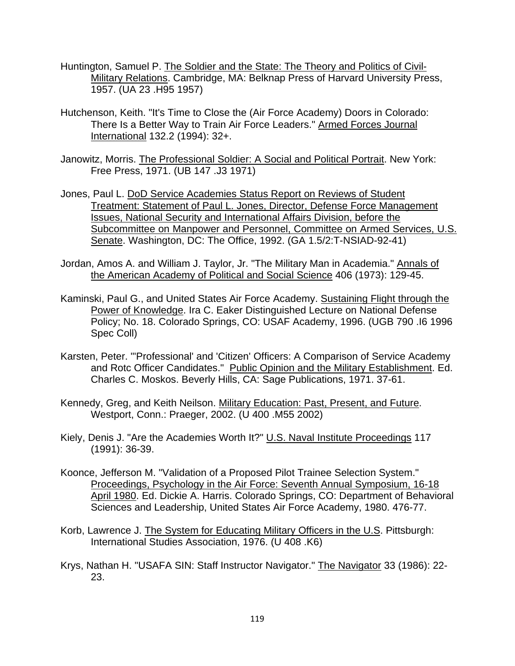- Huntington, Samuel P. The Soldier and the State: The Theory and Politics of Civil-Military Relations. Cambridge, MA: Belknap Press of Harvard University Press, 1957. (UA 23 .H95 1957)
- Hutchenson, Keith. "It's Time to Close the (Air Force Academy) Doors in Colorado: There Is a Better Way to Train Air Force Leaders." Armed Forces Journal International 132.2 (1994): 32+.
- Janowitz, Morris. The Professional Soldier: A Social and Political Portrait. New York: Free Press, 1971. (UB 147 .J3 1971)
- Jones, Paul L. DoD Service Academies Status Report on Reviews of Student Treatment: Statement of Paul L. Jones, Director, Defense Force Management Issues, National Security and International Affairs Division, before the Subcommittee on Manpower and Personnel, Committee on Armed Services, U.S. Senate. Washington, DC: The Office, 1992. (GA 1.5/2:T-NSIAD-92-41)
- Jordan, Amos A. and William J. Taylor, Jr. "The Military Man in Academia." Annals of the American Academy of Political and Social Science 406 (1973): 129-45.
- Kaminski, Paul G., and United States Air Force Academy. Sustaining Flight through the Power of Knowledge. Ira C. Eaker Distinguished Lecture on National Defense Policy; No. 18. Colorado Springs, CO: USAF Academy, 1996. (UGB 790 .I6 1996 Spec Coll)
- Karsten, Peter. "'Professional' and 'Citizen' Officers: A Comparison of Service Academy and Rotc Officer Candidates." Public Opinion and the Military Establishment. Ed. Charles C. Moskos. Beverly Hills, CA: Sage Publications, 1971. 37-61.
- Kennedy, Greg, and Keith Neilson. Military Education: Past, Present, and Future. Westport, Conn.: Praeger, 2002. (U 400 .M55 2002)
- Kiely, Denis J. "Are the Academies Worth It?" U.S. Naval Institute Proceedings 117 (1991): 36-39.
- Koonce, Jefferson M. "Validation of a Proposed Pilot Trainee Selection System." Proceedings, Psychology in the Air Force: Seventh Annual Symposium, 16-18 April 1980. Ed. Dickie A. Harris. Colorado Springs, CO: Department of Behavioral Sciences and Leadership, United States Air Force Academy, 1980. 476-77.
- Korb, Lawrence J. The System for Educating Military Officers in the U.S. Pittsburgh: International Studies Association, 1976. (U 408 .K6)
- Krys, Nathan H. "USAFA SIN: Staff Instructor Navigator." The Navigator 33 (1986): 22- 23.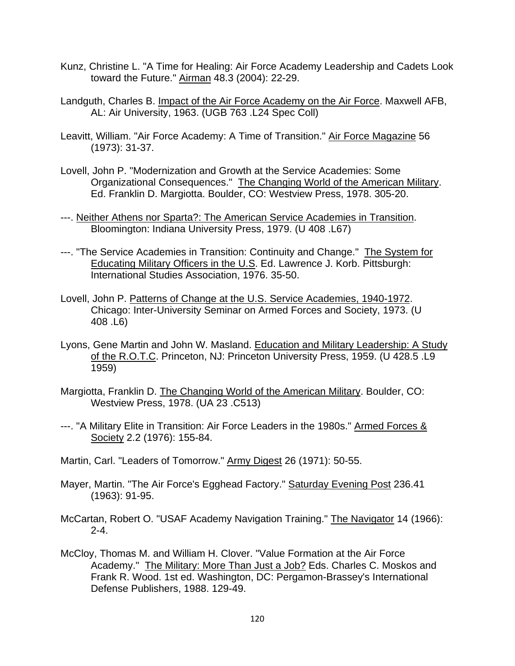- Kunz, Christine L. "A Time for Healing: Air Force Academy Leadership and Cadets Look toward the Future." Airman 48.3 (2004): 22-29.
- Landguth, Charles B. Impact of the Air Force Academy on the Air Force. Maxwell AFB, AL: Air University, 1963. (UGB 763 .L24 Spec Coll)
- Leavitt, William. "Air Force Academy: A Time of Transition." Air Force Magazine 56 (1973): 31-37.
- Lovell, John P. "Modernization and Growth at the Service Academies: Some Organizational Consequences." The Changing World of the American Military. Ed. Franklin D. Margiotta. Boulder, CO: Westview Press, 1978. 305-20.
- ---. Neither Athens nor Sparta?: The American Service Academies in Transition. Bloomington: Indiana University Press, 1979. (U 408 .L67)
- ---. "The Service Academies in Transition: Continuity and Change." The System for Educating Military Officers in the U.S. Ed. Lawrence J. Korb. Pittsburgh: International Studies Association, 1976. 35-50.
- Lovell, John P. Patterns of Change at the U.S. Service Academies, 1940-1972. Chicago: Inter-University Seminar on Armed Forces and Society, 1973. (U 408 .L6)
- Lyons, Gene Martin and John W. Masland. Education and Military Leadership: A Study of the R.O.T.C. Princeton, NJ: Princeton University Press, 1959. (U 428.5 .L9 1959)
- Margiotta, Franklin D. The Changing World of the American Military. Boulder, CO: Westview Press, 1978. (UA 23 .C513)
- ---. "A Military Elite in Transition: Air Force Leaders in the 1980s." Armed Forces & Society 2.2 (1976): 155-84.
- Martin, Carl. "Leaders of Tomorrow." Army Digest 26 (1971): 50-55.
- Mayer, Martin. "The Air Force's Egghead Factory." Saturday Evening Post 236.41 (1963): 91-95.
- McCartan, Robert O. "USAF Academy Navigation Training." The Navigator 14 (1966): 2-4.
- McCloy, Thomas M. and William H. Clover. "Value Formation at the Air Force Academy." The Military: More Than Just a Job? Eds. Charles C. Moskos and Frank R. Wood. 1st ed. Washington, DC: Pergamon-Brassey's International Defense Publishers, 1988. 129-49.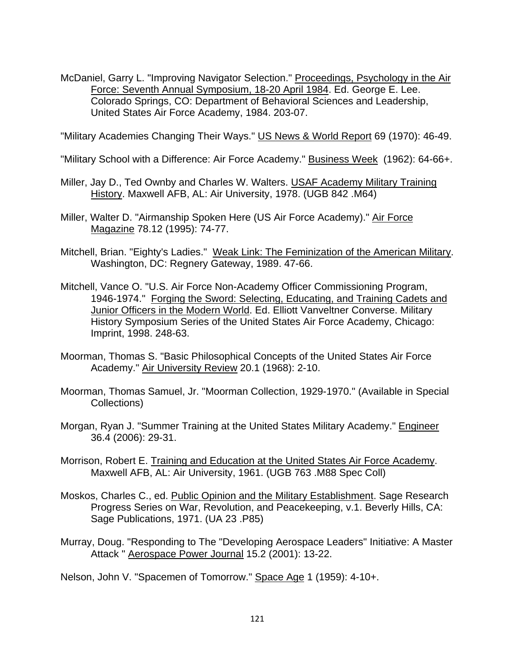McDaniel, Garry L. "Improving Navigator Selection." Proceedings, Psychology in the Air Force: Seventh Annual Symposium, 18-20 April 1984. Ed. George E. Lee. Colorado Springs, CO: Department of Behavioral Sciences and Leadership, United States Air Force Academy, 1984. 203-07.

"Military Academies Changing Their Ways." US News & World Report 69 (1970): 46-49.

- "Military School with a Difference: Air Force Academy." Business Week (1962): 64-66+.
- Miller, Jay D., Ted Ownby and Charles W. Walters. USAF Academy Military Training History. Maxwell AFB, AL: Air University, 1978. (UGB 842 .M64)
- Miller, Walter D. "Airmanship Spoken Here (US Air Force Academy)." Air Force Magazine 78.12 (1995): 74-77.
- Mitchell, Brian. "Eighty's Ladies." Weak Link: The Feminization of the American Military. Washington, DC: Regnery Gateway, 1989. 47-66.
- Mitchell, Vance O. "U.S. Air Force Non-Academy Officer Commissioning Program, 1946-1974." Forging the Sword: Selecting, Educating, and Training Cadets and Junior Officers in the Modern World. Ed. Elliott Vanveltner Converse. Military History Symposium Series of the United States Air Force Academy, Chicago: Imprint, 1998. 248-63.
- Moorman, Thomas S. "Basic Philosophical Concepts of the United States Air Force Academy." Air University Review 20.1 (1968): 2-10.
- Moorman, Thomas Samuel, Jr. "Moorman Collection, 1929-1970." (Available in Special Collections)
- Morgan, Ryan J. "Summer Training at the United States Military Academy." Engineer 36.4 (2006): 29-31.
- Morrison, Robert E. Training and Education at the United States Air Force Academy. Maxwell AFB, AL: Air University, 1961. (UGB 763 .M88 Spec Coll)
- Moskos, Charles C., ed. Public Opinion and the Military Establishment. Sage Research Progress Series on War, Revolution, and Peacekeeping, v.1. Beverly Hills, CA: Sage Publications, 1971. (UA 23 .P85)
- Murray, Doug. "Responding to The "Developing Aerospace Leaders" Initiative: A Master Attack " Aerospace Power Journal 15.2 (2001): 13-22.

Nelson, John V. "Spacemen of Tomorrow." Space Age 1 (1959): 4-10+.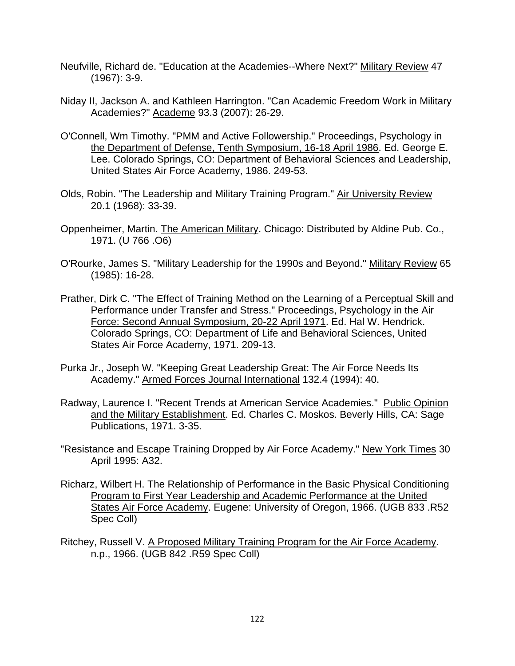- Neufville, Richard de. "Education at the Academies--Where Next?" Military Review 47 (1967): 3-9.
- Niday II, Jackson A. and Kathleen Harrington. "Can Academic Freedom Work in Military Academies?" Academe 93.3 (2007): 26-29.
- O'Connell, Wm Timothy. "PMM and Active Followership." Proceedings, Psychology in the Department of Defense, Tenth Symposium, 16-18 April 1986. Ed. George E. Lee. Colorado Springs, CO: Department of Behavioral Sciences and Leadership, United States Air Force Academy, 1986. 249-53.
- Olds, Robin. "The Leadership and Military Training Program." Air University Review 20.1 (1968): 33-39.
- Oppenheimer, Martin. The American Military. Chicago: Distributed by Aldine Pub. Co., 1971. (U 766 .O6)
- O'Rourke, James S. "Military Leadership for the 1990s and Beyond." Military Review 65 (1985): 16-28.
- Prather, Dirk C. "The Effect of Training Method on the Learning of a Perceptual Skill and Performance under Transfer and Stress." Proceedings, Psychology in the Air Force: Second Annual Symposium, 20-22 April 1971. Ed. Hal W. Hendrick. Colorado Springs, CO: Department of Life and Behavioral Sciences, United States Air Force Academy, 1971. 209-13.
- Purka Jr., Joseph W. "Keeping Great Leadership Great: The Air Force Needs Its Academy." Armed Forces Journal International 132.4 (1994): 40.
- Radway, Laurence I. "Recent Trends at American Service Academies." Public Opinion and the Military Establishment. Ed. Charles C. Moskos. Beverly Hills, CA: Sage Publications, 1971. 3-35.
- "Resistance and Escape Training Dropped by Air Force Academy." New York Times 30 April 1995: A32.
- Richarz, Wilbert H. The Relationship of Performance in the Basic Physical Conditioning Program to First Year Leadership and Academic Performance at the United States Air Force Academy. Eugene: University of Oregon, 1966. (UGB 833 .R52 Spec Coll)
- Ritchey, Russell V. A Proposed Military Training Program for the Air Force Academy. n.p., 1966. (UGB 842 .R59 Spec Coll)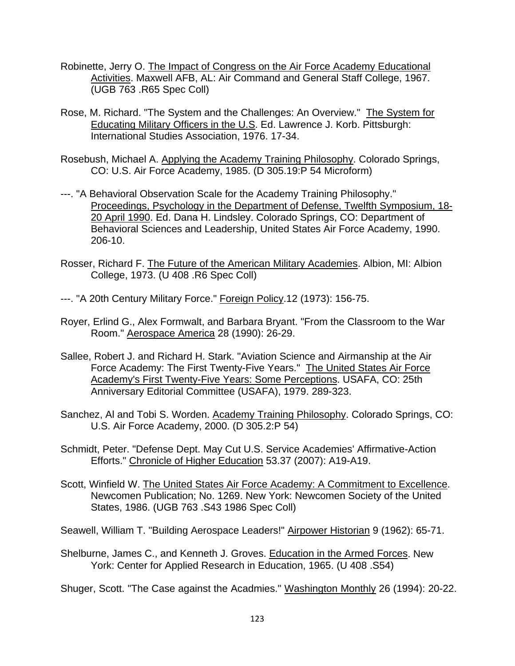- Robinette, Jerry O. The Impact of Congress on the Air Force Academy Educational Activities. Maxwell AFB, AL: Air Command and General Staff College, 1967. (UGB 763 .R65 Spec Coll)
- Rose, M. Richard. "The System and the Challenges: An Overview." The System for Educating Military Officers in the U.S. Ed. Lawrence J. Korb. Pittsburgh: International Studies Association, 1976. 17-34.
- Rosebush, Michael A. Applying the Academy Training Philosophy. Colorado Springs, CO: U.S. Air Force Academy, 1985. (D 305.19:P 54 Microform)
- ---. "A Behavioral Observation Scale for the Academy Training Philosophy." Proceedings, Psychology in the Department of Defense, Twelfth Symposium, 18- 20 April 1990. Ed. Dana H. Lindsley. Colorado Springs, CO: Department of Behavioral Sciences and Leadership, United States Air Force Academy, 1990. 206-10.
- Rosser, Richard F. The Future of the American Military Academies. Albion, MI: Albion College, 1973. (U 408 .R6 Spec Coll)
- ---. "A 20th Century Military Force." Foreign Policy.12 (1973): 156-75.
- Royer, Erlind G., Alex Formwalt, and Barbara Bryant. "From the Classroom to the War Room." Aerospace America 28 (1990): 26-29.
- Sallee, Robert J. and Richard H. Stark. "Aviation Science and Airmanship at the Air Force Academy: The First Twenty-Five Years." The United States Air Force Academy's First Twenty-Five Years: Some Perceptions. USAFA, CO: 25th Anniversary Editorial Committee (USAFA), 1979. 289-323.
- Sanchez, Al and Tobi S. Worden. Academy Training Philosophy. Colorado Springs, CO: U.S. Air Force Academy, 2000. (D 305.2:P 54)
- Schmidt, Peter. "Defense Dept. May Cut U.S. Service Academies' Affirmative-Action Efforts." Chronicle of Higher Education 53.37 (2007): A19-A19.
- Scott, Winfield W. The United States Air Force Academy: A Commitment to Excellence. Newcomen Publication; No. 1269. New York: Newcomen Society of the United States, 1986. (UGB 763 .S43 1986 Spec Coll)

Seawell, William T. "Building Aerospace Leaders!" Airpower Historian 9 (1962): 65-71.

Shelburne, James C., and Kenneth J. Groves. Education in the Armed Forces. New York: Center for Applied Research in Education, 1965. (U 408 .S54)

Shuger, Scott. "The Case against the Acadmies." Washington Monthly 26 (1994): 20-22.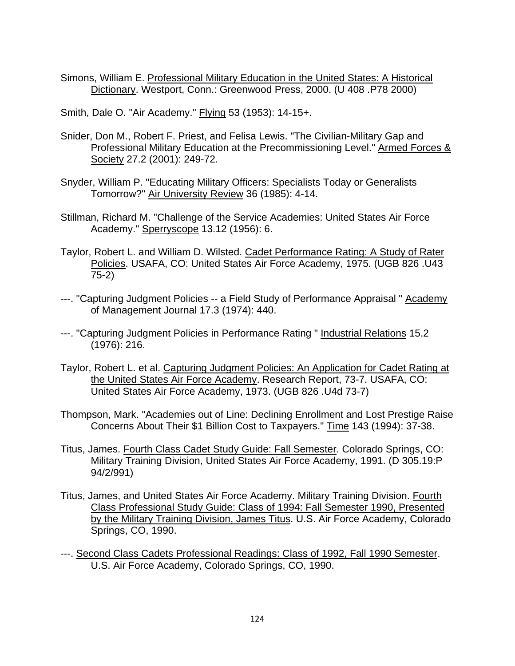Simons, William E. Professional Military Education in the United States: A Historical Dictionary. Westport, Conn.: Greenwood Press, 2000. (U 408 .P78 2000)

Smith, Dale O. "Air Academy." Flying 53 (1953): 14-15+.

- Snider, Don M., Robert F. Priest, and Felisa Lewis. "The Civilian-Military Gap and Professional Military Education at the Precommissioning Level." Armed Forces & Society 27.2 (2001): 249-72.
- Snyder, William P. "Educating Military Officers: Specialists Today or Generalists Tomorrow?" Air University Review 36 (1985): 4-14.
- Stillman, Richard M. "Challenge of the Service Academies: United States Air Force Academy." Sperryscope 13.12 (1956): 6.
- Taylor, Robert L. and William D. Wilsted. Cadet Performance Rating: A Study of Rater Policies. USAFA, CO: United States Air Force Academy, 1975. (UGB 826 .U43 75-2)
- ---. "Capturing Judgment Policies -- a Field Study of Performance Appraisal " Academy of Management Journal 17.3 (1974): 440.
- ---. "Capturing Judgment Policies in Performance Rating " Industrial Relations 15.2 (1976): 216.
- Taylor, Robert L. et al. Capturing Judgment Policies: An Application for Cadet Rating at the United States Air Force Academy. Research Report, 73-7. USAFA, CO: United States Air Force Academy, 1973. (UGB 826 .U4d 73-7)
- Thompson, Mark. "Academies out of Line: Declining Enrollment and Lost Prestige Raise Concerns About Their \$1 Billion Cost to Taxpayers." Time 143 (1994): 37-38.
- Titus, James. Fourth Class Cadet Study Guide: Fall Semester. Colorado Springs, CO: Military Training Division, United States Air Force Academy, 1991. (D 305.19:P 94/2/991)
- Titus, James, and United States Air Force Academy. Military Training Division. Fourth Class Professional Study Guide: Class of 1994: Fall Semester 1990, Presented by the Military Training Division, James Titus. U.S. Air Force Academy, Colorado Springs, CO, 1990.
- ---. Second Class Cadets Professional Readings: Class of 1992, Fall 1990 Semester. U.S. Air Force Academy, Colorado Springs, CO, 1990.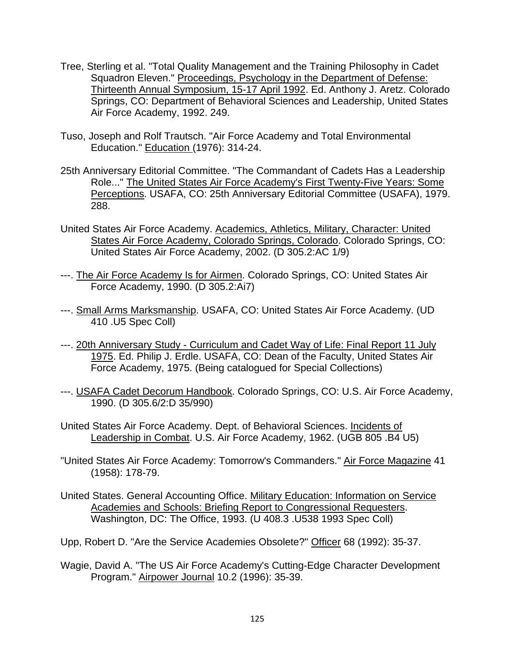- Tree, Sterling et al. "Total Quality Management and the Training Philosophy in Cadet Squadron Eleven." Proceedings, Psychology in the Department of Defense: Thirteenth Annual Symposium, 15-17 April 1992. Ed. Anthony J. Aretz. Colorado Springs, CO: Department of Behavioral Sciences and Leadership, United States Air Force Academy, 1992. 249.
- Tuso, Joseph and Rolf Trautsch. "Air Force Academy and Total Environmental Education." Education (1976): 314-24.
- 25th Anniversary Editorial Committee. "The Commandant of Cadets Has a Leadership Role..." The United States Air Force Academy's First Twenty-Five Years: Some Perceptions. USAFA, CO: 25th Anniversary Editorial Committee (USAFA), 1979. 288.
- United States Air Force Academy. Academics, Athletics, Military, Character: United States Air Force Academy, Colorado Springs, Colorado. Colorado Springs, CO: United States Air Force Academy, 2002. (D 305.2:AC 1/9)
- ---. The Air Force Academy Is for Airmen. Colorado Springs, CO: United States Air Force Academy, 1990. (D 305.2:Ai7)
- ---. Small Arms Marksmanship. USAFA, CO: United States Air Force Academy. (UD 410 .U5 Spec Coll)
- ---. 20th Anniversary Study Curriculum and Cadet Way of Life: Final Report 11 July 1975. Ed. Philip J. Erdle. USAFA, CO: Dean of the Faculty, United States Air Force Academy, 1975. (Being catalogued for Special Collections)
- ---. USAFA Cadet Decorum Handbook. Colorado Springs, CO: U.S. Air Force Academy, 1990. (D 305.6/2:D 35/990)
- United States Air Force Academy. Dept. of Behavioral Sciences. Incidents of Leadership in Combat. U.S. Air Force Academy, 1962. (UGB 805 .B4 U5)
- "United States Air Force Academy: Tomorrow's Commanders." Air Force Magazine 41 (1958): 178-79.
- United States. General Accounting Office. Military Education: Information on Service Academies and Schools: Briefing Report to Congressional Requesters. Washington, DC: The Office, 1993. (U 408.3 .U538 1993 Spec Coll)
- Upp, Robert D. "Are the Service Academies Obsolete?" Officer 68 (1992): 35-37.
- Wagie, David A. "The US Air Force Academy's Cutting-Edge Character Development Program." Airpower Journal 10.2 (1996): 35-39.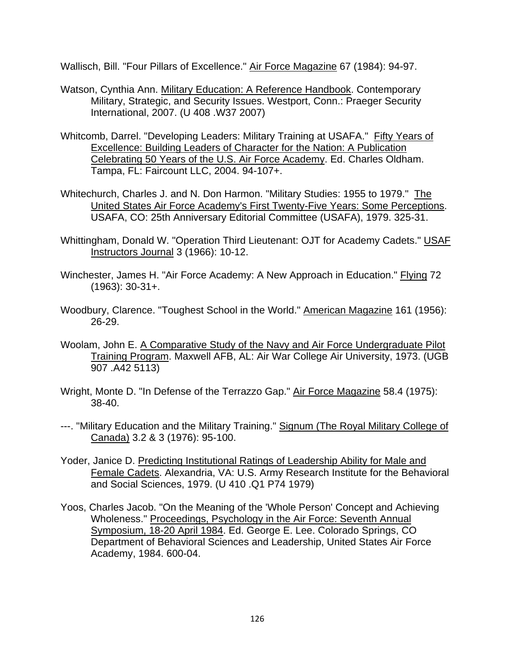Wallisch, Bill. "Four Pillars of Excellence." Air Force Magazine 67 (1984): 94-97.

- Watson, Cynthia Ann. Military Education: A Reference Handbook. Contemporary Military, Strategic, and Security Issues. Westport, Conn.: Praeger Security International, 2007. (U 408 .W37 2007)
- Whitcomb, Darrel. "Developing Leaders: Military Training at USAFA." Fifty Years of Excellence: Building Leaders of Character for the Nation: A Publication Celebrating 50 Years of the U.S. Air Force Academy. Ed. Charles Oldham. Tampa, FL: Faircount LLC, 2004. 94-107+.
- Whitechurch, Charles J. and N. Don Harmon. "Military Studies: 1955 to 1979." The United States Air Force Academy's First Twenty-Five Years: Some Perceptions. USAFA, CO: 25th Anniversary Editorial Committee (USAFA), 1979. 325-31.
- Whittingham, Donald W. "Operation Third Lieutenant: OJT for Academy Cadets." USAF Instructors Journal 3 (1966): 10-12.
- Winchester, James H. "Air Force Academy: A New Approach in Education." Flying 72 (1963): 30-31+.
- Woodbury, Clarence. "Toughest School in the World." American Magazine 161 (1956): 26-29.
- Woolam, John E. A Comparative Study of the Navy and Air Force Undergraduate Pilot Training Program. Maxwell AFB, AL: Air War College Air University, 1973. (UGB 907 .A42 5113)
- Wright, Monte D. "In Defense of the Terrazzo Gap." Air Force Magazine 58.4 (1975): 38-40.
- ---. "Military Education and the Military Training." Signum (The Royal Military College of Canada) 3.2 & 3 (1976): 95-100.
- Yoder, Janice D. Predicting Institutional Ratings of Leadership Ability for Male and Female Cadets. Alexandria, VA: U.S. Army Research Institute for the Behavioral and Social Sciences, 1979. (U 410 .Q1 P74 1979)
- Yoos, Charles Jacob. "On the Meaning of the 'Whole Person' Concept and Achieving Wholeness." Proceedings, Psychology in the Air Force: Seventh Annual Symposium, 18-20 April 1984. Ed. George E. Lee. Colorado Springs, CO Department of Behavioral Sciences and Leadership, United States Air Force Academy, 1984. 600-04.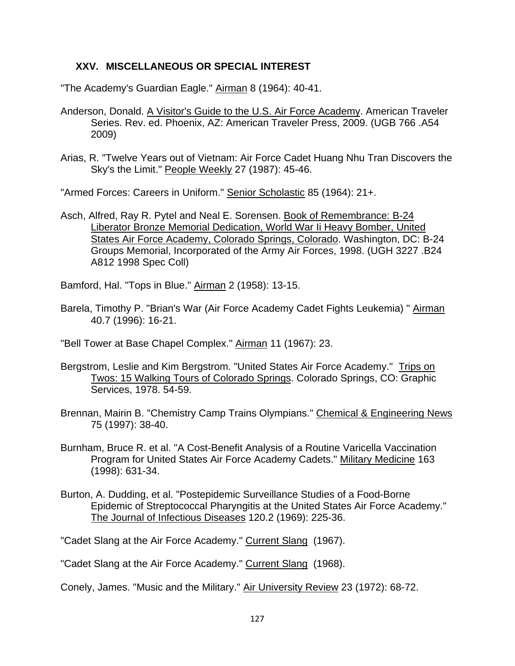# **XXV. MISCELLANEOUS OR SPECIAL INTEREST**

"The Academy's Guardian Eagle." Airman 8 (1964): 40-41.

- Anderson, Donald. A Visitor's Guide to the U.S. Air Force Academy. American Traveler Series. Rev. ed. Phoenix, AZ: American Traveler Press, 2009. (UGB 766 .A54 2009)
- Arias, R. "Twelve Years out of Vietnam: Air Force Cadet Huang Nhu Tran Discovers the Sky's the Limit." People Weekly 27 (1987): 45-46.

"Armed Forces: Careers in Uniform." Senior Scholastic 85 (1964): 21+.

Asch, Alfred, Ray R. Pytel and Neal E. Sorensen. Book of Remembrance: B-24 Liberator Bronze Memorial Dedication, World War Ii Heavy Bomber, United States Air Force Academy, Colorado Springs, Colorado. Washington, DC: B-24 Groups Memorial, Incorporated of the Army Air Forces, 1998. (UGH 3227 .B24 A812 1998 Spec Coll)

Bamford, Hal. "Tops in Blue." Airman 2 (1958): 13-15.

Barela, Timothy P. "Brian's War (Air Force Academy Cadet Fights Leukemia) " Airman 40.7 (1996): 16-21.

"Bell Tower at Base Chapel Complex." Airman 11 (1967): 23.

- Bergstrom, Leslie and Kim Bergstrom. "United States Air Force Academy." Trips on Twos: 15 Walking Tours of Colorado Springs. Colorado Springs, CO: Graphic Services, 1978. 54-59.
- Brennan, Mairin B. "Chemistry Camp Trains Olympians." Chemical & Engineering News 75 (1997): 38-40.
- Burnham, Bruce R. et al. "A Cost-Benefit Analysis of a Routine Varicella Vaccination Program for United States Air Force Academy Cadets." Military Medicine 163 (1998): 631-34.
- Burton, A. Dudding, et al. "Postepidemic Surveillance Studies of a Food-Borne Epidemic of Streptococcal Pharyngitis at the United States Air Force Academy." The Journal of Infectious Diseases 120.2 (1969): 225-36.

"Cadet Slang at the Air Force Academy." Current Slang (1967).

"Cadet Slang at the Air Force Academy." Current Slang (1968).

Conely, James. "Music and the Military." Air University Review 23 (1972): 68-72.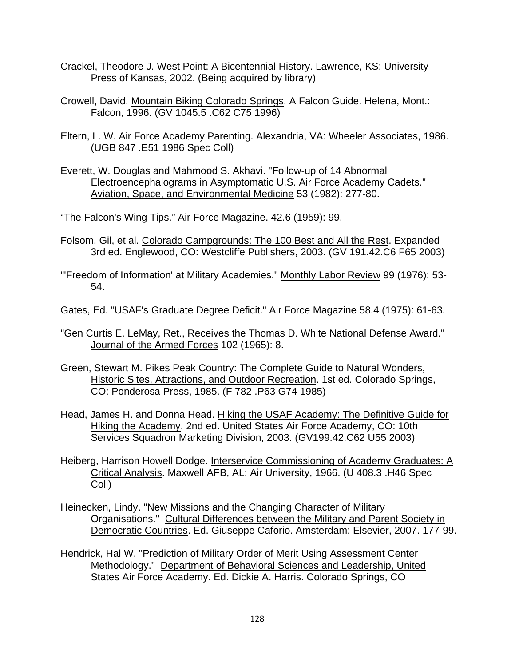- Crackel, Theodore J. West Point: A Bicentennial History. Lawrence, KS: University Press of Kansas, 2002. (Being acquired by library)
- Crowell, David. Mountain Biking Colorado Springs. A Falcon Guide. Helena, Mont.: Falcon, 1996. (GV 1045.5 .C62 C75 1996)
- Eltern, L. W. Air Force Academy Parenting. Alexandria, VA: Wheeler Associates, 1986. (UGB 847 .E51 1986 Spec Coll)
- Everett, W. Douglas and Mahmood S. Akhavi. "Follow-up of 14 Abnormal Electroencephalograms in Asymptomatic U.S. Air Force Academy Cadets." Aviation, Space, and Environmental Medicine 53 (1982): 277-80.

"The Falcon's Wing Tips." Air Force Magazine. 42.6 (1959): 99.

- Folsom, Gil, et al. Colorado Campgrounds: The 100 Best and All the Rest. Expanded 3rd ed. Englewood, CO: Westcliffe Publishers, 2003. (GV 191.42.C6 F65 2003)
- "'Freedom of Information' at Military Academies." Monthly Labor Review 99 (1976): 53- 54.
- Gates, Ed. "USAF's Graduate Degree Deficit." Air Force Magazine 58.4 (1975): 61-63.
- "Gen Curtis E. LeMay, Ret., Receives the Thomas D. White National Defense Award." Journal of the Armed Forces 102 (1965): 8.
- Green, Stewart M. Pikes Peak Country: The Complete Guide to Natural Wonders, Historic Sites, Attractions, and Outdoor Recreation. 1st ed. Colorado Springs, CO: Ponderosa Press, 1985. (F 782 .P63 G74 1985)
- Head, James H. and Donna Head. Hiking the USAF Academy: The Definitive Guide for Hiking the Academy. 2nd ed. United States Air Force Academy, CO: 10th Services Squadron Marketing Division, 2003. (GV199.42.C62 U55 2003)
- Heiberg, Harrison Howell Dodge. Interservice Commissioning of Academy Graduates: A Critical Analysis. Maxwell AFB, AL: Air University, 1966. (U 408.3 .H46 Spec Coll)
- Heinecken, Lindy. "New Missions and the Changing Character of Military Organisations." Cultural Differences between the Military and Parent Society in Democratic Countries. Ed. Giuseppe Caforio. Amsterdam: Elsevier, 2007. 177-99.
- Hendrick, Hal W. "Prediction of Military Order of Merit Using Assessment Center Methodology." Department of Behavioral Sciences and Leadership, United States Air Force Academy. Ed. Dickie A. Harris. Colorado Springs, CO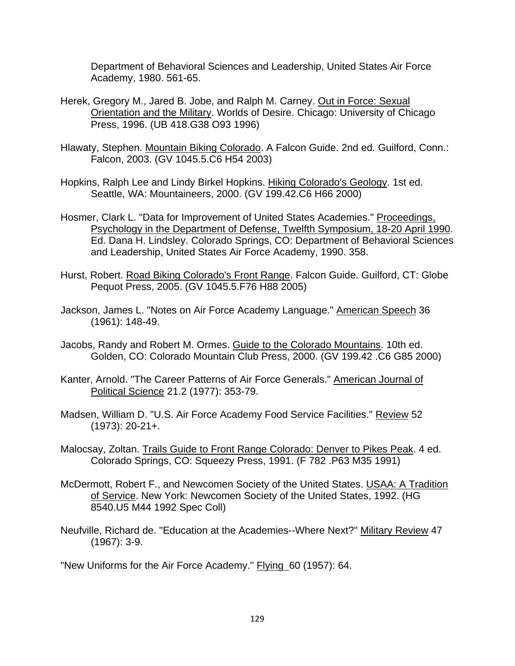Department of Behavioral Sciences and Leadership, United States Air Force Academy, 1980. 561-65.

- Herek, Gregory M., Jared B. Jobe, and Ralph M. Carney. Out in Force: Sexual Orientation and the Military. Worlds of Desire. Chicago: University of Chicago Press, 1996. (UB 418.G38 O93 1996)
- Hlawaty, Stephen. Mountain Biking Colorado. A Falcon Guide. 2nd ed. Guilford, Conn.: Falcon, 2003. (GV 1045.5.C6 H54 2003)
- Hopkins, Ralph Lee and Lindy Birkel Hopkins. Hiking Colorado's Geology. 1st ed. Seattle, WA: Mountaineers, 2000. (GV 199.42.C6 H66 2000)
- Hosmer, Clark L. "Data for Improvement of United States Academies." Proceedings, Psychology in the Department of Defense, Twelfth Symposium, 18-20 April 1990. Ed. Dana H. Lindsley. Colorado Springs, CO: Department of Behavioral Sciences and Leadership, United States Air Force Academy, 1990. 358.
- Hurst, Robert. Road Biking Colorado's Front Range. Falcon Guide. Guilford, CT: Globe Pequot Press, 2005. (GV 1045.5.F76 H88 2005)
- Jackson, James L. "Notes on Air Force Academy Language." American Speech 36 (1961): 148-49.
- Jacobs, Randy and Robert M. Ormes. Guide to the Colorado Mountains. 10th ed. Golden, CO: Colorado Mountain Club Press, 2000. (GV 199.42 .C6 G85 2000)
- Kanter, Arnold. "The Career Patterns of Air Force Generals." American Journal of Political Science 21.2 (1977): 353-79.
- Madsen, William D. "U.S. Air Force Academy Food Service Facilities." Review 52 (1973): 20-21+.
- Malocsay, Zoltan. Trails Guide to Front Range Colorado: Denver to Pikes Peak. 4 ed. Colorado Springs, CO: Squeezy Press, 1991. (F 782 .P63 M35 1991)
- McDermott, Robert F., and Newcomen Society of the United States. USAA: A Tradition of Service. New York: Newcomen Society of the United States, 1992. (HG 8540.U5 M44 1992 Spec Coll)
- Neufville, Richard de. "Education at the Academies--Where Next?" Military Review 47 (1967): 3-9.

"New Uniforms for the Air Force Academy." Flying 60 (1957): 64.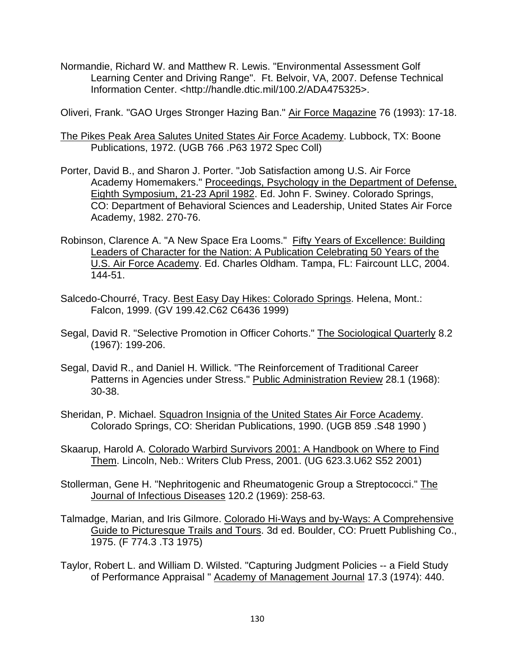Normandie, Richard W. and Matthew R. Lewis. "Environmental Assessment Golf Learning Center and Driving Range". Ft. Belvoir, VA, 2007. Defense Technical Information Center. <http://handle.dtic.mil/100.2/ADA475325>.

Oliveri, Frank. "GAO Urges Stronger Hazing Ban." Air Force Magazine 76 (1993): 17-18.

- The Pikes Peak Area Salutes United States Air Force Academy. Lubbock, TX: Boone Publications, 1972. (UGB 766 .P63 1972 Spec Coll)
- Porter, David B., and Sharon J. Porter. "Job Satisfaction among U.S. Air Force Academy Homemakers." Proceedings, Psychology in the Department of Defense, Eighth Symposium, 21-23 April 1982. Ed. John F. Swiney. Colorado Springs, CO: Department of Behavioral Sciences and Leadership, United States Air Force Academy, 1982. 270-76.
- Robinson, Clarence A. "A New Space Era Looms." Fifty Years of Excellence: Building Leaders of Character for the Nation: A Publication Celebrating 50 Years of the U.S. Air Force Academy. Ed. Charles Oldham. Tampa, FL: Faircount LLC, 2004. 144-51.
- Salcedo-Chourré, Tracy. Best Easy Day Hikes: Colorado Springs. Helena, Mont.: Falcon, 1999. (GV 199.42.C62 C6436 1999)
- Segal, David R. "Selective Promotion in Officer Cohorts." The Sociological Quarterly 8.2 (1967): 199-206.
- Segal, David R., and Daniel H. Willick. "The Reinforcement of Traditional Career Patterns in Agencies under Stress." Public Administration Review 28.1 (1968): 30-38.
- Sheridan, P. Michael. Squadron Insignia of the United States Air Force Academy. Colorado Springs, CO: Sheridan Publications, 1990. (UGB 859 .S48 1990 )
- Skaarup, Harold A. Colorado Warbird Survivors 2001: A Handbook on Where to Find Them. Lincoln, Neb.: Writers Club Press, 2001. (UG 623.3.U62 S52 2001)
- Stollerman, Gene H. "Nephritogenic and Rheumatogenic Group a Streptococci." The Journal of Infectious Diseases 120.2 (1969): 258-63.
- Talmadge, Marian, and Iris Gilmore. Colorado Hi-Ways and by-Ways: A Comprehensive Guide to Picturesque Trails and Tours. 3d ed. Boulder, CO: Pruett Publishing Co., 1975. (F 774.3 .T3 1975)
- Taylor, Robert L. and William D. Wilsted. "Capturing Judgment Policies -- a Field Study of Performance Appraisal " Academy of Management Journal 17.3 (1974): 440.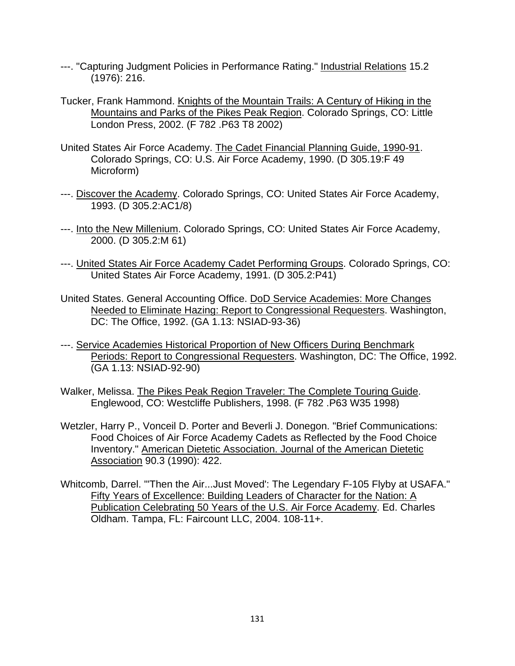- ---. "Capturing Judgment Policies in Performance Rating." Industrial Relations 15.2 (1976): 216.
- Tucker, Frank Hammond. Knights of the Mountain Trails: A Century of Hiking in the Mountains and Parks of the Pikes Peak Region. Colorado Springs, CO: Little London Press, 2002. (F 782 .P63 T8 2002)
- United States Air Force Academy. The Cadet Financial Planning Guide, 1990-91. Colorado Springs, CO: U.S. Air Force Academy, 1990. (D 305.19:F 49 Microform)
- ---. Discover the Academy. Colorado Springs, CO: United States Air Force Academy, 1993. (D 305.2:AC1/8)
- ---. Into the New Millenium. Colorado Springs, CO: United States Air Force Academy, 2000. (D 305.2:M 61)
- ---. United States Air Force Academy Cadet Performing Groups. Colorado Springs, CO: United States Air Force Academy, 1991. (D 305.2:P41)
- United States. General Accounting Office. DoD Service Academies: More Changes Needed to Eliminate Hazing: Report to Congressional Requesters. Washington, DC: The Office, 1992. (GA 1.13: NSIAD-93-36)
- ---. Service Academies Historical Proportion of New Officers During Benchmark Periods: Report to Congressional Requesters. Washington, DC: The Office, 1992. (GA 1.13: NSIAD-92-90)
- Walker, Melissa. The Pikes Peak Region Traveler: The Complete Touring Guide. Englewood, CO: Westcliffe Publishers, 1998. (F 782 .P63 W35 1998)
- Wetzler, Harry P., Vonceil D. Porter and Beverli J. Donegon. "Brief Communications: Food Choices of Air Force Academy Cadets as Reflected by the Food Choice Inventory." American Dietetic Association. Journal of the American Dietetic Association 90.3 (1990): 422.
- Whitcomb, Darrel. "'Then the Air...Just Moved': The Legendary F-105 Flyby at USAFA." Fifty Years of Excellence: Building Leaders of Character for the Nation: A Publication Celebrating 50 Years of the U.S. Air Force Academy. Ed. Charles Oldham. Tampa, FL: Faircount LLC, 2004. 108-11+.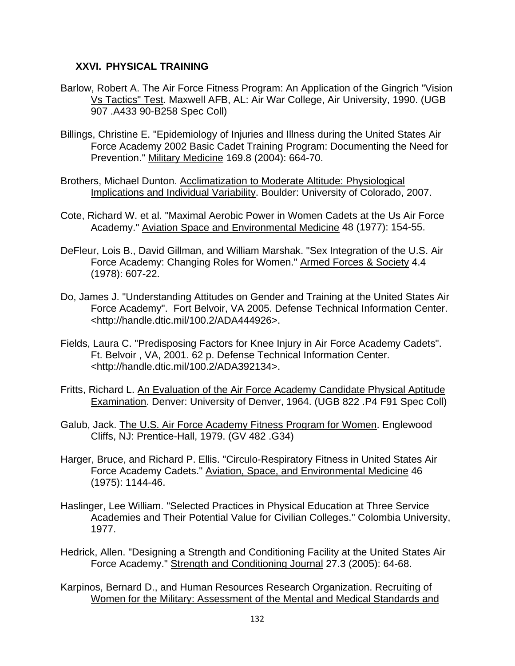# **XXVI. PHYSICAL TRAINING**

- Barlow, Robert A. The Air Force Fitness Program: An Application of the Gingrich "Vision Vs Tactics" Test. Maxwell AFB, AL: Air War College, Air University, 1990. (UGB 907 .A433 90-B258 Spec Coll)
- Billings, Christine E. "Epidemiology of Injuries and Illness during the United States Air Force Academy 2002 Basic Cadet Training Program: Documenting the Need for Prevention." Military Medicine 169.8 (2004): 664-70.
- Brothers, Michael Dunton. Acclimatization to Moderate Altitude: Physiological Implications and Individual Variability. Boulder: University of Colorado, 2007.
- Cote, Richard W. et al. "Maximal Aerobic Power in Women Cadets at the Us Air Force Academy." Aviation Space and Environmental Medicine 48 (1977): 154-55.
- DeFleur, Lois B., David Gillman, and William Marshak. "Sex Integration of the U.S. Air Force Academy: Changing Roles for Women." Armed Forces & Society 4.4 (1978): 607-22.
- Do, James J. "Understanding Attitudes on Gender and Training at the United States Air Force Academy". Fort Belvoir, VA 2005. Defense Technical Information Center. <http://handle.dtic.mil/100.2/ADA444926>.
- Fields, Laura C. "Predisposing Factors for Knee Injury in Air Force Academy Cadets". Ft. Belvoir , VA, 2001. 62 p. Defense Technical Information Center. <http://handle.dtic.mil/100.2/ADA392134>.
- Fritts, Richard L. An Evaluation of the Air Force Academy Candidate Physical Aptitude Examination. Denver: University of Denver, 1964. (UGB 822 .P4 F91 Spec Coll)
- Galub, Jack. The U.S. Air Force Academy Fitness Program for Women. Englewood Cliffs, NJ: Prentice-Hall, 1979. (GV 482 .G34)
- Harger, Bruce, and Richard P. Ellis. "Circulo-Respiratory Fitness in United States Air Force Academy Cadets." Aviation, Space, and Environmental Medicine 46 (1975): 1144-46.
- Haslinger, Lee William. "Selected Practices in Physical Education at Three Service Academies and Their Potential Value for Civilian Colleges." Colombia University, 1977.
- Hedrick, Allen. "Designing a Strength and Conditioning Facility at the United States Air Force Academy." Strength and Conditioning Journal 27.3 (2005): 64-68.
- Karpinos, Bernard D., and Human Resources Research Organization. Recruiting of Women for the Military: Assessment of the Mental and Medical Standards and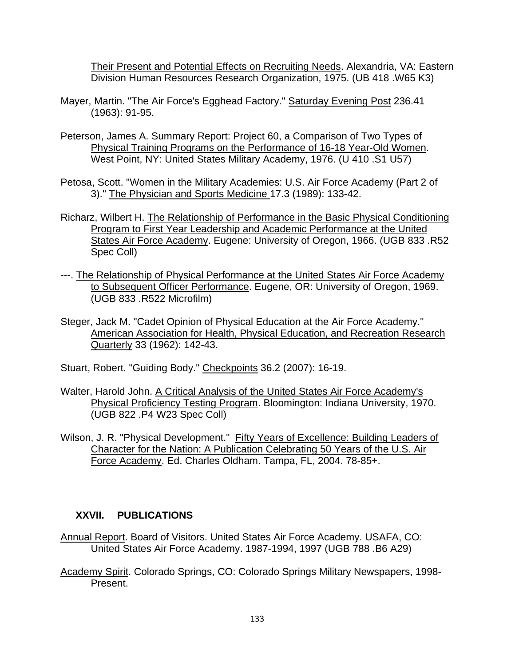Their Present and Potential Effects on Recruiting Needs. Alexandria, VA: Eastern Division Human Resources Research Organization, 1975. (UB 418 .W65 K3)

- Mayer, Martin. "The Air Force's Egghead Factory." Saturday Evening Post 236.41 (1963): 91-95.
- Peterson, James A. Summary Report: Project 60, a Comparison of Two Types of Physical Training Programs on the Performance of 16-18 Year-Old Women. West Point, NY: United States Military Academy, 1976. (U 410 .S1 U57)
- Petosa, Scott. "Women in the Military Academies: U.S. Air Force Academy (Part 2 of 3)." The Physician and Sports Medicine 17.3 (1989): 133-42.
- Richarz, Wilbert H. The Relationship of Performance in the Basic Physical Conditioning Program to First Year Leadership and Academic Performance at the United States Air Force Academy. Eugene: University of Oregon, 1966. (UGB 833 .R52 Spec Coll)
- ---. The Relationship of Physical Performance at the United States Air Force Academy to Subsequent Officer Performance. Eugene, OR: University of Oregon, 1969. (UGB 833 .R522 Microfilm)
- Steger, Jack M. "Cadet Opinion of Physical Education at the Air Force Academy." American Association for Health, Physical Education, and Recreation Research Quarterly 33 (1962): 142-43.
- Stuart, Robert. "Guiding Body." Checkpoints 36.2 (2007): 16-19.
- Walter, Harold John. A Critical Analysis of the United States Air Force Academy's Physical Proficiency Testing Program. Bloomington: Indiana University, 1970. (UGB 822 .P4 W23 Spec Coll)
- Wilson, J. R. "Physical Development." Fifty Years of Excellence: Building Leaders of Character for the Nation: A Publication Celebrating 50 Years of the U.S. Air Force Academy. Ed. Charles Oldham. Tampa, FL, 2004. 78-85+.

# **XXVII. PUBLICATIONS**

- Annual Report. Board of Visitors. United States Air Force Academy. USAFA, CO: United States Air Force Academy. 1987-1994, 1997 (UGB 788 .B6 A29)
- Academy Spirit. Colorado Springs, CO: Colorado Springs Military Newspapers, 1998- Present.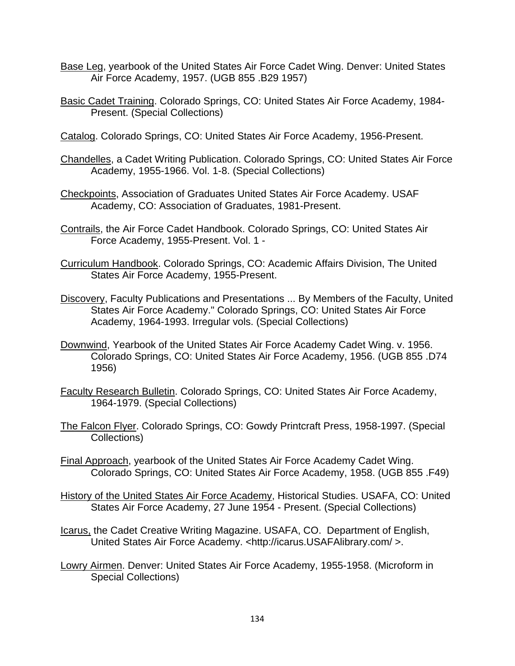- Base Leg, yearbook of the United States Air Force Cadet Wing. Denver: United States Air Force Academy, 1957. (UGB 855 .B29 1957)
- Basic Cadet Training. Colorado Springs, CO: United States Air Force Academy, 1984- Present. (Special Collections)
- Catalog. Colorado Springs, CO: United States Air Force Academy, 1956-Present.
- Chandelles, a Cadet Writing Publication. Colorado Springs, CO: United States Air Force Academy, 1955-1966. Vol. 1-8. (Special Collections)
- Checkpoints, Association of Graduates United States Air Force Academy. USAF Academy, CO: Association of Graduates, 1981-Present.
- Contrails, the Air Force Cadet Handbook. Colorado Springs, CO: United States Air Force Academy, 1955-Present. Vol. 1 -
- Curriculum Handbook. Colorado Springs, CO: Academic Affairs Division, The United States Air Force Academy, 1955-Present.
- Discovery, Faculty Publications and Presentations ... By Members of the Faculty, United States Air Force Academy." Colorado Springs, CO: United States Air Force Academy, 1964-1993. Irregular vols. (Special Collections)
- Downwind, Yearbook of the United States Air Force Academy Cadet Wing. v. 1956. Colorado Springs, CO: United States Air Force Academy, 1956. (UGB 855 .D74 1956)
- Faculty Research Bulletin. Colorado Springs, CO: United States Air Force Academy, 1964-1979. (Special Collections)
- The Falcon Flyer. Colorado Springs, CO: Gowdy Printcraft Press, 1958-1997. (Special Collections)
- Final Approach, yearbook of the United States Air Force Academy Cadet Wing. Colorado Springs, CO: United States Air Force Academy, 1958. (UGB 855 .F49)
- History of the United States Air Force Academy, Historical Studies. USAFA, CO: United States Air Force Academy, 27 June 1954 - Present. (Special Collections)
- Icarus, the Cadet Creative Writing Magazine. USAFA, CO. Department of English, United States Air Force Academy. <http://icarus.USAFAlibrary.com/ >.
- Lowry Airmen. Denver: United States Air Force Academy, 1955-1958. (Microform in Special Collections)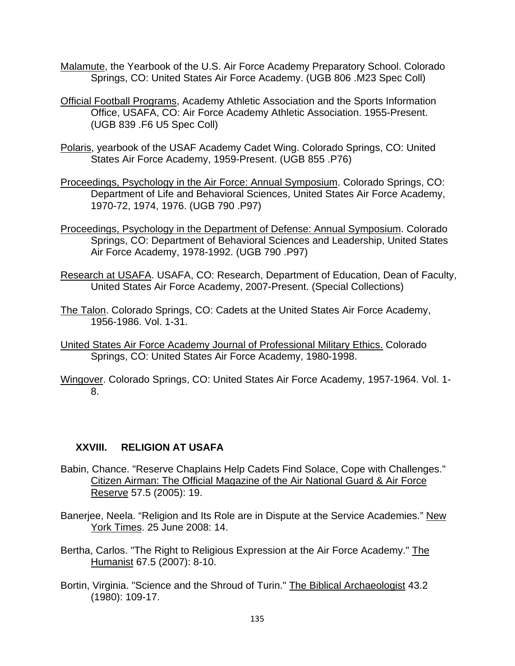- Malamute, the Yearbook of the U.S. Air Force Academy Preparatory School. Colorado Springs, CO: United States Air Force Academy. (UGB 806 .M23 Spec Coll)
- Official Football Programs, Academy Athletic Association and the Sports Information Office, USAFA, CO: Air Force Academy Athletic Association. 1955-Present. (UGB 839 .F6 U5 Spec Coll)
- Polaris, yearbook of the USAF Academy Cadet Wing. Colorado Springs, CO: United States Air Force Academy, 1959-Present. (UGB 855 .P76)
- Proceedings, Psychology in the Air Force: Annual Symposium. Colorado Springs, CO: Department of Life and Behavioral Sciences, United States Air Force Academy, 1970-72, 1974, 1976. (UGB 790 .P97)
- Proceedings, Psychology in the Department of Defense: Annual Symposium. Colorado Springs, CO: Department of Behavioral Sciences and Leadership, United States Air Force Academy, 1978-1992. (UGB 790 .P97)
- Research at USAFA. USAFA, CO: Research, Department of Education, Dean of Faculty, United States Air Force Academy, 2007-Present. (Special Collections)
- The Talon. Colorado Springs, CO: Cadets at the United States Air Force Academy, 1956-1986. Vol. 1-31.
- United States Air Force Academy Journal of Professional Military Ethics. Colorado Springs, CO: United States Air Force Academy, 1980-1998.
- Wingover. Colorado Springs, CO: United States Air Force Academy, 1957-1964. Vol. 1- 8.

# **XXVIII. RELIGION AT USAFA**

- Babin, Chance. "Reserve Chaplains Help Cadets Find Solace, Cope with Challenges." Citizen Airman: The Official Magazine of the Air National Guard & Air Force Reserve 57.5 (2005): 19.
- Banerjee, Neela. "Religion and Its Role are in Dispute at the Service Academies." New York Times. 25 June 2008: 14.
- Bertha, Carlos. "The Right to Religious Expression at the Air Force Academy." The Humanist 67.5 (2007): 8-10.
- Bortin, Virginia. "Science and the Shroud of Turin." The Biblical Archaeologist 43.2 (1980): 109-17.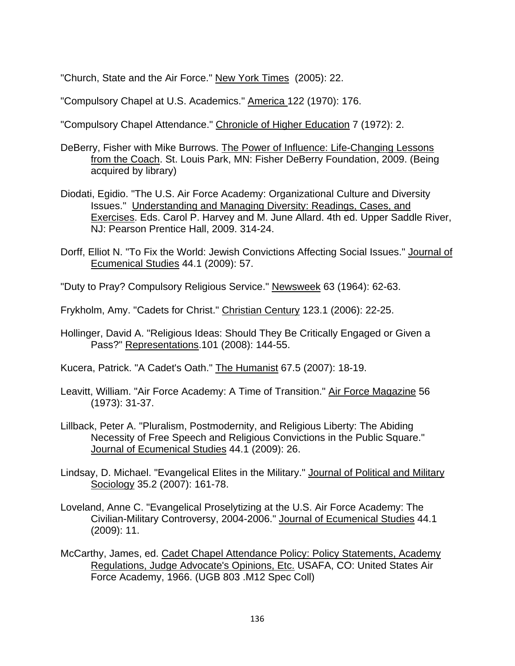"Church, State and the Air Force." New York Times (2005): 22.

"Compulsory Chapel at U.S. Academics." America 122 (1970): 176.

"Compulsory Chapel Attendance." Chronicle of Higher Education 7 (1972): 2.

- DeBerry, Fisher with Mike Burrows. The Power of Influence: Life-Changing Lessons from the Coach. St. Louis Park, MN: Fisher DeBerry Foundation, 2009. (Being acquired by library)
- Diodati, Egidio. "The U.S. Air Force Academy: Organizational Culture and Diversity Issues." Understanding and Managing Diversity: Readings, Cases, and Exercises. Eds. Carol P. Harvey and M. June Allard. 4th ed. Upper Saddle River, NJ: Pearson Prentice Hall, 2009. 314-24.
- Dorff, Elliot N. "To Fix the World: Jewish Convictions Affecting Social Issues." Journal of Ecumenical Studies 44.1 (2009): 57.
- "Duty to Pray? Compulsory Religious Service." Newsweek 63 (1964): 62-63.
- Frykholm, Amy. "Cadets for Christ." Christian Century 123.1 (2006): 22-25.
- Hollinger, David A. "Religious Ideas: Should They Be Critically Engaged or Given a Pass?" Representations.101 (2008): 144-55.
- Kucera, Patrick. "A Cadet's Oath." The Humanist 67.5 (2007): 18-19.
- Leavitt, William. "Air Force Academy: A Time of Transition." Air Force Magazine 56 (1973): 31-37.
- Lillback, Peter A. "Pluralism, Postmodernity, and Religious Liberty: The Abiding Necessity of Free Speech and Religious Convictions in the Public Square." Journal of Ecumenical Studies 44.1 (2009): 26.
- Lindsay, D. Michael. "Evangelical Elites in the Military." Journal of Political and Military Sociology 35.2 (2007): 161-78.
- Loveland, Anne C. "Evangelical Proselytizing at the U.S. Air Force Academy: The Civilian-Military Controversy, 2004-2006." Journal of Ecumenical Studies 44.1 (2009): 11.
- McCarthy, James, ed. Cadet Chapel Attendance Policy: Policy Statements, Academy Regulations, Judge Advocate's Opinions, Etc. USAFA, CO: United States Air Force Academy, 1966. (UGB 803 .M12 Spec Coll)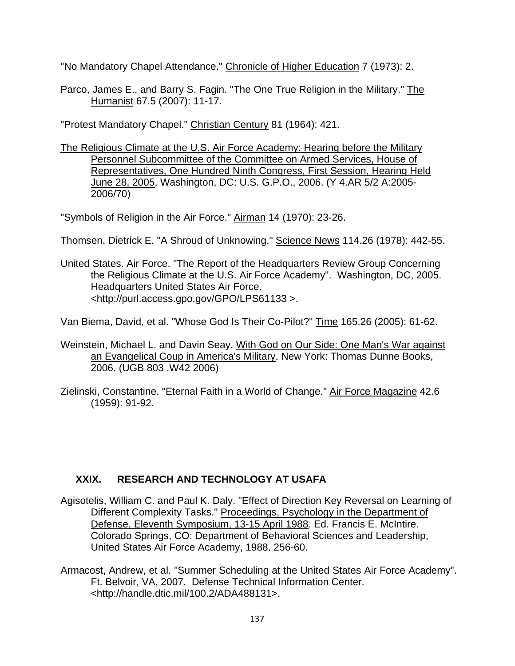"No Mandatory Chapel Attendance." Chronicle of Higher Education 7 (1973): 2.

Parco, James E., and Barry S. Fagin. "The One True Religion in the Military." The Humanist 67.5 (2007): 11-17.

"Protest Mandatory Chapel." Christian Century 81 (1964): 421.

The Religious Climate at the U.S. Air Force Academy: Hearing before the Military Personnel Subcommittee of the Committee on Armed Services, House of Representatives, One Hundred Ninth Congress, First Session, Hearing Held June 28, 2005. Washington, DC: U.S. G.P.O., 2006. (Y 4.AR 5/2 A:2005- 2006/70)

"Symbols of Religion in the Air Force." Airman 14 (1970): 23-26.

- Thomsen, Dietrick E. "A Shroud of Unknowing." Science News 114.26 (1978): 442-55.
- United States. Air Force. "The Report of the Headquarters Review Group Concerning the Religious Climate at the U.S. Air Force Academy". Washington, DC, 2005. Headquarters United States Air Force. <http://purl.access.gpo.gov/GPO/LPS61133 >.

Van Biema, David, et al. "Whose God Is Their Co-Pilot?" Time 165.26 (2005): 61-62.

- Weinstein, Michael L. and Davin Seay. With God on Our Side: One Man's War against an Evangelical Coup in America's Military. New York: Thomas Dunne Books, 2006. (UGB 803 .W42 2006)
- Zielinski, Constantine. "Eternal Faith in a World of Change." Air Force Magazine 42.6 (1959): 91-92.

# **XXIX. RESEARCH AND TECHNOLOGY AT USAFA**

- Agisotelis, William C. and Paul K. Daly. "Effect of Direction Key Reversal on Learning of Different Complexity Tasks." Proceedings, Psychology in the Department of Defense, Eleventh Symposium, 13-15 April 1988. Ed. Francis E. McIntire. Colorado Springs, CO: Department of Behavioral Sciences and Leadership, United States Air Force Academy, 1988. 256-60.
- Armacost, Andrew, et al. "Summer Scheduling at the United States Air Force Academy". Ft. Belvoir, VA, 2007. Defense Technical Information Center. <http://handle.dtic.mil/100.2/ADA488131>.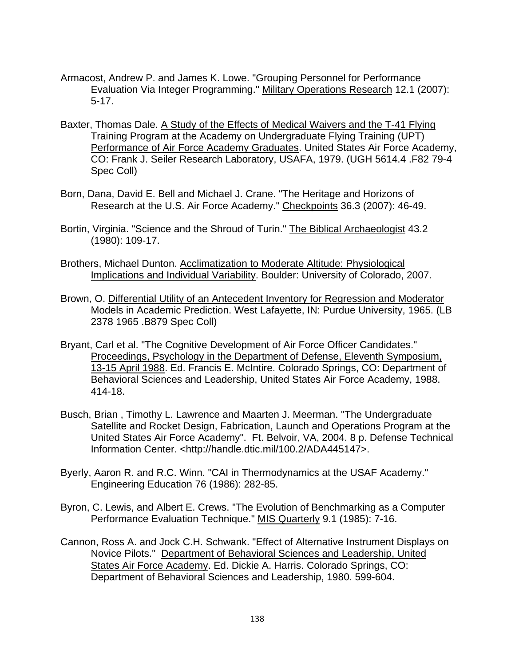- Armacost, Andrew P. and James K. Lowe. "Grouping Personnel for Performance Evaluation Via Integer Programming." Military Operations Research 12.1 (2007): 5-17.
- Baxter, Thomas Dale. A Study of the Effects of Medical Waivers and the T-41 Flying Training Program at the Academy on Undergraduate Flying Training (UPT) Performance of Air Force Academy Graduates. United States Air Force Academy, CO: Frank J. Seiler Research Laboratory, USAFA, 1979. (UGH 5614.4 .F82 79-4 Spec Coll)
- Born, Dana, David E. Bell and Michael J. Crane. "The Heritage and Horizons of Research at the U.S. Air Force Academy." Checkpoints 36.3 (2007): 46-49.
- Bortin, Virginia. "Science and the Shroud of Turin." The Biblical Archaeologist 43.2 (1980): 109-17.
- Brothers, Michael Dunton. Acclimatization to Moderate Altitude: Physiological Implications and Individual Variability. Boulder: University of Colorado, 2007.
- Brown, O. Differential Utility of an Antecedent Inventory for Regression and Moderator Models in Academic Prediction. West Lafayette, IN: Purdue University, 1965. (LB 2378 1965 .B879 Spec Coll)
- Bryant, Carl et al. "The Cognitive Development of Air Force Officer Candidates." Proceedings, Psychology in the Department of Defense, Eleventh Symposium, 13-15 April 1988. Ed. Francis E. McIntire. Colorado Springs, CO: Department of Behavioral Sciences and Leadership, United States Air Force Academy, 1988. 414-18.
- Busch, Brian , Timothy L. Lawrence and Maarten J. Meerman. "The Undergraduate Satellite and Rocket Design, Fabrication, Launch and Operations Program at the United States Air Force Academy". Ft. Belvoir, VA, 2004. 8 p. Defense Technical Information Center. <http://handle.dtic.mil/100.2/ADA445147>.
- Byerly, Aaron R. and R.C. Winn. "CAI in Thermodynamics at the USAF Academy." Engineering Education 76 (1986): 282-85.
- Byron, C. Lewis, and Albert E. Crews. "The Evolution of Benchmarking as a Computer Performance Evaluation Technique." MIS Quarterly 9.1 (1985): 7-16.
- Cannon, Ross A. and Jock C.H. Schwank. "Effect of Alternative Instrument Displays on Novice Pilots." Department of Behavioral Sciences and Leadership, United States Air Force Academy. Ed. Dickie A. Harris. Colorado Springs, CO: Department of Behavioral Sciences and Leadership, 1980. 599-604.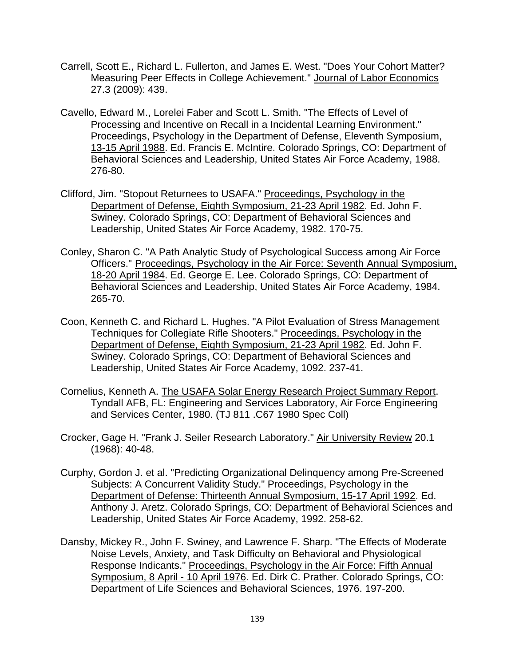- Carrell, Scott E., Richard L. Fullerton, and James E. West. "Does Your Cohort Matter? Measuring Peer Effects in College Achievement." Journal of Labor Economics 27.3 (2009): 439.
- Cavello, Edward M., Lorelei Faber and Scott L. Smith. "The Effects of Level of Processing and Incentive on Recall in a Incidental Learning Environment." Proceedings, Psychology in the Department of Defense, Eleventh Symposium, 13-15 April 1988. Ed. Francis E. McIntire. Colorado Springs, CO: Department of Behavioral Sciences and Leadership, United States Air Force Academy, 1988. 276-80.
- Clifford, Jim. "Stopout Returnees to USAFA." Proceedings, Psychology in the Department of Defense, Eighth Symposium, 21-23 April 1982. Ed. John F. Swiney. Colorado Springs, CO: Department of Behavioral Sciences and Leadership, United States Air Force Academy, 1982. 170-75.
- Conley, Sharon C. "A Path Analytic Study of Psychological Success among Air Force Officers." Proceedings, Psychology in the Air Force: Seventh Annual Symposium, 18-20 April 1984. Ed. George E. Lee. Colorado Springs, CO: Department of Behavioral Sciences and Leadership, United States Air Force Academy, 1984. 265-70.
- Coon, Kenneth C. and Richard L. Hughes. "A Pilot Evaluation of Stress Management Techniques for Collegiate Rifle Shooters." Proceedings, Psychology in the Department of Defense, Eighth Symposium, 21-23 April 1982. Ed. John F. Swiney. Colorado Springs, CO: Department of Behavioral Sciences and Leadership, United States Air Force Academy, 1092. 237-41.
- Cornelius, Kenneth A. The USAFA Solar Energy Research Project Summary Report. Tyndall AFB, FL: Engineering and Services Laboratory, Air Force Engineering and Services Center, 1980. (TJ 811 .C67 1980 Spec Coll)
- Crocker, Gage H. "Frank J. Seiler Research Laboratory." Air University Review 20.1 (1968): 40-48.
- Curphy, Gordon J. et al. "Predicting Organizational Delinquency among Pre-Screened Subjects: A Concurrent Validity Study." Proceedings, Psychology in the Department of Defense: Thirteenth Annual Symposium, 15-17 April 1992. Ed. Anthony J. Aretz. Colorado Springs, CO: Department of Behavioral Sciences and Leadership, United States Air Force Academy, 1992. 258-62.
- Dansby, Mickey R., John F. Swiney, and Lawrence F. Sharp. "The Effects of Moderate Noise Levels, Anxiety, and Task Difficulty on Behavioral and Physiological Response Indicants." Proceedings, Psychology in the Air Force: Fifth Annual Symposium, 8 April - 10 April 1976. Ed. Dirk C. Prather. Colorado Springs, CO: Department of Life Sciences and Behavioral Sciences, 1976. 197-200.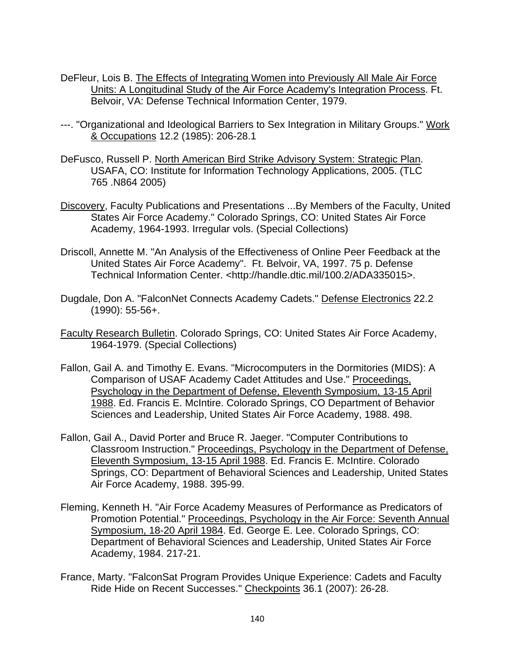- DeFleur, Lois B. The Effects of Integrating Women into Previously All Male Air Force Units: A Longitudinal Study of the Air Force Academy's Integration Process. Ft. Belvoir, VA: Defense Technical Information Center, 1979.
- ---. "Organizational and Ideological Barriers to Sex Integration in Military Groups." Work & Occupations 12.2 (1985): 206-28.1
- DeFusco, Russell P. North American Bird Strike Advisory System: Strategic Plan. USAFA, CO: Institute for Information Technology Applications, 2005. (TLC 765 .N864 2005)
- Discovery, Faculty Publications and Presentations ...By Members of the Faculty, United States Air Force Academy." Colorado Springs, CO: United States Air Force Academy, 1964-1993. Irregular vols. (Special Collections)
- Driscoll, Annette M. "An Analysis of the Effectiveness of Online Peer Feedback at the United States Air Force Academy". Ft. Belvoir, VA, 1997. 75 p. Defense Technical Information Center. <http://handle.dtic.mil/100.2/ADA335015>.
- Dugdale, Don A. "FalconNet Connects Academy Cadets." Defense Electronics 22.2 (1990): 55-56+.
- Faculty Research Bulletin. Colorado Springs, CO: United States Air Force Academy, 1964-1979. (Special Collections)
- Fallon, Gail A. and Timothy E. Evans. "Microcomputers in the Dormitories (MIDS): A Comparison of USAF Academy Cadet Attitudes and Use." Proceedings, Psychology in the Department of Defense, Eleventh Symposium, 13-15 April 1988. Ed. Francis E. McIntire. Colorado Springs, CO Department of Behavior Sciences and Leadership, United States Air Force Academy, 1988. 498.
- Fallon, Gail A., David Porter and Bruce R. Jaeger. "Computer Contributions to Classroom Instruction." Proceedings, Psychology in the Department of Defense, Eleventh Symposium, 13-15 April 1988. Ed. Francis E. McIntire. Colorado Springs, CO: Department of Behavioral Sciences and Leadership, United States Air Force Academy, 1988. 395-99.
- Fleming, Kenneth H. "Air Force Academy Measures of Performance as Predicators of Promotion Potential." Proceedings, Psychology in the Air Force: Seventh Annual Symposium, 18-20 April 1984. Ed. George E. Lee. Colorado Springs, CO: Department of Behavioral Sciences and Leadership, United States Air Force Academy, 1984. 217-21.
- France, Marty. "FalconSat Program Provides Unique Experience: Cadets and Faculty Ride Hide on Recent Successes." Checkpoints 36.1 (2007): 26-28.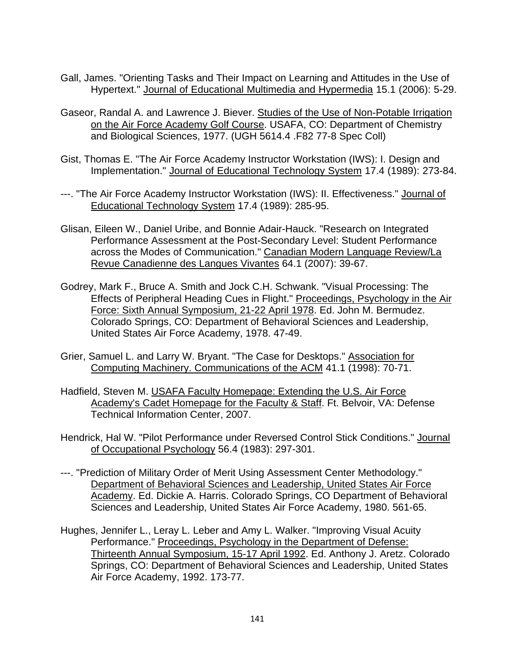- Gall, James. "Orienting Tasks and Their Impact on Learning and Attitudes in the Use of Hypertext." Journal of Educational Multimedia and Hypermedia 15.1 (2006): 5-29.
- Gaseor, Randal A. and Lawrence J. Biever. Studies of the Use of Non-Potable Irrigation on the Air Force Academy Golf Course. USAFA, CO: Department of Chemistry and Biological Sciences, 1977. (UGH 5614.4 .F82 77-8 Spec Coll)
- Gist, Thomas E. "The Air Force Academy Instructor Workstation (IWS): I. Design and Implementation." Journal of Educational Technology System 17.4 (1989): 273-84.
- ---. "The Air Force Academy Instructor Workstation (IWS): II. Effectiveness." Journal of Educational Technology System 17.4 (1989): 285-95.
- Glisan, Eileen W., Daniel Uribe, and Bonnie Adair-Hauck. "Research on Integrated Performance Assessment at the Post-Secondary Level: Student Performance across the Modes of Communication." Canadian Modern Language Review/La Revue Canadienne des Langues Vivantes 64.1 (2007): 39-67.
- Godrey, Mark F., Bruce A. Smith and Jock C.H. Schwank. "Visual Processing: The Effects of Peripheral Heading Cues in Flight." Proceedings, Psychology in the Air Force: Sixth Annual Symposium, 21-22 April 1978. Ed. John M. Bermudez. Colorado Springs, CO: Department of Behavioral Sciences and Leadership, United States Air Force Academy, 1978. 47-49.
- Grier, Samuel L. and Larry W. Bryant. "The Case for Desktops." Association for Computing Machinery. Communications of the ACM 41.1 (1998): 70-71.
- Hadfield, Steven M. USAFA Faculty Homepage: Extending the U.S. Air Force Academy's Cadet Homepage for the Faculty & Staff. Ft. Belvoir, VA: Defense Technical Information Center, 2007.
- Hendrick, Hal W. "Pilot Performance under Reversed Control Stick Conditions." Journal of Occupational Psychology 56.4 (1983): 297-301.
- ---. "Prediction of Military Order of Merit Using Assessment Center Methodology." Department of Behavioral Sciences and Leadership, United States Air Force Academy. Ed. Dickie A. Harris. Colorado Springs, CO Department of Behavioral Sciences and Leadership, United States Air Force Academy, 1980. 561-65.
- Hughes, Jennifer L., Leray L. Leber and Amy L. Walker. "Improving Visual Acuity Performance." Proceedings, Psychology in the Department of Defense: Thirteenth Annual Symposium, 15-17 April 1992. Ed. Anthony J. Aretz. Colorado Springs, CO: Department of Behavioral Sciences and Leadership, United States Air Force Academy, 1992. 173-77.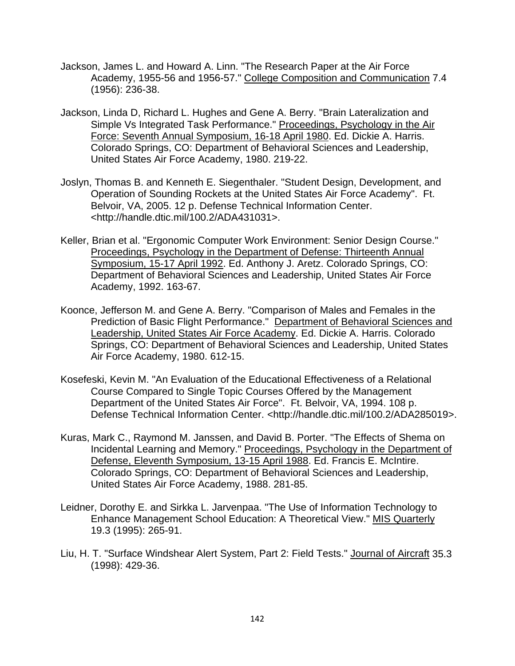- Jackson, James L. and Howard A. Linn. "The Research Paper at the Air Force Academy, 1955-56 and 1956-57." College Composition and Communication 7.4 (1956): 236-38.
- Jackson, Linda D, Richard L. Hughes and Gene A. Berry. "Brain Lateralization and Simple Vs Integrated Task Performance." Proceedings, Psychology in the Air Force: Seventh Annual Symposium, 16-18 April 1980. Ed. Dickie A. Harris. Colorado Springs, CO: Department of Behavioral Sciences and Leadership, United States Air Force Academy, 1980. 219-22.
- Joslyn, Thomas B. and Kenneth E. Siegenthaler. "Student Design, Development, and Operation of Sounding Rockets at the United States Air Force Academy". Ft. Belvoir, VA, 2005. 12 p. Defense Technical Information Center. <http://handle.dtic.mil/100.2/ADA431031>.
- Keller, Brian et al. "Ergonomic Computer Work Environment: Senior Design Course." Proceedings, Psychology in the Department of Defense: Thirteenth Annual Symposium, 15-17 April 1992. Ed. Anthony J. Aretz. Colorado Springs, CO: Department of Behavioral Sciences and Leadership, United States Air Force Academy, 1992. 163-67.
- Koonce, Jefferson M. and Gene A. Berry. "Comparison of Males and Females in the Prediction of Basic Flight Performance." Department of Behavioral Sciences and Leadership, United States Air Force Academy. Ed. Dickie A. Harris. Colorado Springs, CO: Department of Behavioral Sciences and Leadership, United States Air Force Academy, 1980. 612-15.
- Kosefeski, Kevin M. "An Evaluation of the Educational Effectiveness of a Relational Course Compared to Single Topic Courses Offered by the Management Department of the United States Air Force". Ft. Belvoir, VA, 1994. 108 p. Defense Technical Information Center. <http://handle.dtic.mil/100.2/ADA285019>.
- Kuras, Mark C., Raymond M. Janssen, and David B. Porter. "The Effects of Shema on Incidental Learning and Memory." Proceedings, Psychology in the Department of Defense, Eleventh Symposium, 13-15 April 1988. Ed. Francis E. McIntire. Colorado Springs, CO: Department of Behavioral Sciences and Leadership, United States Air Force Academy, 1988. 281-85.
- Leidner, Dorothy E. and Sirkka L. Jarvenpaa. "The Use of Information Technology to Enhance Management School Education: A Theoretical View." MIS Quarterly 19.3 (1995): 265-91.
- Liu, H. T. "Surface Windshear Alert System, Part 2: Field Tests." Journal of Aircraft 35.3 (1998): 429-36.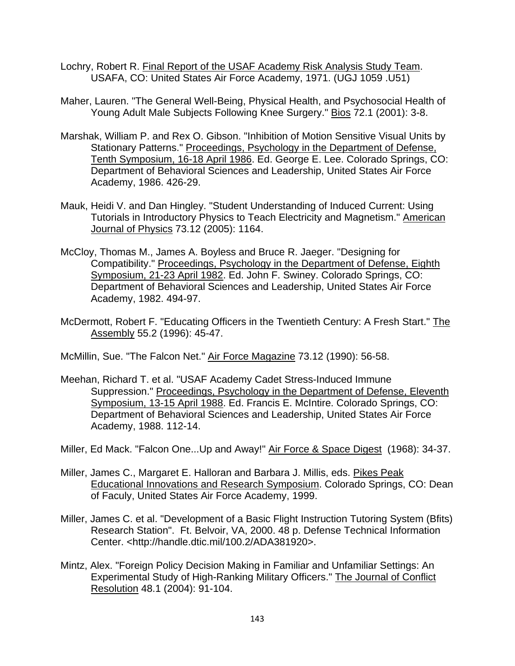- Lochry, Robert R. Final Report of the USAF Academy Risk Analysis Study Team. USAFA, CO: United States Air Force Academy, 1971. (UGJ 1059 .U51)
- Maher, Lauren. "The General Well-Being, Physical Health, and Psychosocial Health of Young Adult Male Subjects Following Knee Surgery." Bios 72.1 (2001): 3-8.
- Marshak, William P. and Rex O. Gibson. "Inhibition of Motion Sensitive Visual Units by Stationary Patterns." Proceedings, Psychology in the Department of Defense, Tenth Symposium, 16-18 April 1986. Ed. George E. Lee. Colorado Springs, CO: Department of Behavioral Sciences and Leadership, United States Air Force Academy, 1986. 426-29.
- Mauk, Heidi V. and Dan Hingley. "Student Understanding of Induced Current: Using Tutorials in Introductory Physics to Teach Electricity and Magnetism." American Journal of Physics 73.12 (2005): 1164.
- McCloy, Thomas M., James A. Boyless and Bruce R. Jaeger. "Designing for Compatibility." Proceedings, Psychology in the Department of Defense, Eighth Symposium, 21-23 April 1982. Ed. John F. Swiney. Colorado Springs, CO: Department of Behavioral Sciences and Leadership, United States Air Force Academy, 1982. 494-97.
- McDermott, Robert F. "Educating Officers in the Twentieth Century: A Fresh Start." The Assembly 55.2 (1996): 45-47.
- McMillin, Sue. "The Falcon Net." Air Force Magazine 73.12 (1990): 56-58.
- Meehan, Richard T. et al. "USAF Academy Cadet Stress-Induced Immune Suppression." Proceedings, Psychology in the Department of Defense, Eleventh Symposium, 13-15 April 1988. Ed. Francis E. McIntire. Colorado Springs, CO: Department of Behavioral Sciences and Leadership, United States Air Force Academy, 1988. 112-14.
- Miller, Ed Mack. "Falcon One...Up and Away!" Air Force & Space Digest (1968): 34-37.
- Miller, James C., Margaret E. Halloran and Barbara J. Millis, eds. Pikes Peak Educational Innovations and Research Symposium. Colorado Springs, CO: Dean of Faculy, United States Air Force Academy, 1999.
- Miller, James C. et al. "Development of a Basic Flight Instruction Tutoring System (Bfits) Research Station". Ft. Belvoir, VA, 2000. 48 p. Defense Technical Information Center. <http://handle.dtic.mil/100.2/ADA381920>.
- Mintz, Alex. "Foreign Policy Decision Making in Familiar and Unfamiliar Settings: An Experimental Study of High-Ranking Military Officers." The Journal of Conflict Resolution 48.1 (2004): 91-104.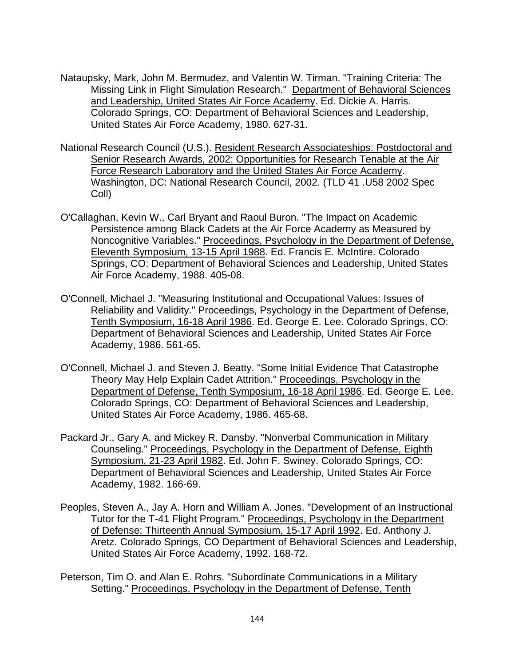- Nataupsky, Mark, John M. Bermudez, and Valentin W. Tirman. "Training Criteria: The Missing Link in Flight Simulation Research." Department of Behavioral Sciences and Leadership, United States Air Force Academy. Ed. Dickie A. Harris. Colorado Springs, CO: Department of Behavioral Sciences and Leadership, United States Air Force Academy, 1980. 627-31.
- National Research Council (U.S.). Resident Research Associateships: Postdoctoral and Senior Research Awards, 2002: Opportunities for Research Tenable at the Air Force Research Laboratory and the United States Air Force Academy. Washington, DC: National Research Council, 2002. (TLD 41 .U58 2002 Spec Coll)
- O'Callaghan, Kevin W., Carl Bryant and Raoul Buron. "The Impact on Academic Persistence among Black Cadets at the Air Force Academy as Measured by Noncognitive Variables." Proceedings, Psychology in the Department of Defense, Eleventh Symposium, 13-15 April 1988. Ed. Francis E. McIntire. Colorado Springs, CO: Department of Behavioral Sciences and Leadership, United States Air Force Academy, 1988. 405-08.
- O'Connell, Michael J. "Measuring Institutional and Occupational Values: Issues of Reliability and Validity." Proceedings, Psychology in the Department of Defense, Tenth Symposium, 16-18 April 1986. Ed. George E. Lee. Colorado Springs, CO: Department of Behavioral Sciences and Leadership, United States Air Force Academy, 1986. 561-65.
- O'Connell, Michael J. and Steven J. Beatty. "Some Initial Evidence That Catastrophe Theory May Help Explain Cadet Attrition." Proceedings, Psychology in the Department of Defense, Tenth Symposium, 16-18 April 1986. Ed. George E. Lee. Colorado Springs, CO: Department of Behavioral Sciences and Leadership, United States Air Force Academy, 1986. 465-68.
- Packard Jr., Gary A. and Mickey R. Dansby. "Nonverbal Communication in Military Counseling." Proceedings, Psychology in the Department of Defense, Eighth Symposium, 21-23 April 1982. Ed. John F. Swiney. Colorado Springs, CO: Department of Behavioral Sciences and Leadership, United States Air Force Academy, 1982. 166-69.
- Peoples, Steven A., Jay A. Horn and William A. Jones. "Development of an Instructional Tutor for the T-41 Flight Program." Proceedings, Psychology in the Department of Defense: Thirteenth Annual Symposium, 15-17 April 1992. Ed. Anthony J. Aretz. Colorado Springs, CO Department of Behavioral Sciences and Leadership, United States Air Force Academy, 1992. 168-72.
- Peterson, Tim O. and Alan E. Rohrs. "Subordinate Communications in a Military Setting." Proceedings, Psychology in the Department of Defense, Tenth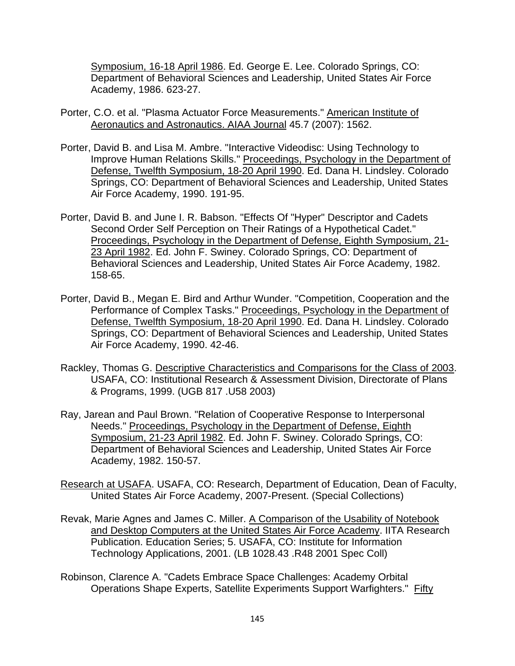Symposium, 16-18 April 1986. Ed. George E. Lee. Colorado Springs, CO: Department of Behavioral Sciences and Leadership, United States Air Force Academy, 1986. 623-27.

- Porter, C.O. et al. "Plasma Actuator Force Measurements." American Institute of Aeronautics and Astronautics. AIAA Journal 45.7 (2007): 1562.
- Porter, David B. and Lisa M. Ambre. "Interactive Videodisc: Using Technology to Improve Human Relations Skills." Proceedings, Psychology in the Department of Defense, Twelfth Symposium, 18-20 April 1990. Ed. Dana H. Lindsley. Colorado Springs, CO: Department of Behavioral Sciences and Leadership, United States Air Force Academy, 1990. 191-95.
- Porter, David B. and June I. R. Babson. "Effects Of "Hyper" Descriptor and Cadets Second Order Self Perception on Their Ratings of a Hypothetical Cadet." Proceedings, Psychology in the Department of Defense, Eighth Symposium, 21- 23 April 1982. Ed. John F. Swiney. Colorado Springs, CO: Department of Behavioral Sciences and Leadership, United States Air Force Academy, 1982. 158-65.
- Porter, David B., Megan E. Bird and Arthur Wunder. "Competition, Cooperation and the Performance of Complex Tasks." Proceedings, Psychology in the Department of Defense, Twelfth Symposium, 18-20 April 1990. Ed. Dana H. Lindsley. Colorado Springs, CO: Department of Behavioral Sciences and Leadership, United States Air Force Academy, 1990. 42-46.
- Rackley, Thomas G. Descriptive Characteristics and Comparisons for the Class of 2003. USAFA, CO: Institutional Research & Assessment Division, Directorate of Plans & Programs, 1999. (UGB 817 .U58 2003)
- Ray, Jarean and Paul Brown. "Relation of Cooperative Response to Interpersonal Needs." Proceedings, Psychology in the Department of Defense, Eighth Symposium, 21-23 April 1982. Ed. John F. Swiney. Colorado Springs, CO: Department of Behavioral Sciences and Leadership, United States Air Force Academy, 1982. 150-57.
- Research at USAFA. USAFA, CO: Research, Department of Education, Dean of Faculty, United States Air Force Academy, 2007-Present. (Special Collections)
- Revak, Marie Agnes and James C. Miller. A Comparison of the Usability of Notebook and Desktop Computers at the United States Air Force Academy. IITA Research Publication. Education Series; 5. USAFA, CO: Institute for Information Technology Applications, 2001. (LB 1028.43 .R48 2001 Spec Coll)
- Robinson, Clarence A. "Cadets Embrace Space Challenges: Academy Orbital Operations Shape Experts, Satellite Experiments Support Warfighters." Fifty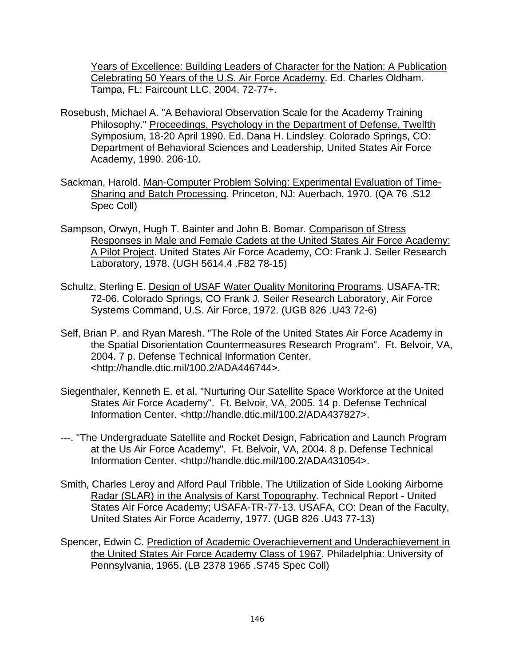Years of Excellence: Building Leaders of Character for the Nation: A Publication Celebrating 50 Years of the U.S. Air Force Academy. Ed. Charles Oldham. Tampa, FL: Faircount LLC, 2004. 72-77+.

- Rosebush, Michael A. "A Behavioral Observation Scale for the Academy Training Philosophy." Proceedings, Psychology in the Department of Defense, Twelfth Symposium, 18-20 April 1990. Ed. Dana H. Lindsley. Colorado Springs, CO: Department of Behavioral Sciences and Leadership, United States Air Force Academy, 1990. 206-10.
- Sackman, Harold. Man-Computer Problem Solving: Experimental Evaluation of Time-Sharing and Batch Processing. Princeton, NJ: Auerbach, 1970. (QA 76 .S12 Spec Coll)
- Sampson, Orwyn, Hugh T. Bainter and John B. Bomar. Comparison of Stress Responses in Male and Female Cadets at the United States Air Force Academy: A Pilot Project. United States Air Force Academy, CO: Frank J. Seiler Research Laboratory, 1978. (UGH 5614.4 .F82 78-15)
- Schultz, Sterling E. Design of USAF Water Quality Monitoring Programs. USAFA-TR; 72-06. Colorado Springs, CO Frank J. Seiler Research Laboratory, Air Force Systems Command, U.S. Air Force, 1972. (UGB 826 .U43 72-6)
- Self, Brian P. and Ryan Maresh. "The Role of the United States Air Force Academy in the Spatial Disorientation Countermeasures Research Program". Ft. Belvoir, VA, 2004. 7 p. Defense Technical Information Center. <http://handle.dtic.mil/100.2/ADA446744>.
- Siegenthaler, Kenneth E. et al. "Nurturing Our Satellite Space Workforce at the United States Air Force Academy". Ft. Belvoir, VA, 2005. 14 p. Defense Technical Information Center. <http://handle.dtic.mil/100.2/ADA437827>.
- ---. "The Undergraduate Satellite and Rocket Design, Fabrication and Launch Program at the Us Air Force Academy". Ft. Belvoir, VA, 2004. 8 p. Defense Technical Information Center. <http://handle.dtic.mil/100.2/ADA431054>.
- Smith, Charles Leroy and Alford Paul Tribble. The Utilization of Side Looking Airborne Radar (SLAR) in the Analysis of Karst Topography. Technical Report - United States Air Force Academy; USAFA-TR-77-13. USAFA, CO: Dean of the Faculty, United States Air Force Academy, 1977. (UGB 826 .U43 77-13)
- Spencer, Edwin C. Prediction of Academic Overachievement and Underachievement in the United States Air Force Academy Class of 1967. Philadelphia: University of Pennsylvania, 1965. (LB 2378 1965 .S745 Spec Coll)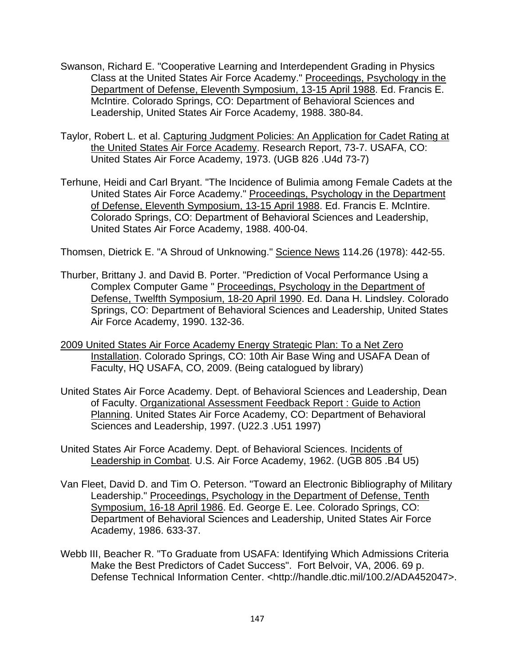- Swanson, Richard E. "Cooperative Learning and Interdependent Grading in Physics Class at the United States Air Force Academy." Proceedings, Psychology in the Department of Defense, Eleventh Symposium, 13-15 April 1988. Ed. Francis E. McIntire. Colorado Springs, CO: Department of Behavioral Sciences and Leadership, United States Air Force Academy, 1988. 380-84.
- Taylor, Robert L. et al. Capturing Judgment Policies: An Application for Cadet Rating at the United States Air Force Academy. Research Report, 73-7. USAFA, CO: United States Air Force Academy, 1973. (UGB 826 .U4d 73-7)
- Terhune, Heidi and Carl Bryant. "The Incidence of Bulimia among Female Cadets at the United States Air Force Academy." Proceedings, Psychology in the Department of Defense, Eleventh Symposium, 13-15 April 1988. Ed. Francis E. McIntire. Colorado Springs, CO: Department of Behavioral Sciences and Leadership, United States Air Force Academy, 1988. 400-04.

Thomsen, Dietrick E. "A Shroud of Unknowing." Science News 114.26 (1978): 442-55.

- Thurber, Brittany J. and David B. Porter. "Prediction of Vocal Performance Using a Complex Computer Game " Proceedings, Psychology in the Department of Defense, Twelfth Symposium, 18-20 April 1990. Ed. Dana H. Lindsley. Colorado Springs, CO: Department of Behavioral Sciences and Leadership, United States Air Force Academy, 1990. 132-36.
- 2009 United States Air Force Academy Energy Strategic Plan: To a Net Zero Installation. Colorado Springs, CO: 10th Air Base Wing and USAFA Dean of Faculty, HQ USAFA, CO, 2009. (Being catalogued by library)
- United States Air Force Academy. Dept. of Behavioral Sciences and Leadership, Dean of Faculty. Organizational Assessment Feedback Report : Guide to Action Planning. United States Air Force Academy, CO: Department of Behavioral Sciences and Leadership, 1997. (U22.3 .U51 1997)
- United States Air Force Academy. Dept. of Behavioral Sciences. Incidents of Leadership in Combat. U.S. Air Force Academy, 1962. (UGB 805 .B4 U5)
- Van Fleet, David D. and Tim O. Peterson. "Toward an Electronic Bibliography of Military Leadership." Proceedings, Psychology in the Department of Defense, Tenth Symposium, 16-18 April 1986. Ed. George E. Lee. Colorado Springs, CO: Department of Behavioral Sciences and Leadership, United States Air Force Academy, 1986. 633-37.
- Webb III, Beacher R. "To Graduate from USAFA: Identifying Which Admissions Criteria Make the Best Predictors of Cadet Success". Fort Belvoir, VA, 2006. 69 p. Defense Technical Information Center. <http://handle.dtic.mil/100.2/ADA452047>.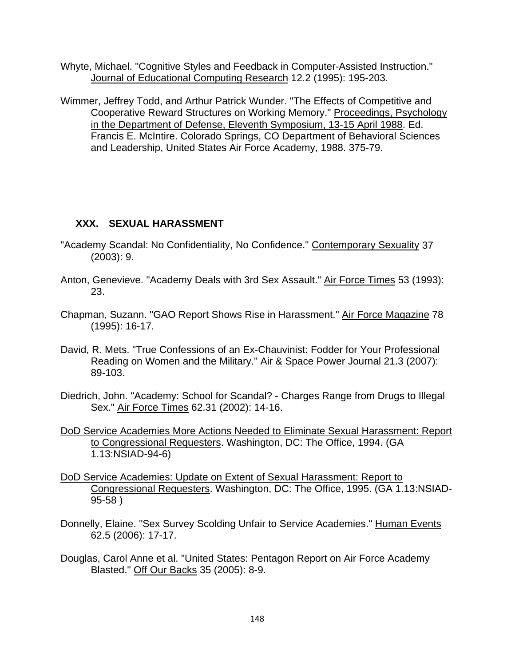- Whyte, Michael. "Cognitive Styles and Feedback in Computer-Assisted Instruction." Journal of Educational Computing Research 12.2 (1995): 195-203.
- Wimmer, Jeffrey Todd, and Arthur Patrick Wunder. "The Effects of Competitive and Cooperative Reward Structures on Working Memory." Proceedings, Psychology in the Department of Defense, Eleventh Symposium, 13-15 April 1988. Ed. Francis E. McIntire. Colorado Springs, CO Department of Behavioral Sciences and Leadership, United States Air Force Academy, 1988. 375-79.

### **XXX. SEXUAL HARASSMENT**

- "Academy Scandal: No Confidentiality, No Confidence." Contemporary Sexuality 37 (2003): 9.
- Anton, Genevieve. "Academy Deals with 3rd Sex Assault." Air Force Times 53 (1993): 23.
- Chapman, Suzann. "GAO Report Shows Rise in Harassment." Air Force Magazine 78 (1995): 16-17.
- David, R. Mets. "True Confessions of an Ex-Chauvinist: Fodder for Your Professional Reading on Women and the Military." Air & Space Power Journal 21.3 (2007): 89-103.
- Diedrich, John. "Academy: School for Scandal? Charges Range from Drugs to Illegal Sex." Air Force Times 62.31 (2002): 14-16.
- DoD Service Academies More Actions Needed to Eliminate Sexual Harassment: Report to Congressional Requesters. Washington, DC: The Office, 1994. (GA 1.13:NSIAD-94-6)
- DoD Service Academies: Update on Extent of Sexual Harassment: Report to Congressional Requesters. Washington, DC: The Office, 1995. (GA 1.13:NSIAD-95-58 )
- Donnelly, Elaine. "Sex Survey Scolding Unfair to Service Academies." Human Events 62.5 (2006): 17-17.
- Douglas, Carol Anne et al. "United States: Pentagon Report on Air Force Academy Blasted." Off Our Backs 35 (2005): 8-9.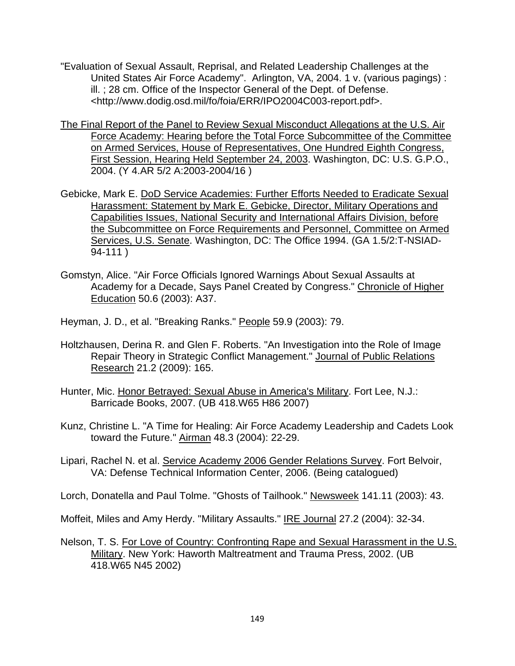- "Evaluation of Sexual Assault, Reprisal, and Related Leadership Challenges at the United States Air Force Academy". Arlington, VA, 2004. 1 v. (various pagings) : ill. ; 28 cm. Office of the Inspector General of the Dept. of Defense. <http://www.dodig.osd.mil/fo/foia/ERR/IPO2004C003-report.pdf>.
- The Final Report of the Panel to Review Sexual Misconduct Allegations at the U.S. Air Force Academy: Hearing before the Total Force Subcommittee of the Committee on Armed Services, House of Representatives, One Hundred Eighth Congress, First Session, Hearing Held September 24, 2003. Washington, DC: U.S. G.P.O., 2004. (Y 4.AR 5/2 A:2003-2004/16 )
- Gebicke, Mark E. DoD Service Academies: Further Efforts Needed to Eradicate Sexual Harassment: Statement by Mark E. Gebicke, Director, Military Operations and Capabilities Issues, National Security and International Affairs Division, before the Subcommittee on Force Requirements and Personnel, Committee on Armed Services, U.S. Senate. Washington, DC: The Office 1994. (GA 1.5/2:T-NSIAD-94-111 )
- Gomstyn, Alice. "Air Force Officials Ignored Warnings About Sexual Assaults at Academy for a Decade, Says Panel Created by Congress." Chronicle of Higher Education 50.6 (2003): A37.

Heyman, J. D., et al. "Breaking Ranks." People 59.9 (2003): 79.

- Holtzhausen, Derina R. and Glen F. Roberts. "An Investigation into the Role of Image Repair Theory in Strategic Conflict Management." Journal of Public Relations Research 21.2 (2009): 165.
- Hunter, Mic. Honor Betrayed: Sexual Abuse in America's Military. Fort Lee, N.J.: Barricade Books, 2007. (UB 418.W65 H86 2007)
- Kunz, Christine L. "A Time for Healing: Air Force Academy Leadership and Cadets Look toward the Future." Airman 48.3 (2004): 22-29.
- Lipari, Rachel N. et al. Service Academy 2006 Gender Relations Survey. Fort Belvoir, VA: Defense Technical Information Center, 2006. (Being catalogued)
- Lorch, Donatella and Paul Tolme. "Ghosts of Tailhook." Newsweek 141.11 (2003): 43.

Moffeit, Miles and Amy Herdy. "Military Assaults." IRE Journal 27.2 (2004): 32-34.

Nelson, T. S. For Love of Country: Confronting Rape and Sexual Harassment in the U.S. Military. New York: Haworth Maltreatment and Trauma Press, 2002. (UB 418.W65 N45 2002)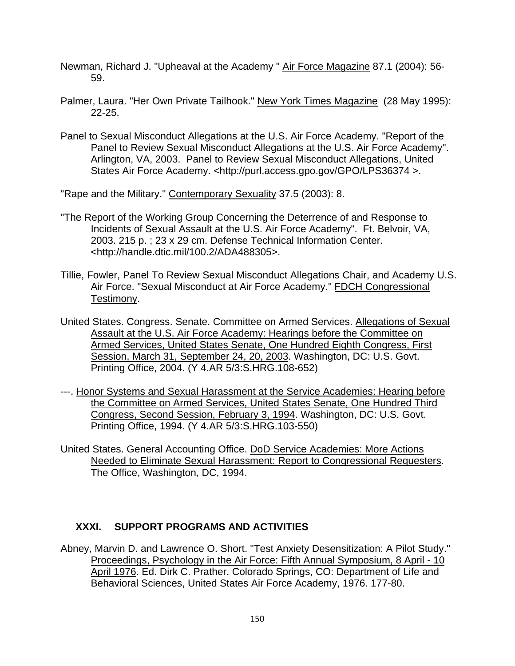- Newman, Richard J. "Upheaval at the Academy " Air Force Magazine 87.1 (2004): 56-59.
- Palmer, Laura. "Her Own Private Tailhook." New York Times Magazine (28 May 1995): 22-25.
- Panel to Sexual Misconduct Allegations at the U.S. Air Force Academy. "Report of the Panel to Review Sexual Misconduct Allegations at the U.S. Air Force Academy". Arlington, VA, 2003. Panel to Review Sexual Misconduct Allegations, United States Air Force Academy. <http://purl.access.gpo.gov/GPO/LPS36374 >.

"Rape and the Military." Contemporary Sexuality 37.5 (2003): 8.

- "The Report of the Working Group Concerning the Deterrence of and Response to Incidents of Sexual Assault at the U.S. Air Force Academy". Ft. Belvoir, VA, 2003. 215 p. ; 23 x 29 cm. Defense Technical Information Center. <http://handle.dtic.mil/100.2/ADA488305>.
- Tillie, Fowler, Panel To Review Sexual Misconduct Allegations Chair, and Academy U.S. Air Force. "Sexual Misconduct at Air Force Academy." FDCH Congressional Testimony.
- United States. Congress. Senate. Committee on Armed Services. Allegations of Sexual Assault at the U.S. Air Force Academy: Hearings before the Committee on Armed Services, United States Senate, One Hundred Eighth Congress, First Session, March 31, September 24, 20, 2003. Washington, DC: U.S. Govt. Printing Office, 2004. (Y 4.AR 5/3:S.HRG.108-652)
- ---. Honor Systems and Sexual Harassment at the Service Academies: Hearing before the Committee on Armed Services, United States Senate, One Hundred Third Congress, Second Session, February 3, 1994. Washington, DC: U.S. Govt. Printing Office, 1994. (Y 4.AR 5/3:S.HRG.103-550)
- United States. General Accounting Office. DoD Service Academies: More Actions Needed to Eliminate Sexual Harassment: Report to Congressional Requesters. The Office, Washington, DC, 1994.

# **XXXI. SUPPORT PROGRAMS AND ACTIVITIES**

Abney, Marvin D. and Lawrence O. Short. "Test Anxiety Desensitization: A Pilot Study." Proceedings, Psychology in the Air Force: Fifth Annual Symposium, 8 April - 10 April 1976. Ed. Dirk C. Prather. Colorado Springs, CO: Department of Life and Behavioral Sciences, United States Air Force Academy, 1976. 177-80.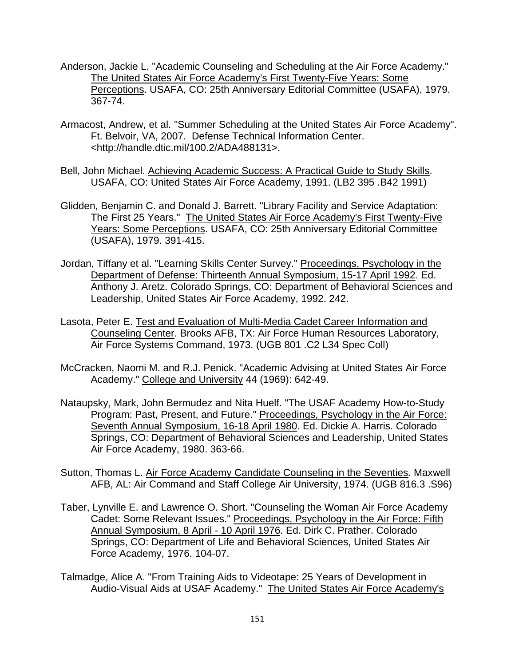- Anderson, Jackie L. "Academic Counseling and Scheduling at the Air Force Academy." The United States Air Force Academy's First Twenty-Five Years: Some Perceptions. USAFA, CO: 25th Anniversary Editorial Committee (USAFA), 1979. 367-74.
- Armacost, Andrew, et al. "Summer Scheduling at the United States Air Force Academy". Ft. Belvoir, VA, 2007. Defense Technical Information Center. <http://handle.dtic.mil/100.2/ADA488131>.
- Bell, John Michael. Achieving Academic Success: A Practical Guide to Study Skills. USAFA, CO: United States Air Force Academy, 1991. (LB2 395 .B42 1991)
- Glidden, Benjamin C. and Donald J. Barrett. "Library Facility and Service Adaptation: The First 25 Years." The United States Air Force Academy's First Twenty-Five Years: Some Perceptions. USAFA, CO: 25th Anniversary Editorial Committee (USAFA), 1979. 391-415.
- Jordan, Tiffany et al. "Learning Skills Center Survey." Proceedings, Psychology in the Department of Defense: Thirteenth Annual Symposium, 15-17 April 1992. Ed. Anthony J. Aretz. Colorado Springs, CO: Department of Behavioral Sciences and Leadership, United States Air Force Academy, 1992. 242.
- Lasota, Peter E. Test and Evaluation of Multi-Media Cadet Career Information and Counseling Center. Brooks AFB, TX: Air Force Human Resources Laboratory, Air Force Systems Command, 1973. (UGB 801 .C2 L34 Spec Coll)
- McCracken, Naomi M. and R.J. Penick. "Academic Advising at United States Air Force Academy." College and University 44 (1969): 642-49.
- Nataupsky, Mark, John Bermudez and Nita Huelf. "The USAF Academy How-to-Study Program: Past, Present, and Future." Proceedings, Psychology in the Air Force: Seventh Annual Symposium, 16-18 April 1980. Ed. Dickie A. Harris. Colorado Springs, CO: Department of Behavioral Sciences and Leadership, United States Air Force Academy, 1980. 363-66.
- Sutton, Thomas L. Air Force Academy Candidate Counseling in the Seventies. Maxwell AFB, AL: Air Command and Staff College Air University, 1974. (UGB 816.3 .S96)
- Taber, Lynville E. and Lawrence O. Short. "Counseling the Woman Air Force Academy Cadet: Some Relevant Issues." Proceedings, Psychology in the Air Force: Fifth Annual Symposium, 8 April - 10 April 1976. Ed. Dirk C. Prather. Colorado Springs, CO: Department of Life and Behavioral Sciences, United States Air Force Academy, 1976. 104-07.
- Talmadge, Alice A. "From Training Aids to Videotape: 25 Years of Development in Audio-Visual Aids at USAF Academy." The United States Air Force Academy's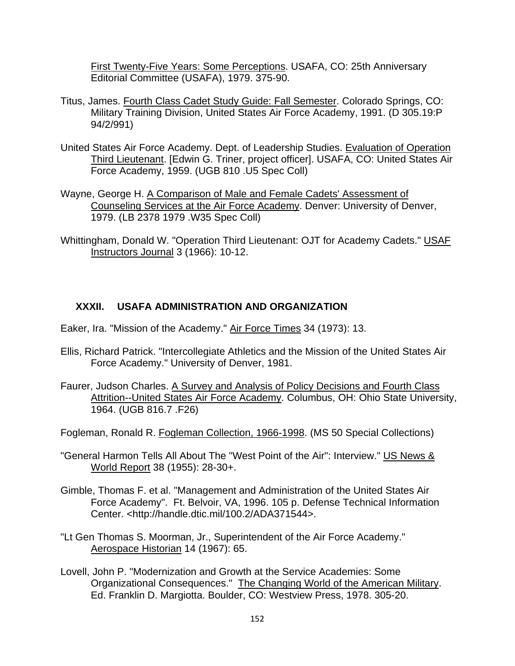First Twenty-Five Years: Some Perceptions. USAFA, CO: 25th Anniversary Editorial Committee (USAFA), 1979. 375-90.

- Titus, James. Fourth Class Cadet Study Guide: Fall Semester. Colorado Springs, CO: Military Training Division, United States Air Force Academy, 1991. (D 305.19:P 94/2/991)
- United States Air Force Academy. Dept. of Leadership Studies. Evaluation of Operation Third Lieutenant. [Edwin G. Triner, project officer]. USAFA, CO: United States Air Force Academy, 1959. (UGB 810 .U5 Spec Coll)
- Wayne, George H. A Comparison of Male and Female Cadets' Assessment of Counseling Services at the Air Force Academy. Denver: University of Denver, 1979. (LB 2378 1979 .W35 Spec Coll)
- Whittingham, Donald W. "Operation Third Lieutenant: OJT for Academy Cadets." USAF Instructors Journal 3 (1966): 10-12.

# **XXXII. USAFA ADMINISTRATION AND ORGANIZATION**

- Eaker, Ira. "Mission of the Academy." Air Force Times 34 (1973): 13.
- Ellis, Richard Patrick. "Intercollegiate Athletics and the Mission of the United States Air Force Academy." University of Denver, 1981.
- Faurer, Judson Charles. A Survey and Analysis of Policy Decisions and Fourth Class Attrition--United States Air Force Academy. Columbus, OH: Ohio State University, 1964. (UGB 816.7 .F26)
- Fogleman, Ronald R. Fogleman Collection, 1966-1998. (MS 50 Special Collections)
- "General Harmon Tells All About The "West Point of the Air": Interview." US News & World Report 38 (1955): 28-30+.
- Gimble, Thomas F. et al. "Management and Administration of the United States Air Force Academy". Ft. Belvoir, VA, 1996. 105 p. Defense Technical Information Center. <http://handle.dtic.mil/100.2/ADA371544>.
- "Lt Gen Thomas S. Moorman, Jr., Superintendent of the Air Force Academy." Aerospace Historian 14 (1967): 65.
- Lovell, John P. "Modernization and Growth at the Service Academies: Some Organizational Consequences." The Changing World of the American Military. Ed. Franklin D. Margiotta. Boulder, CO: Westview Press, 1978. 305-20.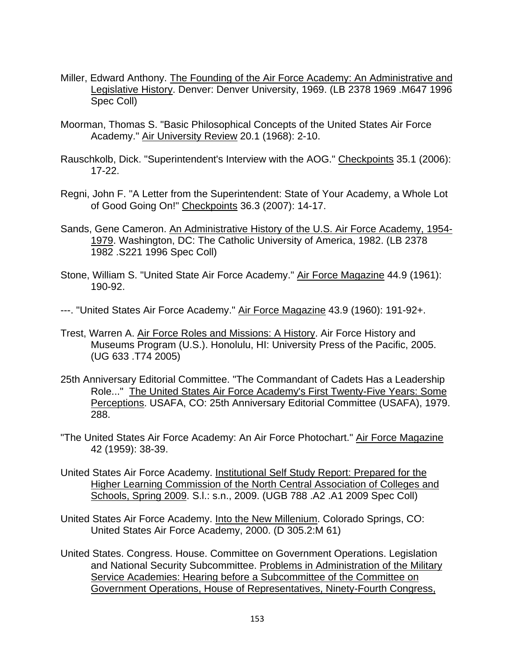- Miller, Edward Anthony. The Founding of the Air Force Academy: An Administrative and Legislative History. Denver: Denver University, 1969. (LB 2378 1969 .M647 1996 Spec Coll)
- Moorman, Thomas S. "Basic Philosophical Concepts of the United States Air Force Academy." Air University Review 20.1 (1968): 2-10.
- Rauschkolb, Dick. "Superintendent's Interview with the AOG." Checkpoints 35.1 (2006): 17-22.
- Regni, John F. "A Letter from the Superintendent: State of Your Academy, a Whole Lot of Good Going On!" Checkpoints 36.3 (2007): 14-17.
- Sands, Gene Cameron. An Administrative History of the U.S. Air Force Academy, 1954- 1979. Washington, DC: The Catholic University of America, 1982. (LB 2378 1982 .S221 1996 Spec Coll)
- Stone, William S. "United State Air Force Academy." Air Force Magazine 44.9 (1961): 190-92.
- ---. "United States Air Force Academy." Air Force Magazine 43.9 (1960): 191-92+.
- Trest, Warren A. Air Force Roles and Missions: A History. Air Force History and Museums Program (U.S.). Honolulu, HI: University Press of the Pacific, 2005. (UG 633 .T74 2005)
- 25th Anniversary Editorial Committee. "The Commandant of Cadets Has a Leadership Role..." The United States Air Force Academy's First Twenty-Five Years: Some Perceptions. USAFA, CO: 25th Anniversary Editorial Committee (USAFA), 1979. 288.
- "The United States Air Force Academy: An Air Force Photochart." Air Force Magazine 42 (1959): 38-39.
- United States Air Force Academy. Institutional Self Study Report: Prepared for the Higher Learning Commission of the North Central Association of Colleges and Schools, Spring 2009. S.l.: s.n., 2009. (UGB 788 .A2 .A1 2009 Spec Coll)
- United States Air Force Academy. Into the New Millenium. Colorado Springs, CO: United States Air Force Academy, 2000. (D 305.2:M 61)
- United States. Congress. House. Committee on Government Operations. Legislation and National Security Subcommittee. Problems in Administration of the Military Service Academies: Hearing before a Subcommittee of the Committee on Government Operations, House of Representatives, Ninety-Fourth Congress,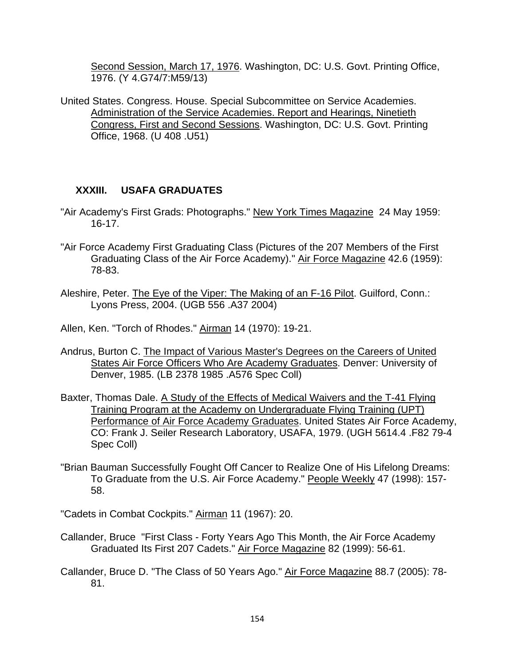Second Session, March 17, 1976. Washington, DC: U.S. Govt. Printing Office, 1976. (Y 4.G74/7:M59/13)

United States. Congress. House. Special Subcommittee on Service Academies. Administration of the Service Academies. Report and Hearings, Ninetieth Congress, First and Second Sessions. Washington, DC: U.S. Govt. Printing Office, 1968. (U 408 .U51)

## **XXXIII. USAFA GRADUATES**

- "Air Academy's First Grads: Photographs." New York Times Magazine 24 May 1959: 16-17.
- "Air Force Academy First Graduating Class (Pictures of the 207 Members of the First Graduating Class of the Air Force Academy)." Air Force Magazine 42.6 (1959): 78-83.
- Aleshire, Peter. The Eye of the Viper: The Making of an F-16 Pilot. Guilford, Conn.: Lyons Press, 2004. (UGB 556 .A37 2004)
- Allen, Ken. "Torch of Rhodes." Airman 14 (1970): 19-21.
- Andrus, Burton C. The Impact of Various Master's Degrees on the Careers of United States Air Force Officers Who Are Academy Graduates. Denver: University of Denver, 1985. (LB 2378 1985 .A576 Spec Coll)
- Baxter, Thomas Dale. A Study of the Effects of Medical Waivers and the T-41 Flying Training Program at the Academy on Undergraduate Flying Training (UPT) Performance of Air Force Academy Graduates. United States Air Force Academy, CO: Frank J. Seiler Research Laboratory, USAFA, 1979. (UGH 5614.4 .F82 79-4 Spec Coll)
- "Brian Bauman Successfully Fought Off Cancer to Realize One of His Lifelong Dreams: To Graduate from the U.S. Air Force Academy." People Weekly 47 (1998): 157-58.

"Cadets in Combat Cockpits." Airman 11 (1967): 20.

- Callander, Bruce "First Class Forty Years Ago This Month, the Air Force Academy Graduated Its First 207 Cadets." Air Force Magazine 82 (1999): 56-61.
- Callander, Bruce D. "The Class of 50 Years Ago." Air Force Magazine 88.7 (2005): 78- 81.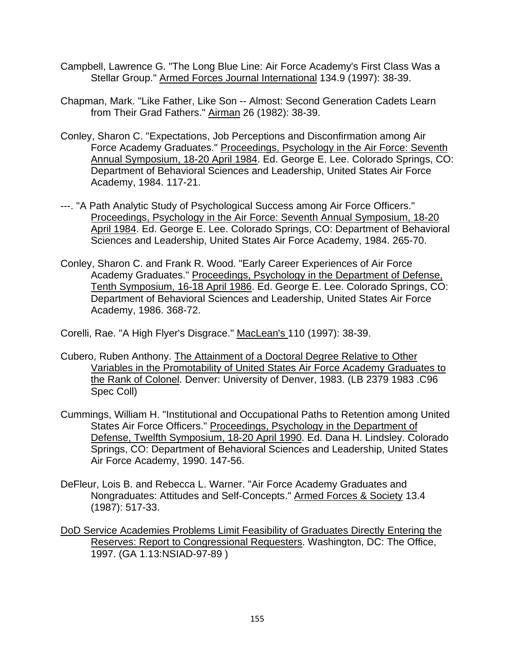- Campbell, Lawrence G. "The Long Blue Line: Air Force Academy's First Class Was a Stellar Group." Armed Forces Journal International 134.9 (1997): 38-39.
- Chapman, Mark. "Like Father, Like Son -- Almost: Second Generation Cadets Learn from Their Grad Fathers." Airman 26 (1982): 38-39.
- Conley, Sharon C. "Expectations, Job Perceptions and Disconfirmation among Air Force Academy Graduates." Proceedings, Psychology in the Air Force: Seventh Annual Symposium, 18-20 April 1984. Ed. George E. Lee. Colorado Springs, CO: Department of Behavioral Sciences and Leadership, United States Air Force Academy, 1984. 117-21.
- ---. "A Path Analytic Study of Psychological Success among Air Force Officers." Proceedings, Psychology in the Air Force: Seventh Annual Symposium, 18-20 April 1984. Ed. George E. Lee. Colorado Springs, CO: Department of Behavioral Sciences and Leadership, United States Air Force Academy, 1984. 265-70.
- Conley, Sharon C. and Frank R. Wood. "Early Career Experiences of Air Force Academy Graduates." Proceedings, Psychology in the Department of Defense, Tenth Symposium, 16-18 April 1986. Ed. George E. Lee. Colorado Springs, CO: Department of Behavioral Sciences and Leadership, United States Air Force Academy, 1986. 368-72.

Corelli, Rae. "A High Flyer's Disgrace." MacLean's 110 (1997): 38-39.

- Cubero, Ruben Anthony. The Attainment of a Doctoral Degree Relative to Other Variables in the Promotability of United States Air Force Academy Graduates to the Rank of Colonel. Denver: University of Denver, 1983. (LB 2379 1983 .C96 Spec Coll)
- Cummings, William H. "Institutional and Occupational Paths to Retention among United States Air Force Officers." Proceedings, Psychology in the Department of Defense, Twelfth Symposium, 18-20 April 1990. Ed. Dana H. Lindsley. Colorado Springs, CO: Department of Behavioral Sciences and Leadership, United States Air Force Academy, 1990. 147-56.
- DeFleur, Lois B. and Rebecca L. Warner. "Air Force Academy Graduates and Nongraduates: Attitudes and Self-Concepts." Armed Forces & Society 13.4 (1987): 517-33.
- DoD Service Academies Problems Limit Feasibility of Graduates Directly Entering the Reserves: Report to Congressional Requesters. Washington, DC: The Office, 1997. (GA 1.13:NSIAD-97-89 )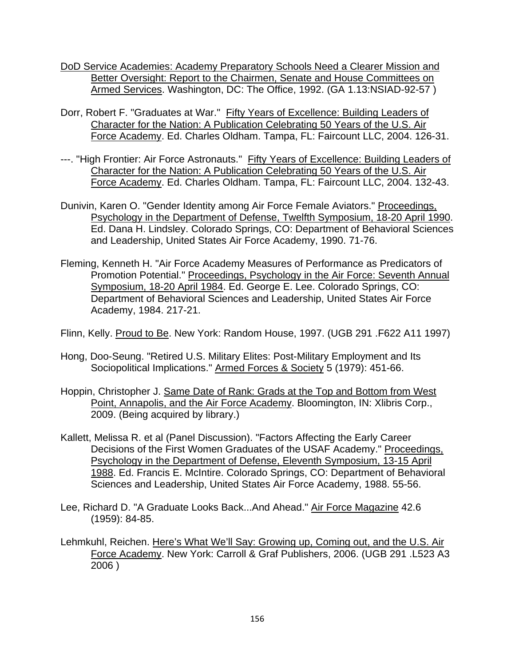- DoD Service Academies: Academy Preparatory Schools Need a Clearer Mission and Better Oversight: Report to the Chairmen, Senate and House Committees on Armed Services. Washington, DC: The Office, 1992. (GA 1.13:NSIAD-92-57 )
- Dorr, Robert F. "Graduates at War." Fifty Years of Excellence: Building Leaders of Character for the Nation: A Publication Celebrating 50 Years of the U.S. Air Force Academy. Ed. Charles Oldham. Tampa, FL: Faircount LLC, 2004. 126-31.
- ---. "High Frontier: Air Force Astronauts." Fifty Years of Excellence: Building Leaders of Character for the Nation: A Publication Celebrating 50 Years of the U.S. Air Force Academy. Ed. Charles Oldham. Tampa, FL: Faircount LLC, 2004. 132-43.
- Dunivin, Karen O. "Gender Identity among Air Force Female Aviators." Proceedings, Psychology in the Department of Defense, Twelfth Symposium, 18-20 April 1990. Ed. Dana H. Lindsley. Colorado Springs, CO: Department of Behavioral Sciences and Leadership, United States Air Force Academy, 1990. 71-76.
- Fleming, Kenneth H. "Air Force Academy Measures of Performance as Predicators of Promotion Potential." Proceedings, Psychology in the Air Force: Seventh Annual Symposium, 18-20 April 1984. Ed. George E. Lee. Colorado Springs, CO: Department of Behavioral Sciences and Leadership, United States Air Force Academy, 1984. 217-21.
- Flinn, Kelly. Proud to Be. New York: Random House, 1997. (UGB 291 .F622 A11 1997)
- Hong, Doo-Seung. "Retired U.S. Military Elites: Post-Military Employment and Its Sociopolitical Implications." Armed Forces & Society 5 (1979): 451-66.
- Hoppin, Christopher J. Same Date of Rank: Grads at the Top and Bottom from West Point, Annapolis, and the Air Force Academy. Bloomington, IN: Xlibris Corp., 2009. (Being acquired by library.)
- Kallett, Melissa R. et al (Panel Discussion). "Factors Affecting the Early Career Decisions of the First Women Graduates of the USAF Academy." Proceedings, Psychology in the Department of Defense, Eleventh Symposium, 13-15 April 1988. Ed. Francis E. McIntire. Colorado Springs, CO: Department of Behavioral Sciences and Leadership, United States Air Force Academy, 1988. 55-56.
- Lee, Richard D. "A Graduate Looks Back...And Ahead." Air Force Magazine 42.6 (1959): 84-85.
- Lehmkuhl, Reichen. Here's What We'll Say: Growing up, Coming out, and the U.S. Air Force Academy. New York: Carroll & Graf Publishers, 2006. (UGB 291 .L523 A3 2006 )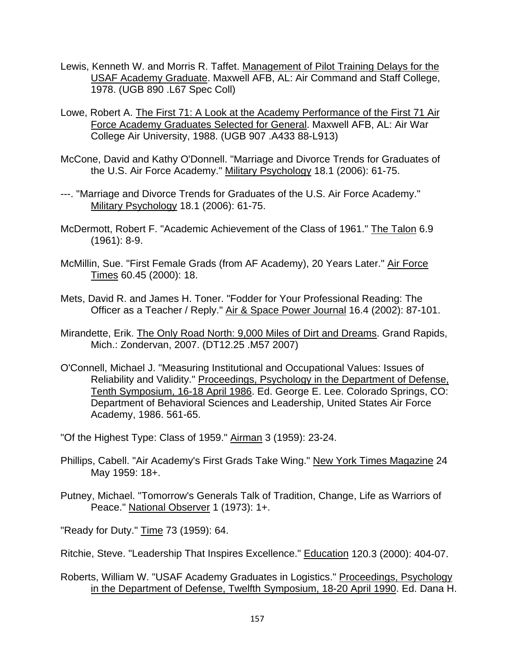- Lewis, Kenneth W. and Morris R. Taffet. Management of Pilot Training Delays for the USAF Academy Graduate. Maxwell AFB, AL: Air Command and Staff College, 1978. (UGB 890 .L67 Spec Coll)
- Lowe, Robert A. The First 71: A Look at the Academy Performance of the First 71 Air Force Academy Graduates Selected for General. Maxwell AFB, AL: Air War College Air University, 1988. (UGB 907 .A433 88-L913)
- McCone, David and Kathy O'Donnell. "Marriage and Divorce Trends for Graduates of the U.S. Air Force Academy." Military Psychology 18.1 (2006): 61-75.
- ---. "Marriage and Divorce Trends for Graduates of the U.S. Air Force Academy." Military Psychology 18.1 (2006): 61-75.
- McDermott, Robert F. "Academic Achievement of the Class of 1961." The Talon 6.9 (1961): 8-9.
- McMillin, Sue. "First Female Grads (from AF Academy), 20 Years Later." Air Force Times 60.45 (2000): 18.
- Mets, David R. and James H. Toner. "Fodder for Your Professional Reading: The Officer as a Teacher / Reply." Air & Space Power Journal 16.4 (2002): 87-101.
- Mirandette, Erik. The Only Road North: 9,000 Miles of Dirt and Dreams. Grand Rapids, Mich.: Zondervan, 2007. (DT12.25 .M57 2007)
- O'Connell, Michael J. "Measuring Institutional and Occupational Values: Issues of Reliability and Validity." Proceedings, Psychology in the Department of Defense, Tenth Symposium, 16-18 April 1986. Ed. George E. Lee. Colorado Springs, CO: Department of Behavioral Sciences and Leadership, United States Air Force Academy, 1986. 561-65.

"Of the Highest Type: Class of 1959." Airman 3 (1959): 23-24.

- Phillips, Cabell. "Air Academy's First Grads Take Wing." New York Times Magazine 24 May 1959: 18+.
- Putney, Michael. "Tomorrow's Generals Talk of Tradition, Change, Life as Warriors of Peace." National Observer 1 (1973): 1+.

"Ready for Duty." Time 73 (1959): 64.

- Ritchie, Steve. "Leadership That Inspires Excellence." Education 120.3 (2000): 404-07.
- Roberts, William W. "USAF Academy Graduates in Logistics." Proceedings, Psychology in the Department of Defense, Twelfth Symposium, 18-20 April 1990. Ed. Dana H.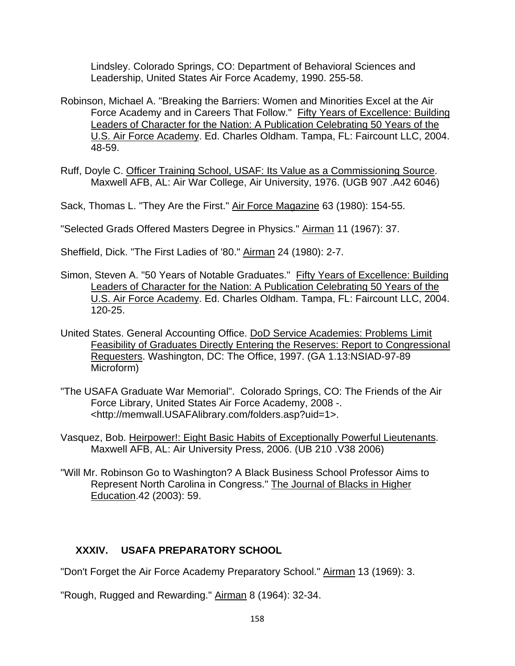Lindsley. Colorado Springs, CO: Department of Behavioral Sciences and Leadership, United States Air Force Academy, 1990. 255-58.

- Robinson, Michael A. "Breaking the Barriers: Women and Minorities Excel at the Air Force Academy and in Careers That Follow." Fifty Years of Excellence: Building Leaders of Character for the Nation: A Publication Celebrating 50 Years of the U.S. Air Force Academy. Ed. Charles Oldham. Tampa, FL: Faircount LLC, 2004. 48-59.
- Ruff, Doyle C. Officer Training School, USAF: Its Value as a Commissioning Source. Maxwell AFB, AL: Air War College, Air University, 1976. (UGB 907 .A42 6046)

Sack, Thomas L. "They Are the First." Air Force Magazine 63 (1980): 154-55.

"Selected Grads Offered Masters Degree in Physics." Airman 11 (1967): 37.

Sheffield, Dick. "The First Ladies of '80." Airman 24 (1980): 2-7.

- Simon, Steven A. "50 Years of Notable Graduates." Fifty Years of Excellence: Building Leaders of Character for the Nation: A Publication Celebrating 50 Years of the U.S. Air Force Academy. Ed. Charles Oldham. Tampa, FL: Faircount LLC, 2004. 120-25.
- United States. General Accounting Office. DoD Service Academies: Problems Limit Feasibility of Graduates Directly Entering the Reserves: Report to Congressional Requesters. Washington, DC: The Office, 1997. (GA 1.13:NSIAD-97-89 Microform)
- "The USAFA Graduate War Memorial". Colorado Springs, CO: The Friends of the Air Force Library, United States Air Force Academy, 2008 -. <http://memwall.USAFAlibrary.com/folders.asp?uid=1>.
- Vasquez, Bob. Heirpower!: Eight Basic Habits of Exceptionally Powerful Lieutenants. Maxwell AFB, AL: Air University Press, 2006. (UB 210 .V38 2006)
- "Will Mr. Robinson Go to Washington? A Black Business School Professor Aims to Represent North Carolina in Congress." The Journal of Blacks in Higher Education.42 (2003): 59.

# **XXXIV. USAFA PREPARATORY SCHOOL**

"Don't Forget the Air Force Academy Preparatory School." Airman 13 (1969): 3.

"Rough, Rugged and Rewarding." Airman 8 (1964): 32-34.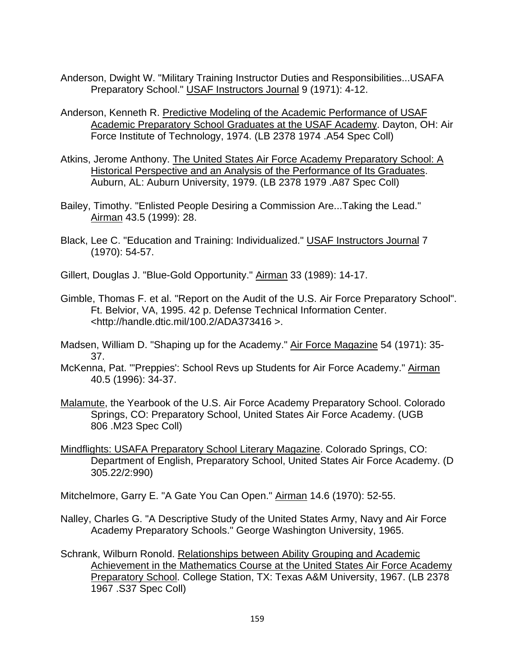- Anderson, Dwight W. "Military Training Instructor Duties and Responsibilities...USAFA Preparatory School." USAF Instructors Journal 9 (1971): 4-12.
- Anderson, Kenneth R. Predictive Modeling of the Academic Performance of USAF Academic Preparatory School Graduates at the USAF Academy. Dayton, OH: Air Force Institute of Technology, 1974. (LB 2378 1974 .A54 Spec Coll)
- Atkins, Jerome Anthony. The United States Air Force Academy Preparatory School: A Historical Perspective and an Analysis of the Performance of Its Graduates. Auburn, AL: Auburn University, 1979. (LB 2378 1979 .A87 Spec Coll)
- Bailey, Timothy. "Enlisted People Desiring a Commission Are...Taking the Lead." Airman 43.5 (1999): 28.
- Black, Lee C. "Education and Training: Individualized." USAF Instructors Journal 7 (1970): 54-57.
- Gillert, Douglas J. "Blue-Gold Opportunity." Airman 33 (1989): 14-17.
- Gimble, Thomas F. et al. "Report on the Audit of the U.S. Air Force Preparatory School". Ft. Belvior, VA, 1995. 42 p. Defense Technical Information Center. <http://handle.dtic.mil/100.2/ADA373416 >.
- Madsen, William D. "Shaping up for the Academy." Air Force Magazine 54 (1971): 35- 37.
- McKenna, Pat. "'Preppies': School Revs up Students for Air Force Academy." Airman 40.5 (1996): 34-37.
- Malamute, the Yearbook of the U.S. Air Force Academy Preparatory School. Colorado Springs, CO: Preparatory School, United States Air Force Academy. (UGB 806 .M23 Spec Coll)
- Mindflights: USAFA Preparatory School Literary Magazine. Colorado Springs, CO: Department of English, Preparatory School, United States Air Force Academy. (D 305.22/2:990)

Mitchelmore, Garry E. "A Gate You Can Open." Airman 14.6 (1970): 52-55.

- Nalley, Charles G. "A Descriptive Study of the United States Army, Navy and Air Force Academy Preparatory Schools." George Washington University, 1965.
- Schrank, Wilburn Ronold. Relationships between Ability Grouping and Academic Achievement in the Mathematics Course at the United States Air Force Academy Preparatory School. College Station, TX: Texas A&M University, 1967. (LB 2378 1967 .S37 Spec Coll)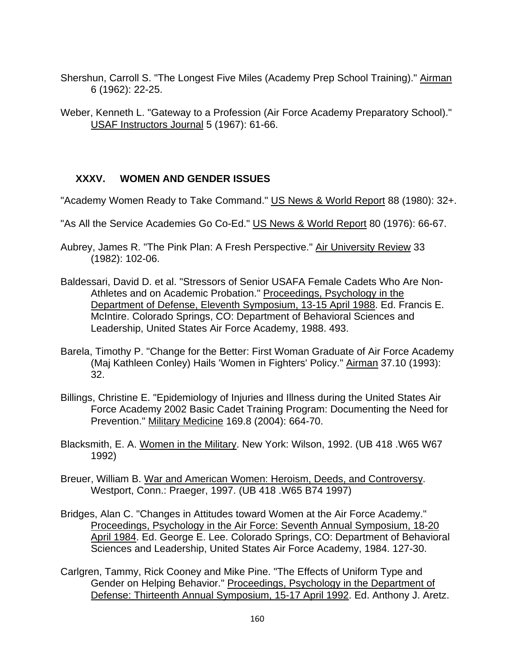- Shershun, Carroll S. "The Longest Five Miles (Academy Prep School Training)." Airman 6 (1962): 22-25.
- Weber, Kenneth L. "Gateway to a Profession (Air Force Academy Preparatory School)." USAF Instructors Journal 5 (1967): 61-66.

### **XXXV. WOMEN AND GENDER ISSUES**

- "Academy Women Ready to Take Command." US News & World Report 88 (1980): 32+.
- "As All the Service Academies Go Co-Ed." US News & World Report 80 (1976): 66-67.
- Aubrey, James R. "The Pink Plan: A Fresh Perspective." Air University Review 33 (1982): 102-06.
- Baldessari, David D. et al. "Stressors of Senior USAFA Female Cadets Who Are Non-Athletes and on Academic Probation." Proceedings, Psychology in the Department of Defense, Eleventh Symposium, 13-15 April 1988. Ed. Francis E. McIntire. Colorado Springs, CO: Department of Behavioral Sciences and Leadership, United States Air Force Academy, 1988. 493.
- Barela, Timothy P. "Change for the Better: First Woman Graduate of Air Force Academy (Maj Kathleen Conley) Hails 'Women in Fighters' Policy." Airman 37.10 (1993): 32.
- Billings, Christine E. "Epidemiology of Injuries and Illness during the United States Air Force Academy 2002 Basic Cadet Training Program: Documenting the Need for Prevention." Military Medicine 169.8 (2004): 664-70.
- Blacksmith, E. A. Women in the Military. New York: Wilson, 1992. (UB 418 .W65 W67 1992)
- Breuer, William B. War and American Women: Heroism, Deeds, and Controversy. Westport, Conn.: Praeger, 1997. (UB 418 .W65 B74 1997)
- Bridges, Alan C. "Changes in Attitudes toward Women at the Air Force Academy." Proceedings, Psychology in the Air Force: Seventh Annual Symposium, 18-20 April 1984. Ed. George E. Lee. Colorado Springs, CO: Department of Behavioral Sciences and Leadership, United States Air Force Academy, 1984. 127-30.
- Carlgren, Tammy, Rick Cooney and Mike Pine. "The Effects of Uniform Type and Gender on Helping Behavior." Proceedings, Psychology in the Department of Defense: Thirteenth Annual Symposium, 15-17 April 1992. Ed. Anthony J. Aretz.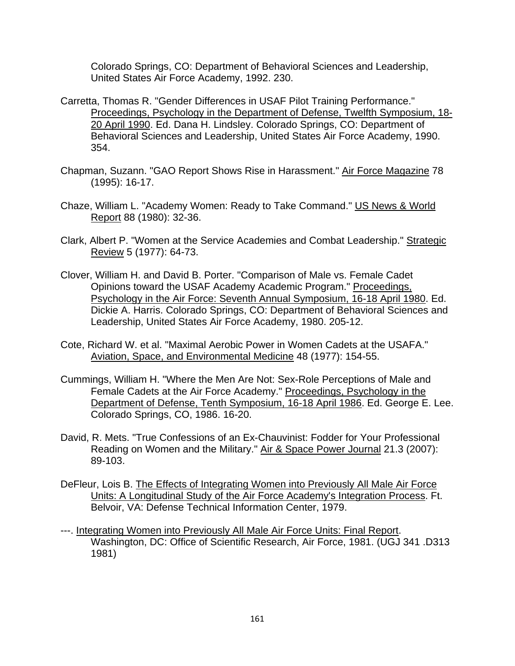Colorado Springs, CO: Department of Behavioral Sciences and Leadership, United States Air Force Academy, 1992. 230.

- Carretta, Thomas R. "Gender Differences in USAF Pilot Training Performance." Proceedings, Psychology in the Department of Defense, Twelfth Symposium, 18- 20 April 1990. Ed. Dana H. Lindsley. Colorado Springs, CO: Department of Behavioral Sciences and Leadership, United States Air Force Academy, 1990. 354.
- Chapman, Suzann. "GAO Report Shows Rise in Harassment." Air Force Magazine 78 (1995): 16-17.
- Chaze, William L. "Academy Women: Ready to Take Command." US News & World Report 88 (1980): 32-36.
- Clark, Albert P. "Women at the Service Academies and Combat Leadership." Strategic Review 5 (1977): 64-73.
- Clover, William H. and David B. Porter. "Comparison of Male vs. Female Cadet Opinions toward the USAF Academy Academic Program." Proceedings, Psychology in the Air Force: Seventh Annual Symposium, 16-18 April 1980. Ed. Dickie A. Harris. Colorado Springs, CO: Department of Behavioral Sciences and Leadership, United States Air Force Academy, 1980. 205-12.
- Cote, Richard W. et al. "Maximal Aerobic Power in Women Cadets at the USAFA." Aviation, Space, and Environmental Medicine 48 (1977): 154-55.
- Cummings, William H. "Where the Men Are Not: Sex-Role Perceptions of Male and Female Cadets at the Air Force Academy." Proceedings, Psychology in the Department of Defense, Tenth Symposium, 16-18 April 1986. Ed. George E. Lee. Colorado Springs, CO, 1986. 16-20.
- David, R. Mets. "True Confessions of an Ex-Chauvinist: Fodder for Your Professional Reading on Women and the Military." Air & Space Power Journal 21.3 (2007): 89-103.
- DeFleur, Lois B. The Effects of Integrating Women into Previously All Male Air Force Units: A Longitudinal Study of the Air Force Academy's Integration Process. Ft. Belvoir, VA: Defense Technical Information Center, 1979.
- ---. Integrating Women into Previously All Male Air Force Units: Final Report. Washington, DC: Office of Scientific Research, Air Force, 1981. (UGJ 341 .D313 1981)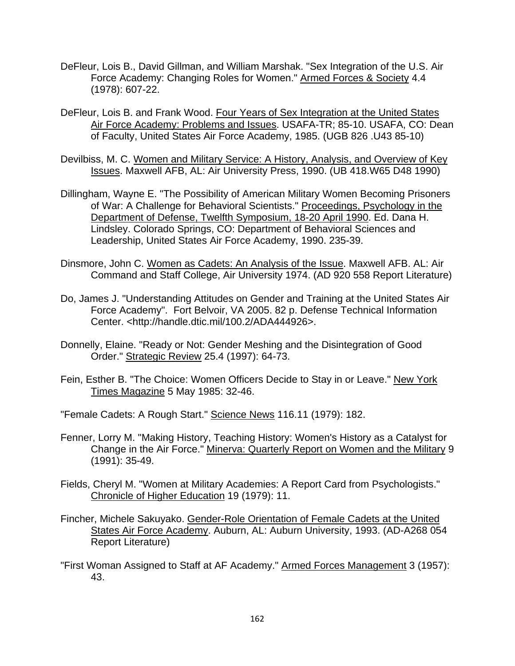- DeFleur, Lois B., David Gillman, and William Marshak. "Sex Integration of the U.S. Air Force Academy: Changing Roles for Women." Armed Forces & Society 4.4 (1978): 607-22.
- DeFleur, Lois B. and Frank Wood. Four Years of Sex Integration at the United States Air Force Academy: Problems and Issues. USAFA-TR; 85-10. USAFA, CO: Dean of Faculty, United States Air Force Academy, 1985. (UGB 826 .U43 85-10)
- Devilbiss, M. C. Women and Military Service: A History, Analysis, and Overview of Key Issues. Maxwell AFB, AL: Air University Press, 1990. (UB 418.W65 D48 1990)
- Dillingham, Wayne E. "The Possibility of American Military Women Becoming Prisoners of War: A Challenge for Behavioral Scientists." Proceedings, Psychology in the Department of Defense, Twelfth Symposium, 18-20 April 1990. Ed. Dana H. Lindsley. Colorado Springs, CO: Department of Behavioral Sciences and Leadership, United States Air Force Academy, 1990. 235-39.
- Dinsmore, John C. Women as Cadets: An Analysis of the Issue. Maxwell AFB. AL: Air Command and Staff College, Air University 1974. (AD 920 558 Report Literature)
- Do, James J. "Understanding Attitudes on Gender and Training at the United States Air Force Academy". Fort Belvoir, VA 2005. 82 p. Defense Technical Information Center. <http://handle.dtic.mil/100.2/ADA444926>.
- Donnelly, Elaine. "Ready or Not: Gender Meshing and the Disintegration of Good Order." Strategic Review 25.4 (1997): 64-73.
- Fein, Esther B. "The Choice: Women Officers Decide to Stay in or Leave." New York Times Magazine 5 May 1985: 32-46.
- "Female Cadets: A Rough Start." Science News 116.11 (1979): 182.
- Fenner, Lorry M. "Making History, Teaching History: Women's History as a Catalyst for Change in the Air Force." Minerva: Quarterly Report on Women and the Military 9 (1991): 35-49.
- Fields, Cheryl M. "Women at Military Academies: A Report Card from Psychologists." Chronicle of Higher Education 19 (1979): 11.
- Fincher, Michele Sakuyako. Gender-Role Orientation of Female Cadets at the United States Air Force Academy. Auburn, AL: Auburn University, 1993. (AD-A268 054 Report Literature)
- "First Woman Assigned to Staff at AF Academy." Armed Forces Management 3 (1957): 43.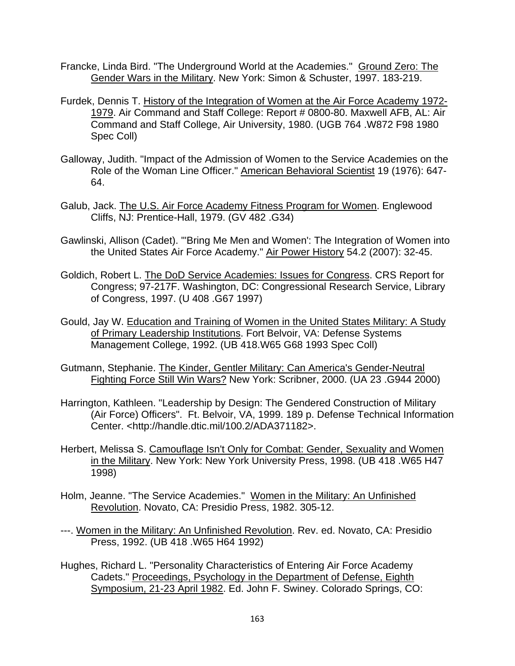- Francke, Linda Bird. "The Underground World at the Academies." Ground Zero: The Gender Wars in the Military. New York: Simon & Schuster, 1997. 183-219.
- Furdek, Dennis T. History of the Integration of Women at the Air Force Academy 1972- 1979. Air Command and Staff College: Report # 0800-80. Maxwell AFB, AL: Air Command and Staff College, Air University, 1980. (UGB 764 .W872 F98 1980 Spec Coll)
- Galloway, Judith. "Impact of the Admission of Women to the Service Academies on the Role of the Woman Line Officer." American Behavioral Scientist 19 (1976): 647- 64.
- Galub, Jack. The U.S. Air Force Academy Fitness Program for Women. Englewood Cliffs, NJ: Prentice-Hall, 1979. (GV 482 .G34)
- Gawlinski, Allison (Cadet). "'Bring Me Men and Women': The Integration of Women into the United States Air Force Academy." Air Power History 54.2 (2007): 32-45.
- Goldich, Robert L. The DoD Service Academies: Issues for Congress. CRS Report for Congress; 97-217F. Washington, DC: Congressional Research Service, Library of Congress, 1997. (U 408 .G67 1997)
- Gould, Jay W. Education and Training of Women in the United States Military: A Study of Primary Leadership Institutions. Fort Belvoir, VA: Defense Systems Management College, 1992. (UB 418.W65 G68 1993 Spec Coll)
- Gutmann, Stephanie. The Kinder, Gentler Military: Can America's Gender-Neutral Fighting Force Still Win Wars? New York: Scribner, 2000. (UA 23 .G944 2000)
- Harrington, Kathleen. "Leadership by Design: The Gendered Construction of Military (Air Force) Officers". Ft. Belvoir, VA, 1999. 189 p. Defense Technical Information Center. <http://handle.dtic.mil/100.2/ADA371182>.
- Herbert, Melissa S. Camouflage Isn't Only for Combat: Gender, Sexuality and Women in the Military. New York: New York University Press, 1998. (UB 418 .W65 H47 1998)
- Holm, Jeanne. "The Service Academies." Women in the Military: An Unfinished Revolution. Novato, CA: Presidio Press, 1982. 305-12.
- ---. Women in the Military: An Unfinished Revolution. Rev. ed. Novato, CA: Presidio Press, 1992. (UB 418 .W65 H64 1992)
- Hughes, Richard L. "Personality Characteristics of Entering Air Force Academy Cadets." Proceedings, Psychology in the Department of Defense, Eighth Symposium, 21-23 April 1982. Ed. John F. Swiney. Colorado Springs, CO: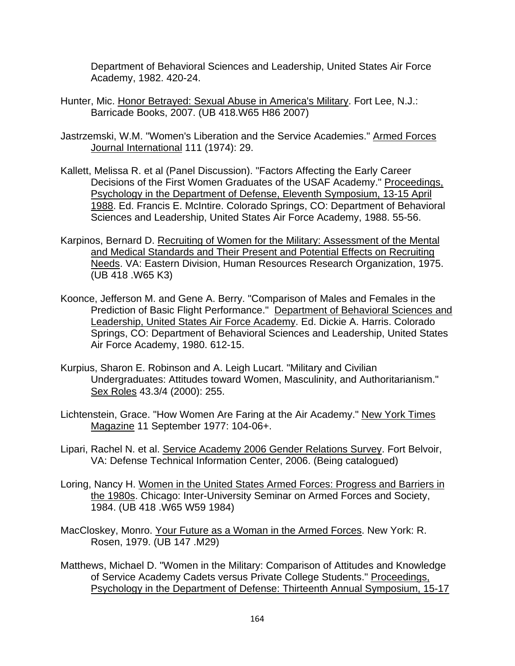Department of Behavioral Sciences and Leadership, United States Air Force Academy, 1982. 420-24.

- Hunter, Mic. Honor Betrayed: Sexual Abuse in America's Military. Fort Lee, N.J.: Barricade Books, 2007. (UB 418.W65 H86 2007)
- Jastrzemski, W.M. "Women's Liberation and the Service Academies." Armed Forces Journal International 111 (1974): 29.
- Kallett, Melissa R. et al (Panel Discussion). "Factors Affecting the Early Career Decisions of the First Women Graduates of the USAF Academy." Proceedings, Psychology in the Department of Defense, Eleventh Symposium, 13-15 April 1988. Ed. Francis E. McIntire. Colorado Springs, CO: Department of Behavioral Sciences and Leadership, United States Air Force Academy, 1988. 55-56.
- Karpinos, Bernard D. Recruiting of Women for the Military: Assessment of the Mental and Medical Standards and Their Present and Potential Effects on Recruiting Needs. VA: Eastern Division, Human Resources Research Organization, 1975. (UB 418 .W65 K3)
- Koonce, Jefferson M. and Gene A. Berry. "Comparison of Males and Females in the Prediction of Basic Flight Performance." Department of Behavioral Sciences and Leadership, United States Air Force Academy. Ed. Dickie A. Harris. Colorado Springs, CO: Department of Behavioral Sciences and Leadership, United States Air Force Academy, 1980. 612-15.
- Kurpius, Sharon E. Robinson and A. Leigh Lucart. "Military and Civilian Undergraduates: Attitudes toward Women, Masculinity, and Authoritarianism." Sex Roles 43.3/4 (2000): 255.
- Lichtenstein, Grace. "How Women Are Faring at the Air Academy." New York Times Magazine 11 September 1977: 104-06+.
- Lipari, Rachel N. et al. Service Academy 2006 Gender Relations Survey. Fort Belvoir, VA: Defense Technical Information Center, 2006. (Being catalogued)
- Loring, Nancy H. Women in the United States Armed Forces: Progress and Barriers in the 1980s. Chicago: Inter-University Seminar on Armed Forces and Society, 1984. (UB 418 .W65 W59 1984)
- MacCloskey, Monro. Your Future as a Woman in the Armed Forces. New York: R. Rosen, 1979. (UB 147 .M29)
- Matthews, Michael D. "Women in the Military: Comparison of Attitudes and Knowledge of Service Academy Cadets versus Private College Students." Proceedings, Psychology in the Department of Defense: Thirteenth Annual Symposium, 15-17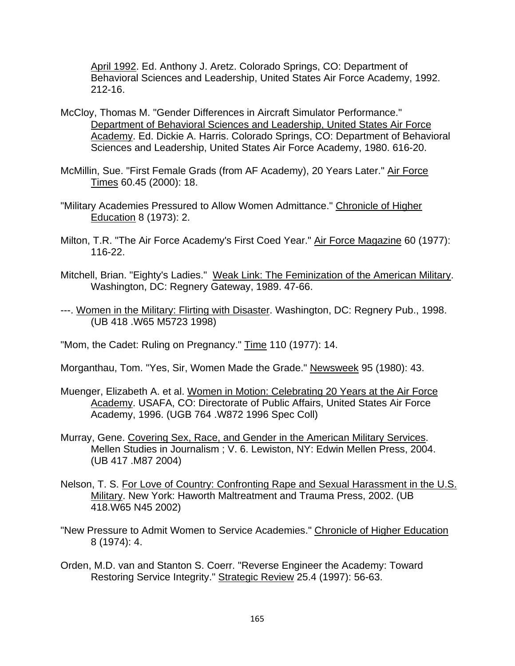April 1992. Ed. Anthony J. Aretz. Colorado Springs, CO: Department of Behavioral Sciences and Leadership, United States Air Force Academy, 1992. 212-16.

- McCloy, Thomas M. "Gender Differences in Aircraft Simulator Performance." Department of Behavioral Sciences and Leadership, United States Air Force Academy. Ed. Dickie A. Harris. Colorado Springs, CO: Department of Behavioral Sciences and Leadership, United States Air Force Academy, 1980. 616-20.
- McMillin, Sue. "First Female Grads (from AF Academy), 20 Years Later." Air Force Times 60.45 (2000): 18.
- "Military Academies Pressured to Allow Women Admittance." Chronicle of Higher Education 8 (1973): 2.
- Milton, T.R. "The Air Force Academy's First Coed Year." Air Force Magazine 60 (1977): 116-22.
- Mitchell, Brian. "Eighty's Ladies." Weak Link: The Feminization of the American Military. Washington, DC: Regnery Gateway, 1989. 47-66.
- ---. Women in the Military: Flirting with Disaster. Washington, DC: Regnery Pub., 1998. (UB 418 .W65 M5723 1998)
- "Mom, the Cadet: Ruling on Pregnancy." Time 110 (1977): 14.
- Morganthau, Tom. "Yes, Sir, Women Made the Grade." Newsweek 95 (1980): 43.
- Muenger, Elizabeth A. et al. Women in Motion: Celebrating 20 Years at the Air Force Academy. USAFA, CO: Directorate of Public Affairs, United States Air Force Academy, 1996. (UGB 764 .W872 1996 Spec Coll)
- Murray, Gene. Covering Sex, Race, and Gender in the American Military Services. Mellen Studies in Journalism ; V. 6. Lewiston, NY: Edwin Mellen Press, 2004. (UB 417 .M87 2004)
- Nelson, T. S. For Love of Country: Confronting Rape and Sexual Harassment in the U.S. Military. New York: Haworth Maltreatment and Trauma Press, 2002. (UB 418.W65 N45 2002)
- "New Pressure to Admit Women to Service Academies." Chronicle of Higher Education 8 (1974): 4.
- Orden, M.D. van and Stanton S. Coerr. "Reverse Engineer the Academy: Toward Restoring Service Integrity." Strategic Review 25.4 (1997): 56-63.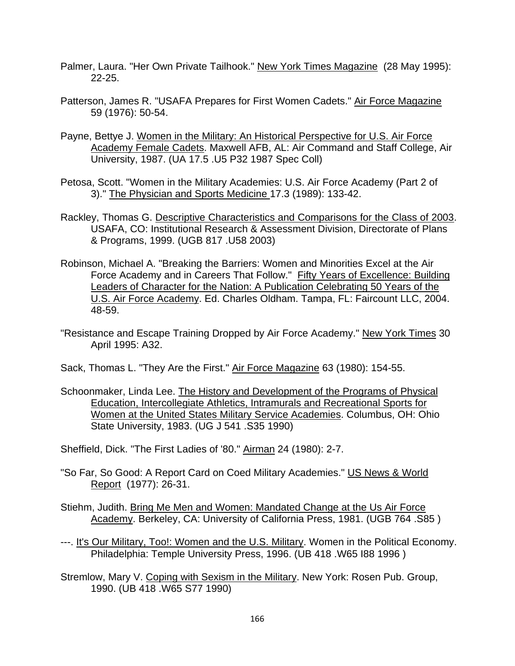- Palmer, Laura. "Her Own Private Tailhook." New York Times Magazine (28 May 1995): 22-25.
- Patterson, James R. "USAFA Prepares for First Women Cadets." Air Force Magazine 59 (1976): 50-54.
- Payne, Bettye J. Women in the Military: An Historical Perspective for U.S. Air Force Academy Female Cadets. Maxwell AFB, AL: Air Command and Staff College, Air University, 1987. (UA 17.5 .U5 P32 1987 Spec Coll)
- Petosa, Scott. "Women in the Military Academies: U.S. Air Force Academy (Part 2 of 3)." The Physician and Sports Medicine 17.3 (1989): 133-42.
- Rackley, Thomas G. Descriptive Characteristics and Comparisons for the Class of 2003. USAFA, CO: Institutional Research & Assessment Division, Directorate of Plans & Programs, 1999. (UGB 817 .U58 2003)
- Robinson, Michael A. "Breaking the Barriers: Women and Minorities Excel at the Air Force Academy and in Careers That Follow." Fifty Years of Excellence: Building Leaders of Character for the Nation: A Publication Celebrating 50 Years of the U.S. Air Force Academy. Ed. Charles Oldham. Tampa, FL: Faircount LLC, 2004. 48-59.
- "Resistance and Escape Training Dropped by Air Force Academy." New York Times 30 April 1995: A32.
- Sack, Thomas L. "They Are the First." Air Force Magazine 63 (1980): 154-55.
- Schoonmaker, Linda Lee. The History and Development of the Programs of Physical Education, Intercollegiate Athletics, Intramurals and Recreational Sports for Women at the United States Military Service Academies. Columbus, OH: Ohio State University, 1983. (UG J 541 .S35 1990)
- Sheffield, Dick. "The First Ladies of '80." Airman 24 (1980): 2-7.
- "So Far, So Good: A Report Card on Coed Military Academies." US News & World Report (1977): 26-31.
- Stiehm, Judith. Bring Me Men and Women: Mandated Change at the Us Air Force Academy. Berkeley, CA: University of California Press, 1981. (UGB 764 .S85 )
- ---. It's Our Military, Too!: Women and the U.S. Military. Women in the Political Economy. Philadelphia: Temple University Press, 1996. (UB 418 .W65 I88 1996 )
- Stremlow, Mary V. Coping with Sexism in the Military. New York: Rosen Pub. Group, 1990. (UB 418 .W65 S77 1990)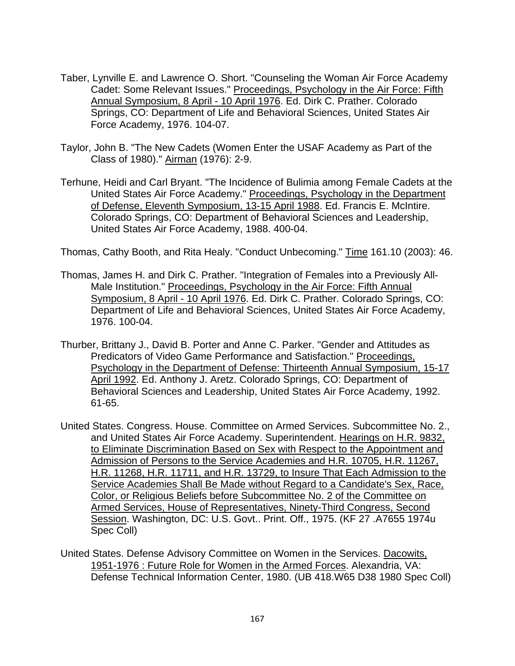- Taber, Lynville E. and Lawrence O. Short. "Counseling the Woman Air Force Academy Cadet: Some Relevant Issues." Proceedings, Psychology in the Air Force: Fifth Annual Symposium, 8 April - 10 April 1976. Ed. Dirk C. Prather. Colorado Springs, CO: Department of Life and Behavioral Sciences, United States Air Force Academy, 1976. 104-07.
- Taylor, John B. "The New Cadets (Women Enter the USAF Academy as Part of the Class of 1980)." Airman (1976): 2-9.
- Terhune, Heidi and Carl Bryant. "The Incidence of Bulimia among Female Cadets at the United States Air Force Academy." Proceedings, Psychology in the Department of Defense, Eleventh Symposium, 13-15 April 1988. Ed. Francis E. McIntire. Colorado Springs, CO: Department of Behavioral Sciences and Leadership, United States Air Force Academy, 1988. 400-04.

Thomas, Cathy Booth, and Rita Healy. "Conduct Unbecoming." Time 161.10 (2003): 46.

- Thomas, James H. and Dirk C. Prather. "Integration of Females into a Previously All-Male Institution." Proceedings, Psychology in the Air Force: Fifth Annual Symposium, 8 April - 10 April 1976. Ed. Dirk C. Prather. Colorado Springs, CO: Department of Life and Behavioral Sciences, United States Air Force Academy, 1976. 100-04.
- Thurber, Brittany J., David B. Porter and Anne C. Parker. "Gender and Attitudes as Predicators of Video Game Performance and Satisfaction." Proceedings, Psychology in the Department of Defense: Thirteenth Annual Symposium, 15-17 April 1992. Ed. Anthony J. Aretz. Colorado Springs, CO: Department of Behavioral Sciences and Leadership, United States Air Force Academy, 1992. 61-65.
- United States. Congress. House. Committee on Armed Services. Subcommittee No. 2., and United States Air Force Academy. Superintendent. Hearings on H.R. 9832, to Eliminate Discrimination Based on Sex with Respect to the Appointment and Admission of Persons to the Service Academies and H.R. 10705, H.R. 11267, H.R. 11268, H.R. 11711, and H.R. 13729, to Insure That Each Admission to the Service Academies Shall Be Made without Regard to a Candidate's Sex, Race, Color, or Religious Beliefs before Subcommittee No. 2 of the Committee on Armed Services, House of Representatives, Ninety-Third Congress, Second Session. Washington, DC: U.S. Govt.. Print. Off., 1975. (KF 27 .A7655 1974u Spec Coll)
- United States. Defense Advisory Committee on Women in the Services. Dacowits, 1951-1976 : Future Role for Women in the Armed Forces. Alexandria, VA: Defense Technical Information Center, 1980. (UB 418.W65 D38 1980 Spec Coll)